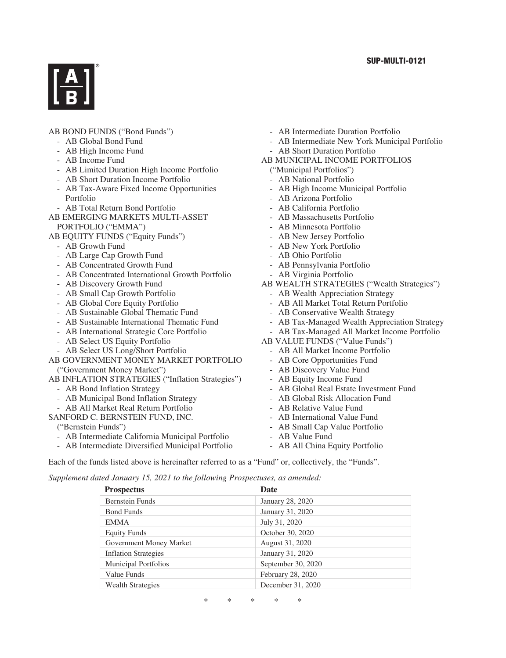

### AB BOND FUNDS ("Bond Funds")

- AB Global Bond Fund
- AB High Income Fund
- AB Income Fund
- AB Limited Duration High Income Portfolio
- AB Short Duration Income Portfolio
- AB Tax-Aware Fixed Income Opportunities Portfolio
- AB Total Return Bond Portfolio
- AB EMERGING MARKETS MULTI-ASSET PORTFOLIO ("EMMA")
- AB EQUITY FUNDS ("Equity Funds")
	- AB Growth Fund
	- AB Large Cap Growth Fund
	- AB Concentrated Growth Fund
	- AB Concentrated International Growth Portfolio
	- AB Discovery Growth Fund
	- AB Small Cap Growth Portfolio
	- AB Global Core Equity Portfolio
	- AB Sustainable Global Thematic Fund
	- AB Sustainable International Thematic Fund
	- AB International Strategic Core Portfolio
	- AB Select US Equity Portfolio
	- AB Select US Long/Short Portfolio
- AB GOVERNMENT MONEY MARKET PORTFOLIO ("Government Money Market")
- AB INFLATION STRATEGIES ("Inflation Strategies")
	- AB Bond Inflation Strategy
	- AB Municipal Bond Inflation Strategy
	- AB All Market Real Return Portfolio
- SANFORD C. BERNSTEIN FUND, INC.
	- ("Bernstein Funds")
	- AB Intermediate California Municipal Portfolio
	- AB Intermediate Diversified Municipal Portfolio
- AB Intermediate Duration Portfolio
- AB Intermediate New York Municipal Portfolio - AB Short Duration Portfolio
- AB MUNICIPAL INCOME PORTFOLIOS
- ("Municipal Portfolios")
- AB National Portfolio
- AB High Income Municipal Portfolio
- AB Arizona Portfolio
- AB California Portfolio
- AB Massachusetts Portfolio
- AB Minnesota Portfolio
- AB New Jersey Portfolio
- AB New York Portfolio
- AB Ohio Portfolio
- AB Pennsylvania Portfolio
- AB Virginia Portfolio
- AB WEALTH STRATEGIES ("Wealth Strategies")
	- AB Wealth Appreciation Strategy
	- AB All Market Total Return Portfolio
	- AB Conservative Wealth Strategy
	- AB Tax-Managed Wealth Appreciation Strategy
	- AB Tax-Managed All Market Income Portfolio
- AB VALUE FUNDS ("Value Funds")
	- AB All Market Income Portfolio
	- AB Core Opportunities Fund
	- AB Discovery Value Fund
	- AB Equity Income Fund
	- AB Global Real Estate Investment Fund
	- AB Global Risk Allocation Fund
	- AB Relative Value Fund
	- AB International Value Fund
	- AB Small Cap Value Portfolio
	- AB Value Fund
	- AB All China Equity Portfolio

Each of the funds listed above is hereinafter referred to as a "Fund" or, collectively, the "Funds".

*Supplement dated January 15, 2021 to the following Prospectuses, as amended:*

| <b>Date</b>        |
|--------------------|
| January 28, 2020   |
| January 31, 2020   |
| July 31, 2020      |
| October 30, 2020   |
| August 31, 2020    |
| January 31, 2020   |
| September 30, 2020 |
| February 28, 2020  |
| December 31, 2020  |
|                    |

\*\*\*\*\*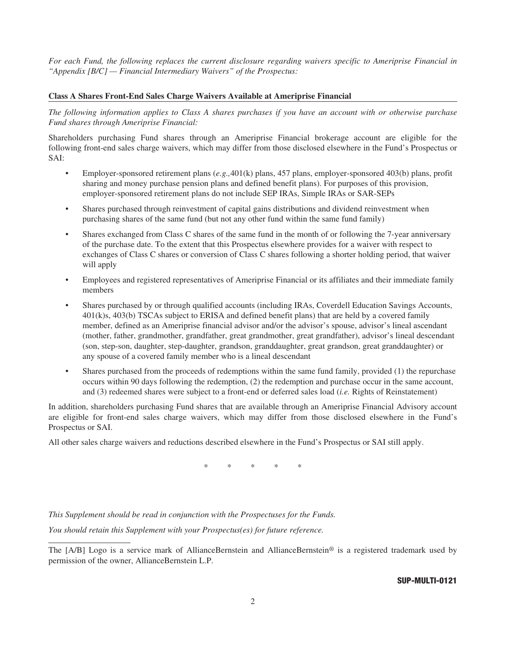*For each Fund, the following replaces the current disclosure regarding waivers specific to Ameriprise Financial in "Appendix [B/C] — Financial Intermediary Waivers" of the Prospectus:*

#### **Class A Shares Front-End Sales Charge Waivers Available at Ameriprise Financial**

*The following information applies to Class A shares purchases if you have an account with or otherwise purchase Fund shares through Ameriprise Financial:*

Shareholders purchasing Fund shares through an Ameriprise Financial brokerage account are eligible for the following front-end sales charge waivers, which may differ from those disclosed elsewhere in the Fund's Prospectus or SAI:

- Employer-sponsored retirement plans (*e.g.,*401(k) plans, 457 plans, employer-sponsored 403(b) plans, profit sharing and money purchase pension plans and defined benefit plans). For purposes of this provision, employer-sponsored retirement plans do not include SEP IRAs, Simple IRAs or SAR-SEPs
- Shares purchased through reinvestment of capital gains distributions and dividend reinvestment when purchasing shares of the same fund (but not any other fund within the same fund family)
- Shares exchanged from Class C shares of the same fund in the month of or following the 7-year anniversary of the purchase date. To the extent that this Prospectus elsewhere provides for a waiver with respect to exchanges of Class C shares or conversion of Class C shares following a shorter holding period, that waiver will apply
- Employees and registered representatives of Ameriprise Financial or its affiliates and their immediate family members
- Shares purchased by or through qualified accounts (including IRAs, Coverdell Education Savings Accounts, 401(k)s, 403(b) TSCAs subject to ERISA and defined benefit plans) that are held by a covered family member, defined as an Ameriprise financial advisor and/or the advisor's spouse, advisor's lineal ascendant (mother, father, grandmother, grandfather, great grandmother, great grandfather), advisor's lineal descendant (son, step-son, daughter, step-daughter, grandson, granddaughter, great grandson, great granddaughter) or any spouse of a covered family member who is a lineal descendant
- Shares purchased from the proceeds of redemptions within the same fund family, provided (1) the repurchase occurs within 90 days following the redemption, (2) the redemption and purchase occur in the same account, and (3) redeemed shares were subject to a front-end or deferred sales load (*i.e.* Rights of Reinstatement)

In addition, shareholders purchasing Fund shares that are available through an Ameriprise Financial Advisory account are eligible for front-end sales charge waivers, which may differ from those disclosed elsewhere in the Fund's Prospectus or SAI.

All other sales charge waivers and reductions described elsewhere in the Fund's Prospectus or SAI still apply.

 $*$  \* \* \*

*This Supplement should be read in conjunction with the Prospectuses for the Funds.*

*You should retain this Supplement with your Prospectus(es) for future reference.*

#### **SUP-MULTI-0121**

The [A/B] Logo is a service mark of AllianceBernstein and AllianceBernstein<sup>®</sup> is a registered trademark used by permission of the owner, AllianceBernstein L.P.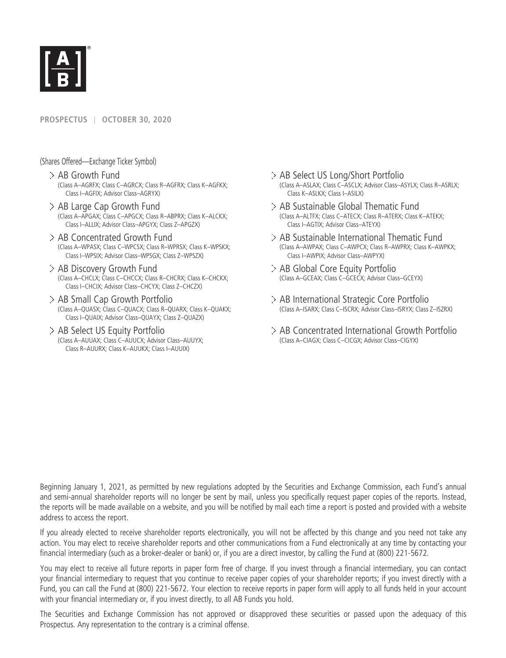

### **PROSPECTUS** | **OCTOBER 30, 2020**

(Shares Offered—Exchange Ticker Symbol)

- AB Growth Fund (Class A–AGRFX; Class C–AGRCX; Class R–AGFRX; Class K–AGFKX; Class I–AGFIX; Advisor Class–AGRYX)
- AB Large Cap Growth Fund (Class A–APGAX; Class C–APGCX; Class R–ABPRX; Class K–ALCKX; Class I–ALLIX; Advisor Class–APGYX; Class Z–APGZX)
- AB Concentrated Growth Fund (Class A–WPASX; Class C–WPCSX; Class R–WPRSX; Class K–WPSKX; Class I–WPSIX; Advisor Class–WPSGX; Class Z–WPSZX)
- AB Discovery Growth Fund (Class A–CHCLX; Class C–CHCCX; Class R–CHCRX; Class K–CHCKX; Class I–CHCIX; Advisor Class–CHCYX; Class Z–CHCZX)
- AB Small Cap Growth Portfolio (Class A–QUASX; Class C–QUACX; Class R–QUARX; Class K–QUAKX; Class I–QUAIX; Advisor Class–QUAYX; Class Z–QUAZX)
- AB Select US Equity Portfolio (Class A–AUUAX; Class C–AUUCX; Advisor Class–AUUYX; Class R–AUURX; Class K–AUUKX; Class I–AUUIX)
- AB Select US Long/Short Portfolio (Class A–ASLAX; Class C–ASCLX; Advisor Class–ASYLX; Class R–ASRLX; Class K–ASLKX; Class I–ASILX)
- AB Sustainable Global Thematic Fund (Class A–ALTFX; Class C–ATECX; Class R–ATERX; Class K–ATEKX; Class I–AGTIX; Advisor Class–ATEYX)
- AB Sustainable International Thematic Fund (Class A–AWPAX; Class C–AWPCX; Class R–AWPRX; Class K–AWPKX; Class I–AWPIX; Advisor Class–AWPYX)
- AB Global Core Equity Portfolio (Class A–GCEAX; Class C–GCECX; Advisor Class–GCEYX)
- AB International Strategic Core Portfolio (Class A–ISARX; Class C–ISCRX; Advisor Class–ISRYX; Class Z–ISZRX)
- AB Concentrated International Growth Portfolio (Class A–CIAGX; Class C–CICGX; Advisor Class–CIGYX)

Beginning January 1, 2021, as permitted by new regulations adopted by the Securities and Exchange Commission, each Fund's annual and semi-annual shareholder reports will no longer be sent by mail, unless you specifically request paper copies of the reports. Instead, the reports will be made available on a website, and you will be notified by mail each time a report is posted and provided with a website address to access the report.

If you already elected to receive shareholder reports electronically, you will not be affected by this change and you need not take any action. You may elect to receive shareholder reports and other communications from a Fund electronically at any time by contacting your financial intermediary (such as a broker-dealer or bank) or, if you are a direct investor, by calling the Fund at (800) 221-5672.

You may elect to receive all future reports in paper form free of charge. If you invest through a financial intermediary, you can contact your financial intermediary to request that you continue to receive paper copies of your shareholder reports; if you invest directly with a Fund, you can call the Fund at (800) 221-5672. Your election to receive reports in paper form will apply to all funds held in your account with your financial intermediary or, if you invest directly, to all AB Funds you hold.

The Securities and Exchange Commission has not approved or disapproved these securities or passed upon the adequacy of this Prospectus. Any representation to the contrary is a criminal offense.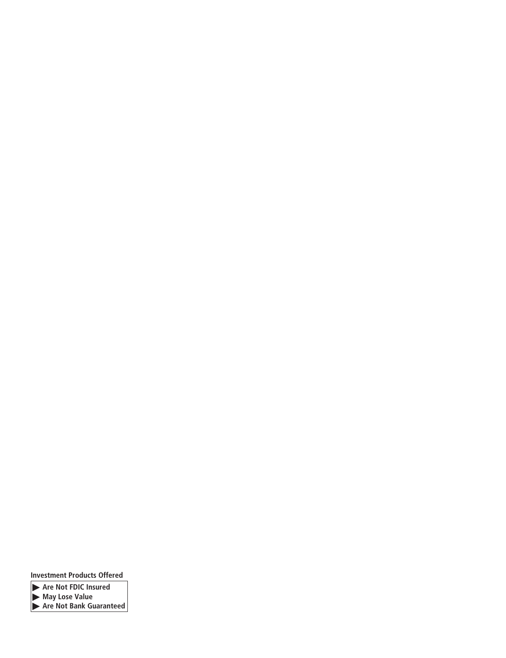**Investment Products Offered**

- **Are Not FDIC Insured**

- **May Lose Value**

- **Are Not Bank Guaranteed**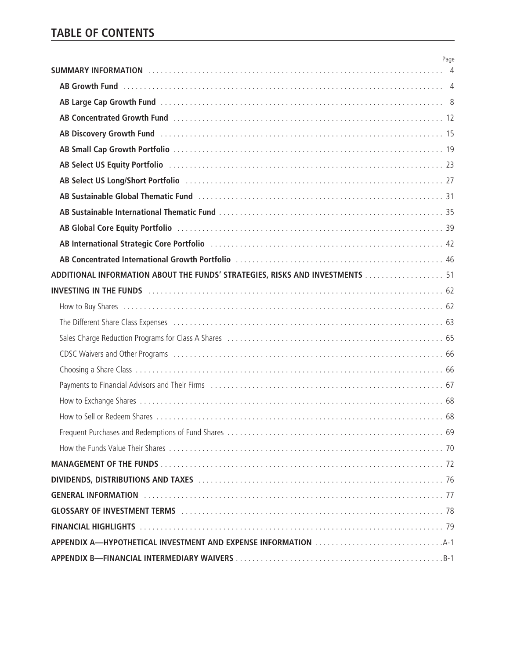|                                                                                                                                                                                                                                | Page |
|--------------------------------------------------------------------------------------------------------------------------------------------------------------------------------------------------------------------------------|------|
|                                                                                                                                                                                                                                |      |
| AB Large Cap Growth Fund (and contact and contact and contact and contact and contact and contact and contact and contact and contact and contact and contact and contact and contact and contact and contact and contact and  |      |
|                                                                                                                                                                                                                                |      |
| AB Discovery Growth Fund Administration Contract Contract Contract Contract Contract Contract Contract Contract Contract Contract Contract Contract Contract Contract Contract Contract Contract Contract Contract Contract Co |      |
|                                                                                                                                                                                                                                |      |
| AB Select US Equity Portfolio (and the contract of the contract of the contract of the contract of the contract $23$                                                                                                           |      |
|                                                                                                                                                                                                                                |      |
| AB Sustainable Global Thematic Fund (and the contract of the contract of the contract of the Sustainable Global Thematic Fund (a) and the contract of the Sustainable Global Thematic Fund (a) and the Sustainable Contract of |      |
|                                                                                                                                                                                                                                |      |
| AB Global Core Equity Portfolio (and according to the control of the control of the control of the control of the control of the control of the control of the control of the control of the control of the control of the con |      |
| AB International Strategic Core Portfolio (and according to the control of the 42                                                                                                                                              |      |
|                                                                                                                                                                                                                                |      |
| ADDITIONAL INFORMATION ABOUT THE FUNDS' STRATEGIES, RISKS AND INVESTMENTS 51                                                                                                                                                   |      |
| INVESTING IN THE FUNDS And Contact the Control of Contact the Control of Contact the Control of Contact Termina Contact Termina Contact Termina Contact Termina Contact Termina Contact Termina Contact Termina Contact Termin |      |
|                                                                                                                                                                                                                                |      |
|                                                                                                                                                                                                                                |      |
| The Different Share Class Expenses (and according to the control of the control of the Different Share Class Expenses (and according to the control of the Different Share Class Expenses (3)                                  |      |
| Sales Charge Reduction Programs for Class A Shares (and all contained according to the state of 55)                                                                                                                            |      |
|                                                                                                                                                                                                                                |      |
|                                                                                                                                                                                                                                |      |
| Payments to Financial Advisors and Their Firms (all contained according to the content of the financial Advisors and Their Firms (all content according to the film of $67$                                                    |      |
|                                                                                                                                                                                                                                |      |
|                                                                                                                                                                                                                                |      |
|                                                                                                                                                                                                                                |      |
|                                                                                                                                                                                                                                |      |
|                                                                                                                                                                                                                                |      |
| DIVIDENDS, DISTRIBUTIONS AND TAXES Material Communications and TAXES (1995) and the communications and TAXES                                                                                                                   |      |
|                                                                                                                                                                                                                                |      |
| GLOSSARY OF INVESTMENT TERMS And an account of the contract of the TRI TAG and TRI TRI TRI TRI TRI TRI TRI TRI                                                                                                                 |      |
|                                                                                                                                                                                                                                |      |
|                                                                                                                                                                                                                                |      |
|                                                                                                                                                                                                                                |      |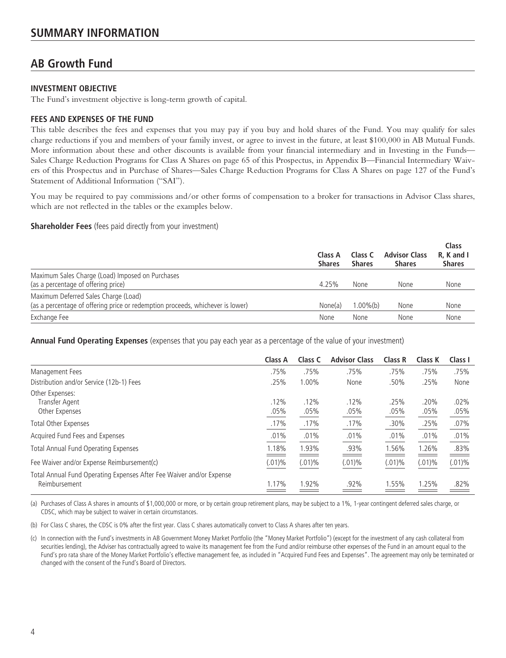# **AB Growth Fund**

# **INVESTMENT OBJECTIVE**

The Fund's investment objective is long-term growth of capital.

# **FEES AND EXPENSES OF THE FUND**

This table describes the fees and expenses that you may pay if you buy and hold shares of the Fund. You may qualify for sales charge reductions if you and members of your family invest, or agree to invest in the future, at least \$100,000 in AB Mutual Funds. More information about these and other discounts is available from your financial intermediary and in Investing in the Funds— Sales Charge Reduction Programs for Class A Shares on page 65 of this Prospectus, in Appendix B—Financial Intermediary Waivers of this Prospectus and in Purchase of Shares—Sales Charge Reduction Programs for Class A Shares on page 127 of the Fund's Statement of Additional Information ("SAI").

You may be required to pay commissions and/or other forms of compensation to a broker for transactions in Advisor Class shares, which are not reflected in the tables or the examples below.

**Shareholder Fees** (fees paid directly from your investment)

|                                                                                                                        | Class A<br><b>Shares</b> | Class C<br><b>Shares</b> | <b>Advisor Class</b><br><b>Shares</b> | Class<br>R. K and I<br><b>Shares</b> |
|------------------------------------------------------------------------------------------------------------------------|--------------------------|--------------------------|---------------------------------------|--------------------------------------|
| Maximum Sales Charge (Load) Imposed on Purchases<br>(as a percentage of offering price)                                | 4.25%                    | None                     | None                                  | None                                 |
| Maximum Deferred Sales Charge (Load)<br>(as a percentage of offering price or redemption proceeds, whichever is lower) | None(a)                  | $1.00\%$ (b)             | None                                  | None                                 |
| Exchange Fee                                                                                                           | None                     | None                     | None                                  | None                                 |

**Annual Fund Operating Expenses** (expenses that you pay each year as a percentage of the value of your investment)

|                                                                      | Class A   | Class C   | <b>Advisor Class</b> | Class R   | Class K   | Class I   |
|----------------------------------------------------------------------|-----------|-----------|----------------------|-----------|-----------|-----------|
| Management Fees                                                      | .75%      | .75%      | .75%                 | .75%      | .75%      | .75%      |
| Distribution and/or Service (12b-1) Fees                             | .25%      | 1.00%     | None                 | .50%      | .25%      | None      |
| Other Expenses:                                                      |           |           |                      |           |           |           |
| Transfer Agent                                                       | .12%      | .12%      | .12%                 | .25%      | .20%      | .02%      |
| Other Expenses                                                       | .05%      | .05%      | .05%                 | .05%      | .05%      | .05%      |
| Total Other Expenses                                                 | .17%      | .17%      | .17%                 | .30%      | .25%      | $.07\%$   |
| Acquired Fund Fees and Expenses                                      | .01%      | .01%      | .01%                 | .01%      | .01%      | .01%      |
| <b>Total Annual Fund Operating Expenses</b>                          | 1.18%     | 1.93%     | .93%                 | 1.56%     | 1.26%     | .83%      |
| Fee Waiver and/or Expense Reimbursement(c)                           | $(.01)\%$ | $(.01)\%$ | $(.01)\%$            | $(.01)\%$ | $(.01)\%$ | $(.01)\%$ |
| Total Annual Fund Operating Expenses After Fee Waiver and/or Expense |           |           |                      |           |           |           |
| Reimbursement                                                        | 1.17%     | 1.92%     | .92%                 | 1.55%     | 1.25%     | .82%      |
|                                                                      |           |           |                      |           |           |           |

(a) Purchases of Class A shares in amounts of \$1,000,000 or more, or by certain group retirement plans, may be subject to a 1%, 1-year contingent deferred sales charge, or CDSC, which may be subject to waiver in certain circumstances.

(b) For Class C shares, the CDSC is 0% after the first year. Class C shares automatically convert to Class A shares after ten years.

(c) In connection with the Fund's investments in AB Government Money Market Portfolio (the "Money Market Portfolio") (except for the investment of any cash collateral from securities lending), the Adviser has contractually agreed to waive its management fee from the Fund and/or reimburse other expenses of the Fund in an amount equal to the Fund's pro rata share of the Money Market Portfolio's effective management fee, as included in "Acquired Fund Fees and Expenses". The agreement may only be terminated or changed with the consent of the Fund's Board of Directors.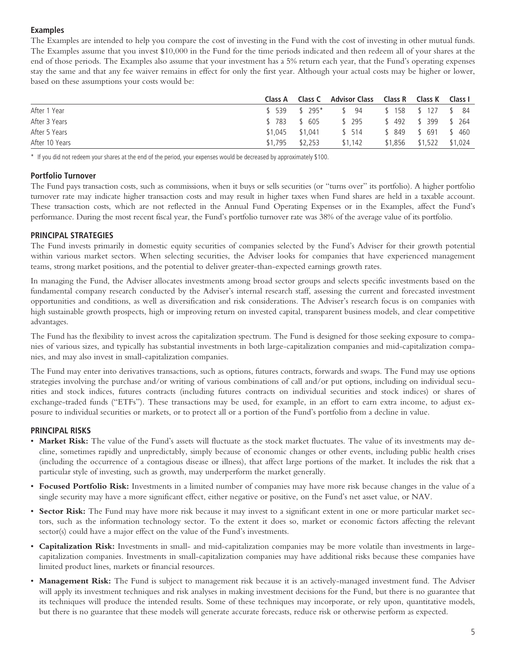# **Examples**

The Examples are intended to help you compare the cost of investing in the Fund with the cost of investing in other mutual funds. The Examples assume that you invest \$10,000 in the Fund for the time periods indicated and then redeem all of your shares at the end of those periods. The Examples also assume that your investment has a 5% return each year, that the Fund's operating expenses stay the same and that any fee waiver remains in effect for only the first year. Although your actual costs may be higher or lower, based on these assumptions your costs would be:

|                |                   | Class A Class C Advisor Class Class R Class K Class I |                      |         |
|----------------|-------------------|-------------------------------------------------------|----------------------|---------|
| After 1 Year   |                   | \$539 \$295* \$94 \$158 \$127 \$84                    |                      |         |
| After 3 Years  |                   | \$783 \$605 \$295                                     | \$492 \$399 \$264    |         |
| After 5 Years  | \$1.045 \$1.041   | \$ 514                                                | \$ 849 \$ 691 \$ 460 |         |
| After 10 Years | $$1,795$ $$2,253$ | \$1.142                                               | \$1,856 \$1,522      | \$1,024 |

\* If you did not redeem your shares at the end of the period, your expenses would be decreased by approximately \$100.

#### **Portfolio Turnover**

The Fund pays transaction costs, such as commissions, when it buys or sells securities (or "turns over" its portfolio). A higher portfolio turnover rate may indicate higher transaction costs and may result in higher taxes when Fund shares are held in a taxable account. These transaction costs, which are not reflected in the Annual Fund Operating Expenses or in the Examples, affect the Fund's performance. During the most recent fiscal year, the Fund's portfolio turnover rate was 38% of the average value of its portfolio.

#### **PRINCIPAL STRATEGIES**

The Fund invests primarily in domestic equity securities of companies selected by the Fund's Adviser for their growth potential within various market sectors. When selecting securities, the Adviser looks for companies that have experienced management teams, strong market positions, and the potential to deliver greater-than-expected earnings growth rates.

In managing the Fund, the Adviser allocates investments among broad sector groups and selects specific investments based on the fundamental company research conducted by the Adviser's internal research staff, assessing the current and forecasted investment opportunities and conditions, as well as diversification and risk considerations. The Adviser's research focus is on companies with high sustainable growth prospects, high or improving return on invested capital, transparent business models, and clear competitive advantages.

The Fund has the flexibility to invest across the capitalization spectrum. The Fund is designed for those seeking exposure to companies of various sizes, and typically has substantial investments in both large-capitalization companies and mid-capitalization companies, and may also invest in small-capitalization companies.

The Fund may enter into derivatives transactions, such as options, futures contracts, forwards and swaps. The Fund may use options strategies involving the purchase and/or writing of various combinations of call and/or put options, including on individual securities and stock indices, futures contracts (including futures contracts on individual securities and stock indices) or shares of exchange-traded funds ("ETFs"). These transactions may be used, for example, in an effort to earn extra income, to adjust exposure to individual securities or markets, or to protect all or a portion of the Fund's portfolio from a decline in value.

#### **PRINCIPAL RISKS**

- **Market Risk:** The value of the Fund's assets will fluctuate as the stock market fluctuates. The value of its investments may decline, sometimes rapidly and unpredictably, simply because of economic changes or other events, including public health crises (including the occurrence of a contagious disease or illness), that affect large portions of the market. It includes the risk that a particular style of investing, such as growth, may underperform the market generally.
- **Focused Portfolio Risk:** Investments in a limited number of companies may have more risk because changes in the value of a single security may have a more significant effect, either negative or positive, on the Fund's net asset value, or NAV.
- **Sector Risk:** The Fund may have more risk because it may invest to a significant extent in one or more particular market sectors, such as the information technology sector. To the extent it does so, market or economic factors affecting the relevant sector(s) could have a major effect on the value of the Fund's investments.
- **Capitalization Risk:** Investments in small- and mid-capitalization companies may be more volatile than investments in largecapitalization companies. Investments in small-capitalization companies may have additional risks because these companies have limited product lines, markets or financial resources.
- **Management Risk:** The Fund is subject to management risk because it is an actively-managed investment fund. The Adviser will apply its investment techniques and risk analyses in making investment decisions for the Fund, but there is no guarantee that its techniques will produce the intended results. Some of these techniques may incorporate, or rely upon, quantitative models, but there is no guarantee that these models will generate accurate forecasts, reduce risk or otherwise perform as expected.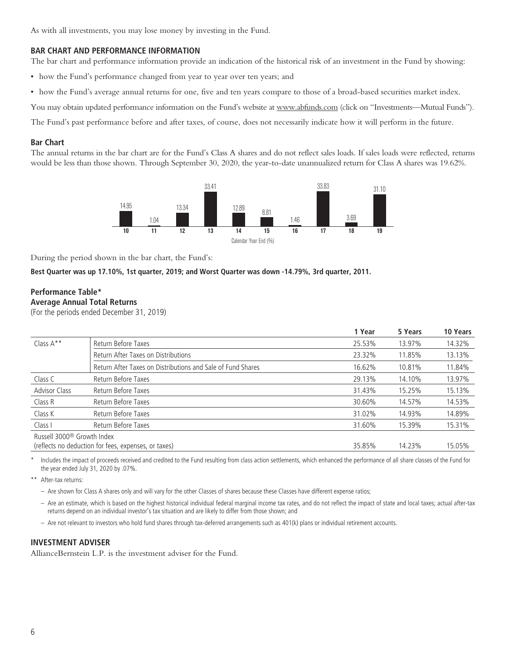As with all investments, you may lose money by investing in the Fund.

### **BAR CHART AND PERFORMANCE INFORMATION**

The bar chart and performance information provide an indication of the historical risk of an investment in the Fund by showing:

- how the Fund's performance changed from year to year over ten years; and
- how the Fund's average annual returns for one, five and ten years compare to those of a broad-based securities market index.

You may obtain updated performance information on the Fund's website at www.abfunds.com (click on "Investments—Mutual Funds").

The Fund's past performance before and after taxes, of course, does not necessarily indicate how it will perform in the future.

#### **Bar Chart**

The annual returns in the bar chart are for the Fund's Class A shares and do not reflect sales loads. If sales loads were reflected, returns would be less than those shown. Through September 30, 2020, the year-to-date unannualized return for Class A shares was 19.62%.



During the period shown in the bar chart, the Fund's:

#### **Best Quarter was up 17.10%, 1st quarter, 2019; and Worst Quarter was down -14.79%, 3rd quarter, 2011.**

# **Performance Table\* Average Annual Total Returns**

(For the periods ended December 31, 2019)

|                                        |                                                             | 1 Year | 5 Years | 10 Years |
|----------------------------------------|-------------------------------------------------------------|--------|---------|----------|
| Class $A^*$                            | Return Before Taxes                                         | 25.53% | 13.97%  | 14.32%   |
|                                        | Return After Taxes on Distributions                         | 23.32% | 11.85%  | 13.13%   |
|                                        | Return After Taxes on Distributions and Sale of Fund Shares | 16.62% | 10.81%  | 11.84%   |
| Class C                                | Return Before Taxes                                         | 29.13% | 14.10%  | 13.97%   |
| <b>Advisor Class</b>                   | Return Before Taxes                                         | 31.43% | 15.25%  | 15.13%   |
| Class R                                | Return Before Taxes                                         | 30.60% | 14.57%  | 14.53%   |
| Class K                                | Return Before Taxes                                         | 31.02% | 14.93%  | 14.89%   |
| Class I                                | Return Before Taxes                                         | 31.60% | 15.39%  | 15.31%   |
| Russell 3000 <sup>®</sup> Growth Index |                                                             |        |         |          |
|                                        | (reflects no deduction for fees, expenses, or taxes)        | 35.85% | 14.23%  | 15.05%   |

Includes the impact of proceeds received and credited to the Fund resulting from class action settlements, which enhanced the performance of all share classes of the Fund for the year ended July 31, 2020 by .07%.

\*\* After-tax returns:

- Are shown for Class A shares only and will vary for the other Classes of shares because these Classes have different expense ratios;
- Are an estimate, which is based on the highest historical individual federal marginal income tax rates, and do not reflect the impact of state and local taxes; actual after-tax returns depend on an individual investor's tax situation and are likely to differ from those shown; and
- Are not relevant to investors who hold fund shares through tax-deferred arrangements such as 401(k) plans or individual retirement accounts.

# **INVESTMENT ADVISER**

AllianceBernstein L.P. is the investment adviser for the Fund.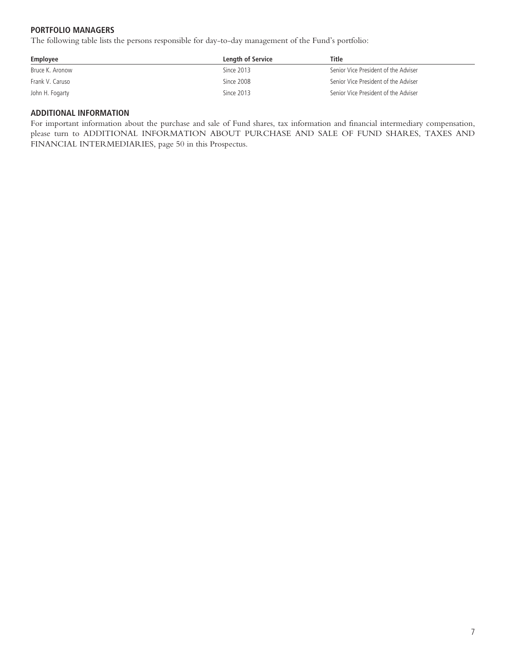# **PORTFOLIO MANAGERS**

The following table lists the persons responsible for day-to-day management of the Fund's portfolio:

| Employee        | Length of Service | Title                                |
|-----------------|-------------------|--------------------------------------|
| Bruce K. Aronow | Since 2013        | Senior Vice President of the Adviser |
| Frank V. Caruso | Since 2008        | Senior Vice President of the Adviser |
| John H. Fogarty | Since 2013        | Senior Vice President of the Adviser |

# **ADDITIONAL INFORMATION**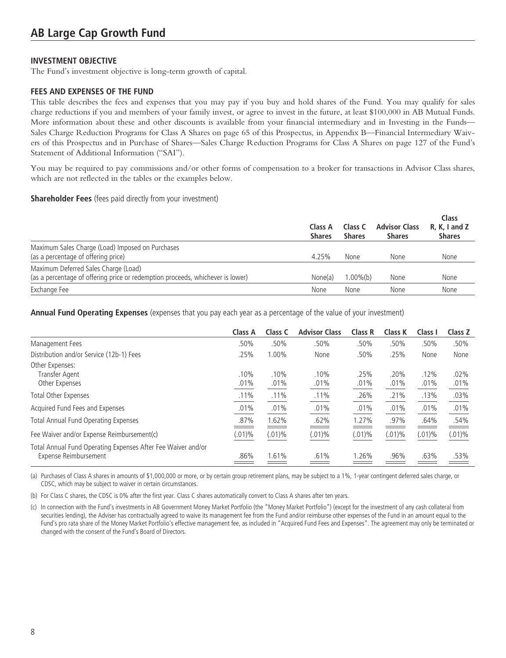The Fund's investment objective is long-term growth of capital.

### **FEES AND EXPENSES OF THE FUND**

This table describes the fees and expenses that you may pay if you buy and hold shares of the Fund. You may qualify for sales charge reductions if you and members of your family invest, or agree to invest in the future, at least \$100,000 in AB Mutual Funds. More information about these and other discounts is available from your financial intermediary and in Investing in the Funds— Sales Charge Reduction Programs for Class A Shares on page 65 of this Prospectus, in Appendix B—Financial Intermediary Waivers of this Prospectus and in Purchase of Shares—Sales Charge Reduction Programs for Class A Shares on page 127 of the Fund's Statement of Additional Information ("SAI").

You may be required to pay commissions and/or other forms of compensation to a broker for transactions in Advisor Class shares, which are not reflected in the tables or the examples below.

#### **Shareholder Fees** (fees paid directly from your investment)

|                                                                                                                        | Class A<br><b>Shares</b> | Class C<br><b>Shares</b> | <b>Advisor Class</b><br><b>Shares</b> | Class<br>R, K, I and Z<br><b>Shares</b> |
|------------------------------------------------------------------------------------------------------------------------|--------------------------|--------------------------|---------------------------------------|-----------------------------------------|
| Maximum Sales Charge (Load) Imposed on Purchases<br>(as a percentage of offering price)                                | 4.25%                    | None                     | None                                  | None                                    |
| Maximum Deferred Sales Charge (Load)<br>(as a percentage of offering price or redemption proceeds, whichever is lower) | None(a)                  | $1.00\%$ (b)             | None                                  | None                                    |
| Exchange Fee                                                                                                           | None                     | None                     | None                                  | None                                    |

**Annual Fund Operating Expenses** (expenses that you pay each year as a percentage of the value of your investment)

|                                                                                       | Class A   | Class C   | <b>Advisor Class</b> | Class R   | Class K   | Class I   | Class Z   |
|---------------------------------------------------------------------------------------|-----------|-----------|----------------------|-----------|-----------|-----------|-----------|
| Management Fees                                                                       | .50%      | .50%      | .50%                 | .50%      | .50%      | .50%      | .50%      |
| Distribution and/or Service (12b-1) Fees                                              | .25%      | 1.00%     | None                 | .50%      | .25%      | None      | None      |
| Other Expenses:<br>Transfer Agent                                                     | .10%      | .10%      | .10%                 | .25%      | .20%      | .12%      | .02%      |
| Other Expenses                                                                        | .01%      | .01%      | .01%                 | .01%      | .01%      | .01%      | $.01\%$   |
| Total Other Expenses                                                                  | .11%      | .11%      | .11%                 | .26%      | .21%      | .13%      | $.03\%$   |
| Acquired Fund Fees and Expenses                                                       | .01%      | .01%      | .01%                 | .01%      | .01%      | .01%      | $.01\%$   |
| <b>Total Annual Fund Operating Expenses</b>                                           | .87%      | 1.62%     | .62%                 | 1.27%     | .97%      | .64%      | .54%      |
| Fee Waiver and/or Expense Reimbursement(c)                                            | $(.01)\%$ | $(.01)\%$ | $(.01)\%$            | $(.01)\%$ | $(.01)\%$ | $(.01)\%$ | $(.01)\%$ |
| Total Annual Fund Operating Expenses After Fee Waiver and/or<br>Expense Reimbursement | .86%      | 1.61%     | .61%                 | 1.26%     | .96%      | .63%      | .53%      |

(a) Purchases of Class A shares in amounts of \$1,000,000 or more, or by certain group retirement plans, may be subject to a 1%, 1-year contingent deferred sales charge, or CDSC, which may be subject to waiver in certain circumstances.

(b) For Class C shares, the CDSC is 0% after the first year. Class C shares automatically convert to Class A shares after ten years.

(c) In connection with the Fund's investments in AB Government Money Market Portfolio (the "Money Market Portfolio") (except for the investment of any cash collateral from securities lending), the Adviser has contractually agreed to waive its management fee from the Fund and/or reimburse other expenses of the Fund in an amount equal to the Fund's pro rata share of the Money Market Portfolio's effective management fee, as included in "Acquired Fund Fees and Expenses". The agreement may only be terminated or changed with the consent of the Fund's Board of Directors.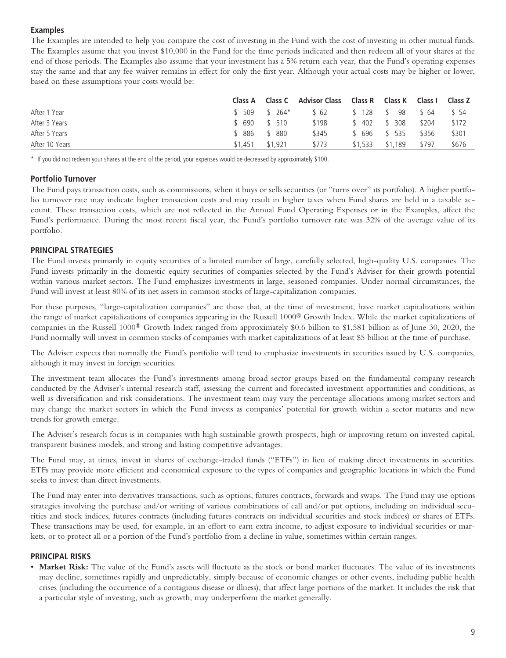# **Examples**

The Examples are intended to help you compare the cost of investing in the Fund with the cost of investing in other mutual funds. The Examples assume that you invest \$10,000 in the Fund for the time periods indicated and then redeem all of your shares at the end of those periods. The Examples also assume that your investment has a 5% return each year, that the Fund's operating expenses stay the same and that any fee waiver remains in effect for only the first year. Although your actual costs may be higher or lower, based on these assumptions your costs would be:

|                | Class A |         | <b>Class C</b> Advisor Class | Class R  Class K |         | Class I | Class Z |
|----------------|---------|---------|------------------------------|------------------|---------|---------|---------|
| After 1 Year   | \$509   | $$264*$ | \$ 62                        | $$128$ \ $$$     | 98      | \$ 64   | \$ 54   |
| After 3 Years  | \$ 690  | \$ 510  | \$198                        | \$ 402           | \$ 308  | \$204   | \$172   |
| After 5 Years  | 886     | \$ 880  | \$345                        | \$ 696           | \$ 535  | \$356   | \$301   |
| After 10 Years | \$1,451 | \$1.921 | \$773                        | \$1,533          | \$1,189 | \$797   | \$676   |

\* If you did not redeem your shares at the end of the period, your expenses would be decreased by approximately \$100.

### **Portfolio Turnover**

The Fund pays transaction costs, such as commissions, when it buys or sells securities (or "turns over" its portfolio). A higher portfolio turnover rate may indicate higher transaction costs and may result in higher taxes when Fund shares are held in a taxable account. These transaction costs, which are not reflected in the Annual Fund Operating Expenses or in the Examples, affect the Fund's performance. During the most recent fiscal year, the Fund's portfolio turnover rate was 32% of the average value of its portfolio.

# **PRINCIPAL STRATEGIES**

The Fund invests primarily in equity securities of a limited number of large, carefully selected, high-quality U.S. companies. The Fund invests primarily in the domestic equity securities of companies selected by the Fund's Adviser for their growth potential within various market sectors. The Fund emphasizes investments in large, seasoned companies. Under normal circumstances, the Fund will invest at least 80% of its net assets in common stocks of large-capitalization companies.

For these purposes, "large-capitalization companies" are those that, at the time of investment, have market capitalizations within the range of market capitalizations of companies appearing in the Russell 1000® Growth Index. While the market capitalizations of companies in the Russell 1000® Growth Index ranged from approximately \$0.6 billion to \$1,581 billion as of June 30, 2020, the Fund normally will invest in common stocks of companies with market capitalizations of at least \$5 billion at the time of purchase.

The Adviser expects that normally the Fund's portfolio will tend to emphasize investments in securities issued by U.S. companies, although it may invest in foreign securities.

The investment team allocates the Fund's investments among broad sector groups based on the fundamental company research conducted by the Adviser's internal research staff, assessing the current and forecasted investment opportunities and conditions, as well as diversification and risk considerations. The investment team may vary the percentage allocations among market sectors and may change the market sectors in which the Fund invests as companies' potential for growth within a sector matures and new trends for growth emerge.

The Adviser's research focus is in companies with high sustainable growth prospects, high or improving return on invested capital, transparent business models, and strong and lasting competitive advantages.

The Fund may, at times, invest in shares of exchange-traded funds ("ETFs") in lieu of making direct investments in securities. ETFs may provide more efficient and economical exposure to the types of companies and geographic locations in which the Fund seeks to invest than direct investments.

The Fund may enter into derivatives transactions, such as options, futures contracts, forwards and swaps. The Fund may use options strategies involving the purchase and/or writing of various combinations of call and/or put options, including on individual securities and stock indices, futures contracts (including futures contracts on individual securities and stock indices) or shares of ETFs. These transactions may be used, for example, in an effort to earn extra income, to adjust exposure to individual securities or markets, or to protect all or a portion of the Fund's portfolio from a decline in value, sometimes within certain ranges.

#### **PRINCIPAL RISKS**

• **Market Risk:** The value of the Fund's assets will fluctuate as the stock or bond market fluctuates. The value of its investments may decline, sometimes rapidly and unpredictably, simply because of economic changes or other events, including public health crises (including the occurrence of a contagious disease or illness), that affect large portions of the market. It includes the risk that a particular style of investing, such as growth, may underperform the market generally.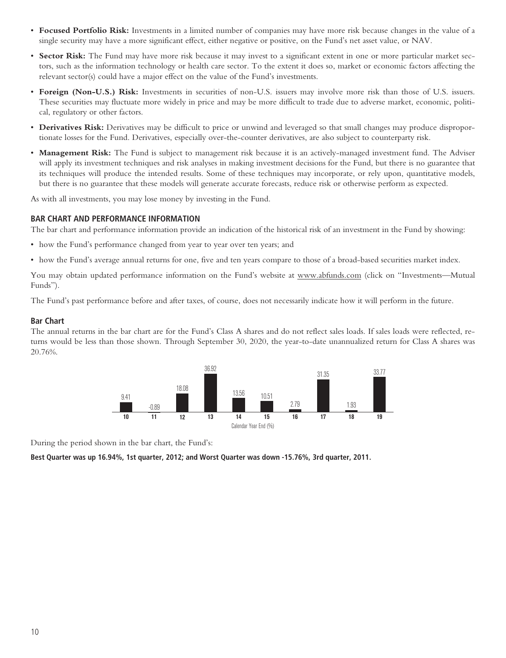- **Focused Portfolio Risk:** Investments in a limited number of companies may have more risk because changes in the value of a single security may have a more significant effect, either negative or positive, on the Fund's net asset value, or NAV.
- **Sector Risk:** The Fund may have more risk because it may invest to a significant extent in one or more particular market sectors, such as the information technology or health care sector. To the extent it does so, market or economic factors affecting the relevant sector(s) could have a major effect on the value of the Fund's investments.
- **Foreign (Non-U.S.) Risk:** Investments in securities of non-U.S. issuers may involve more risk than those of U.S. issuers. These securities may fluctuate more widely in price and may be more difficult to trade due to adverse market, economic, political, regulatory or other factors.
- **Derivatives Risk:** Derivatives may be difficult to price or unwind and leveraged so that small changes may produce disproportionate losses for the Fund. Derivatives, especially over-the-counter derivatives, are also subject to counterparty risk.
- **Management Risk:** The Fund is subject to management risk because it is an actively-managed investment fund. The Adviser will apply its investment techniques and risk analyses in making investment decisions for the Fund, but there is no guarantee that its techniques will produce the intended results. Some of these techniques may incorporate, or rely upon, quantitative models, but there is no guarantee that these models will generate accurate forecasts, reduce risk or otherwise perform as expected.

As with all investments, you may lose money by investing in the Fund.

#### **BAR CHART AND PERFORMANCE INFORMATION**

The bar chart and performance information provide an indication of the historical risk of an investment in the Fund by showing:

- how the Fund's performance changed from year to year over ten years; and
- how the Fund's average annual returns for one, five and ten years compare to those of a broad-based securities market index.

You may obtain updated performance information on the Fund's website at www.abfunds.com (click on "Investments—Mutual Funds").

The Fund's past performance before and after taxes, of course, does not necessarily indicate how it will perform in the future.

#### **Bar Chart**

The annual returns in the bar chart are for the Fund's Class A shares and do not reflect sales loads. If sales loads were reflected, returns would be less than those shown. Through September 30, 2020, the year-to-date unannualized return for Class A shares was 20.76%.



During the period shown in the bar chart, the Fund's:

**Best Quarter was up 16.94%, 1st quarter, 2012; and Worst Quarter was down -15.76%, 3rd quarter, 2011.**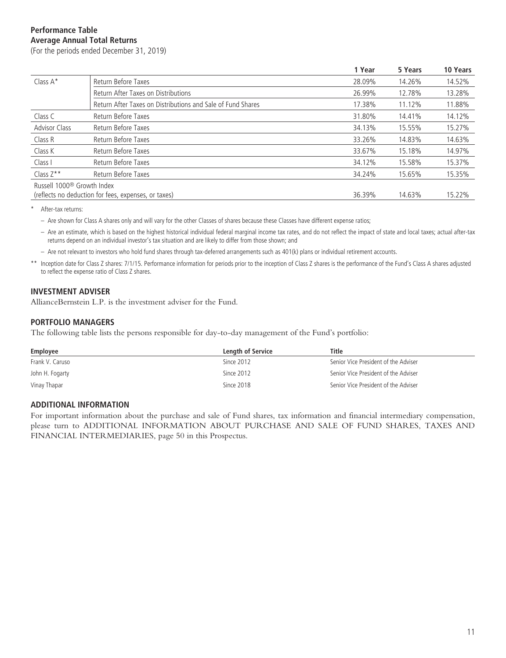# **Performance Table Average Annual Total Returns**

(For the periods ended December 31, 2019)

|                                        |                                                             | 1 Year | 5 Years | 10 Years |
|----------------------------------------|-------------------------------------------------------------|--------|---------|----------|
| Class A*                               | Return Before Taxes                                         | 28.09% | 14.26%  | 14.52%   |
|                                        | Return After Taxes on Distributions                         | 26.99% | 12.78%  | 13.28%   |
|                                        | Return After Taxes on Distributions and Sale of Fund Shares | 17.38% | 11.12%  | 11.88%   |
| Class C                                | Return Before Taxes                                         | 31.80% | 14.41%  | 14.12%   |
| <b>Advisor Class</b>                   | Return Before Taxes                                         | 34.13% | 15.55%  | 15.27%   |
| Class R                                | Return Before Taxes                                         | 33.26% | 14.83%  | 14.63%   |
| Class K                                | Return Before Taxes                                         | 33.67% | 15.18%  | 14.97%   |
| Class I                                | Return Before Taxes                                         | 34.12% | 15.58%  | 15.37%   |
| Class $Z^{\star\star}$                 | Return Before Taxes                                         | 34.24% | 15.65%  | 15.35%   |
| Russell 1000 <sup>®</sup> Growth Index |                                                             |        |         |          |
|                                        | (reflects no deduction for fees, expenses, or taxes)        | 36.39% | 14.63%  | 15.22%   |

\* After-tax returns:

– Are shown for Class A shares only and will vary for the other Classes of shares because these Classes have different expense ratios;

– Are an estimate, which is based on the highest historical individual federal marginal income tax rates, and do not reflect the impact of state and local taxes; actual after-tax returns depend on an individual investor's tax situation and are likely to differ from those shown; and

– Are not relevant to investors who hold fund shares through tax-deferred arrangements such as 401(k) plans or individual retirement accounts.

\*\* Inception date for Class Z shares: 7/1/15. Performance information for periods prior to the inception of Class Z shares is the performance of the Fund's Class A shares adjusted to reflect the expense ratio of Class Z shares.

#### **INVESTMENT ADVISER**

AllianceBernstein L.P. is the investment adviser for the Fund.

#### **PORTFOLIO MANAGERS**

The following table lists the persons responsible for day-to-day management of the Fund's portfolio:

| Employee        | <b>Length of Service</b> | Title                                |
|-----------------|--------------------------|--------------------------------------|
| Frank V. Caruso | Since 2012               | Senior Vice President of the Adviser |
| John H. Fogarty | Since 2012               | Senior Vice President of the Adviser |
| Vinay Thapar    | Since 2018               | Senior Vice President of the Adviser |

#### **ADDITIONAL INFORMATION**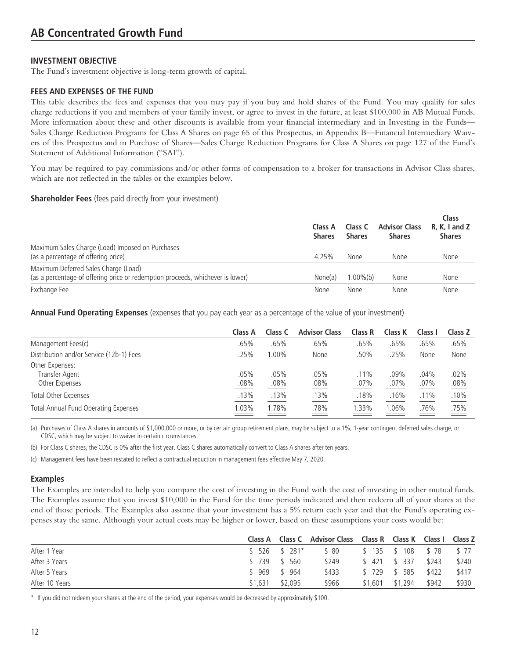The Fund's investment objective is long-term growth of capital.

### **FEES AND EXPENSES OF THE FUND**

This table describes the fees and expenses that you may pay if you buy and hold shares of the Fund. You may qualify for sales charge reductions if you and members of your family invest, or agree to invest in the future, at least \$100,000 in AB Mutual Funds. More information about these and other discounts is available from your financial intermediary and in Investing in the Funds— Sales Charge Reduction Programs for Class A Shares on page 65 of this Prospectus, in Appendix B—Financial Intermediary Waivers of this Prospectus and in Purchase of Shares—Sales Charge Reduction Programs for Class A Shares on page 127 of the Fund's Statement of Additional Information ("SAI").

You may be required to pay commissions and/or other forms of compensation to a broker for transactions in Advisor Class shares, which are not reflected in the tables or the examples below.

#### **Shareholder Fees** (fees paid directly from your investment)

|                                                                                                                        | Class A<br><b>Shares</b> | Class C<br><b>Shares</b> | <b>Advisor Class</b><br><b>Shares</b> | Class<br>$R, K, I$ and Z<br><b>Shares</b> |
|------------------------------------------------------------------------------------------------------------------------|--------------------------|--------------------------|---------------------------------------|-------------------------------------------|
| Maximum Sales Charge (Load) Imposed on Purchases<br>(as a percentage of offering price)                                | 4.25%                    | None                     | None                                  | None                                      |
| Maximum Deferred Sales Charge (Load)<br>(as a percentage of offering price or redemption proceeds, whichever is lower) | None(a)                  | $1.00\%$ (b)             | None                                  | None                                      |
| Exchange Fee                                                                                                           | None                     | None                     | None                                  | None                                      |

**Annual Fund Operating Expenses** (expenses that you pay each year as a percentage of the value of your investment)

|                                                     | Class A      | Class C      | <b>Advisor Class</b> | Class R         | Class K      | Class I         | Class Z      |
|-----------------------------------------------------|--------------|--------------|----------------------|-----------------|--------------|-----------------|--------------|
| Management Fees(c)                                  | .65%         | .65%         | .65%                 | .65%            | .65%         | .65%            | .65%         |
| Distribution and/or Service (12b-1) Fees            | .25%         | $0.00\%$     | None                 | .50%            | .25%         | None            | None         |
| Other Expenses:<br>Transfer Agent<br>Other Expenses | .05%<br>.08% | .05%<br>.08% | .05%<br>.08%         | $.11\%$<br>.07% | .09%<br>.07% | $.04\%$<br>.07% | .02%<br>.08% |
| <b>Total Other Expenses</b>                         | .13%         | .13%         | .13%                 | .18%            | .16%         | .11%            | .10%         |
| Total Annual Fund Operating Expenses                | 1.03%        | 1.78%        | .78%                 | 1.33%           | 1.06%        | .76%            | .75%         |

(a) Purchases of Class A shares in amounts of \$1,000,000 or more, or by certain group retirement plans, may be subject to a 1%, 1-year contingent deferred sales charge, or CDSC, which may be subject to waiver in certain circumstances.

(b) For Class C shares, the CDSC is 0% after the first year. Class C shares automatically convert to Class A shares after ten years.

(c) Management fees have been restated to reflect a contractual reduction in management fees effective May 7, 2020.

# **Examples**

The Examples are intended to help you compare the cost of investing in the Fund with the cost of investing in other mutual funds. The Examples assume that you invest \$10,000 in the Fund for the time periods indicated and then redeem all of your shares at the end of those periods. The Examples also assume that your investment has a 5% return each year and that the Fund's operating expenses stay the same. Although your actual costs may be higher or lower, based on these assumptions your costs would be:

|                |         |                | Class A Class C Advisor Class Class R Class K Class I Class Z |                       |                 |       |       |
|----------------|---------|----------------|---------------------------------------------------------------|-----------------------|-----------------|-------|-------|
| After 1 Year   |         | $$526$ $$281*$ | \$ 80                                                         | \$135 \$108 \$78 \$77 |                 |       |       |
| After 3 Years  |         | \$ 739 \$ 560  | \$249                                                         |                       | \$ 421 \$ 337   | \$243 | \$240 |
| After 5 Years  |         | $$969$ $$964$  | \$433                                                         |                       | \$729 \$585     | \$422 | \$417 |
| After 10 Years | \$1,631 | \$2,095        | \$966                                                         |                       | \$1,601 \$1,294 | \$942 | \$930 |

\* If you did not redeem your shares at the end of the period, your expenses would be decreased by approximately \$100.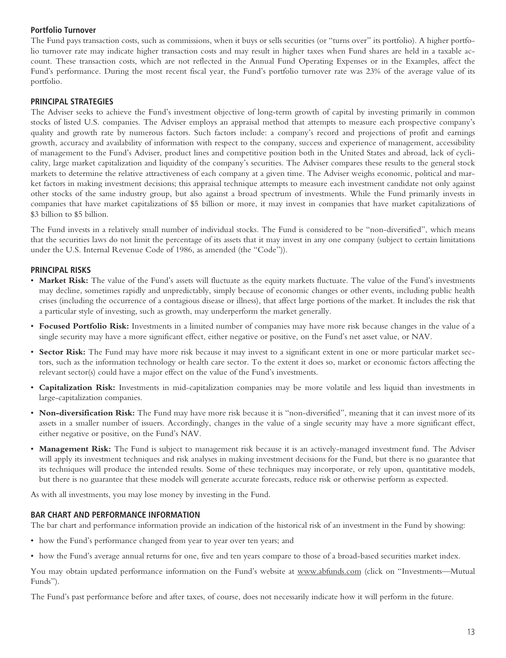# **Portfolio Turnover**

The Fund pays transaction costs, such as commissions, when it buys or sells securities (or "turns over" its portfolio). A higher portfolio turnover rate may indicate higher transaction costs and may result in higher taxes when Fund shares are held in a taxable account. These transaction costs, which are not reflected in the Annual Fund Operating Expenses or in the Examples, affect the Fund's performance. During the most recent fiscal year, the Fund's portfolio turnover rate was 23% of the average value of its portfolio.

### **PRINCIPAL STRATEGIES**

The Adviser seeks to achieve the Fund's investment objective of long-term growth of capital by investing primarily in common stocks of listed U.S. companies. The Adviser employs an appraisal method that attempts to measure each prospective company's quality and growth rate by numerous factors. Such factors include: a company's record and projections of profit and earnings growth, accuracy and availability of information with respect to the company, success and experience of management, accessibility of management to the Fund's Adviser, product lines and competitive position both in the United States and abroad, lack of cyclicality, large market capitalization and liquidity of the company's securities. The Adviser compares these results to the general stock markets to determine the relative attractiveness of each company at a given time. The Adviser weighs economic, political and market factors in making investment decisions; this appraisal technique attempts to measure each investment candidate not only against other stocks of the same industry group, but also against a broad spectrum of investments. While the Fund primarily invests in companies that have market capitalizations of \$5 billion or more, it may invest in companies that have market capitalizations of \$3 billion to \$5 billion.

The Fund invests in a relatively small number of individual stocks. The Fund is considered to be "non-diversified", which means that the securities laws do not limit the percentage of its assets that it may invest in any one company (subject to certain limitations under the U.S. Internal Revenue Code of 1986, as amended (the "Code")).

### **PRINCIPAL RISKS**

- **Market Risk:** The value of the Fund's assets will fluctuate as the equity markets fluctuate. The value of the Fund's investments may decline, sometimes rapidly and unpredictably, simply because of economic changes or other events, including public health crises (including the occurrence of a contagious disease or illness), that affect large portions of the market. It includes the risk that a particular style of investing, such as growth, may underperform the market generally.
- **Focused Portfolio Risk:** Investments in a limited number of companies may have more risk because changes in the value of a single security may have a more significant effect, either negative or positive, on the Fund's net asset value, or NAV.
- **Sector Risk:** The Fund may have more risk because it may invest to a significant extent in one or more particular market sectors, such as the information technology or health care sector. To the extent it does so, market or economic factors affecting the relevant sector(s) could have a major effect on the value of the Fund's investments.
- **Capitalization Risk:** Investments in mid-capitalization companies may be more volatile and less liquid than investments in large-capitalization companies.
- **Non-diversification Risk:** The Fund may have more risk because it is "non-diversified", meaning that it can invest more of its assets in a smaller number of issuers. Accordingly, changes in the value of a single security may have a more significant effect, either negative or positive, on the Fund's NAV.
- **Management Risk:** The Fund is subject to management risk because it is an actively-managed investment fund. The Adviser will apply its investment techniques and risk analyses in making investment decisions for the Fund, but there is no guarantee that its techniques will produce the intended results. Some of these techniques may incorporate, or rely upon, quantitative models, but there is no guarantee that these models will generate accurate forecasts, reduce risk or otherwise perform as expected.

As with all investments, you may lose money by investing in the Fund.

#### **BAR CHART AND PERFORMANCE INFORMATION**

The bar chart and performance information provide an indication of the historical risk of an investment in the Fund by showing:

- how the Fund's performance changed from year to year over ten years; and
- how the Fund's average annual returns for one, five and ten years compare to those of a broad-based securities market index.

You may obtain updated performance information on the Fund's website at www.abfunds.com (click on "Investments—Mutual Funds").

The Fund's past performance before and after taxes, of course, does not necessarily indicate how it will perform in the future.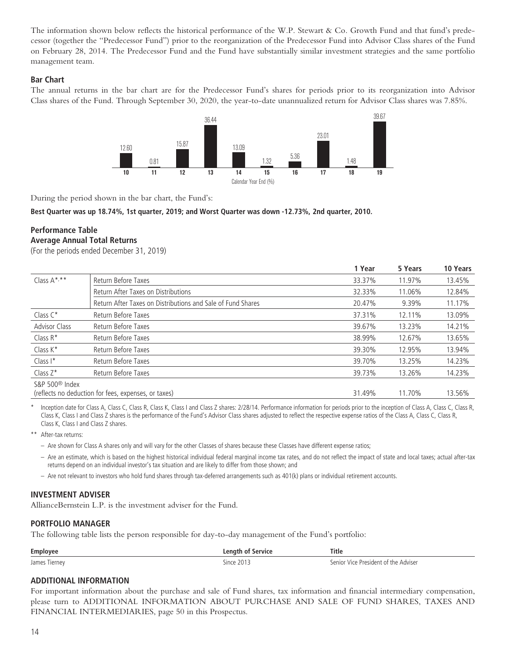The information shown below reflects the historical performance of the W.P. Stewart & Co. Growth Fund and that fund's predecessor (together the "Predecessor Fund") prior to the reorganization of the Predecessor Fund into Advisor Class shares of the Fund on February 28, 2014. The Predecessor Fund and the Fund have substantially similar investment strategies and the same portfolio management team.

### **Bar Chart**

The annual returns in the bar chart are for the Predecessor Fund's shares for periods prior to its reorganization into Advisor Class shares of the Fund. Through September 30, 2020, the year-to-date unannualized return for Advisor Class shares was 7.85%.



During the period shown in the bar chart, the Fund's:

**Best Quarter was up 18.74%, 1st quarter, 2019; and Worst Quarter was down -12.73%, 2nd quarter, 2010.**

# **Performance Table Average Annual Total Returns**

(For the periods ended December 31, 2019)

|                                                             | 1 Year                                               | 5 Years | 10 Years |
|-------------------------------------------------------------|------------------------------------------------------|---------|----------|
| Return Before Taxes                                         | 33.37%                                               | 11.97%  | 13.45%   |
| Return After Taxes on Distributions                         | 32.33%                                               | 11.06%  | 12.84%   |
| Return After Taxes on Distributions and Sale of Fund Shares | 20.47%                                               | 9.39%   | 11.17%   |
| Return Before Taxes                                         | 37.31%                                               | 12.11%  | 13.09%   |
| Return Before Taxes                                         | 39.67%                                               | 13.23%  | 14.21%   |
| Return Before Taxes                                         | 38.99%                                               | 12.67%  | 13.65%   |
| Return Before Taxes                                         | 39.30%                                               | 12.95%  | 13.94%   |
| Return Before Taxes                                         | 39.70%                                               | 13.25%  | 14.23%   |
| Return Before Taxes                                         | 39.73%                                               | 13.26%  | 14.23%   |
|                                                             | 31.49%                                               | 11.70%  | 13.56%   |
|                                                             | (reflects no deduction for fees, expenses, or taxes) |         |          |

Inception date for Class A, Class C, Class R, Class I, Class I and Class Z shares: 2/28/14. Performance information for periods prior to the inception of Class A, Class C, Class R, Class R, Class K, Class I and Class Z shares is the performance of the Fund's Advisor Class shares adjusted to reflect the respective expense ratios of the Class A, Class C, Class R, Class K, Class I and Class Z shares.

\*\* After-tax returns:

– Are shown for Class A shares only and will vary for the other Classes of shares because these Classes have different expense ratios;

– Are an estimate, which is based on the highest historical individual federal marginal income tax rates, and do not reflect the impact of state and local taxes; actual after-tax returns depend on an individual investor's tax situation and are likely to differ from those shown; and

– Are not relevant to investors who hold fund shares through tax-deferred arrangements such as 401(k) plans or individual retirement accounts.

#### **INVESTMENT ADVISER**

AllianceBernstein L.P. is the investment adviser for the Fund.

#### **PORTFOLIO MANAGER**

The following table lists the person responsible for day-to-day management of the Fund's portfolio:

| <b>Employee</b> | Lenath of<br>Service | <b>Title</b>                         |
|-----------------|----------------------|--------------------------------------|
| James Tiernev   | Since 2013<br>ZU 15  | Senior Vice President of the Adviser |

# **ADDITIONAL INFORMATION**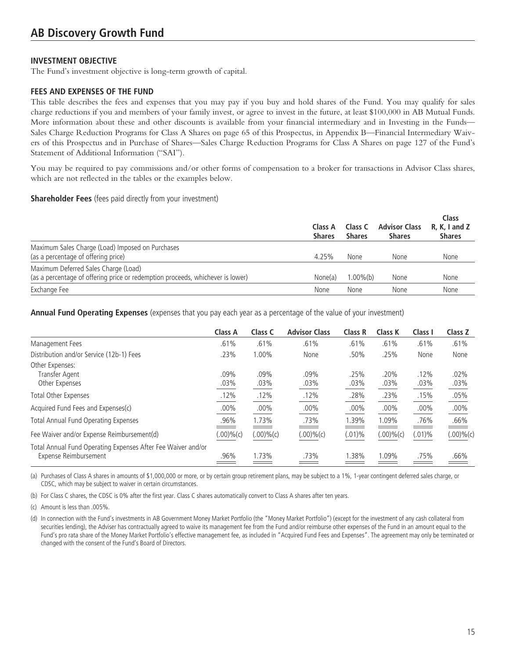The Fund's investment objective is long-term growth of capital.

# **FEES AND EXPENSES OF THE FUND**

This table describes the fees and expenses that you may pay if you buy and hold shares of the Fund. You may qualify for sales charge reductions if you and members of your family invest, or agree to invest in the future, at least \$100,000 in AB Mutual Funds. More information about these and other discounts is available from your financial intermediary and in Investing in the Funds— Sales Charge Reduction Programs for Class A Shares on page 65 of this Prospectus, in Appendix B—Financial Intermediary Waivers of this Prospectus and in Purchase of Shares—Sales Charge Reduction Programs for Class A Shares on page 127 of the Fund's Statement of Additional Information ("SAI").

You may be required to pay commissions and/or other forms of compensation to a broker for transactions in Advisor Class shares, which are not reflected in the tables or the examples below.

#### **Shareholder Fees** (fees paid directly from your investment)

|                                                                                                                        | Class A<br><b>Shares</b> | Class C<br><b>Shares</b> | <b>Advisor Class</b><br><b>Shares</b> | Class<br>$R, K, I$ and Z<br><b>Shares</b> |
|------------------------------------------------------------------------------------------------------------------------|--------------------------|--------------------------|---------------------------------------|-------------------------------------------|
| Maximum Sales Charge (Load) Imposed on Purchases<br>(as a percentage of offering price)                                | 4.25%                    | None                     | None                                  | None                                      |
| Maximum Deferred Sales Charge (Load)<br>(as a percentage of offering price or redemption proceeds, whichever is lower) | None(a)                  | $1.00\%$ (b)             | None                                  | None                                      |
| Exchange Fee                                                                                                           | None                     | None                     | None                                  | None                                      |

**Annual Fund Operating Expenses** (expenses that you pay each year as a percentage of the value of your investment)

|                                                                                       | Class A      | Class C         | <b>Advisor Class</b> | <b>Class R</b> | Class K         | Class I         | Class Z         |
|---------------------------------------------------------------------------------------|--------------|-----------------|----------------------|----------------|-----------------|-----------------|-----------------|
| Management Fees                                                                       | .61%         | .61%            | .61%                 | .61%           | .61%            | .61%            | .61%            |
| Distribution and/or Service (12b-1) Fees                                              | .23%         | 1.00%           | None                 | .50%           | .25%            | None            | None            |
| Other Expenses:<br>Transfer Agent<br>Other Expenses                                   | .09%<br>.03% | $.09\%$<br>.03% | .09%<br>.03%         | .25%<br>.03%   | .20%<br>$.03\%$ | .12%<br>$.03\%$ | .02%<br>$.03\%$ |
| <b>Total Other Expenses</b>                                                           | .12%         | .12%            | .12%                 | .28%           | .23%            | .15%            | .05%            |
| Acquired Fund Fees and Expenses(c)                                                    | .00%         | $.00\%$         | .00%                 | $.00\%$        | $.00\%$         | $.00\%$         | .00%            |
| <b>Total Annual Fund Operating Expenses</b>                                           | .96%         | 1.73%           | .73%                 | .39%           | 1.09%           | .76%            | .66%            |
| Fee Waiver and/or Expense Reimbursement(d)                                            | (.00)%c)     | (.00)%(c)       | (.00)%c)             | $(.01)\%$      | (.00)%c)        | $(.01)\%$       | (.00)%c)        |
| Total Annual Fund Operating Expenses After Fee Waiver and/or<br>Expense Reimbursement | .96%         | 1.73%           | $.73\%$              | .38%           | 1.09%           | .75%            | .66%            |

(a) Purchases of Class A shares in amounts of \$1,000,000 or more, or by certain group retirement plans, may be subject to a 1%, 1-year contingent deferred sales charge, or CDSC, which may be subject to waiver in certain circumstances.

(b) For Class C shares, the CDSC is 0% after the first year. Class C shares automatically convert to Class A shares after ten years.

(c) Amount is less than .005%.

(d) In connection with the Fund's investments in AB Government Money Market Portfolio (the "Money Market Portfolio") (except for the investment of any cash collateral from securities lending), the Adviser has contractually agreed to waive its management fee from the Fund and/or reimburse other expenses of the Fund in an amount equal to the Fund's pro rata share of the Money Market Portfolio's effective management fee, as included in "Acquired Fund Fees and Expenses". The agreement may only be terminated or changed with the consent of the Fund's Board of Directors.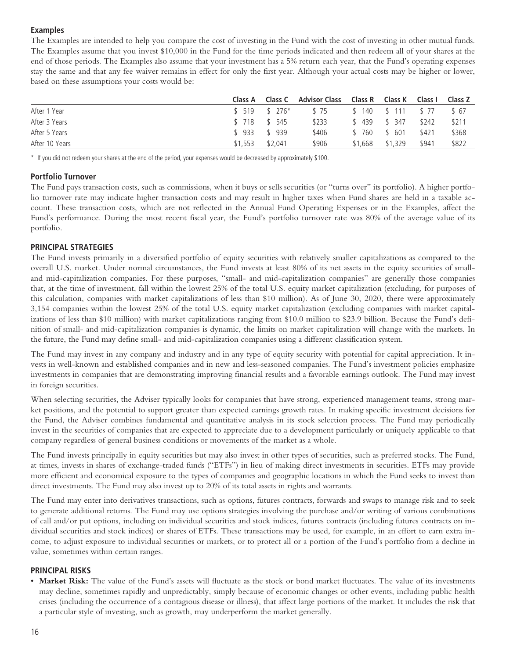# **Examples**

The Examples are intended to help you compare the cost of investing in the Fund with the cost of investing in other mutual funds. The Examples assume that you invest \$10,000 in the Fund for the time periods indicated and then redeem all of your shares at the end of those periods. The Examples also assume that your investment has a 5% return each year, that the Fund's operating expenses stay the same and that any fee waiver remains in effect for only the first year. Although your actual costs may be higher or lower, based on these assumptions your costs would be:

|                | Class A       |                | Class C Advisor Class Class R Class K |         |                  | Class I | Class Z |
|----------------|---------------|----------------|---------------------------------------|---------|------------------|---------|---------|
| After 1 Year   |               | $$519$ $$276*$ | \$ 75                                 |         | \$140 \$111 \$77 |         | \$ 67   |
| After 3 Years  | \$ 718 \$ 545 |                | \$233                                 | \$439   | \$ 347           | \$242   | \$211   |
| After 5 Years  | $$933$ $$939$ |                | \$406                                 | \$ 760  | \$ 601           | \$421   | \$368   |
| After 10 Years | \$1.553       | \$2.041        | \$906                                 | \$1,668 | \$1,329          | \$941   | \$822   |

\* If you did not redeem your shares at the end of the period, your expenses would be decreased by approximately \$100.

# **Portfolio Turnover**

The Fund pays transaction costs, such as commissions, when it buys or sells securities (or "turns over" its portfolio). A higher portfolio turnover rate may indicate higher transaction costs and may result in higher taxes when Fund shares are held in a taxable account. These transaction costs, which are not reflected in the Annual Fund Operating Expenses or in the Examples, affect the Fund's performance. During the most recent fiscal year, the Fund's portfolio turnover rate was 80% of the average value of its portfolio.

# **PRINCIPAL STRATEGIES**

The Fund invests primarily in a diversified portfolio of equity securities with relatively smaller capitalizations as compared to the overall U.S. market. Under normal circumstances, the Fund invests at least 80% of its net assets in the equity securities of smalland mid-capitalization companies. For these purposes, "small- and mid-capitalization companies" are generally those companies that, at the time of investment, fall within the lowest 25% of the total U.S. equity market capitalization (excluding, for purposes of this calculation, companies with market capitalizations of less than \$10 million). As of June 30, 2020, there were approximately 3,154 companies within the lowest 25% of the total U.S. equity market capitalization (excluding companies with market capitalizations of less than \$10 million) with market capitalizations ranging from \$10.0 million to \$23.9 billion. Because the Fund's definition of small- and mid-capitalization companies is dynamic, the limits on market capitalization will change with the markets. In the future, the Fund may define small- and mid-capitalization companies using a different classification system.

The Fund may invest in any company and industry and in any type of equity security with potential for capital appreciation. It invests in well-known and established companies and in new and less-seasoned companies. The Fund's investment policies emphasize investments in companies that are demonstrating improving financial results and a favorable earnings outlook. The Fund may invest in foreign securities.

When selecting securities, the Adviser typically looks for companies that have strong, experienced management teams, strong market positions, and the potential to support greater than expected earnings growth rates. In making specific investment decisions for the Fund, the Adviser combines fundamental and quantitative analysis in its stock selection process. The Fund may periodically invest in the securities of companies that are expected to appreciate due to a development particularly or uniquely applicable to that company regardless of general business conditions or movements of the market as a whole.

The Fund invests principally in equity securities but may also invest in other types of securities, such as preferred stocks. The Fund, at times, invests in shares of exchange-traded funds ("ETFs") in lieu of making direct investments in securities. ETFs may provide more efficient and economical exposure to the types of companies and geographic locations in which the Fund seeks to invest than direct investments. The Fund may also invest up to 20% of its total assets in rights and warrants.

The Fund may enter into derivatives transactions, such as options, futures contracts, forwards and swaps to manage risk and to seek to generate additional returns. The Fund may use options strategies involving the purchase and/or writing of various combinations of call and/or put options, including on individual securities and stock indices, futures contracts (including futures contracts on individual securities and stock indices) or shares of ETFs. These transactions may be used, for example, in an effort to earn extra income, to adjust exposure to individual securities or markets, or to protect all or a portion of the Fund's portfolio from a decline in value, sometimes within certain ranges.

# **PRINCIPAL RISKS**

• **Market Risk:** The value of the Fund's assets will fluctuate as the stock or bond market fluctuates. The value of its investments may decline, sometimes rapidly and unpredictably, simply because of economic changes or other events, including public health crises (including the occurrence of a contagious disease or illness), that affect large portions of the market. It includes the risk that a particular style of investing, such as growth, may underperform the market generally.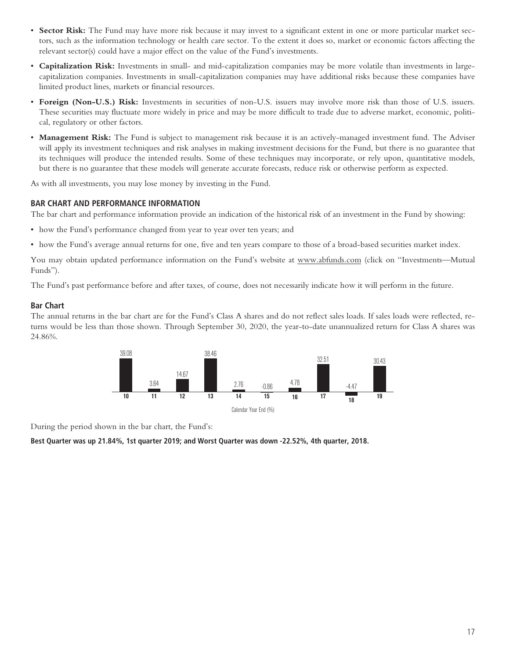- **Sector Risk:** The Fund may have more risk because it may invest to a significant extent in one or more particular market sectors, such as the information technology or health care sector. To the extent it does so, market or economic factors affecting the relevant sector(s) could have a major effect on the value of the Fund's investments.
- **Capitalization Risk:** Investments in small- and mid-capitalization companies may be more volatile than investments in largecapitalization companies. Investments in small-capitalization companies may have additional risks because these companies have limited product lines, markets or financial resources.
- **Foreign (Non-U.S.) Risk:** Investments in securities of non-U.S. issuers may involve more risk than those of U.S. issuers. These securities may fluctuate more widely in price and may be more difficult to trade due to adverse market, economic, political, regulatory or other factors.
- **Management Risk:** The Fund is subject to management risk because it is an actively-managed investment fund. The Adviser will apply its investment techniques and risk analyses in making investment decisions for the Fund, but there is no guarantee that its techniques will produce the intended results. Some of these techniques may incorporate, or rely upon, quantitative models, but there is no guarantee that these models will generate accurate forecasts, reduce risk or otherwise perform as expected.

As with all investments, you may lose money by investing in the Fund.

### **BAR CHART AND PERFORMANCE INFORMATION**

The bar chart and performance information provide an indication of the historical risk of an investment in the Fund by showing:

- how the Fund's performance changed from year to year over ten years; and
- how the Fund's average annual returns for one, five and ten years compare to those of a broad-based securities market index.

You may obtain updated performance information on the Fund's website at www.abfunds.com (click on "Investments—Mutual Funds").

The Fund's past performance before and after taxes, of course, does not necessarily indicate how it will perform in the future.

#### **Bar Chart**

The annual returns in the bar chart are for the Fund's Class A shares and do not reflect sales loads. If sales loads were reflected, returns would be less than those shown. Through September 30, 2020, the year-to-date unannualized return for Class A shares was 24.86%.



During the period shown in the bar chart, the Fund's:

**Best Quarter was up 21.84%, 1st quarter 2019; and Worst Quarter was down -22.52%, 4th quarter, 2018.**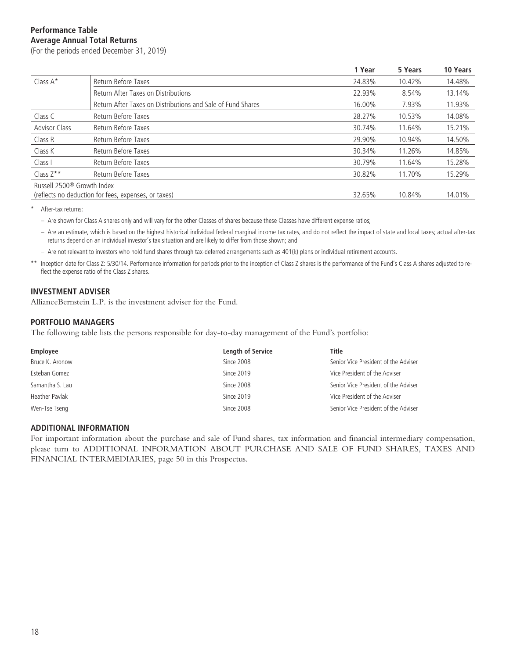# **Performance Table Average Annual Total Returns**

(For the periods ended December 31, 2019)

|                                        |                                                             | 1 Year | 5 Years | 10 Years |
|----------------------------------------|-------------------------------------------------------------|--------|---------|----------|
| Class A*                               | Return Before Taxes                                         | 24.83% | 10.42%  | 14.48%   |
|                                        | Return After Taxes on Distributions                         | 22.93% | 8.54%   | 13.14%   |
|                                        | Return After Taxes on Distributions and Sale of Fund Shares | 16.00% | 7.93%   | 11.93%   |
| Class C                                | Return Before Taxes                                         | 28.27% | 10.53%  | 14.08%   |
| <b>Advisor Class</b>                   | Return Before Taxes                                         | 30.74% | 11.64%  | 15.21%   |
| Class R                                | Return Before Taxes                                         | 29.90% | 10.94%  | 14.50%   |
| Class K                                | Return Before Taxes                                         | 30.34% | 11.26%  | 14.85%   |
| Class I                                | Return Before Taxes                                         | 30.79% | 11.64%  | 15.28%   |
| Class $Z^{\star\star}$                 | Return Before Taxes                                         | 30.82% | 11.70%  | 15.29%   |
| Russell 2500 <sup>®</sup> Growth Index |                                                             |        |         |          |
|                                        | (reflects no deduction for fees, expenses, or taxes)        | 32.65% | 10.84%  | 14.01%   |

\* After-tax returns:

– Are shown for Class A shares only and will vary for the other Classes of shares because these Classes have different expense ratios;

– Are an estimate, which is based on the highest historical individual federal marginal income tax rates, and do not reflect the impact of state and local taxes; actual after-tax returns depend on an individual investor's tax situation and are likely to differ from those shown; and

– Are not relevant to investors who hold fund shares through tax-deferred arrangements such as 401(k) plans or individual retirement accounts.

\*\* Inception date for Class Z: 5/30/14. Performance information for periods prior to the inception of Class Z shares is the performance of the Fund's Class A shares adjusted to reflect the expense ratio of the Class Z shares.

### **INVESTMENT ADVISER**

AllianceBernstein L.P. is the investment adviser for the Fund.

### **PORTFOLIO MANAGERS**

The following table lists the persons responsible for day-to-day management of the Fund's portfolio:

| <b>Employee</b> | <b>Length of Service</b> | Title                                |
|-----------------|--------------------------|--------------------------------------|
| Bruce K. Aronow | Since 2008               | Senior Vice President of the Adviser |
| Esteban Gomez   | Since 2019               | Vice President of the Adviser        |
| Samantha S. Lau | Since 2008               | Senior Vice President of the Adviser |
| Heather Pavlak  | Since 2019               | Vice President of the Adviser        |
| Wen-Tse Tseng   | Since 2008               | Senior Vice President of the Adviser |

#### **ADDITIONAL INFORMATION**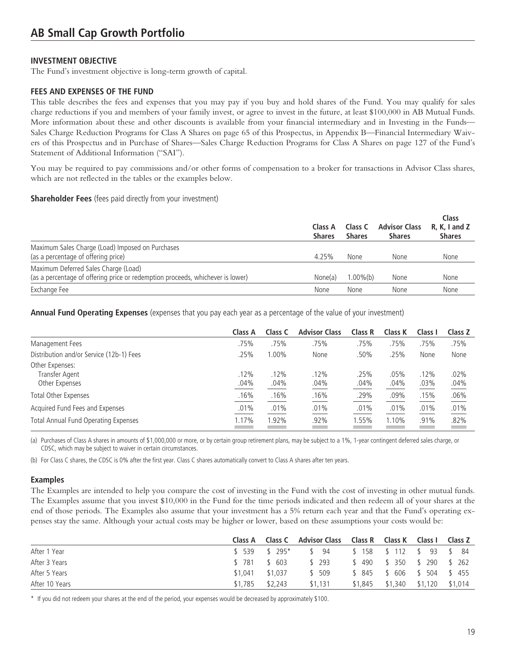The Fund's investment objective is long-term growth of capital.

### **FEES AND EXPENSES OF THE FUND**

This table describes the fees and expenses that you may pay if you buy and hold shares of the Fund. You may qualify for sales charge reductions if you and members of your family invest, or agree to invest in the future, at least \$100,000 in AB Mutual Funds. More information about these and other discounts is available from your financial intermediary and in Investing in the Funds— Sales Charge Reduction Programs for Class A Shares on page 65 of this Prospectus, in Appendix B—Financial Intermediary Waivers of this Prospectus and in Purchase of Shares—Sales Charge Reduction Programs for Class A Shares on page 127 of the Fund's Statement of Additional Information ("SAI").

You may be required to pay commissions and/or other forms of compensation to a broker for transactions in Advisor Class shares, which are not reflected in the tables or the examples below.

#### **Shareholder Fees** (fees paid directly from your investment)

|                                                                                                                        | Class A<br><b>Shares</b> | Class C<br><b>Shares</b> | <b>Advisor Class</b><br><b>Shares</b> | Class<br>$R, K, I$ and Z<br><b>Shares</b> |
|------------------------------------------------------------------------------------------------------------------------|--------------------------|--------------------------|---------------------------------------|-------------------------------------------|
| Maximum Sales Charge (Load) Imposed on Purchases<br>(as a percentage of offering price)                                | 4.25%                    | None                     | None                                  | None                                      |
| Maximum Deferred Sales Charge (Load)<br>(as a percentage of offering price or redemption proceeds, whichever is lower) | None(a)                  | $1.00\%$ (b)             | None                                  | None                                      |
| Exchange Fee                                                                                                           | None                     | None                     | None                                  | None                                      |

**Annual Fund Operating Expenses** (expenses that you pay each year as a percentage of the value of your investment)

|                                                     | Class A      | Class C      | <b>Advisor Class</b> | Class R      | Class K      | Class I      | Class Z      |
|-----------------------------------------------------|--------------|--------------|----------------------|--------------|--------------|--------------|--------------|
| Management Fees                                     | .75%         | .75%         | .75%                 | .75%         | .75%         | .75%         | .75%         |
| Distribution and/or Service (12b-1) Fees            | .25%         | $1.00\%$     | None                 | .50%         | .25%         | None         | None         |
| Other Expenses:<br>Transfer Agent<br>Other Expenses | .12%<br>.04% | .12%<br>.04% | .12%<br>.04%         | .25%<br>.04% | .05%<br>.04% | .12%<br>.03% | .02%<br>.04% |
| <b>Total Other Expenses</b>                         | .16%         | .16%         | .16%                 | .29%         | .09%         | .15%         | .06%         |
| Acquired Fund Fees and Expenses                     | .01%         | .01%         | .01%                 | .01%         | .01%         | .01%         | .01%         |
| Total Annual Fund Operating Expenses                | 1.17%        | 1.92%        | .92%                 | 1.55%        | 1.10%        | .91%         | .82%         |

(a) Purchases of Class A shares in amounts of \$1,000,000 or more, or by certain group retirement plans, may be subject to a 1%, 1-year contingent deferred sales charge, or CDSC, which may be subject to waiver in certain circumstances.

(b) For Class C shares, the CDSC is 0% after the first year. Class C shares automatically convert to Class A shares after ten years.

#### **Examples**

The Examples are intended to help you compare the cost of investing in the Fund with the cost of investing in other mutual funds. The Examples assume that you invest \$10,000 in the Fund for the time periods indicated and then redeem all of your shares at the end of those periods. The Examples also assume that your investment has a 5% return each year and that the Fund's operating expenses stay the same. Although your actual costs may be higher or lower, based on these assumptions your costs would be:

|                |                 |         | Class A Class C Advisor Class Class R Class K Class I |                                     | Class Z |
|----------------|-----------------|---------|-------------------------------------------------------|-------------------------------------|---------|
| After 1 Year   |                 |         | \$539 \$295* \$94 \$158 \$112 \$93 \$84               |                                     |         |
| After 3 Years  | \$ 781 \$ 603   |         | \$ 293                                                | \$490 \$350 \$290 \$262             |         |
| After 5 Years  | \$1.041 \$1.037 |         | \$ 509                                                | \$ 845 \$ 606 \$ 504 \$ 455         |         |
| After 10 Years | \$1,785         | \$2,243 | \$1.131                                               | $$1,845$ $$1,340$ $$1,120$ $$1,014$ |         |

\* If you did not redeem your shares at the end of the period, your expenses would be decreased by approximately \$100.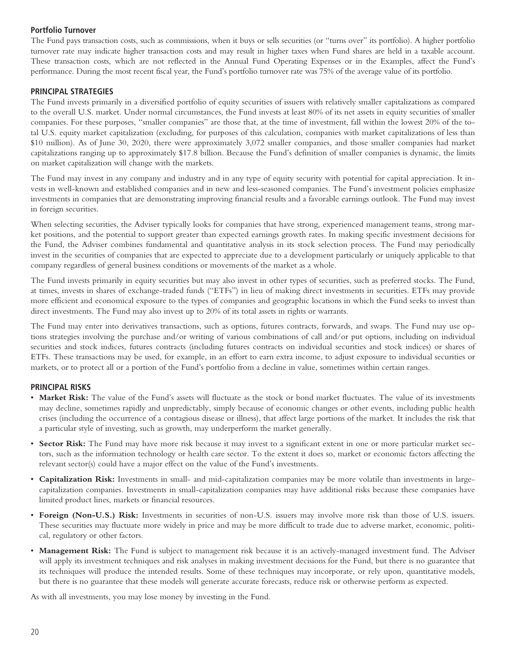# **Portfolio Turnover**

The Fund pays transaction costs, such as commissions, when it buys or sells securities (or "turns over" its portfolio). A higher portfolio turnover rate may indicate higher transaction costs and may result in higher taxes when Fund shares are held in a taxable account. These transaction costs, which are not reflected in the Annual Fund Operating Expenses or in the Examples, affect the Fund's performance. During the most recent fiscal year, the Fund's portfolio turnover rate was 75% of the average value of its portfolio.

### **PRINCIPAL STRATEGIES**

The Fund invests primarily in a diversified portfolio of equity securities of issuers with relatively smaller capitalizations as compared to the overall U.S. market. Under normal circumstances, the Fund invests at least 80% of its net assets in equity securities of smaller companies. For these purposes, "smaller companies" are those that, at the time of investment, fall within the lowest 20% of the total U.S. equity market capitalization (excluding, for purposes of this calculation, companies with market capitalizations of less than \$10 million). As of June 30, 2020, there were approximately 3,072 smaller companies, and those smaller companies had market capitalizations ranging up to approximately \$17.8 billion. Because the Fund's definition of smaller companies is dynamic, the limits on market capitalization will change with the markets.

The Fund may invest in any company and industry and in any type of equity security with potential for capital appreciation. It invests in well-known and established companies and in new and less-seasoned companies. The Fund's investment policies emphasize investments in companies that are demonstrating improving financial results and a favorable earnings outlook. The Fund may invest in foreign securities.

When selecting securities, the Adviser typically looks for companies that have strong, experienced management teams, strong market positions, and the potential to support greater than expected earnings growth rates. In making specific investment decisions for the Fund, the Adviser combines fundamental and quantitative analysis in its stock selection process. The Fund may periodically invest in the securities of companies that are expected to appreciate due to a development particularly or uniquely applicable to that company regardless of general business conditions or movements of the market as a whole.

The Fund invests primarily in equity securities but may also invest in other types of securities, such as preferred stocks. The Fund, at times, invests in shares of exchange-traded funds ("ETFs") in lieu of making direct investments in securities. ETFs may provide more efficient and economical exposure to the types of companies and geographic locations in which the Fund seeks to invest than direct investments. The Fund may also invest up to 20% of its total assets in rights or warrants.

The Fund may enter into derivatives transactions, such as options, futures contracts, forwards, and swaps. The Fund may use options strategies involving the purchase and/or writing of various combinations of call and/or put options, including on individual securities and stock indices, futures contracts (including futures contracts on individual securities and stock indices) or shares of ETFs. These transactions may be used, for example, in an effort to earn extra income, to adjust exposure to individual securities or markets, or to protect all or a portion of the Fund's portfolio from a decline in value, sometimes within certain ranges.

#### **PRINCIPAL RISKS**

- **Market Risk:** The value of the Fund's assets will fluctuate as the stock or bond market fluctuates. The value of its investments may decline, sometimes rapidly and unpredictably, simply because of economic changes or other events, including public health crises (including the occurrence of a contagious disease or illness), that affect large portions of the market. It includes the risk that a particular style of investing, such as growth, may underperform the market generally.
- **Sector Risk:** The Fund may have more risk because it may invest to a significant extent in one or more particular market sectors, such as the information technology or health care sector. To the extent it does so, market or economic factors affecting the relevant sector(s) could have a major effect on the value of the Fund's investments.
- **Capitalization Risk:** Investments in small- and mid-capitalization companies may be more volatile than investments in largecapitalization companies. Investments in small-capitalization companies may have additional risks because these companies have limited product lines, markets or financial resources.
- **Foreign (Non-U.S.) Risk:** Investments in securities of non-U.S. issuers may involve more risk than those of U.S. issuers. These securities may fluctuate more widely in price and may be more difficult to trade due to adverse market, economic, political, regulatory or other factors.
- **Management Risk:** The Fund is subject to management risk because it is an actively-managed investment fund. The Adviser will apply its investment techniques and risk analyses in making investment decisions for the Fund, but there is no guarantee that its techniques will produce the intended results. Some of these techniques may incorporate, or rely upon, quantitative models, but there is no guarantee that these models will generate accurate forecasts, reduce risk or otherwise perform as expected.

As with all investments, you may lose money by investing in the Fund.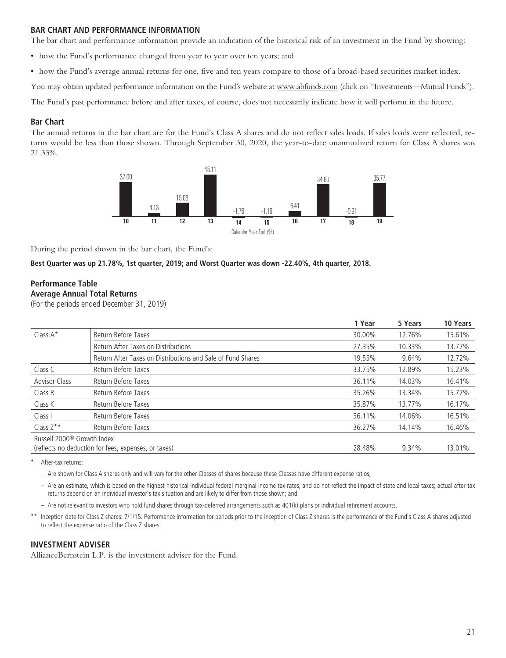### **BAR CHART AND PERFORMANCE INFORMATION**

The bar chart and performance information provide an indication of the historical risk of an investment in the Fund by showing:

- how the Fund's performance changed from year to year over ten years; and
- how the Fund's average annual returns for one, five and ten years compare to those of a broad-based securities market index.

You may obtain updated performance information on the Fund's website at www.abfunds.com (click on "Investments—Mutual Funds").

The Fund's past performance before and after taxes, of course, does not necessarily indicate how it will perform in the future.

### **Bar Chart**

The annual returns in the bar chart are for the Fund's Class A shares and do not reflect sales loads. If sales loads were reflected, returns would be less than those shown. Through September 30, 2020, the year-to-date unannualized return for Class A shares was 21.33%.



During the period shown in the bar chart, the Fund's:

#### **Best Quarter was up 21.78%, 1st quarter, 2019; and Worst Quarter was down -22.40%, 4th quarter, 2018.**

#### **Performance Table Average Annual Total Returns**

(For the periods ended December 31, 2019)

|                                        |                                                             | 1 Year | 5 Years | 10 Years |
|----------------------------------------|-------------------------------------------------------------|--------|---------|----------|
| Class $A^*$                            | Return Before Taxes                                         | 30.00% | 12.76%  | 15.61%   |
|                                        | Return After Taxes on Distributions                         | 27.35% | 10.33%  | 13.77%   |
|                                        | Return After Taxes on Distributions and Sale of Fund Shares | 19.55% | 9.64%   | 12.72%   |
| Class C                                | Return Before Taxes                                         | 33.75% | 12.89%  | 15.23%   |
| <b>Advisor Class</b>                   | Return Before Taxes                                         | 36.11% | 14.03%  | 16.41%   |
| Class R                                | Return Before Taxes                                         | 35.26% | 13.34%  | 15.77%   |
| Class K                                | Return Before Taxes                                         | 35.87% | 13.77%  | 16.17%   |
| Class I                                | Return Before Taxes                                         | 36.11% | 14.06%  | 16.51%   |
| Class $Z^{\star\star}$                 | Return Before Taxes                                         | 36.27% | 14.14%  | 16.46%   |
| Russell 2000 <sup>®</sup> Growth Index |                                                             |        |         |          |
|                                        | (reflects no deduction for fees, expenses, or taxes)        | 28.48% | 9.34%   | 13.01%   |

After-tax returns:

– Are shown for Class A shares only and will vary for the other Classes of shares because these Classes have different expense ratios;

– Are an estimate, which is based on the highest historical individual federal marginal income tax rates, and do not reflect the impact of state and local taxes; actual after-tax returns depend on an individual investor's tax situation and are likely to differ from those shown; and

– Are not relevant to investors who hold fund shares through tax-deferred arrangements such as 401(k) plans or individual retirement accounts.

\*\* Inception date for Class Z shares: 7/1/15. Performance information for periods prior to the inception of Class Z shares is the performance of the Fund's Class A shares adjusted to reflect the expense ratio of the Class Z shares.

#### **INVESTMENT ADVISER**

AllianceBernstein L.P. is the investment adviser for the Fund.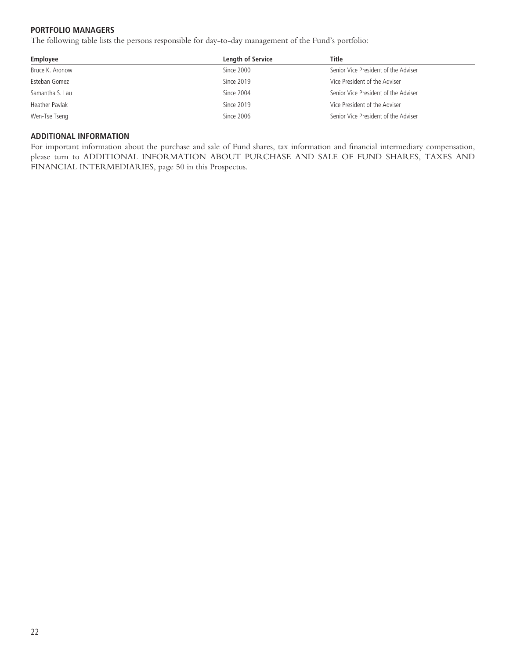# **PORTFOLIO MANAGERS**

The following table lists the persons responsible for day-to-day management of the Fund's portfolio:

| Employee        | <b>Length of Service</b> | Title                                |
|-----------------|--------------------------|--------------------------------------|
| Bruce K. Aronow | Since 2000               | Senior Vice President of the Adviser |
| Esteban Gomez   | Since 2019               | Vice President of the Adviser        |
| Samantha S. Lau | Since 2004               | Senior Vice President of the Adviser |
| Heather Pavlak  | Since 2019               | Vice President of the Adviser        |
| Wen-Tse Tseng   | Since 2006               | Senior Vice President of the Adviser |

#### **ADDITIONAL INFORMATION**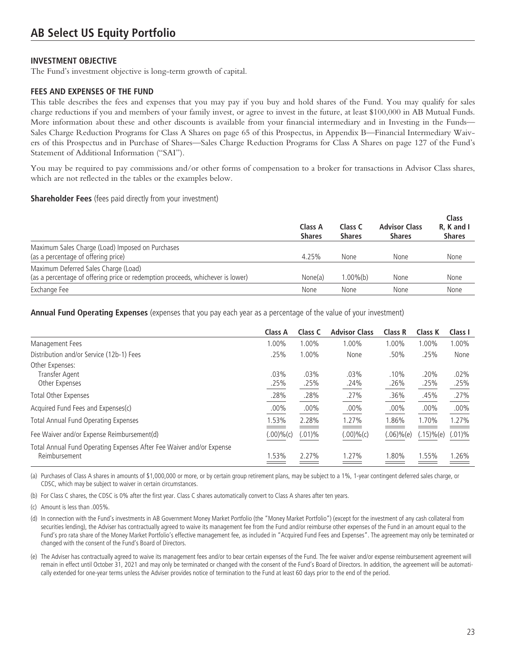The Fund's investment objective is long-term growth of capital.

### **FEES AND EXPENSES OF THE FUND**

This table describes the fees and expenses that you may pay if you buy and hold shares of the Fund. You may qualify for sales charge reductions if you and members of your family invest, or agree to invest in the future, at least \$100,000 in AB Mutual Funds. More information about these and other discounts is available from your financial intermediary and in Investing in the Funds— Sales Charge Reduction Programs for Class A Shares on page 65 of this Prospectus, in Appendix B—Financial Intermediary Waivers of this Prospectus and in Purchase of Shares—Sales Charge Reduction Programs for Class A Shares on page 127 of the Fund's Statement of Additional Information ("SAI").

You may be required to pay commissions and/or other forms of compensation to a broker for transactions in Advisor Class shares, which are not reflected in the tables or the examples below.

#### **Shareholder Fees** (fees paid directly from your investment)

|                                                                                                                        | Class A<br><b>Shares</b> | Class C<br><b>Shares</b> | <b>Advisor Class</b><br><b>Shares</b> | Class<br>R. K and I<br><b>Shares</b> |
|------------------------------------------------------------------------------------------------------------------------|--------------------------|--------------------------|---------------------------------------|--------------------------------------|
| Maximum Sales Charge (Load) Imposed on Purchases<br>(as a percentage of offering price)                                | 4.25%                    | <b>None</b>              | None                                  | None                                 |
| Maximum Deferred Sales Charge (Load)<br>(as a percentage of offering price or redemption proceeds, whichever is lower) | None(a)                  | $.00\%$ (b)              | None                                  | None                                 |
| Exchange Fee                                                                                                           | None                     | None                     | None                                  | None                                 |

**Annual Fund Operating Expenses** (expenses that you pay each year as a percentage of the value of your investment)

|                                                                                       | Class A      | Class C      | <b>Advisor Class</b> | <b>Class R</b> | Class K       | Class I         |
|---------------------------------------------------------------------------------------|--------------|--------------|----------------------|----------------|---------------|-----------------|
| Management Fees                                                                       | 1.00%        | 1.00%        | 1.00%                | 1.00%          | 1.00%         | 1.00%           |
| Distribution and/or Service (12b-1) Fees                                              | .25%         | 1.00%        | None                 | .50%           | .25%          | None            |
| Other Expenses:<br>Transfer Agent<br>Other Expenses                                   | .03%<br>.25% | .03%<br>.25% | $.03\%$<br>.24%      | .10%<br>.26%   | .20%<br>.25%  | $.02\%$<br>.25% |
| Total Other Expenses                                                                  | .28%         | .28%         | .27%                 | .36%           | .45%          | .27%            |
| Acquired Fund Fees and Expenses(c)                                                    | $.00\%$      | $.00\%$      | $.00\%$              | .00%           | $.00\%$       | $.00\%$         |
| <b>Total Annual Fund Operating Expenses</b>                                           | 1.53%        | 2.28%        | 1.27%                | 1.86%          | 1.70%         | 1.27%           |
| Fee Waiver and/or Expense Reimbursement(d)                                            | (.00)%(c)    | $(.01)\%$    | (.00)%c)             | $(.06)%$ (e)   | $(.15)\%$ (e) | $(.01)\%$       |
| Total Annual Fund Operating Expenses After Fee Waiver and/or Expense<br>Reimbursement | .53%         | 2.27%        | 1.27%                | $.80\%$        | 1.55%         | 1.26%           |

(a) Purchases of Class A shares in amounts of \$1,000,000 or more, or by certain group retirement plans, may be subject to a 1%, 1-year contingent deferred sales charge, or CDSC, which may be subject to waiver in certain circumstances.

(b) For Class C shares, the CDSC is 0% after the first year. Class C shares automatically convert to Class A shares after ten years.

(c) Amount is less than .005%.

(d) In connection with the Fund's investments in AB Government Money Market Portfolio (the "Money Market Portfolio") (except for the investment of any cash collateral from securities lending), the Adviser has contractually agreed to waive its management fee from the Fund and/or reimburse other expenses of the Fund in an amount equal to the Fund's pro rata share of the Money Market Portfolio's effective management fee, as included in "Acquired Fund Fees and Expenses". The agreement may only be terminated or changed with the consent of the Fund's Board of Directors.

(e) The Adviser has contractually agreed to waive its management fees and/or to bear certain expenses of the Fund. The fee waiver and/or expense reimbursement agreement will remain in effect until October 31, 2021 and may only be terminated or changed with the consent of the Fund's Board of Directors. In addition, the agreement will be automatically extended for one-year terms unless the Adviser provides notice of termination to the Fund at least 60 days prior to the end of the period.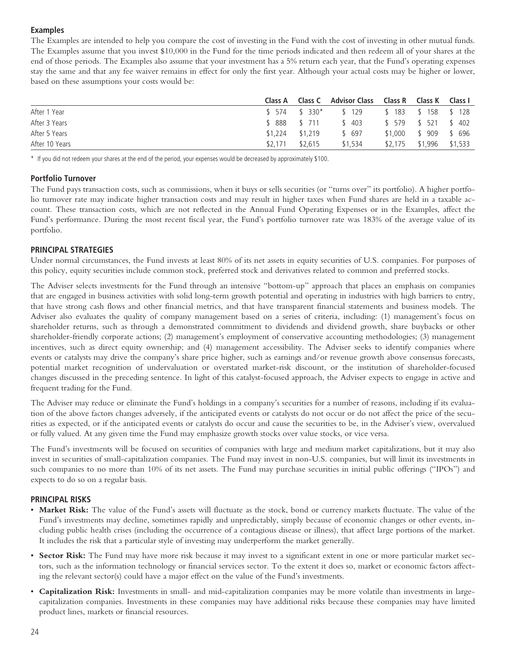# **Examples**

The Examples are intended to help you compare the cost of investing in the Fund with the cost of investing in other mutual funds. The Examples assume that you invest \$10,000 in the Fund for the time periods indicated and then redeem all of your shares at the end of those periods. The Examples also assume that your investment has a 5% return each year, that the Fund's operating expenses stay the same and that any fee waiver remains in effect for only the first year. Although your actual costs may be higher or lower, based on these assumptions your costs would be:

|                |                   |               | Class A Class C Advisor Class Class R Class K Class I |                         |  |
|----------------|-------------------|---------------|-------------------------------------------------------|-------------------------|--|
| After 1 Year   |                   |               | \$574 \$330* \$129 \$183 \$158 \$128                  |                         |  |
| After 3 Years  |                   | \$ 888 \$ 711 | \$403 \$579 \$521 \$402                               |                         |  |
| After 5 Years  | $$1.224$ $$1.219$ |               | \$ 697                                                | \$1,000 \$ 909 \$ 696   |  |
| After 10 Years | \$2.171           | \$2.615       | \$1,534                                               | \$2,175 \$1,996 \$1,533 |  |

\* If you did not redeem your shares at the end of the period, your expenses would be decreased by approximately \$100.

### **Portfolio Turnover**

The Fund pays transaction costs, such as commissions, when it buys or sells securities (or "turns over" its portfolio). A higher portfolio turnover rate may indicate higher transaction costs and may result in higher taxes when Fund shares are held in a taxable account. These transaction costs, which are not reflected in the Annual Fund Operating Expenses or in the Examples, affect the Fund's performance. During the most recent fiscal year, the Fund's portfolio turnover rate was 183% of the average value of its portfolio.

### **PRINCIPAL STRATEGIES**

Under normal circumstances, the Fund invests at least 80% of its net assets in equity securities of U.S. companies. For purposes of this policy, equity securities include common stock, preferred stock and derivatives related to common and preferred stocks.

The Adviser selects investments for the Fund through an intensive "bottom-up" approach that places an emphasis on companies that are engaged in business activities with solid long-term growth potential and operating in industries with high barriers to entry, that have strong cash flows and other financial metrics, and that have transparent financial statements and business models. The Adviser also evaluates the quality of company management based on a series of criteria, including: (1) management's focus on shareholder returns, such as through a demonstrated commitment to dividends and dividend growth, share buybacks or other shareholder-friendly corporate actions; (2) management's employment of conservative accounting methodologies; (3) management incentives, such as direct equity ownership; and (4) management accessibility. The Adviser seeks to identify companies where events or catalysts may drive the company's share price higher, such as earnings and/or revenue growth above consensus forecasts, potential market recognition of undervaluation or overstated market-risk discount, or the institution of shareholder-focused changes discussed in the preceding sentence. In light of this catalyst-focused approach, the Adviser expects to engage in active and frequent trading for the Fund.

The Adviser may reduce or eliminate the Fund's holdings in a company's securities for a number of reasons, including if its evaluation of the above factors changes adversely, if the anticipated events or catalysts do not occur or do not affect the price of the securities as expected, or if the anticipated events or catalysts do occur and cause the securities to be, in the Adviser's view, overvalued or fully valued. At any given time the Fund may emphasize growth stocks over value stocks, or vice versa.

The Fund's investments will be focused on securities of companies with large and medium market capitalizations, but it may also invest in securities of small-capitalization companies. The Fund may invest in non-U.S. companies, but will limit its investments in such companies to no more than 10% of its net assets. The Fund may purchase securities in initial public offerings ("IPOs") and expects to do so on a regular basis.

# **PRINCIPAL RISKS**

- **Market Risk:** The value of the Fund's assets will fluctuate as the stock, bond or currency markets fluctuate. The value of the Fund's investments may decline, sometimes rapidly and unpredictably, simply because of economic changes or other events, including public health crises (including the occurrence of a contagious disease or illness), that affect large portions of the market. It includes the risk that a particular style of investing may underperform the market generally.
- **Sector Risk:** The Fund may have more risk because it may invest to a significant extent in one or more particular market sectors, such as the information technology or financial services sector. To the extent it does so, market or economic factors affecting the relevant sector(s) could have a major effect on the value of the Fund's investments.
- **Capitalization Risk:** Investments in small- and mid-capitalization companies may be more volatile than investments in largecapitalization companies. Investments in these companies may have additional risks because these companies may have limited product lines, markets or financial resources.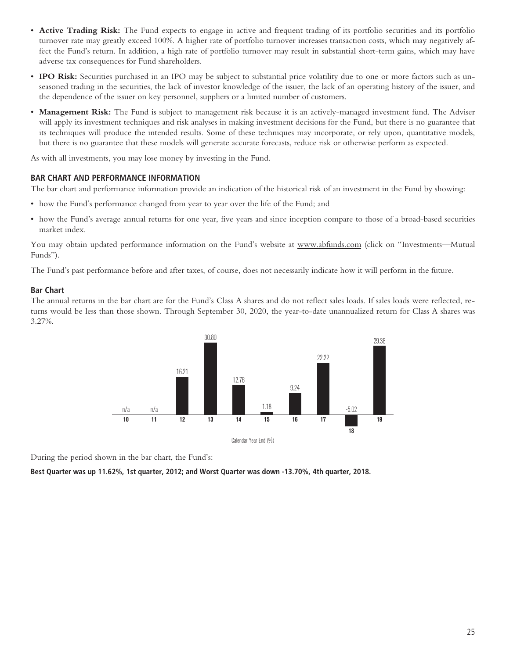- **Active Trading Risk:** The Fund expects to engage in active and frequent trading of its portfolio securities and its portfolio turnover rate may greatly exceed 100%. A higher rate of portfolio turnover increases transaction costs, which may negatively affect the Fund's return. In addition, a high rate of portfolio turnover may result in substantial short-term gains, which may have adverse tax consequences for Fund shareholders.
- **IPO Risk:** Securities purchased in an IPO may be subject to substantial price volatility due to one or more factors such as unseasoned trading in the securities, the lack of investor knowledge of the issuer, the lack of an operating history of the issuer, and the dependence of the issuer on key personnel, suppliers or a limited number of customers.
- **Management Risk:** The Fund is subject to management risk because it is an actively-managed investment fund. The Adviser will apply its investment techniques and risk analyses in making investment decisions for the Fund, but there is no guarantee that its techniques will produce the intended results. Some of these techniques may incorporate, or rely upon, quantitative models, but there is no guarantee that these models will generate accurate forecasts, reduce risk or otherwise perform as expected.

As with all investments, you may lose money by investing in the Fund.

#### **BAR CHART AND PERFORMANCE INFORMATION**

The bar chart and performance information provide an indication of the historical risk of an investment in the Fund by showing:

- how the Fund's performance changed from year to year over the life of the Fund; and
- how the Fund's average annual returns for one year, five years and since inception compare to those of a broad-based securities market index.

You may obtain updated performance information on the Fund's website at www.abfunds.com (click on "Investments—Mutual Funds").

The Fund's past performance before and after taxes, of course, does not necessarily indicate how it will perform in the future.

#### **Bar Chart**

The annual returns in the bar chart are for the Fund's Class A shares and do not reflect sales loads. If sales loads were reflected, returns would be less than those shown. Through September 30, 2020, the year-to-date unannualized return for Class A shares was 3.27%.



During the period shown in the bar chart, the Fund's:

**Best Quarter was up 11.62%, 1st quarter, 2012; and Worst Quarter was down -13.70%, 4th quarter, 2018.**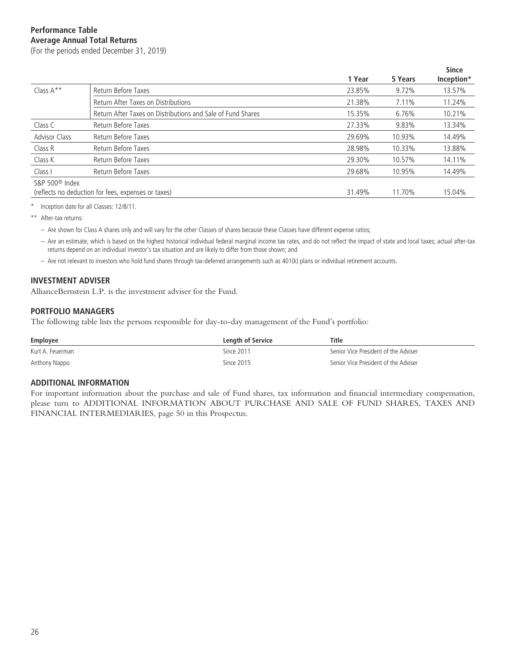# **Performance Table Average Annual Total Returns**

(For the periods ended December 31, 2019)

|                            |                                                             |        |         | <b>Since</b> |
|----------------------------|-------------------------------------------------------------|--------|---------|--------------|
|                            |                                                             | 1 Year | 5 Years | Inception*   |
| Class $A***$               | Return Before Taxes                                         | 23.85% | 9.72%   | 13.57%       |
|                            | Return After Taxes on Distributions                         | 21.38% | 7.11%   | 11.24%       |
|                            | Return After Taxes on Distributions and Sale of Fund Shares | 15.35% | 6.76%   | 10.21%       |
| Class C                    | Return Before Taxes                                         | 27.33% | 9.83%   | 13.34%       |
| <b>Advisor Class</b>       | Return Before Taxes                                         | 29.69% | 10.93%  | 14.49%       |
| Class R                    | Return Before Taxes                                         | 28.98% | 10.33%  | 13.88%       |
| Class K                    | Return Before Taxes                                         | 29.30% | 10.57%  | 14.11%       |
| Class I                    | Return Before Taxes                                         | 29.68% | 10.95%  | 14.49%       |
| S&P 500 <sup>®</sup> Index |                                                             |        |         |              |
|                            | (reflects no deduction for fees, expenses or taxes)         | 31.49% | 11.70%  | 15.04%       |

\* Inception date for all Classes: 12/8/11.

\*\* After-tax returns:

– Are shown for Class A shares only and will vary for the other Classes of shares because these Classes have different expense ratios;

– Are an estimate, which is based on the highest historical individual federal marginal income tax rates, and do not reflect the impact of state and local taxes; actual after-tax returns depend on an individual investor's tax situation and are likely to differ from those shown; and

– Are not relevant to investors who hold fund shares through tax-deferred arrangements such as 401(k) plans or individual retirement accounts.

### **INVESTMENT ADVISER**

AllianceBernstein L.P. is the investment adviser for the Fund.

#### **PORTFOLIO MANAGERS**

The following table lists the persons responsible for day-to-day management of the Fund's portfolio:

| Employee         | Length of Service | Title                                |
|------------------|-------------------|--------------------------------------|
| Kurt A. Feuerman | Since 2011        | Senior Vice President of the Adviser |
| Anthony Nappo    | Since 2015        | Senior Vice President of the Adviser |

#### **ADDITIONAL INFORMATION**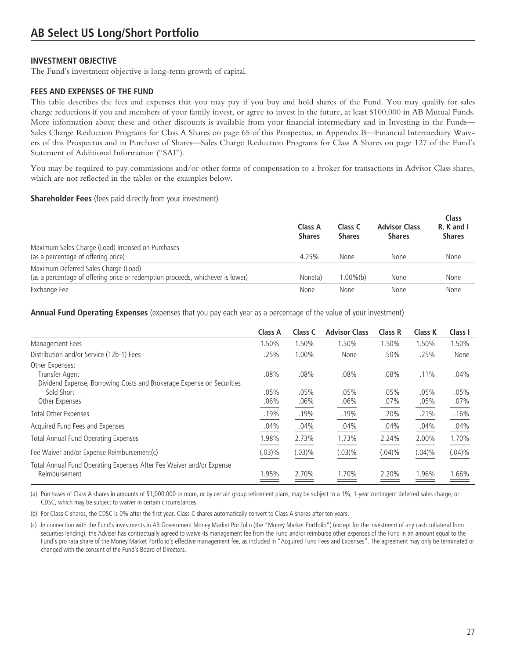The Fund's investment objective is long-term growth of capital.

### **FEES AND EXPENSES OF THE FUND**

This table describes the fees and expenses that you may pay if you buy and hold shares of the Fund. You may qualify for sales charge reductions if you and members of your family invest, or agree to invest in the future, at least \$100,000 in AB Mutual Funds. More information about these and other discounts is available from your financial intermediary and in Investing in the Funds— Sales Charge Reduction Programs for Class A Shares on page 65 of this Prospectus, in Appendix B—Financial Intermediary Waivers of this Prospectus and in Purchase of Shares—Sales Charge Reduction Programs for Class A Shares on page 127 of the Fund's Statement of Additional Information ("SAI").

You may be required to pay commissions and/or other forms of compensation to a broker for transactions in Advisor Class shares, which are not reflected in the tables or the examples below.

#### **Shareholder Fees** (fees paid directly from your investment)

|                                                                                                                        | Class A<br><b>Shares</b> | Class C<br><b>Shares</b> | <b>Advisor Class</b><br><b>Shares</b> | Class<br>R. K and I<br><b>Shares</b> |
|------------------------------------------------------------------------------------------------------------------------|--------------------------|--------------------------|---------------------------------------|--------------------------------------|
| Maximum Sales Charge (Load) Imposed on Purchases<br>(as a percentage of offering price)                                | 4.25%                    | None                     | <b>None</b>                           | None                                 |
| Maximum Deferred Sales Charge (Load)<br>(as a percentage of offering price or redemption proceeds, whichever is lower) | None(a)                  | 1.00%(b)                 | None                                  | None                                 |
| Exchange Fee                                                                                                           | None                     | None                     | None                                  | None                                 |

**Annual Fund Operating Expenses** (expenses that you pay each year as a percentage of the value of your investment)

|                                                                                                       | <b>Class A</b>  | Class C         | <b>Advisor Class</b> | <b>Class R</b> | <b>Class K</b>  | Class I         |
|-------------------------------------------------------------------------------------------------------|-----------------|-----------------|----------------------|----------------|-----------------|-----------------|
| Management Fees                                                                                       | 1.50%           | 1.50%           | 1.50%                | 1.50%          | 1.50%           | 1.50%           |
| Distribution and/or Service (12b-1) Fees                                                              | .25%            | 1.00%           | None                 | .50%           | .25%            | None            |
| Other Expenses:<br>Transfer Agent                                                                     | .08%            | .08%            | .08%                 | .08%           | $.11\%$         | $.04\%$         |
| Dividend Expense, Borrowing Costs and Brokerage Expense on Securities<br>Sold Short<br>Other Expenses | $.05\%$<br>.06% | .05%<br>$.06\%$ | .05%<br>.06%         | .05%<br>.07%   | .05%<br>$.05\%$ | .05%<br>$.07\%$ |
| Total Other Expenses                                                                                  | .19%            | .19%            | .19%                 | .20%           | .21%            | .16%            |
| Acquired Fund Fees and Expenses                                                                       | .04%            | .04%            | .04%                 | .04%           | .04%            | .04%            |
| Total Annual Fund Operating Expenses                                                                  | 1.98%           | 2.73%           | 1.73%                | 2.24%          | 2.00%           | 1.70%           |
| Fee Waiver and/or Expense Reimbursement(c)                                                            | (.03)%          | (.03)%          | (.03)%               | $(.04)\%$      | $(.04)\%$       | $(.04)\%$       |
| Total Annual Fund Operating Expenses After Fee Waiver and/or Expense<br>Reimbursement                 | 1.95%           | 2.70%           | 1.70%                | 2.20%          | 1.96%           | 1.66%           |

(a) Purchases of Class A shares in amounts of \$1,000,000 or more, or by certain group retirement plans, may be subject to a 1%, 1-year contingent deferred sales charge, or CDSC, which may be subject to waiver in certain circumstances.

(b) For Class C shares, the CDSC is 0% after the first year. Class C shares automatically convert to Class A shares after ten years.

(c) In connection with the Fund's investments in AB Government Money Market Portfolio (the "Money Market Portfolio") (except for the investment of any cash collateral from securities lending), the Adviser has contractually agreed to waive its management fee from the Fund and/or reimburse other expenses of the Fund in an amount equal to the Fund's pro rata share of the Money Market Portfolio's effective management fee, as included in "Acquired Fund Fees and Expenses". The agreement may only be terminated or changed with the consent of the Fund's Board of Directors.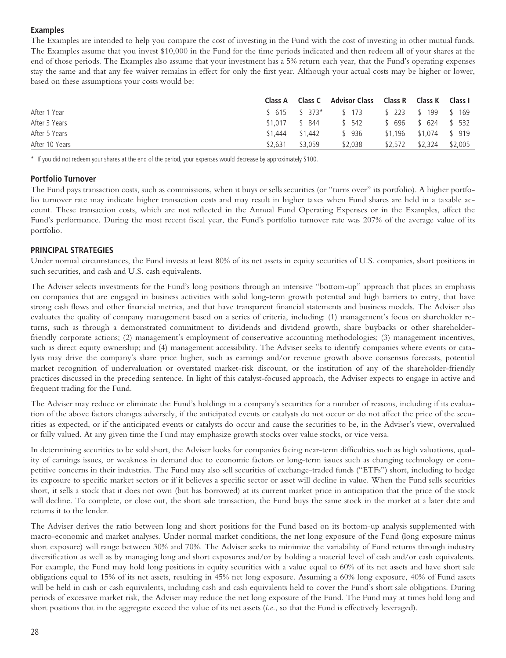# **Examples**

The Examples are intended to help you compare the cost of investing in the Fund with the cost of investing in other mutual funds. The Examples assume that you invest \$10,000 in the Fund for the time periods indicated and then redeem all of your shares at the end of those periods. The Examples also assume that your investment has a 5% return each year, that the Fund's operating expenses stay the same and that any fee waiver remains in effect for only the first year. Although your actual costs may be higher or lower, based on these assumptions your costs would be:

|                | Class A         |         | Class C Advisor Class Class R Class K Class L |         |                          |         |
|----------------|-----------------|---------|-----------------------------------------------|---------|--------------------------|---------|
| After 1 Year   |                 |         | \$615 \$373* \$173 \$223 \$199 \$169          |         |                          |         |
| After 3 Years  | $$1.017$ \$ 844 |         | \$ 542                                        |         | \$696 \$624 \$532        |         |
| After 5 Years  | \$1.444         | \$1.442 | \$936                                         |         | $$1,196$ $$1,074$ \$ 919 |         |
| After 10 Years | \$2.631         | \$3.059 | \$2,038                                       | \$2.572 | \$2.324                  | \$2,005 |

\* If you did not redeem your shares at the end of the period, your expenses would decrease by approximately \$100.

### **Portfolio Turnover**

The Fund pays transaction costs, such as commissions, when it buys or sells securities (or "turns over" its portfolio). A higher portfolio turnover rate may indicate higher transaction costs and may result in higher taxes when Fund shares are held in a taxable account. These transaction costs, which are not reflected in the Annual Fund Operating Expenses or in the Examples, affect the Fund's performance. During the most recent fiscal year, the Fund's portfolio turnover rate was 207% of the average value of its portfolio.

# **PRINCIPAL STRATEGIES**

Under normal circumstances, the Fund invests at least 80% of its net assets in equity securities of U.S. companies, short positions in such securities, and cash and U.S. cash equivalents.

The Adviser selects investments for the Fund's long positions through an intensive "bottom-up" approach that places an emphasis on companies that are engaged in business activities with solid long-term growth potential and high barriers to entry, that have strong cash flows and other financial metrics, and that have transparent financial statements and business models. The Adviser also evaluates the quality of company management based on a series of criteria, including: (1) management's focus on shareholder returns, such as through a demonstrated commitment to dividends and dividend growth, share buybacks or other shareholderfriendly corporate actions; (2) management's employment of conservative accounting methodologies; (3) management incentives, such as direct equity ownership; and (4) management accessibility. The Adviser seeks to identify companies where events or catalysts may drive the company's share price higher, such as earnings and/or revenue growth above consensus forecasts, potential market recognition of undervaluation or overstated market-risk discount, or the institution of any of the shareholder-friendly practices discussed in the preceding sentence. In light of this catalyst-focused approach, the Adviser expects to engage in active and frequent trading for the Fund.

The Adviser may reduce or eliminate the Fund's holdings in a company's securities for a number of reasons, including if its evaluation of the above factors changes adversely, if the anticipated events or catalysts do not occur or do not affect the price of the securities as expected, or if the anticipated events or catalysts do occur and cause the securities to be, in the Adviser's view, overvalued or fully valued. At any given time the Fund may emphasize growth stocks over value stocks, or vice versa.

In determining securities to be sold short, the Adviser looks for companies facing near-term difficulties such as high valuations, quality of earnings issues, or weakness in demand due to economic factors or long-term issues such as changing technology or competitive concerns in their industries. The Fund may also sell securities of exchange-traded funds ("ETFs") short, including to hedge its exposure to specific market sectors or if it believes a specific sector or asset will decline in value. When the Fund sells securities short, it sells a stock that it does not own (but has borrowed) at its current market price in anticipation that the price of the stock will decline. To complete, or close out, the short sale transaction, the Fund buys the same stock in the market at a later date and returns it to the lender.

The Adviser derives the ratio between long and short positions for the Fund based on its bottom-up analysis supplemented with macro-economic and market analyses. Under normal market conditions, the net long exposure of the Fund (long exposure minus short exposure) will range between 30% and 70%. The Adviser seeks to minimize the variability of Fund returns through industry diversification as well as by managing long and short exposures and/or by holding a material level of cash and/or cash equivalents. For example, the Fund may hold long positions in equity securities with a value equal to 60% of its net assets and have short sale obligations equal to 15% of its net assets, resulting in 45% net long exposure. Assuming a 60% long exposure, 40% of Fund assets will be held in cash or cash equivalents, including cash and cash equivalents held to cover the Fund's short sale obligations. During periods of excessive market risk, the Adviser may reduce the net long exposure of the Fund. The Fund may at times hold long and short positions that in the aggregate exceed the value of its net assets (*i.e.*, so that the Fund is effectively leveraged).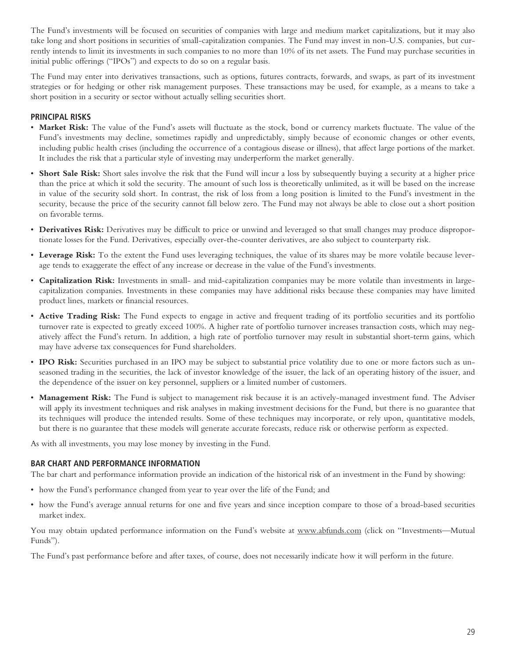The Fund's investments will be focused on securities of companies with large and medium market capitalizations, but it may also take long and short positions in securities of small-capitalization companies. The Fund may invest in non-U.S. companies, but currently intends to limit its investments in such companies to no more than 10% of its net assets. The Fund may purchase securities in initial public offerings ("IPOs") and expects to do so on a regular basis.

The Fund may enter into derivatives transactions, such as options, futures contracts, forwards, and swaps, as part of its investment strategies or for hedging or other risk management purposes. These transactions may be used, for example, as a means to take a short position in a security or sector without actually selling securities short.

# **PRINCIPAL RISKS**

- **Market Risk:** The value of the Fund's assets will fluctuate as the stock, bond or currency markets fluctuate. The value of the Fund's investments may decline, sometimes rapidly and unpredictably, simply because of economic changes or other events, including public health crises (including the occurrence of a contagious disease or illness), that affect large portions of the market. It includes the risk that a particular style of investing may underperform the market generally.
- **Short Sale Risk:** Short sales involve the risk that the Fund will incur a loss by subsequently buying a security at a higher price than the price at which it sold the security. The amount of such loss is theoretically unlimited, as it will be based on the increase in value of the security sold short. In contrast, the risk of loss from a long position is limited to the Fund's investment in the security, because the price of the security cannot fall below zero. The Fund may not always be able to close out a short position on favorable terms.
- **Derivatives Risk:** Derivatives may be difficult to price or unwind and leveraged so that small changes may produce disproportionate losses for the Fund. Derivatives, especially over-the-counter derivatives, are also subject to counterparty risk.
- **Leverage Risk:** To the extent the Fund uses leveraging techniques, the value of its shares may be more volatile because leverage tends to exaggerate the effect of any increase or decrease in the value of the Fund's investments.
- **Capitalization Risk:** Investments in small- and mid-capitalization companies may be more volatile than investments in largecapitalization companies. Investments in these companies may have additional risks because these companies may have limited product lines, markets or financial resources.
- **Active Trading Risk:** The Fund expects to engage in active and frequent trading of its portfolio securities and its portfolio turnover rate is expected to greatly exceed 100%. A higher rate of portfolio turnover increases transaction costs, which may negatively affect the Fund's return. In addition, a high rate of portfolio turnover may result in substantial short-term gains, which may have adverse tax consequences for Fund shareholders.
- **IPO Risk:** Securities purchased in an IPO may be subject to substantial price volatility due to one or more factors such as unseasoned trading in the securities, the lack of investor knowledge of the issuer, the lack of an operating history of the issuer, and the dependence of the issuer on key personnel, suppliers or a limited number of customers.
- **Management Risk:** The Fund is subject to management risk because it is an actively-managed investment fund. The Adviser will apply its investment techniques and risk analyses in making investment decisions for the Fund, but there is no guarantee that its techniques will produce the intended results. Some of these techniques may incorporate, or rely upon, quantitative models, but there is no guarantee that these models will generate accurate forecasts, reduce risk or otherwise perform as expected.

As with all investments, you may lose money by investing in the Fund.

#### **BAR CHART AND PERFORMANCE INFORMATION**

The bar chart and performance information provide an indication of the historical risk of an investment in the Fund by showing:

- how the Fund's performance changed from year to year over the life of the Fund; and
- how the Fund's average annual returns for one and five years and since inception compare to those of a broad-based securities market index.

You may obtain updated performance information on the Fund's website at www.abfunds.com (click on "Investments—Mutual Funds").

The Fund's past performance before and after taxes, of course, does not necessarily indicate how it will perform in the future.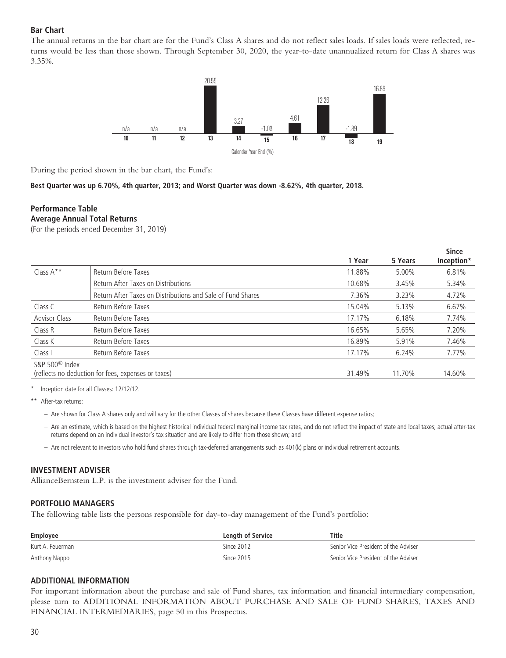# **Bar Chart**

The annual returns in the bar chart are for the Fund's Class A shares and do not reflect sales loads. If sales loads were reflected, returns would be less than those shown. Through September 30, 2020, the year-to-date unannualized return for Class A shares was 3.35%.



During the period shown in the bar chart, the Fund's:

**Best Quarter was up 6.70%, 4th quarter, 2013; and Worst Quarter was down -8.62%, 4th quarter, 2018.**

#### **Performance Table Average Annual Total Returns**

(For the periods ended December 31, 2019)

|                            |                                                             |        |         | <b>Since</b> |
|----------------------------|-------------------------------------------------------------|--------|---------|--------------|
|                            |                                                             | 1 Year | 5 Years | Inception*   |
| Class $A^*$                | Return Before Taxes                                         | 11.88% | 5.00%   | 6.81%        |
|                            | Return After Taxes on Distributions                         | 10.68% | 3.45%   | 5.34%        |
|                            | Return After Taxes on Distributions and Sale of Fund Shares | 7.36%  | 3.23%   | 4.72%        |
| Class C                    | Return Before Taxes                                         | 15.04% | 5.13%   | 6.67%        |
| <b>Advisor Class</b>       | Return Before Taxes                                         | 17.17% | 6.18%   | 7.74%        |
| Class R                    | Return Before Taxes                                         | 16.65% | 5.65%   | 7.20%        |
| Class K                    | Return Before Taxes                                         | 16.89% | 5.91%   | 7.46%        |
| Class I                    | Return Before Taxes                                         | 17.17% | 6.24%   | 7.77%        |
| S&P 500 <sup>®</sup> Index |                                                             |        |         |              |
|                            | (reflects no deduction for fees, expenses or taxes)         | 31.49% | 11.70%  | 14.60%       |

Inception date for all Classes: 12/12/12.

\*\* After-tax returns:

- Are shown for Class A shares only and will vary for the other Classes of shares because these Classes have different expense ratios;
- Are an estimate, which is based on the highest historical individual federal marginal income tax rates, and do not reflect the impact of state and local taxes; actual after-tax returns depend on an individual investor's tax situation and are likely to differ from those shown; and
- Are not relevant to investors who hold fund shares through tax-deferred arrangements such as 401(k) plans or individual retirement accounts.

#### **INVESTMENT ADVISER**

AllianceBernstein L.P. is the investment adviser for the Fund.

#### **PORTFOLIO MANAGERS**

The following table lists the persons responsible for day-to-day management of the Fund's portfolio:

| Employee         | Length of Service | <b>Title</b>                         |
|------------------|-------------------|--------------------------------------|
| Kurt A. Feuerman | Since 2012        | Senior Vice President of the Adviser |
| Anthony Nappo    | Since 2015        | Senior Vice President of the Adviser |

#### **ADDITIONAL INFORMATION**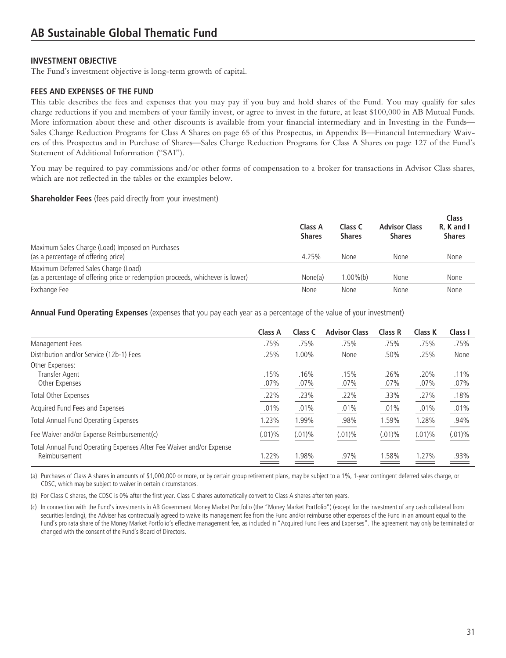The Fund's investment objective is long-term growth of capital.

### **FEES AND EXPENSES OF THE FUND**

This table describes the fees and expenses that you may pay if you buy and hold shares of the Fund. You may qualify for sales charge reductions if you and members of your family invest, or agree to invest in the future, at least \$100,000 in AB Mutual Funds. More information about these and other discounts is available from your financial intermediary and in Investing in the Funds— Sales Charge Reduction Programs for Class A Shares on page 65 of this Prospectus, in Appendix B—Financial Intermediary Waivers of this Prospectus and in Purchase of Shares—Sales Charge Reduction Programs for Class A Shares on page 127 of the Fund's Statement of Additional Information ("SAI").

You may be required to pay commissions and/or other forms of compensation to a broker for transactions in Advisor Class shares, which are not reflected in the tables or the examples below.

#### **Shareholder Fees** (fees paid directly from your investment)

|                                                                                                                        | Class A<br><b>Shares</b> | Class C<br><b>Shares</b> | <b>Advisor Class</b><br><b>Shares</b> | Class<br>R. K and I<br><b>Shares</b> |
|------------------------------------------------------------------------------------------------------------------------|--------------------------|--------------------------|---------------------------------------|--------------------------------------|
| Maximum Sales Charge (Load) Imposed on Purchases<br>(as a percentage of offering price)                                | 4.25%                    | <b>None</b>              | None                                  | None                                 |
| Maximum Deferred Sales Charge (Load)<br>(as a percentage of offering price or redemption proceeds, whichever is lower) | None(a)                  | $.00\%$ (b)              | None                                  | None                                 |
| Exchange Fee                                                                                                           | None                     | None                     | None                                  | None                                 |

**Annual Fund Operating Expenses** (expenses that you pay each year as a percentage of the value of your investment)

|                                                                                       | Class A      | Class C      | <b>Advisor Class</b> | <b>Class R</b> | Class K      | Class I         |
|---------------------------------------------------------------------------------------|--------------|--------------|----------------------|----------------|--------------|-----------------|
| Management Fees                                                                       | .75%         | .75%         | .75%                 | .75%           | .75%         | .75%            |
| Distribution and/or Service (12b-1) Fees                                              | .25%         | 1.00%        | None                 | .50%           | .25%         | None            |
| Other Expenses:<br>Transfer Agent<br>Other Expenses                                   | .15%<br>.07% | .16%<br>.07% | .15%<br>.07%         | .26%<br>.07%   | .20%<br>.07% | $.11\%$<br>.07% |
| Total Other Expenses                                                                  | .22%         | .23%         | .22%                 | .33%           | .27%         | .18%            |
| Acquired Fund Fees and Expenses                                                       | .01%         | .01%         | .01%                 | .01%           | .01%         | .01%            |
| <b>Total Annual Fund Operating Expenses</b>                                           | 1.23%        | 1.99%        | .98%                 | .59%           | 1.28%        | .94%            |
| Fee Waiver and/or Expense Reimbursement(c)                                            | $(.01)\%$    | $(.01)\%$    | $(.01)\%$            | (.01)%         | $(.01)\%$    | $(.01)\%$       |
| Total Annual Fund Operating Expenses After Fee Waiver and/or Expense<br>Reimbursement | 1.22%        | 1.98%        | .97%                 | .58%           | 1.27%        | .93%            |

(a) Purchases of Class A shares in amounts of \$1,000,000 or more, or by certain group retirement plans, may be subject to a 1%, 1-year contingent deferred sales charge, or CDSC, which may be subject to waiver in certain circumstances.

(b) For Class C shares, the CDSC is 0% after the first year. Class C shares automatically convert to Class A shares after ten years.

(c) In connection with the Fund's investments in AB Government Money Market Portfolio (the "Money Market Portfolio") (except for the investment of any cash collateral from securities lending), the Adviser has contractually agreed to waive its management fee from the Fund and/or reimburse other expenses of the Fund in an amount equal to the Fund's pro rata share of the Money Market Portfolio's effective management fee, as included in "Acquired Fund Fees and Expenses". The agreement may only be terminated or changed with the consent of the Fund's Board of Directors.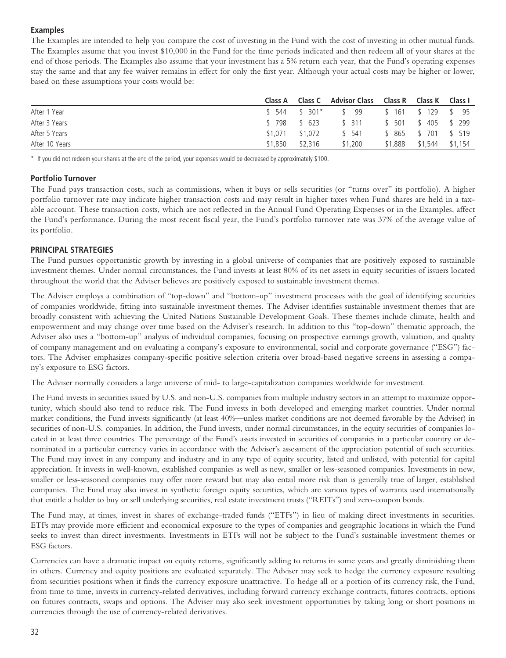# **Examples**

The Examples are intended to help you compare the cost of investing in the Fund with the cost of investing in other mutual funds. The Examples assume that you invest \$10,000 in the Fund for the time periods indicated and then redeem all of your shares at the end of those periods. The Examples also assume that your investment has a 5% return each year, that the Fund's operating expenses stay the same and that any fee waiver remains in effect for only the first year. Although your actual costs may be higher or lower, based on these assumptions your costs would be:

|                |                 |         | Class A Class C Advisor Class Class R Class K Class I |                            |  |
|----------------|-----------------|---------|-------------------------------------------------------|----------------------------|--|
| After 1 Year   |                 |         | \$544 \$301* \$99 \$161 \$129 \$95                    |                            |  |
| After 3 Years  |                 |         | \$798 \$623 \$311 \$501 \$405 \$299                   |                            |  |
| After 5 Years  | \$1.071 \$1.072 |         | \$ 541                                                | \$ 865 \$ 701 \$ 519       |  |
| After 10 Years | \$1,850         | \$2.316 | \$1,200                                               | $$1,888$ $$1,544$ $$1,154$ |  |

\* If you did not redeem your shares at the end of the period, your expenses would be decreased by approximately \$100.

### **Portfolio Turnover**

The Fund pays transaction costs, such as commissions, when it buys or sells securities (or "turns over" its portfolio). A higher portfolio turnover rate may indicate higher transaction costs and may result in higher taxes when Fund shares are held in a taxable account. These transaction costs, which are not reflected in the Annual Fund Operating Expenses or in the Examples, affect the Fund's performance. During the most recent fiscal year, the Fund's portfolio turnover rate was 37% of the average value of its portfolio.

# **PRINCIPAL STRATEGIES**

The Fund pursues opportunistic growth by investing in a global universe of companies that are positively exposed to sustainable investment themes. Under normal circumstances, the Fund invests at least 80% of its net assets in equity securities of issuers located throughout the world that the Adviser believes are positively exposed to sustainable investment themes.

The Adviser employs a combination of "top-down" and "bottom-up" investment processes with the goal of identifying securities of companies worldwide, fitting into sustainable investment themes. The Adviser identifies sustainable investment themes that are broadly consistent with achieving the United Nations Sustainable Development Goals. These themes include climate, health and empowerment and may change over time based on the Adviser's research. In addition to this "top-down" thematic approach, the Adviser also uses a "bottom-up" analysis of individual companies, focusing on prospective earnings growth, valuation, and quality of company management and on evaluating a company's exposure to environmental, social and corporate governance ("ESG") factors. The Adviser emphasizes company-specific positive selection criteria over broad-based negative screens in assessing a company's exposure to ESG factors.

The Adviser normally considers a large universe of mid- to large-capitalization companies worldwide for investment.

The Fund invests in securities issued by U.S. and non-U.S. companies from multiple industry sectors in an attempt to maximize opportunity, which should also tend to reduce risk. The Fund invests in both developed and emerging market countries. Under normal market conditions, the Fund invests significantly (at least 40%—unless market conditions are not deemed favorable by the Adviser) in securities of non-U.S. companies. In addition, the Fund invests, under normal circumstances, in the equity securities of companies located in at least three countries. The percentage of the Fund's assets invested in securities of companies in a particular country or denominated in a particular currency varies in accordance with the Adviser's assessment of the appreciation potential of such securities. The Fund may invest in any company and industry and in any type of equity security, listed and unlisted, with potential for capital appreciation. It invests in well-known, established companies as well as new, smaller or less-seasoned companies. Investments in new, smaller or less-seasoned companies may offer more reward but may also entail more risk than is generally true of larger, established companies. The Fund may also invest in synthetic foreign equity securities, which are various types of warrants used internationally that entitle a holder to buy or sell underlying securities, real estate investment trusts ("REITs") and zero-coupon bonds.

The Fund may, at times, invest in shares of exchange-traded funds ("ETFs") in lieu of making direct investments in securities. ETFs may provide more efficient and economical exposure to the types of companies and geographic locations in which the Fund seeks to invest than direct investments. Investments in ETFs will not be subject to the Fund's sustainable investment themes or ESG factors.

Currencies can have a dramatic impact on equity returns, significantly adding to returns in some years and greatly diminishing them in others. Currency and equity positions are evaluated separately. The Adviser may seek to hedge the currency exposure resulting from securities positions when it finds the currency exposure unattractive. To hedge all or a portion of its currency risk, the Fund, from time to time, invests in currency-related derivatives, including forward currency exchange contracts, futures contracts, options on futures contracts, swaps and options. The Adviser may also seek investment opportunities by taking long or short positions in currencies through the use of currency-related derivatives.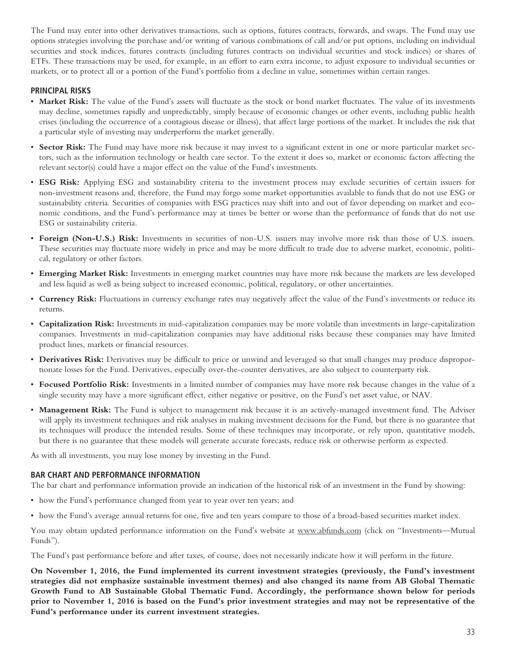The Fund may enter into other derivatives transactions, such as options, futures contracts, forwards, and swaps. The Fund may use options strategies involving the purchase and/or writing of various combinations of call and/or put options, including on individual securities and stock indices, futures contracts (including futures contracts on individual securities and stock indices) or shares of ETFs. These transactions may be used, for example, in an effort to earn extra income, to adjust exposure to individual securities or markets, or to protect all or a portion of the Fund's portfolio from a decline in value, sometimes within certain ranges.

### **PRINCIPAL RISKS**

- **Market Risk:** The value of the Fund's assets will fluctuate as the stock or bond market fluctuates. The value of its investments may decline, sometimes rapidly and unpredictably, simply because of economic changes or other events, including public health crises (including the occurrence of a contagious disease or illness), that affect large portions of the market. It includes the risk that a particular style of investing may underperform the market generally.
- **Sector Risk:** The Fund may have more risk because it may invest to a significant extent in one or more particular market sectors, such as the information technology or health care sector. To the extent it does so, market or economic factors affecting the relevant sector(s) could have a major effect on the value of the Fund's investments.
- **ESG Risk:** Applying ESG and sustainability criteria to the investment process may exclude securities of certain issuers for non-investment reasons and, therefore, the Fund may forgo some market opportunities available to funds that do not use ESG or sustainability criteria. Securities of companies with ESG practices may shift into and out of favor depending on market and economic conditions, and the Fund's performance may at times be better or worse than the performance of funds that do not use ESG or sustainability criteria.
- **Foreign (Non-U.S.) Risk:** Investments in securities of non-U.S. issuers may involve more risk than those of U.S. issuers. These securities may fluctuate more widely in price and may be more difficult to trade due to adverse market, economic, political, regulatory or other factors.
- **Emerging Market Risk:** Investments in emerging market countries may have more risk because the markets are less developed and less liquid as well as being subject to increased economic, political, regulatory, or other uncertainties.
- **Currency Risk:** Fluctuations in currency exchange rates may negatively affect the value of the Fund's investments or reduce its returns.
- **Capitalization Risk:** Investments in mid-capitalization companies may be more volatile than investments in large-capitalization companies. Investments in mid-capitalization companies may have additional risks because these companies may have limited product lines, markets or financial resources.
- **Derivatives Risk:** Derivatives may be difficult to price or unwind and leveraged so that small changes may produce disproportionate losses for the Fund. Derivatives, especially over-the-counter derivatives, are also subject to counterparty risk.
- **Focused Portfolio Risk:** Investments in a limited number of companies may have more risk because changes in the value of a single security may have a more significant effect, either negative or positive, on the Fund's net asset value, or NAV.
- **Management Risk:** The Fund is subject to management risk because it is an actively-managed investment fund. The Adviser will apply its investment techniques and risk analyses in making investment decisions for the Fund, but there is no guarantee that its techniques will produce the intended results. Some of these techniques may incorporate, or rely upon, quantitative models, but there is no guarantee that these models will generate accurate forecasts, reduce risk or otherwise perform as expected.

As with all investments, you may lose money by investing in the Fund.

#### **BAR CHART AND PERFORMANCE INFORMATION**

The bar chart and performance information provide an indication of the historical risk of an investment in the Fund by showing:

- how the Fund's performance changed from year to year over ten years; and
- how the Fund's average annual returns for one, five and ten years compare to those of a broad-based securities market index.

You may obtain updated performance information on the Fund's website at www.abfunds.com (click on "Investments—Mutual Funds").

The Fund's past performance before and after taxes, of course, does not necessarily indicate how it will perform in the future.

**On November 1, 2016, the Fund implemented its current investment strategies (previously, the Fund's investment strategies did not emphasize sustainable investment themes) and also changed its name from AB Global Thematic Growth Fund to AB Sustainable Global Thematic Fund. Accordingly, the performance shown below for periods prior to November 1, 2016 is based on the Fund's prior investment strategies and may not be representative of the Fund's performance under its current investment strategies.**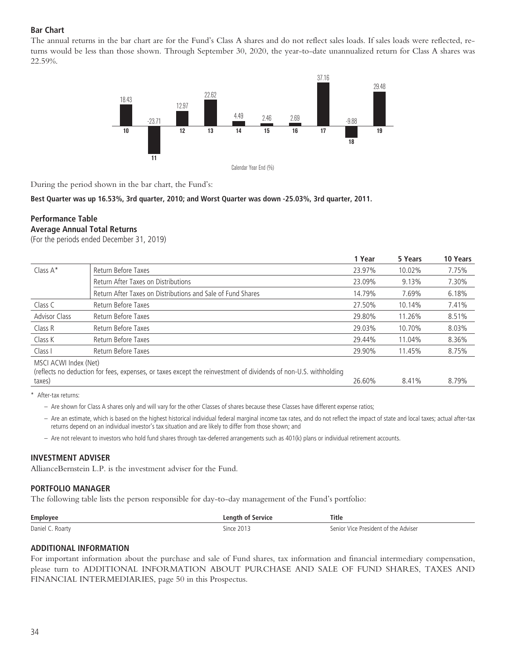# **Bar Chart**

The annual returns in the bar chart are for the Fund's Class A shares and do not reflect sales loads. If sales loads were reflected, returns would be less than those shown. Through September 30, 2020, the year-to-date unannualized return for Class A shares was 22.59%.



During the period shown in the bar chart, the Fund's:

**Best Quarter was up 16.53%, 3rd quarter, 2010; and Worst Quarter was down -25.03%, 3rd quarter, 2011.**

# **Performance Table Average Annual Total Returns**

(For the periods ended December 31, 2019)

|                       |                                                                                                                  | 1 Year | 5 Years | <b>10 Years</b> |
|-----------------------|------------------------------------------------------------------------------------------------------------------|--------|---------|-----------------|
| Class $A^*$           | Return Before Taxes                                                                                              | 23.97% | 10.02%  | 7.75%           |
|                       | Return After Taxes on Distributions                                                                              | 23.09% | 9.13%   | 7.30%           |
|                       | Return After Taxes on Distributions and Sale of Fund Shares                                                      | 14.79% | 7.69%   | 6.18%           |
| Class C               | Return Before Taxes                                                                                              | 27.50% | 10.14%  | 7.41%           |
| <b>Advisor Class</b>  | Return Before Taxes                                                                                              | 29.80% | 11.26%  | 8.51%           |
| Class R               | Return Before Taxes                                                                                              | 29.03% | 10.70%  | 8.03%           |
| Class K               | Return Before Taxes                                                                                              | 29.44% | 11.04%  | 8.36%           |
| Class I               | Return Before Taxes                                                                                              | 29.90% | 11.45%  | 8.75%           |
| MSCI ACWI Index (Net) | (reflects no deduction for fees, expenses, or taxes except the reinvestment of dividends of non-U.S. withholding |        |         |                 |

taxes) 26.60% 8.41% 8.79%

After-tax returns:

– Are shown for Class A shares only and will vary for the other Classes of shares because these Classes have different expense ratios;

– Are an estimate, which is based on the highest historical individual federal marginal income tax rates, and do not reflect the impact of state and local taxes; actual after-tax returns depend on an individual investor's tax situation and are likely to differ from those shown; and

– Are not relevant to investors who hold fund shares through tax-deferred arrangements such as 401(k) plans or individual retirement accounts.

### **INVESTMENT ADVISER**

AllianceBernstein L.P. is the investment adviser for the Fund.

#### **PORTFOLIO MANAGER**

The following table lists the person responsible for day-to-day management of the Fund's portfolio:

| Employe        | <b>Ann</b><br>$  -$                  | Title                     |
|----------------|--------------------------------------|---------------------------|
| Daniel<br>art۱ | $-1$<br>$\sim$ $\sim$ $\sim$<br>NDCC | anınlar<br>resident-<br>. |

#### **ADDITIONAL INFORMATION**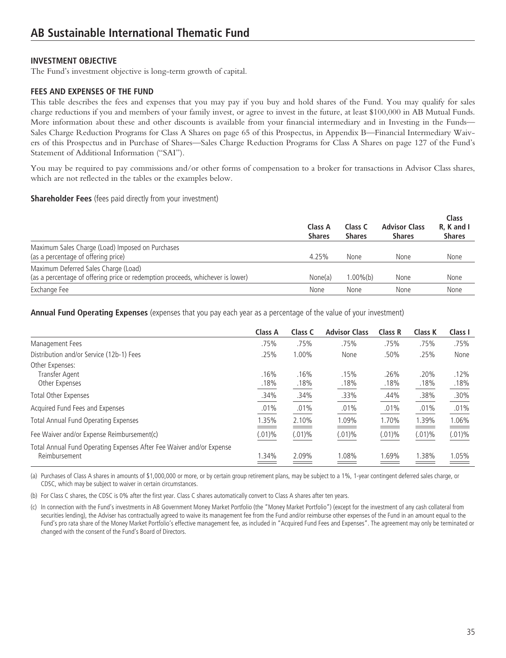# **INVESTMENT OBJECTIVE**

The Fund's investment objective is long-term growth of capital.

# **FEES AND EXPENSES OF THE FUND**

This table describes the fees and expenses that you may pay if you buy and hold shares of the Fund. You may qualify for sales charge reductions if you and members of your family invest, or agree to invest in the future, at least \$100,000 in AB Mutual Funds. More information about these and other discounts is available from your financial intermediary and in Investing in the Funds— Sales Charge Reduction Programs for Class A Shares on page 65 of this Prospectus, in Appendix B—Financial Intermediary Waivers of this Prospectus and in Purchase of Shares—Sales Charge Reduction Programs for Class A Shares on page 127 of the Fund's Statement of Additional Information ("SAI").

You may be required to pay commissions and/or other forms of compensation to a broker for transactions in Advisor Class shares, which are not reflected in the tables or the examples below.

### **Shareholder Fees** (fees paid directly from your investment)

|                                                                                                                        | Class A<br><b>Shares</b> | Class C<br><b>Shares</b> | <b>Advisor Class</b><br><b>Shares</b> | <b>Class</b><br>R. K and I<br><b>Shares</b> |
|------------------------------------------------------------------------------------------------------------------------|--------------------------|--------------------------|---------------------------------------|---------------------------------------------|
| Maximum Sales Charge (Load) Imposed on Purchases<br>(as a percentage of offering price)                                | 4.25%                    | <b>None</b>              | <b>None</b>                           | None                                        |
| Maximum Deferred Sales Charge (Load)<br>(as a percentage of offering price or redemption proceeds, whichever is lower) | None(a)                  | $1.00\%$ (b)             | None                                  | None                                        |
| Exchange Fee                                                                                                           | None                     | None                     | None                                  | None                                        |

**Annual Fund Operating Expenses** (expenses that you pay each year as a percentage of the value of your investment)

|                                                                                       | <b>Class A</b> | Class C      | <b>Advisor Class</b> | Class R      | Class K      | Class I      |
|---------------------------------------------------------------------------------------|----------------|--------------|----------------------|--------------|--------------|--------------|
| Management Fees                                                                       | .75%           | .75%         | .75%                 | .75%         | .75%         | .75%         |
| Distribution and/or Service (12b-1) Fees                                              | .25%           | 1.00%        | None                 | .50%         | .25%         | None         |
| Other Expenses:<br>Transfer Agent<br>Other Expenses                                   | .16%<br>.18%   | .16%<br>.18% | .15%<br>.18%         | .26%<br>.18% | .20%<br>.18% | .12%<br>.18% |
| Total Other Expenses                                                                  | .34%           | .34%         | .33%                 | .44%         | .38%         | .30%         |
| Acquired Fund Fees and Expenses                                                       | .01%           | .01%         | .01%                 | .01%         | .01%         | .01%         |
| <b>Total Annual Fund Operating Expenses</b>                                           | 1.35%          | 2.10%        | 1.09%                | 1.70%        | 1.39%        | 1.06%        |
| Fee Waiver and/or Expense Reimbursement(c)                                            | $(.01)\%$      | $(.01)\%$    | $(.01)\%$            | $(.01)\%$    | $(.01)\%$    | $(.01)\%$    |
| Total Annual Fund Operating Expenses After Fee Waiver and/or Expense<br>Reimbursement | 1.34%          | 2.09%        | 1.08%                | .69%         | .38%         | 1.05%        |

(a) Purchases of Class A shares in amounts of \$1,000,000 or more, or by certain group retirement plans, may be subject to a 1%, 1-year contingent deferred sales charge, or CDSC, which may be subject to waiver in certain circumstances.

(b) For Class C shares, the CDSC is 0% after the first year. Class C shares automatically convert to Class A shares after ten years.

(c) In connection with the Fund's investments in AB Government Money Market Portfolio (the "Money Market Portfolio") (except for the investment of any cash collateral from securities lending), the Adviser has contractually agreed to waive its management fee from the Fund and/or reimburse other expenses of the Fund in an amount equal to the Fund's pro rata share of the Money Market Portfolio's effective management fee, as included in "Acquired Fund Fees and Expenses". The agreement may only be terminated or changed with the consent of the Fund's Board of Directors.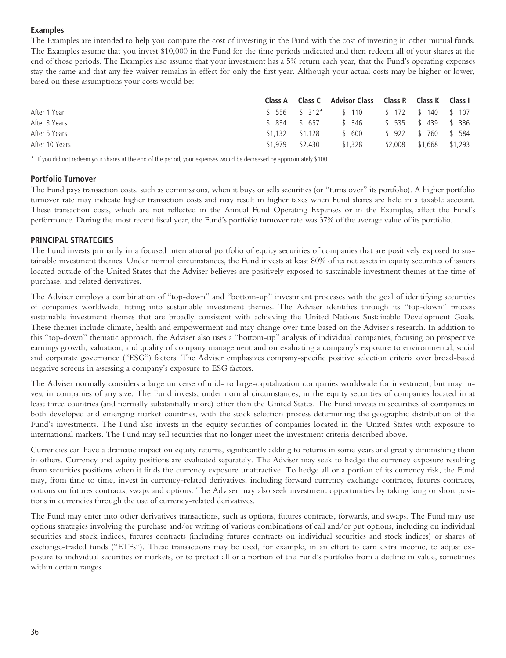# **Examples**

The Examples are intended to help you compare the cost of investing in the Fund with the cost of investing in other mutual funds. The Examples assume that you invest \$10,000 in the Fund for the time periods indicated and then redeem all of your shares at the end of those periods. The Examples also assume that your investment has a 5% return each year, that the Fund's operating expenses stay the same and that any fee waiver remains in effect for only the first year. Although your actual costs may be higher or lower, based on these assumptions your costs would be:

|                |         |                   | Class A Class C Advisor Class Class R Class K Class I |         |                   |         |
|----------------|---------|-------------------|-------------------------------------------------------|---------|-------------------|---------|
| After 1 Year   |         |                   | \$556 \$312* \$110 \$172 \$140 \$107                  |         |                   |         |
| After 3 Years  |         | \$ 834 \$ 657     | \$ 346                                                |         | \$535 \$439 \$336 |         |
| After 5 Years  |         | $$1.132$ $$1.128$ | \$ 600                                                |         | \$922 \$760 \$584 |         |
| After 10 Years | \$1,979 | \$2,430           | \$1,328                                               | \$2,008 | \$1,668           | \$1,293 |

\* If you did not redeem your shares at the end of the period, your expenses would be decreased by approximately \$100.

# **Portfolio Turnover**

The Fund pays transaction costs, such as commissions, when it buys or sells securities (or "turns over" its portfolio). A higher portfolio turnover rate may indicate higher transaction costs and may result in higher taxes when Fund shares are held in a taxable account. These transaction costs, which are not reflected in the Annual Fund Operating Expenses or in the Examples, affect the Fund's performance. During the most recent fiscal year, the Fund's portfolio turnover rate was 37% of the average value of its portfolio.

# **PRINCIPAL STRATEGIES**

The Fund invests primarily in a focused international portfolio of equity securities of companies that are positively exposed to sustainable investment themes. Under normal circumstances, the Fund invests at least 80% of its net assets in equity securities of issuers located outside of the United States that the Adviser believes are positively exposed to sustainable investment themes at the time of purchase, and related derivatives.

The Adviser employs a combination of "top-down" and "bottom-up" investment processes with the goal of identifying securities of companies worldwide, fitting into sustainable investment themes. The Adviser identifies through its "top-down" process sustainable investment themes that are broadly consistent with achieving the United Nations Sustainable Development Goals. These themes include climate, health and empowerment and may change over time based on the Adviser's research. In addition to this "top-down" thematic approach, the Adviser also uses a "bottom-up" analysis of individual companies, focusing on prospective earnings growth, valuation, and quality of company management and on evaluating a company's exposure to environmental, social and corporate governance ("ESG") factors. The Adviser emphasizes company-specific positive selection criteria over broad-based negative screens in assessing a company's exposure to ESG factors.

The Adviser normally considers a large universe of mid- to large-capitalization companies worldwide for investment, but may invest in companies of any size. The Fund invests, under normal circumstances, in the equity securities of companies located in at least three countries (and normally substantially more) other than the United States. The Fund invests in securities of companies in both developed and emerging market countries, with the stock selection process determining the geographic distribution of the Fund's investments. The Fund also invests in the equity securities of companies located in the United States with exposure to international markets. The Fund may sell securities that no longer meet the investment criteria described above.

Currencies can have a dramatic impact on equity returns, significantly adding to returns in some years and greatly diminishing them in others. Currency and equity positions are evaluated separately. The Adviser may seek to hedge the currency exposure resulting from securities positions when it finds the currency exposure unattractive. To hedge all or a portion of its currency risk, the Fund may, from time to time, invest in currency-related derivatives, including forward currency exchange contracts, futures contracts, options on futures contracts, swaps and options. The Adviser may also seek investment opportunities by taking long or short positions in currencies through the use of currency-related derivatives.

The Fund may enter into other derivatives transactions, such as options, futures contracts, forwards, and swaps. The Fund may use options strategies involving the purchase and/or writing of various combinations of call and/or put options, including on individual securities and stock indices, futures contracts (including futures contracts on individual securities and stock indices) or shares of exchange-traded funds ("ETFs"). These transactions may be used, for example, in an effort to earn extra income, to adjust exposure to individual securities or markets, or to protect all or a portion of the Fund's portfolio from a decline in value, sometimes within certain ranges.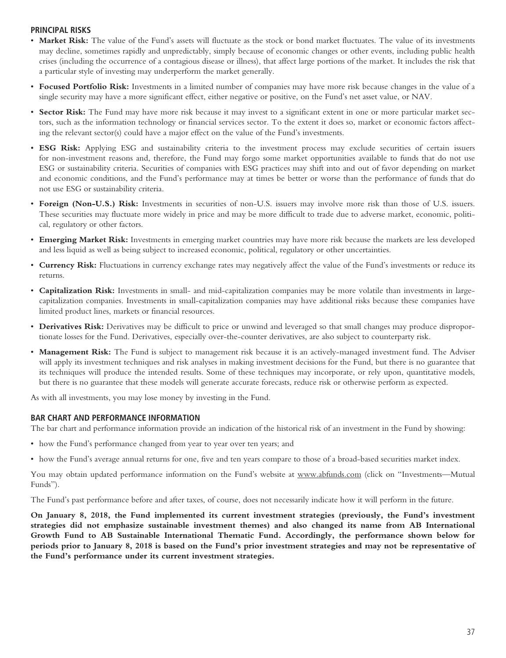# **PRINCIPAL RISKS**

- Market Risk: The value of the Fund's assets will fluctuate as the stock or bond market fluctuates. The value of its investments may decline, sometimes rapidly and unpredictably, simply because of economic changes or other events, including public health crises (including the occurrence of a contagious disease or illness), that affect large portions of the market. It includes the risk that a particular style of investing may underperform the market generally.
- **Focused Portfolio Risk:** Investments in a limited number of companies may have more risk because changes in the value of a single security may have a more significant effect, either negative or positive, on the Fund's net asset value, or NAV.
- **Sector Risk:** The Fund may have more risk because it may invest to a significant extent in one or more particular market sectors, such as the information technology or financial services sector. To the extent it does so, market or economic factors affecting the relevant sector(s) could have a major effect on the value of the Fund's investments.
- **ESG Risk:** Applying ESG and sustainability criteria to the investment process may exclude securities of certain issuers for non-investment reasons and, therefore, the Fund may forgo some market opportunities available to funds that do not use ESG or sustainability criteria. Securities of companies with ESG practices may shift into and out of favor depending on market and economic conditions, and the Fund's performance may at times be better or worse than the performance of funds that do not use ESG or sustainability criteria.
- **Foreign (Non-U.S.) Risk:** Investments in securities of non-U.S. issuers may involve more risk than those of U.S. issuers. These securities may fluctuate more widely in price and may be more difficult to trade due to adverse market, economic, political, regulatory or other factors.
- **Emerging Market Risk:** Investments in emerging market countries may have more risk because the markets are less developed and less liquid as well as being subject to increased economic, political, regulatory or other uncertainties.
- **Currency Risk:** Fluctuations in currency exchange rates may negatively affect the value of the Fund's investments or reduce its returns.
- **Capitalization Risk:** Investments in small- and mid-capitalization companies may be more volatile than investments in largecapitalization companies. Investments in small-capitalization companies may have additional risks because these companies have limited product lines, markets or financial resources.
- **Derivatives Risk:** Derivatives may be difficult to price or unwind and leveraged so that small changes may produce disproportionate losses for the Fund. Derivatives, especially over-the-counter derivatives, are also subject to counterparty risk.
- **Management Risk:** The Fund is subject to management risk because it is an actively-managed investment fund. The Adviser will apply its investment techniques and risk analyses in making investment decisions for the Fund, but there is no guarantee that its techniques will produce the intended results. Some of these techniques may incorporate, or rely upon, quantitative models, but there is no guarantee that these models will generate accurate forecasts, reduce risk or otherwise perform as expected.

As with all investments, you may lose money by investing in the Fund.

### **BAR CHART AND PERFORMANCE INFORMATION**

The bar chart and performance information provide an indication of the historical risk of an investment in the Fund by showing:

- how the Fund's performance changed from year to year over ten years; and
- how the Fund's average annual returns for one, five and ten years compare to those of a broad-based securities market index.

You may obtain updated performance information on the Fund's website at www.abfunds.com (click on "Investments—Mutual Funds").

The Fund's past performance before and after taxes, of course, does not necessarily indicate how it will perform in the future.

**On January 8, 2018, the Fund implemented its current investment strategies (previously, the Fund's investment strategies did not emphasize sustainable investment themes) and also changed its name from AB International Growth Fund to AB Sustainable International Thematic Fund. Accordingly, the performance shown below for periods prior to January 8, 2018 is based on the Fund's prior investment strategies and may not be representative of the Fund's performance under its current investment strategies.**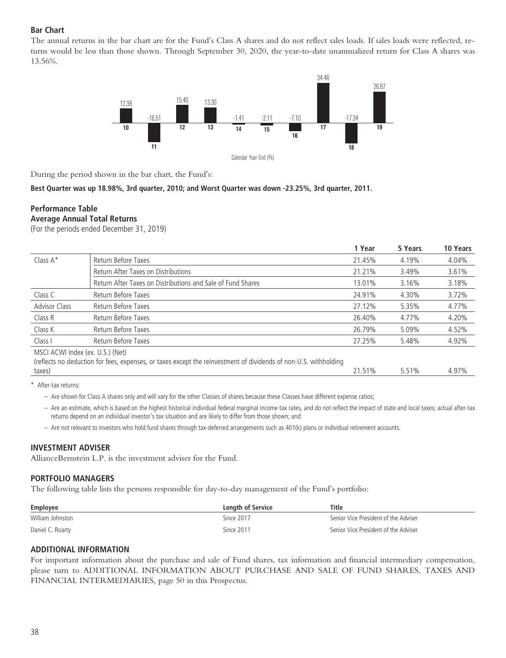# **Bar Chart**

The annual returns in the bar chart are for the Fund's Class A shares and do not reflect sales loads. If sales loads were reflected, returns would be less than those shown. Through September 30, 2020, the year-to-date unannualized return for Class A shares was 13.56%.



During the period shown in the bar chart, the Fund's:

**Best Quarter was up 18.98%, 3rd quarter, 2010; and Worst Quarter was down -23.25%, 3rd quarter, 2011.**

### **Performance Table Average Annual Total Returns**

(For the periods ended December 31, 2019)

|                                  |                                                                                                                  | 1 Year | 5 Years | 10 Years |
|----------------------------------|------------------------------------------------------------------------------------------------------------------|--------|---------|----------|
| Class A*                         | Return Before Taxes                                                                                              | 21.45% | 4.19%   | 4.04%    |
|                                  | Return After Taxes on Distributions                                                                              | 21.21% | 3.49%   | 3.61%    |
|                                  | Return After Taxes on Distributions and Sale of Fund Shares                                                      | 13.01% | 3.16%   | 3.18%    |
| Class C                          | Return Before Taxes                                                                                              | 24.91% | 4.30%   | 3.72%    |
| <b>Advisor Class</b>             | Return Before Taxes                                                                                              | 27.12% | 5.35%   | 4.77%    |
| Class R                          | Return Before Taxes                                                                                              | 26.40% | 4.77%   | 4.20%    |
| Class K                          | Return Before Taxes                                                                                              | 26.79% | 5.09%   | 4.52%    |
| Class I                          | Return Before Taxes                                                                                              | 27.25% | 5.48%   | 4.92%    |
| MSCI ACWI Index (ex. U.S.) (Net) | (reflects no deduction for fees, expenses, or taxes except the reinvestment of dividends of non-U.S. withholding |        |         |          |
| taxes)                           |                                                                                                                  | 21.51% | 5.51%   | 4.97%    |

\* After-tax returns:

- Are shown for Class A shares only and will vary for the other Classes of shares because these Classes have different expense ratios;
- Are an estimate, which is based on the highest historical individual federal marginal income tax rates, and do not reflect the impact of state and local taxes; actual after-tax returns depend on an individual investor's tax situation and are likely to differ from those shown; and
- Are not relevant to investors who hold fund shares through tax-deferred arrangements such as 401(k) plans or individual retirement accounts.

#### **INVESTMENT ADVISER**

AllianceBernstein L.P. is the investment adviser for the Fund.

### **PORTFOLIO MANAGERS**

The following table lists the persons responsible for day-to-day management of the Fund's portfolio:

| Employee         | Length of Service | Title                                |
|------------------|-------------------|--------------------------------------|
| William Johnston | Since 2017        | Senior Vice President of the Adviser |
| Daniel C. Roarty | Since 2011        | Senior Vice President of the Adviser |

### **ADDITIONAL INFORMATION**

For important information about the purchase and sale of Fund shares, tax information and financial intermediary compensation, please turn to ADDITIONAL INFORMATION ABOUT PURCHASE AND SALE OF FUND SHARES, TAXES AND FINANCIAL INTERMEDIARIES, page 50 in this Prospectus.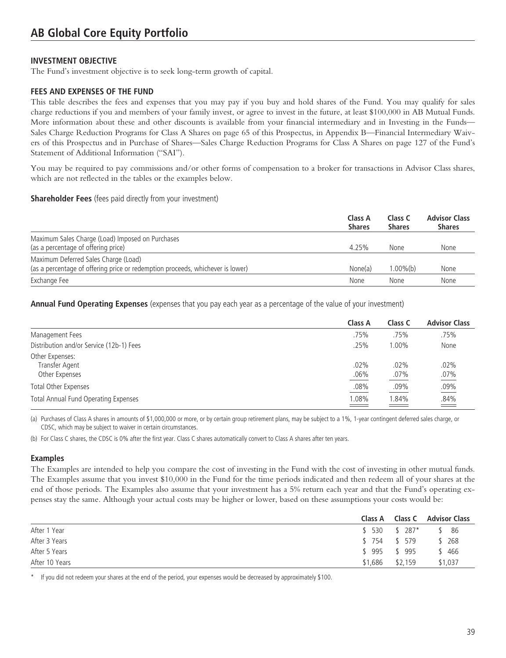# **INVESTMENT OBJECTIVE**

The Fund's investment objective is to seek long-term growth of capital.

# **FEES AND EXPENSES OF THE FUND**

This table describes the fees and expenses that you may pay if you buy and hold shares of the Fund. You may qualify for sales charge reductions if you and members of your family invest, or agree to invest in the future, at least \$100,000 in AB Mutual Funds. More information about these and other discounts is available from your financial intermediary and in Investing in the Funds— Sales Charge Reduction Programs for Class A Shares on page 65 of this Prospectus, in Appendix B—Financial Intermediary Waivers of this Prospectus and in Purchase of Shares—Sales Charge Reduction Programs for Class A Shares on page 127 of the Fund's Statement of Additional Information ("SAI").

You may be required to pay commissions and/or other forms of compensation to a broker for transactions in Advisor Class shares, which are not reflected in the tables or the examples below.

#### **Shareholder Fees** (fees paid directly from your investment)

|                                                                                                                        | Class A<br><b>Shares</b> | Class C<br><b>Shares</b> | <b>Advisor Class</b><br><b>Shares</b> |
|------------------------------------------------------------------------------------------------------------------------|--------------------------|--------------------------|---------------------------------------|
| Maximum Sales Charge (Load) Imposed on Purchases<br>(as a percentage of offering price)                                | 4.25%                    | None                     | None                                  |
| Maximum Deferred Sales Charge (Load)<br>(as a percentage of offering price or redemption proceeds, whichever is lower) | None(a)                  | $1.00\%$ (b)             | None                                  |
| Exchange Fee                                                                                                           | None                     | None                     | None                                  |

**Annual Fund Operating Expenses** (expenses that you pay each year as a percentage of the value of your investment)

|                                                     | Class A         | Class C         | <b>Advisor Class</b> |
|-----------------------------------------------------|-----------------|-----------------|----------------------|
| Management Fees                                     | .75%            | .75%            | .75%                 |
| Distribution and/or Service (12b-1) Fees            | .25%            | $0.00\%$        | None                 |
| Other Expenses:<br>Transfer Agent<br>Other Expenses | .02%<br>$.06\%$ | .02%<br>$.07\%$ | .02%<br>.07%         |
| <b>Total Other Expenses</b>                         | .08%            | .09%            | $.09\%$              |
| Total Annual Fund Operating Expenses                | 1.08%           | .84%            | $\frac{.84\%}{ }$    |

(a) Purchases of Class A shares in amounts of \$1,000,000 or more, or by certain group retirement plans, may be subject to a 1%, 1-year contingent deferred sales charge, or CDSC, which may be subject to waiver in certain circumstances.

(b) For Class C shares, the CDSC is 0% after the first year. Class C shares automatically convert to Class A shares after ten years.

### **Examples**

The Examples are intended to help you compare the cost of investing in the Fund with the cost of investing in other mutual funds. The Examples assume that you invest \$10,000 in the Fund for the time periods indicated and then redeem all of your shares at the end of those periods. The Examples also assume that your investment has a 5% return each year and that the Fund's operating expenses stay the same. Although your actual costs may be higher or lower, based on these assumptions your costs would be:

|                |                   | Class A Class C Advisor Class |
|----------------|-------------------|-------------------------------|
| After 1 Year   | $$530$ $$287*$    | \$ 86                         |
| After 3 Years  | \$754 \$579       | \$268                         |
| After 5 Years  | \$995 \$995       | \$ 466                        |
| After 10 Years | $$1,686$ $$2,159$ | \$1,037                       |

If you did not redeem your shares at the end of the period, your expenses would be decreased by approximately \$100.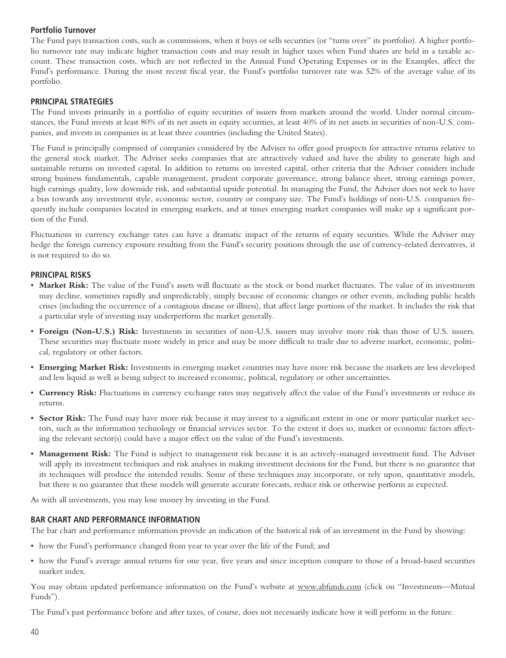# **Portfolio Turnover**

The Fund pays transaction costs, such as commissions, when it buys or sells securities (or "turns over" its portfolio). A higher portfolio turnover rate may indicate higher transaction costs and may result in higher taxes when Fund shares are held in a taxable account. These transaction costs, which are not reflected in the Annual Fund Operating Expenses or in the Examples, affect the Fund's performance. During the most recent fiscal year, the Fund's portfolio turnover rate was 52% of the average value of its portfolio.

# **PRINCIPAL STRATEGIES**

The Fund invests primarily in a portfolio of equity securities of issuers from markets around the world. Under normal circumstances, the Fund invests at least 80% of its net assets in equity securities, at least 40% of its net assets in securities of non-U.S. companies, and invests in companies in at least three countries (including the United States).

The Fund is principally comprised of companies considered by the Adviser to offer good prospects for attractive returns relative to the general stock market. The Adviser seeks companies that are attractively valued and have the ability to generate high and sustainable returns on invested capital. In addition to returns on invested capital, other criteria that the Adviser considers include strong business fundamentals, capable management, prudent corporate governance, strong balance sheet, strong earnings power, high earnings quality, low downside risk, and substantial upside potential. In managing the Fund, the Adviser does not seek to have a bias towards any investment style, economic sector, country or company size. The Fund's holdings of non-U.S. companies frequently include companies located in emerging markets, and at times emerging market companies will make up a significant portion of the Fund.

Fluctuations in currency exchange rates can have a dramatic impact of the returns of equity securities. While the Adviser may hedge the foreign currency exposure resulting from the Fund's security positions through the use of currency-related derivatives, it is not required to do so.

### **PRINCIPAL RISKS**

- **Market Risk:** The value of the Fund's assets will fluctuate as the stock or bond market fluctuates. The value of its investments may decline, sometimes rapidly and unpredictably, simply because of economic changes or other events, including public health crises (including the occurrence of a contagious disease or illness), that affect large portions of the market. It includes the risk that a particular style of investing may underperform the market generally.
- **Foreign (Non-U.S.) Risk:** Investments in securities of non-U.S. issuers may involve more risk than those of U.S. issuers. These securities may fluctuate more widely in price and may be more difficult to trade due to adverse market, economic, political, regulatory or other factors.
- **Emerging Market Risk:** Investments in emerging market countries may have more risk because the markets are less developed and less liquid as well as being subject to increased economic, political, regulatory or other uncertainties.
- **Currency Risk:** Fluctuations in currency exchange rates may negatively affect the value of the Fund's investments or reduce its returns.
- **Sector Risk:** The Fund may have more risk because it may invest to a significant extent in one or more particular market sectors, such as the information technology or financial services sector. To the extent it does so, market or economic factors affecting the relevant sector(s) could have a major effect on the value of the Fund's investments.
- **Management Risk:** The Fund is subject to management risk because it is an actively-managed investment fund. The Adviser will apply its investment techniques and risk analyses in making investment decisions for the Fund, but there is no guarantee that its techniques will produce the intended results. Some of these techniques may incorporate, or rely upon, quantitative models, but there is no guarantee that these models will generate accurate forecasts, reduce risk or otherwise perform as expected.

As with all investments, you may lose money by investing in the Fund.

### **BAR CHART AND PERFORMANCE INFORMATION**

The bar chart and performance information provide an indication of the historical risk of an investment in the Fund by showing:

- how the Fund's performance changed from year to year over the life of the Fund; and
- how the Fund's average annual returns for one year, five years and since inception compare to those of a broad-based securities market index.

You may obtain updated performance information on the Fund's website at www.abfunds.com (click on "Investments—Mutual Funds").

The Fund's past performance before and after taxes, of course, does not necessarily indicate how it will perform in the future.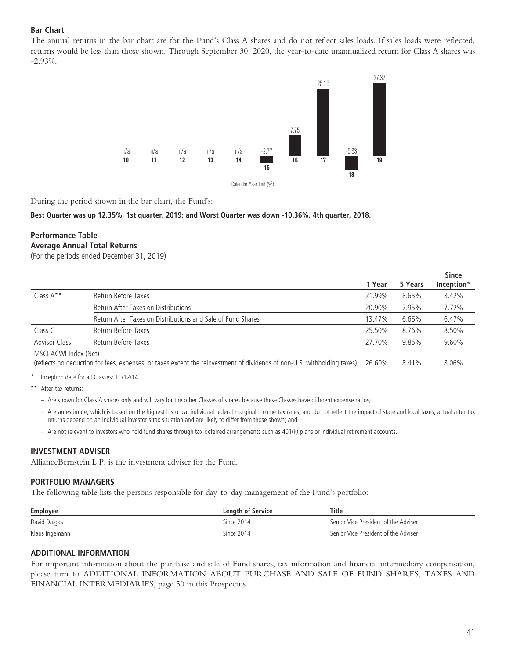# **Bar Chart**

The annual returns in the bar chart are for the Fund's Class A shares and do not reflect sales loads. If sales loads were reflected, returns would be less than those shown. Through September 30, 2020, the year-to-date unannualized return for Class A shares was -2.93%.



During the period shown in the bar chart, the Fund's:

#### **Best Quarter was up 12.35%, 1st quarter, 2019; and Worst Quarter was down -10.36%, 4th quarter, 2018.**

# **Performance Table Average Annual Total Returns**

(For the periods ended December 31, 2019)

|                       |                                                                                                                         |        |         | <b>Since</b> |
|-----------------------|-------------------------------------------------------------------------------------------------------------------------|--------|---------|--------------|
|                       |                                                                                                                         | 1 Year | 5 Years | Inception*   |
| Class $A^*$           | Return Before Taxes                                                                                                     | 21.99% | 8.65%   | 8.42%        |
|                       | Return After Taxes on Distributions                                                                                     | 20.90% | 7.95%   | 7.72%        |
|                       | Return After Taxes on Distributions and Sale of Fund Shares                                                             | 13.47% | 6.66%   | 6.47%        |
| Class C               | Return Before Taxes                                                                                                     | 25.50% | 8.76%   | 8.50%        |
| <b>Advisor Class</b>  | Return Before Taxes                                                                                                     | 27.70% | 9.86%   | 9.60%        |
| MSCI ACWI Index (Net) |                                                                                                                         |        |         |              |
|                       | (reflects no deduction for fees, expenses, or taxes except the reinvestment of dividends of non-U.S. withholding taxes) | 26.60% | 8.41%   | 8.06%        |
|                       |                                                                                                                         |        |         |              |

Inception date for all Classes: 11/12/14.

\*\* After-tax returns:

- Are shown for Class A shares only and will vary for the other Classes of shares because these Classes have different expense ratios;
- Are an estimate, which is based on the highest historical individual federal marginal income tax rates, and do not reflect the impact of state and local taxes; actual after-tax returns depend on an individual investor's tax situation and are likely to differ from those shown; and
- Are not relevant to investors who hold fund shares through tax-deferred arrangements such as 401(k) plans or individual retirement accounts.

#### **INVESTMENT ADVISER**

AllianceBernstein L.P. is the investment adviser for the Fund.

### **PORTFOLIO MANAGERS**

The following table lists the persons responsible for day-to-day management of the Fund's portfolio:

| Employee       | <b>Length of Service</b> | Title                                |
|----------------|--------------------------|--------------------------------------|
| David Dalgas   | Since 2014               | Senior Vice President of the Adviser |
| Klaus Ingemann | Since 2014               | Senior Vice President of the Adviser |

### **ADDITIONAL INFORMATION**

For important information about the purchase and sale of Fund shares, tax information and financial intermediary compensation, please turn to ADDITIONAL INFORMATION ABOUT PURCHASE AND SALE OF FUND SHARES, TAXES AND FINANCIAL INTERMEDIARIES, page 50 in this Prospectus.

**Since**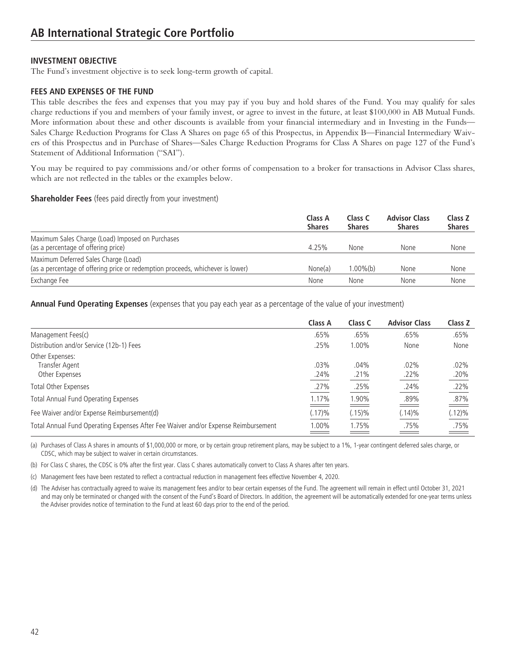# **INVESTMENT OBJECTIVE**

The Fund's investment objective is to seek long-term growth of capital.

# **FEES AND EXPENSES OF THE FUND**

This table describes the fees and expenses that you may pay if you buy and hold shares of the Fund. You may qualify for sales charge reductions if you and members of your family invest, or agree to invest in the future, at least \$100,000 in AB Mutual Funds. More information about these and other discounts is available from your financial intermediary and in Investing in the Funds— Sales Charge Reduction Programs for Class A Shares on page 65 of this Prospectus, in Appendix B—Financial Intermediary Waivers of this Prospectus and in Purchase of Shares—Sales Charge Reduction Programs for Class A Shares on page 127 of the Fund's Statement of Additional Information ("SAI").

You may be required to pay commissions and/or other forms of compensation to a broker for transactions in Advisor Class shares, which are not reflected in the tables or the examples below.

#### **Shareholder Fees** (fees paid directly from your investment)

|                                                                                                                        | Class A<br><b>Shares</b> | Class C<br><b>Shares</b> | <b>Advisor Class</b><br><b>Shares</b> | Class Z<br><b>Shares</b> |
|------------------------------------------------------------------------------------------------------------------------|--------------------------|--------------------------|---------------------------------------|--------------------------|
| Maximum Sales Charge (Load) Imposed on Purchases<br>(as a percentage of offering price)                                | 4.25%                    | None                     | None                                  | None                     |
| Maximum Deferred Sales Charge (Load)<br>(as a percentage of offering price or redemption proceeds, whichever is lower) | None(a)                  | 1.00%(b)                 | None                                  | None                     |
| Exchange Fee                                                                                                           | None                     | None                     | None                                  | None                     |

**Annual Fund Operating Expenses** (expenses that you pay each year as a percentage of the value of your investment)

|                                                                                    | Class A                                                                                                                       | Class C      | <b>Advisor Class</b>      | Class Z                                   |
|------------------------------------------------------------------------------------|-------------------------------------------------------------------------------------------------------------------------------|--------------|---------------------------|-------------------------------------------|
| Management Fees(c)                                                                 | .65%                                                                                                                          | .65%         | .65%                      | .65%                                      |
| Distribution and/or Service (12b-1) Fees                                           | .25%                                                                                                                          | 1.00%        | None                      | None                                      |
| Other Expenses:<br>Transfer Agent<br>Other Expenses                                | .03%<br>.24%                                                                                                                  | .04%<br>.21% | $.02\%$<br>.22%           | .02%<br>.20%                              |
| <b>Total Other Expenses</b>                                                        | .27%                                                                                                                          | .25%         | .24%                      | .22%                                      |
| Total Annual Fund Operating Expenses                                               | 1.17%                                                                                                                         | 1.90%        | .89%                      | .87%                                      |
| Fee Waiver and/or Expense Reimbursement(d)                                         | $(.17) \%$                                                                                                                    | $(.15)\%$    | $(.14)\%$                 | $\qquad \qquad \Longrightarrow$<br>(.12)% |
| Total Annual Fund Operating Expenses After Fee Waiver and/or Expense Reimbursement | 1.00%<br><u> — 1990 - 1991 - 1991 - 1991 - 1991 - 1991 - 1991 - 1991 - 1991 - 1991 - 1991 - 1991 - 1991 - 1991 - 1991 - 1</u> | 1.75%        | .75%<br>$\equiv$ $\equiv$ | .75%<br>$\equiv$ $\equiv$                 |

(a) Purchases of Class A shares in amounts of \$1,000,000 or more, or by certain group retirement plans, may be subject to a 1%, 1-year contingent deferred sales charge, or CDSC, which may be subject to waiver in certain circumstances.

(b) For Class C shares, the CDSC is 0% after the first year. Class C shares automatically convert to Class A shares after ten years.

(c) Management fees have been restated to reflect a contractual reduction in management fees effective November 4, 2020.

(d) The Adviser has contractually agreed to waive its management fees and/or to bear certain expenses of the Fund. The agreement will remain in effect until October 31, 2021 and may only be terminated or changed with the consent of the Fund's Board of Directors. In addition, the agreement will be automatically extended for one-year terms unless the Adviser provides notice of termination to the Fund at least 60 days prior to the end of the period.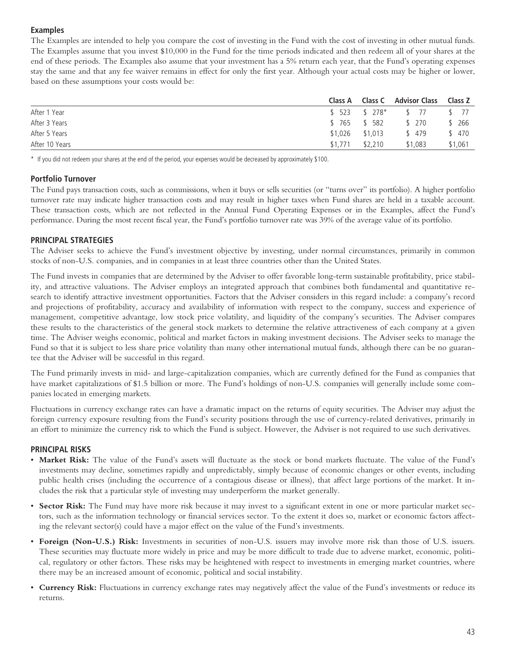# **Examples**

The Examples are intended to help you compare the cost of investing in the Fund with the cost of investing in other mutual funds. The Examples assume that you invest \$10,000 in the Fund for the time periods indicated and then redeem all of your shares at the end of these periods. The Examples also assume that your investment has a 5% return each year, that the Fund's operating expenses stay the same and that any fee waiver remains in effect for only the first year. Although your actual costs may be higher or lower, based on these assumptions your costs would be:

|                |         |                 | Class A Class C Advisor Class Class Z |         |
|----------------|---------|-----------------|---------------------------------------|---------|
| After 1 Year   |         |                 | $$523$ $$278*$ $$77$ $$77$            |         |
| After 3 Years  |         | \$765 \$582     | \$ 270                                | \$ 266  |
| After 5 Years  |         | \$1,026 \$1,013 | \$ 479                                | \$ 470  |
| After 10 Years | \$1,771 | \$2.210         | \$1.083                               | \$1.061 |

\* If you did not redeem your shares at the end of the period, your expenses would be decreased by approximately \$100.

# **Portfolio Turnover**

The Fund pays transaction costs, such as commissions, when it buys or sells securities (or "turns over" its portfolio). A higher portfolio turnover rate may indicate higher transaction costs and may result in higher taxes when Fund shares are held in a taxable account. These transaction costs, which are not reflected in the Annual Fund Operating Expenses or in the Examples, affect the Fund's performance. During the most recent fiscal year, the Fund's portfolio turnover rate was 39% of the average value of its portfolio.

# **PRINCIPAL STRATEGIES**

The Adviser seeks to achieve the Fund's investment objective by investing, under normal circumstances, primarily in common stocks of non-U.S. companies, and in companies in at least three countries other than the United States.

The Fund invests in companies that are determined by the Adviser to offer favorable long-term sustainable profitability, price stability, and attractive valuations. The Adviser employs an integrated approach that combines both fundamental and quantitative research to identify attractive investment opportunities. Factors that the Adviser considers in this regard include: a company's record and projections of profitability, accuracy and availability of information with respect to the company, success and experience of management, competitive advantage, low stock price volatility, and liquidity of the company's securities. The Adviser compares these results to the characteristics of the general stock markets to determine the relative attractiveness of each company at a given time. The Adviser weighs economic, political and market factors in making investment decisions. The Adviser seeks to manage the Fund so that it is subject to less share price volatility than many other international mutual funds, although there can be no guarantee that the Adviser will be successful in this regard.

The Fund primarily invests in mid- and large-capitalization companies, which are currently defined for the Fund as companies that have market capitalizations of \$1.5 billion or more. The Fund's holdings of non-U.S. companies will generally include some companies located in emerging markets.

Fluctuations in currency exchange rates can have a dramatic impact on the returns of equity securities. The Adviser may adjust the foreign currency exposure resulting from the Fund's security positions through the use of currency-related derivatives, primarily in an effort to minimize the currency risk to which the Fund is subject. However, the Adviser is not required to use such derivatives.

### **PRINCIPAL RISKS**

- **Market Risk:** The value of the Fund's assets will fluctuate as the stock or bond markets fluctuate. The value of the Fund's investments may decline, sometimes rapidly and unpredictably, simply because of economic changes or other events, including public health crises (including the occurrence of a contagious disease or illness), that affect large portions of the market. It includes the risk that a particular style of investing may underperform the market generally.
- **Sector Risk:** The Fund may have more risk because it may invest to a significant extent in one or more particular market sectors, such as the information technology or financial services sector. To the extent it does so, market or economic factors affecting the relevant sector(s) could have a major effect on the value of the Fund's investments.
- **Foreign (Non-U.S.) Risk:** Investments in securities of non-U.S. issuers may involve more risk than those of U.S. issuers. These securities may fluctuate more widely in price and may be more difficult to trade due to adverse market, economic, political, regulatory or other factors. These risks may be heightened with respect to investments in emerging market countries, where there may be an increased amount of economic, political and social instability.
- **Currency Risk:** Fluctuations in currency exchange rates may negatively affect the value of the Fund's investments or reduce its returns.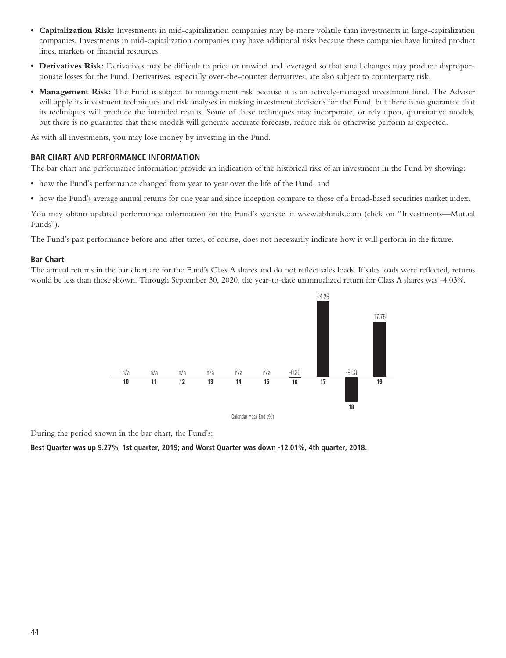- **Capitalization Risk:** Investments in mid-capitalization companies may be more volatile than investments in large-capitalization companies. Investments in mid-capitalization companies may have additional risks because these companies have limited product lines, markets or financial resources.
- **Derivatives Risk:** Derivatives may be difficult to price or unwind and leveraged so that small changes may produce disproportionate losses for the Fund. Derivatives, especially over-the-counter derivatives, are also subject to counterparty risk.
- **Management Risk:** The Fund is subject to management risk because it is an actively-managed investment fund. The Adviser will apply its investment techniques and risk analyses in making investment decisions for the Fund, but there is no guarantee that its techniques will produce the intended results. Some of these techniques may incorporate, or rely upon, quantitative models, but there is no guarantee that these models will generate accurate forecasts, reduce risk or otherwise perform as expected.

As with all investments, you may lose money by investing in the Fund.

### **BAR CHART AND PERFORMANCE INFORMATION**

The bar chart and performance information provide an indication of the historical risk of an investment in the Fund by showing:

- how the Fund's performance changed from year to year over the life of the Fund; and
- how the Fund's average annual returns for one year and since inception compare to those of a broad-based securities market index.

You may obtain updated performance information on the Fund's website at www.abfunds.com (click on "Investments—Mutual Funds").

The Fund's past performance before and after taxes, of course, does not necessarily indicate how it will perform in the future.

# **Bar Chart**

The annual returns in the bar chart are for the Fund's Class A shares and do not reflect sales loads. If sales loads were reflected, returns would be less than those shown. Through September 30, 2020, the year-to-date unannualized return for Class A shares was -4.03%.



During the period shown in the bar chart, the Fund's:

**Best Quarter was up 9.27%, 1st quarter, 2019; and Worst Quarter was down -12.01%, 4th quarter, 2018.**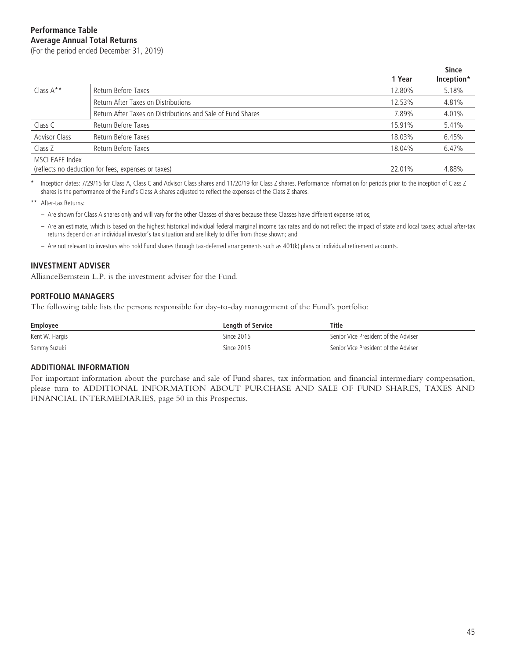**1 Year Since Inception\*** Class A\*\* Return Before Taxes **Return Before Taxes** Assessment Business At the U.S. 2004 5.18% 5.18% Return After Taxes on Distributions **12.53%** 4.81% Return After Taxes on Distributions and Sale of Fund Shares 7.89% 7.89% 4.01% Class C Return Before Taxes 15.91% 5.41% Advisor Class Return Before Taxes **6.45%** 6.45% 6.45% 6.45% 6.45% 6.45% 6.45% 6.45% 6.45% 6.45% 6.45% 6.45% 6.45% Class Z Return Before Taxes **6.47%** 6.47% 6.47% 6.47% 6.47% 6.47% 6.47% 6.47% 6.47% 6.47% 6.47% 6.47% 6.47% 6.47% MSCI EAFE Index (reflects no deduction for fees, expenses or taxes) 22.01% 4.88%

Inception dates: 7/29/15 for Class A, Class C and Advisor Class shares and 11/20/19 for Class Z shares. Performance information for periods prior to the inception of Class Z shares is the performance of the Fund's Class A shares adjusted to reflect the expenses of the Class Z shares.

\*\* After-tax Returns:

- Are shown for Class A shares only and will vary for the other Classes of shares because these Classes have different expense ratios;
- Are an estimate, which is based on the highest historical individual federal marginal income tax rates and do not reflect the impact of state and local taxes; actual after-tax returns depend on an individual investor's tax situation and are likely to differ from those shown; and
- Are not relevant to investors who hold Fund shares through tax-deferred arrangements such as 401(k) plans or individual retirement accounts.

### **INVESTMENT ADVISER**

AllianceBernstein L.P. is the investment adviser for the Fund.

#### **PORTFOLIO MANAGERS**

The following table lists the persons responsible for day-to-day management of the Fund's portfolio:

| Employee       | <b>Length of Service</b> | Title                                |
|----------------|--------------------------|--------------------------------------|
| Kent W. Hargis | Since 2015               | Senior Vice President of the Adviser |
| Sammy Suzuki   | Since 2015               | Senior Vice President of the Adviser |

#### **ADDITIONAL INFORMATION**

For important information about the purchase and sale of Fund shares, tax information and financial intermediary compensation, please turn to ADDITIONAL INFORMATION ABOUT PURCHASE AND SALE OF FUND SHARES, TAXES AND FINANCIAL INTERMEDIARIES, page 50 in this Prospectus.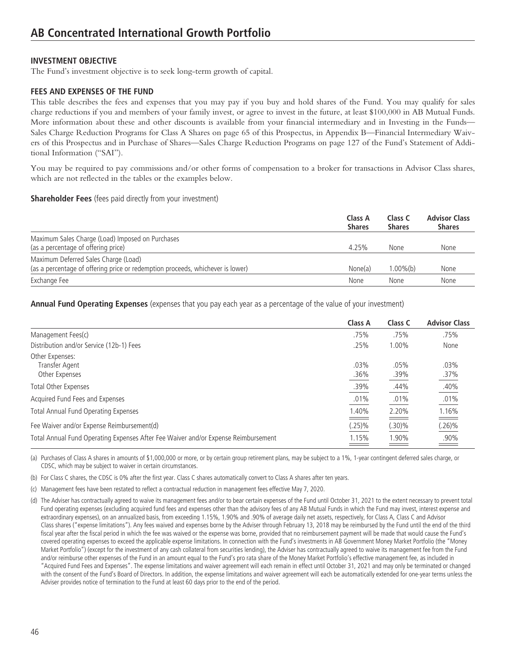# **INVESTMENT OBJECTIVE**

The Fund's investment objective is to seek long-term growth of capital.

# **FEES AND EXPENSES OF THE FUND**

This table describes the fees and expenses that you may pay if you buy and hold shares of the Fund. You may qualify for sales charge reductions if you and members of your family invest, or agree to invest in the future, at least \$100,000 in AB Mutual Funds. More information about these and other discounts is available from your financial intermediary and in Investing in the Funds— Sales Charge Reduction Programs for Class A Shares on page 65 of this Prospectus, in Appendix B—Financial Intermediary Waivers of this Prospectus and in Purchase of Shares—Sales Charge Reduction Programs on page 127 of the Fund's Statement of Additional Information ("SAI").

You may be required to pay commissions and/or other forms of compensation to a broker for transactions in Advisor Class shares, which are not reflected in the tables or the examples below.

### **Shareholder Fees** (fees paid directly from your investment)

|                                                                                                                        | Class A<br><b>Shares</b> | Class C<br><b>Shares</b> | <b>Advisor Class</b><br><b>Shares</b> |
|------------------------------------------------------------------------------------------------------------------------|--------------------------|--------------------------|---------------------------------------|
| Maximum Sales Charge (Load) Imposed on Purchases<br>(as a percentage of offering price)                                | 4.25%                    | None                     | None                                  |
| Maximum Deferred Sales Charge (Load)<br>(as a percentage of offering price or redemption proceeds, whichever is lower) | None(a)                  | $1.00\%$ (b)             | None                                  |
| Exchange Fee                                                                                                           | None                     | None                     | None                                  |

**Annual Fund Operating Expenses** (expenses that you pay each year as a percentage of the value of your investment)

|                                                                                    | Class A      | Class C      | <b>Advisor Class</b> |
|------------------------------------------------------------------------------------|--------------|--------------|----------------------|
| Management Fees(c)                                                                 | .75%         | .75%         | .75%                 |
| Distribution and/or Service (12b-1) Fees                                           | .25%         | 1.00%        | None                 |
| Other Expenses:<br>Transfer Agent<br>Other Expenses                                | .03%<br>.36% | .05%<br>.39% | .03%<br>.37%         |
| <b>Total Other Expenses</b>                                                        | .39%         | .44%         | .40%                 |
| Acquired Fund Fees and Expenses                                                    | .01%         | .01%         | .01%                 |
| Total Annual Fund Operating Expenses                                               | 1.40%        | 2.20%        | 1.16%                |
| Fee Waiver and/or Expense Reimbursement(d)                                         | $(.25)\%$    | $(.30)\%$    | $(.26)\%$            |
| Total Annual Fund Operating Expenses After Fee Waiver and/or Expense Reimbursement | 1.15%        | 1.90%        | .90%                 |

(a) Purchases of Class A shares in amounts of \$1,000,000 or more, or by certain group retirement plans, may be subject to a 1%, 1-year contingent deferred sales charge, or CDSC, which may be subject to waiver in certain circumstances.

(b) For Class C shares, the CDSC is 0% after the first year. Class C shares automatically convert to Class A shares after ten years.

(c) Management fees have been restated to reflect a contractual reduction in management fees effective May 7, 2020.

(d) The Adviser has contractually agreed to waive its management fees and/or to bear certain expenses of the Fund until October 31, 2021 to the extent necessary to prevent total Fund operating expenses (excluding acquired fund fees and expenses other than the advisory fees of any AB Mutual Funds in which the Fund may invest, interest expense and extraordinary expenses), on an annualized basis, from exceeding 1.15%, 1.90% and .90% of average daily net assets, respectively, for Class A, Class C and Advisor Class shares ("expense limitations"). Any fees waived and expenses borne by the Adviser through February 13, 2018 may be reimbursed by the Fund until the end of the third fiscal year after the fiscal period in which the fee was waived or the expense was borne, provided that no reimbursement payment will be made that would cause the Fund's covered operating expenses to exceed the applicable expense limitations. In connection with the Fund's investments in AB Government Money Market Portfolio (the "Money Market Portfolio") (except for the investment of any cash collateral from securities lending), the Adviser has contractually agreed to waive its management fee from the Fund and/or reimburse other expenses of the Fund in an amount equal to the Fund's pro rata share of the Money Market Portfolio's effective management fee, as included in "Acquired Fund Fees and Expenses". The expense limitations and waiver agreement will each remain in effect until October 31, 2021 and may only be terminated or changed with the consent of the Fund's Board of Directors. In addition, the expense limitations and waiver agreement will each be automatically extended for one-year terms unless the Adviser provides notice of termination to the Fund at least 60 days prior to the end of the period.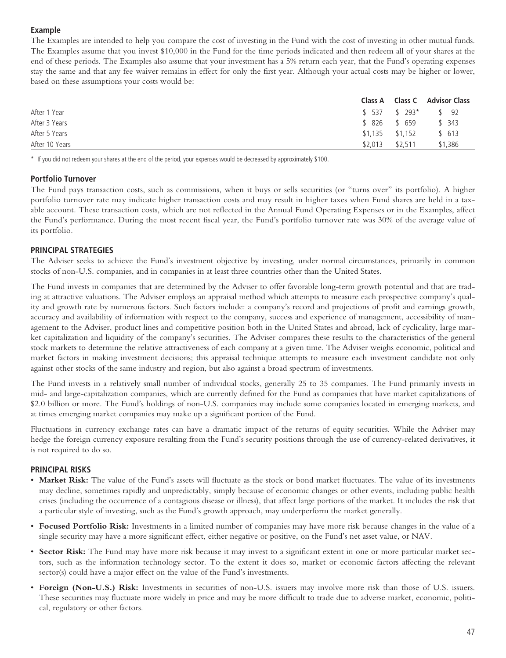# **Example**

The Examples are intended to help you compare the cost of investing in the Fund with the cost of investing in other mutual funds. The Examples assume that you invest \$10,000 in the Fund for the time periods indicated and then redeem all of your shares at the end of these periods. The Examples also assume that your investment has a 5% return each year, that the Fund's operating expenses stay the same and that any fee waiver remains in effect for only the first year. Although your actual costs may be higher or lower, based on these assumptions your costs would be:

|                |                   | Class A Class C Advisor Class |
|----------------|-------------------|-------------------------------|
| After 1 Year   | $$537$ $$293*$    | $\frac{1}{2}$ 92              |
| After 3 Years  | \$ 826 \$ 659     | \$343                         |
| After 5 Years  | $$1.135$ $$1.152$ | \$613                         |
| After 10 Years | $$2,013$ $$2,511$ | \$1,386                       |

\* If you did not redeem your shares at the end of the period, your expenses would be decreased by approximately \$100.

# **Portfolio Turnover**

The Fund pays transaction costs, such as commissions, when it buys or sells securities (or "turns over" its portfolio). A higher portfolio turnover rate may indicate higher transaction costs and may result in higher taxes when Fund shares are held in a taxable account. These transaction costs, which are not reflected in the Annual Fund Operating Expenses or in the Examples, affect the Fund's performance. During the most recent fiscal year, the Fund's portfolio turnover rate was 30% of the average value of its portfolio.

# **PRINCIPAL STRATEGIES**

The Adviser seeks to achieve the Fund's investment objective by investing, under normal circumstances, primarily in common stocks of non-U.S. companies, and in companies in at least three countries other than the United States.

The Fund invests in companies that are determined by the Adviser to offer favorable long-term growth potential and that are trading at attractive valuations. The Adviser employs an appraisal method which attempts to measure each prospective company's quality and growth rate by numerous factors. Such factors include: a company's record and projections of profit and earnings growth, accuracy and availability of information with respect to the company, success and experience of management, accessibility of management to the Adviser, product lines and competitive position both in the United States and abroad, lack of cyclicality, large market capitalization and liquidity of the company's securities. The Adviser compares these results to the characteristics of the general stock markets to determine the relative attractiveness of each company at a given time. The Adviser weighs economic, political and market factors in making investment decisions; this appraisal technique attempts to measure each investment candidate not only against other stocks of the same industry and region, but also against a broad spectrum of investments.

The Fund invests in a relatively small number of individual stocks, generally 25 to 35 companies. The Fund primarily invests in mid- and large-capitalization companies, which are currently defined for the Fund as companies that have market capitalizations of \$2.0 billion or more. The Fund's holdings of non-U.S. companies may include some companies located in emerging markets, and at times emerging market companies may make up a significant portion of the Fund.

Fluctuations in currency exchange rates can have a dramatic impact of the returns of equity securities. While the Adviser may hedge the foreign currency exposure resulting from the Fund's security positions through the use of currency-related derivatives, it is not required to do so.

### **PRINCIPAL RISKS**

- Market Risk: The value of the Fund's assets will fluctuate as the stock or bond market fluctuates. The value of its investments may decline, sometimes rapidly and unpredictably, simply because of economic changes or other events, including public health crises (including the occurrence of a contagious disease or illness), that affect large portions of the market. It includes the risk that a particular style of investing, such as the Fund's growth approach, may underperform the market generally.
- **Focused Portfolio Risk:** Investments in a limited number of companies may have more risk because changes in the value of a single security may have a more significant effect, either negative or positive, on the Fund's net asset value, or NAV.
- **Sector Risk:** The Fund may have more risk because it may invest to a significant extent in one or more particular market sectors, such as the information technology sector. To the extent it does so, market or economic factors affecting the relevant sector(s) could have a major effect on the value of the Fund's investments.
- **Foreign (Non-U.S.) Risk:** Investments in securities of non-U.S. issuers may involve more risk than those of U.S. issuers. These securities may fluctuate more widely in price and may be more difficult to trade due to adverse market, economic, political, regulatory or other factors.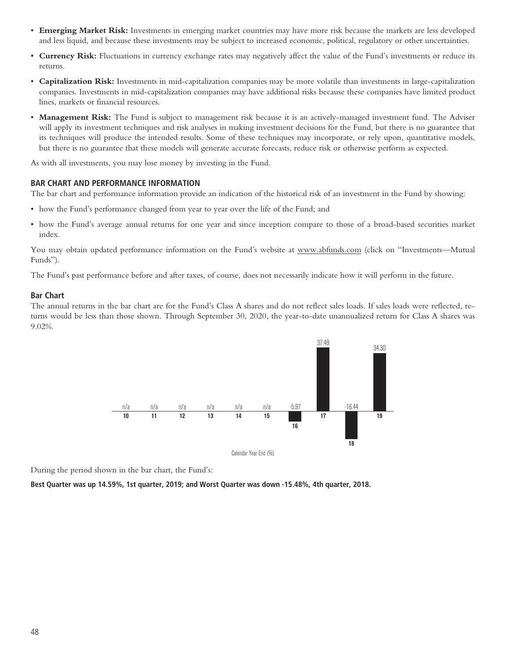- **Emerging Market Risk:** Investments in emerging market countries may have more risk because the markets are less developed and less liquid, and because these investments may be subject to increased economic, political, regulatory or other uncertainties.
- **Currency Risk:** Fluctuations in currency exchange rates may negatively affect the value of the Fund's investments or reduce its returns.
- **Capitalization Risk:** Investments in mid-capitalization companies may be more volatile than investments in large-capitalization companies. Investments in mid-capitalization companies may have additional risks because these companies have limited product lines, markets or financial resources.
- **Management Risk:** The Fund is subject to management risk because it is an actively-managed investment fund. The Adviser will apply its investment techniques and risk analyses in making investment decisions for the Fund, but there is no guarantee that its techniques will produce the intended results. Some of these techniques may incorporate, or rely upon, quantitative models, but there is no guarantee that these models will generate accurate forecasts, reduce risk or otherwise perform as expected.

As with all investments, you may lose money by investing in the Fund.

### **BAR CHART AND PERFORMANCE INFORMATION**

The bar chart and performance information provide an indication of the historical risk of an investment in the Fund by showing:

- how the Fund's performance changed from year to year over the life of the Fund; and
- how the Fund's average annual returns for one year and since inception compare to those of a broad-based securities market index.

You may obtain updated performance information on the Fund's website at www.abfunds.com (click on "Investments—Mutual Funds").

The Fund's past performance before and after taxes, of course, does not necessarily indicate how it will perform in the future.

### **Bar Chart**

The annual returns in the bar chart are for the Fund's Class A shares and do not reflect sales loads. If sales loads were reflected, returns would be less than those shown. Through September 30, 2020, the year-to-date unannualized return for Class A shares was 9.02%.



During the period shown in the bar chart, the Fund's:

**Best Quarter was up 14.59%, 1st quarter, 2019; and Worst Quarter was down -15.48%, 4th quarter, 2018.**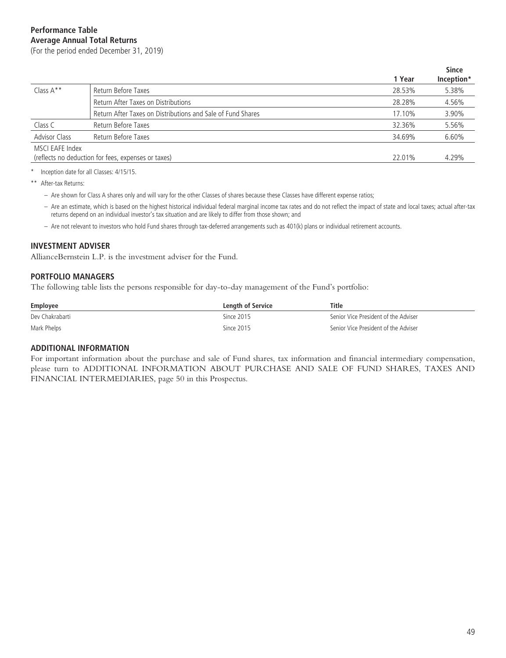(For the period ended December 31, 2019)

|                      |                                                             |        | <b>Since</b> |
|----------------------|-------------------------------------------------------------|--------|--------------|
|                      |                                                             | 1 Year | Inception*   |
| Class $A^*$          | Return Before Taxes                                         | 28.53% | 5.38%        |
|                      | Return After Taxes on Distributions                         | 28.28% | 4.56%        |
|                      | Return After Taxes on Distributions and Sale of Fund Shares | 17.10% | 3.90%        |
| Class C              | Return Before Taxes                                         | 32.36% | 5.56%        |
| <b>Advisor Class</b> | Return Before Taxes                                         | 34.69% | 6.60%        |
| MSCI EAFE Index      |                                                             |        |              |
|                      | (reflects no deduction for fees, expenses or taxes)         | 22.01% | 4.29%        |
|                      |                                                             |        |              |

Inception date for all Classes: 4/15/15.

\*\* After-tax Returns:

- Are shown for Class A shares only and will vary for the other Classes of shares because these Classes have different expense ratios;
- Are an estimate, which is based on the highest historical individual federal marginal income tax rates and do not reflect the impact of state and local taxes; actual after-tax returns depend on an individual investor's tax situation and are likely to differ from those shown; and
- Are not relevant to investors who hold Fund shares through tax-deferred arrangements such as 401(k) plans or individual retirement accounts.

#### **INVESTMENT ADVISER**

AllianceBernstein L.P. is the investment adviser for the Fund.

### **PORTFOLIO MANAGERS**

The following table lists the persons responsible for day-to-day management of the Fund's portfolio:

| Employee        | <b>Lenath of Service</b> | Title                                |
|-----------------|--------------------------|--------------------------------------|
| Dev Chakrabarti | Since 2015               | Senior Vice President of the Adviser |
| Mark Phelps     | Since 2015               | Senior Vice President of the Adviser |

#### **ADDITIONAL INFORMATION**

For important information about the purchase and sale of Fund shares, tax information and financial intermediary compensation, please turn to ADDITIONAL INFORMATION ABOUT PURCHASE AND SALE OF FUND SHARES, TAXES AND FINANCIAL INTERMEDIARIES, page 50 in this Prospectus.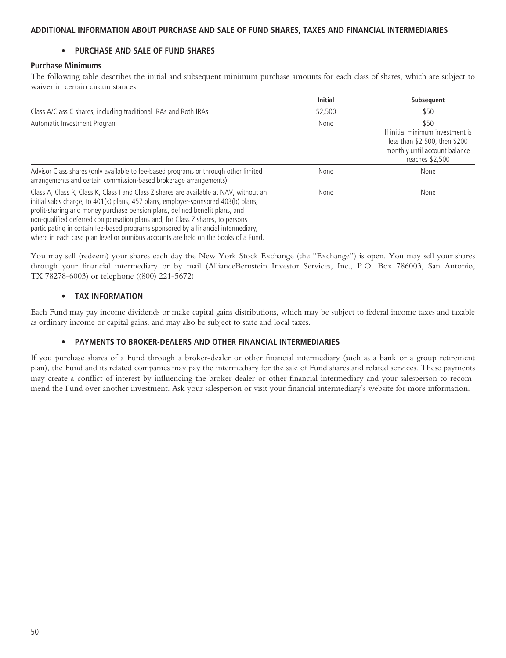# **ADDITIONAL INFORMATION ABOUT PURCHASE AND SALE OF FUND SHARES, TAXES AND FINANCIAL INTERMEDIARIES**

# **• PURCHASE AND SALE OF FUND SHARES**

### **Purchase Minimums**

The following table describes the initial and subsequent minimum purchase amounts for each class of shares, which are subject to waiver in certain circumstances.

|                                                                                                                                                                                                                                                                                                                                                                                                                                                                                                                          | <b>Initial</b> | Subsequent                                                                                                                    |
|--------------------------------------------------------------------------------------------------------------------------------------------------------------------------------------------------------------------------------------------------------------------------------------------------------------------------------------------------------------------------------------------------------------------------------------------------------------------------------------------------------------------------|----------------|-------------------------------------------------------------------------------------------------------------------------------|
| Class A/Class C shares, including traditional IRAs and Roth IRAs                                                                                                                                                                                                                                                                                                                                                                                                                                                         | \$2,500        | \$50                                                                                                                          |
| Automatic Investment Program                                                                                                                                                                                                                                                                                                                                                                                                                                                                                             | None           | \$50<br>If initial minimum investment is<br>less than \$2,500, then \$200<br>monthly until account balance<br>reaches \$2,500 |
| Advisor Class shares (only available to fee-based programs or through other limited<br>arrangements and certain commission-based brokerage arrangements)                                                                                                                                                                                                                                                                                                                                                                 | None           | None                                                                                                                          |
| Class A, Class R, Class K, Class I and Class Z shares are available at NAV, without an<br>initial sales charge, to 401(k) plans, 457 plans, employer-sponsored 403(b) plans,<br>profit-sharing and money purchase pension plans, defined benefit plans, and<br>non-qualified deferred compensation plans and, for Class Z shares, to persons<br>participating in certain fee-based programs sponsored by a financial intermediary,<br>where in each case plan level or omnibus accounts are held on the books of a Fund. | None           | None                                                                                                                          |

You may sell (redeem) your shares each day the New York Stock Exchange (the "Exchange") is open. You may sell your shares through your financial intermediary or by mail (AllianceBernstein Investor Services, Inc., P.O. Box 786003, San Antonio, TX 78278-6003) or telephone ((800) 221-5672).

# **• TAX INFORMATION**

Each Fund may pay income dividends or make capital gains distributions, which may be subject to federal income taxes and taxable as ordinary income or capital gains, and may also be subject to state and local taxes.

### **• PAYMENTS TO BROKER-DEALERS AND OTHER FINANCIAL INTERMEDIARIES**

If you purchase shares of a Fund through a broker-dealer or other financial intermediary (such as a bank or a group retirement plan), the Fund and its related companies may pay the intermediary for the sale of Fund shares and related services. These payments may create a conflict of interest by influencing the broker-dealer or other financial intermediary and your salesperson to recommend the Fund over another investment. Ask your salesperson or visit your financial intermediary's website for more information.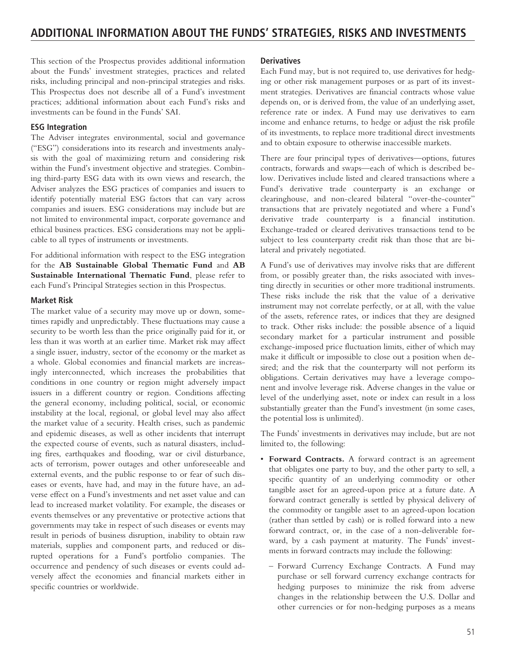This section of the Prospectus provides additional information about the Funds' investment strategies, practices and related risks, including principal and non-principal strategies and risks. This Prospectus does not describe all of a Fund's investment practices; additional information about each Fund's risks and investments can be found in the Funds' SAI.

# **ESG Integration**

The Adviser integrates environmental, social and governance ("ESG") considerations into its research and investments analysis with the goal of maximizing return and considering risk within the Fund's investment objective and strategies. Combining third-party ESG data with its own views and research, the Adviser analyzes the ESG practices of companies and issuers to identify potentially material ESG factors that can vary across companies and issuers. ESG considerations may include but are not limited to environmental impact, corporate governance and ethical business practices. ESG considerations may not be applicable to all types of instruments or investments.

For additional information with respect to the ESG integration for the **AB Sustainable Global Thematic Fund** and **AB Sustainable International Thematic Fund**, please refer to each Fund's Principal Strategies section in this Prospectus.

### **Market Risk**

The market value of a security may move up or down, sometimes rapidly and unpredictably. These fluctuations may cause a security to be worth less than the price originally paid for it, or less than it was worth at an earlier time. Market risk may affect a single issuer, industry, sector of the economy or the market as a whole. Global economies and financial markets are increasingly interconnected, which increases the probabilities that conditions in one country or region might adversely impact issuers in a different country or region. Conditions affecting the general economy, including political, social, or economic instability at the local, regional, or global level may also affect the market value of a security. Health crises, such as pandemic and epidemic diseases, as well as other incidents that interrupt the expected course of events, such as natural disasters, including fires, earthquakes and flooding, war or civil disturbance, acts of terrorism, power outages and other unforeseeable and external events, and the public response to or fear of such diseases or events, have had, and may in the future have, an adverse effect on a Fund's investments and net asset value and can lead to increased market volatility. For example, the diseases or events themselves or any preventative or protective actions that governments may take in respect of such diseases or events may result in periods of business disruption, inability to obtain raw materials, supplies and component parts, and reduced or disrupted operations for a Fund's portfolio companies. The occurrence and pendency of such diseases or events could adversely affect the economies and financial markets either in specific countries or worldwide.

### **Derivatives**

Each Fund may, but is not required to, use derivatives for hedging or other risk management purposes or as part of its investment strategies. Derivatives are financial contracts whose value depends on, or is derived from, the value of an underlying asset, reference rate or index. A Fund may use derivatives to earn income and enhance returns, to hedge or adjust the risk profile of its investments, to replace more traditional direct investments and to obtain exposure to otherwise inaccessible markets.

There are four principal types of derivatives—options, futures contracts, forwards and swaps—each of which is described below. Derivatives include listed and cleared transactions where a Fund's derivative trade counterparty is an exchange or clearinghouse, and non-cleared bilateral "over-the-counter" transactions that are privately negotiated and where a Fund's derivative trade counterparty is a financial institution. Exchange-traded or cleared derivatives transactions tend to be subject to less counterparty credit risk than those that are bilateral and privately negotiated.

A Fund's use of derivatives may involve risks that are different from, or possibly greater than, the risks associated with investing directly in securities or other more traditional instruments. These risks include the risk that the value of a derivative instrument may not correlate perfectly, or at all, with the value of the assets, reference rates, or indices that they are designed to track. Other risks include: the possible absence of a liquid secondary market for a particular instrument and possible exchange-imposed price fluctuation limits, either of which may make it difficult or impossible to close out a position when desired; and the risk that the counterparty will not perform its obligations. Certain derivatives may have a leverage component and involve leverage risk. Adverse changes in the value or level of the underlying asset, note or index can result in a loss substantially greater than the Fund's investment (in some cases, the potential loss is unlimited).

The Funds' investments in derivatives may include, but are not limited to, the following:

- **Forward Contracts.** A forward contract is an agreement that obligates one party to buy, and the other party to sell, a specific quantity of an underlying commodity or other tangible asset for an agreed-upon price at a future date. A forward contract generally is settled by physical delivery of the commodity or tangible asset to an agreed-upon location (rather than settled by cash) or is rolled forward into a new forward contract, or, in the case of a non-deliverable forward, by a cash payment at maturity. The Funds' investments in forward contracts may include the following:
	- Forward Currency Exchange Contracts. A Fund may purchase or sell forward currency exchange contracts for hedging purposes to minimize the risk from adverse changes in the relationship between the U.S. Dollar and other currencies or for non-hedging purposes as a means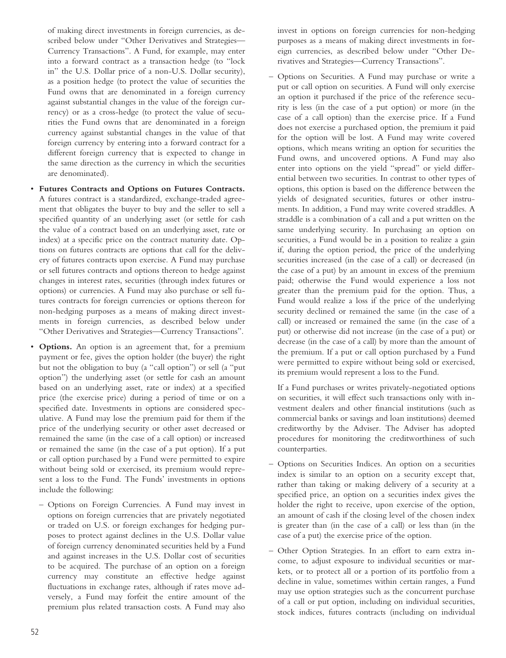of making direct investments in foreign currencies, as described below under "Other Derivatives and Strategies— Currency Transactions". A Fund, for example, may enter into a forward contract as a transaction hedge (to "lock in" the U.S. Dollar price of a non-U.S. Dollar security), as a position hedge (to protect the value of securities the Fund owns that are denominated in a foreign currency against substantial changes in the value of the foreign currency) or as a cross-hedge (to protect the value of securities the Fund owns that are denominated in a foreign currency against substantial changes in the value of that foreign currency by entering into a forward contract for a different foreign currency that is expected to change in the same direction as the currency in which the securities are denominated).

- **Futures Contracts and Options on Futures Contracts.** A futures contract is a standardized, exchange-traded agreement that obligates the buyer to buy and the seller to sell a specified quantity of an underlying asset (or settle for cash the value of a contract based on an underlying asset, rate or index) at a specific price on the contract maturity date. Options on futures contracts are options that call for the delivery of futures contracts upon exercise. A Fund may purchase or sell futures contracts and options thereon to hedge against changes in interest rates, securities (through index futures or options) or currencies. A Fund may also purchase or sell futures contracts for foreign currencies or options thereon for non-hedging purposes as a means of making direct investments in foreign currencies, as described below under "Other Derivatives and Strategies—Currency Transactions".
- **Options.** An option is an agreement that, for a premium payment or fee, gives the option holder (the buyer) the right but not the obligation to buy (a "call option") or sell (a "put option") the underlying asset (or settle for cash an amount based on an underlying asset, rate or index) at a specified price (the exercise price) during a period of time or on a specified date. Investments in options are considered speculative. A Fund may lose the premium paid for them if the price of the underlying security or other asset decreased or remained the same (in the case of a call option) or increased or remained the same (in the case of a put option). If a put or call option purchased by a Fund were permitted to expire without being sold or exercised, its premium would represent a loss to the Fund. The Funds' investments in options include the following:
	- Options on Foreign Currencies. A Fund may invest in options on foreign currencies that are privately negotiated or traded on U.S. or foreign exchanges for hedging purposes to protect against declines in the U.S. Dollar value of foreign currency denominated securities held by a Fund and against increases in the U.S. Dollar cost of securities to be acquired. The purchase of an option on a foreign currency may constitute an effective hedge against fluctuations in exchange rates, although if rates move adversely, a Fund may forfeit the entire amount of the premium plus related transaction costs. A Fund may also

invest in options on foreign currencies for non-hedging purposes as a means of making direct investments in foreign currencies, as described below under "Other Derivatives and Strategies—Currency Transactions".

– Options on Securities. A Fund may purchase or write a put or call option on securities. A Fund will only exercise an option it purchased if the price of the reference security is less (in the case of a put option) or more (in the case of a call option) than the exercise price. If a Fund does not exercise a purchased option, the premium it paid for the option will be lost. A Fund may write covered options, which means writing an option for securities the Fund owns, and uncovered options. A Fund may also enter into options on the yield "spread" or yield differential between two securities. In contrast to other types of options, this option is based on the difference between the yields of designated securities, futures or other instruments. In addition, a Fund may write covered straddles. A straddle is a combination of a call and a put written on the same underlying security. In purchasing an option on securities, a Fund would be in a position to realize a gain if, during the option period, the price of the underlying securities increased (in the case of a call) or decreased (in the case of a put) by an amount in excess of the premium paid; otherwise the Fund would experience a loss not greater than the premium paid for the option. Thus, a Fund would realize a loss if the price of the underlying security declined or remained the same (in the case of a call) or increased or remained the same (in the case of a put) or otherwise did not increase (in the case of a put) or decrease (in the case of a call) by more than the amount of the premium. If a put or call option purchased by a Fund were permitted to expire without being sold or exercised, its premium would represent a loss to the Fund.

If a Fund purchases or writes privately-negotiated options on securities, it will effect such transactions only with investment dealers and other financial institutions (such as commercial banks or savings and loan institutions) deemed creditworthy by the Adviser. The Adviser has adopted procedures for monitoring the creditworthiness of such counterparties.

- Options on Securities Indices. An option on a securities index is similar to an option on a security except that, rather than taking or making delivery of a security at a specified price, an option on a securities index gives the holder the right to receive, upon exercise of the option, an amount of cash if the closing level of the chosen index is greater than (in the case of a call) or less than (in the case of a put) the exercise price of the option.
- Other Option Strategies. In an effort to earn extra income, to adjust exposure to individual securities or markets, or to protect all or a portion of its portfolio from a decline in value, sometimes within certain ranges, a Fund may use option strategies such as the concurrent purchase of a call or put option, including on individual securities, stock indices, futures contracts (including on individual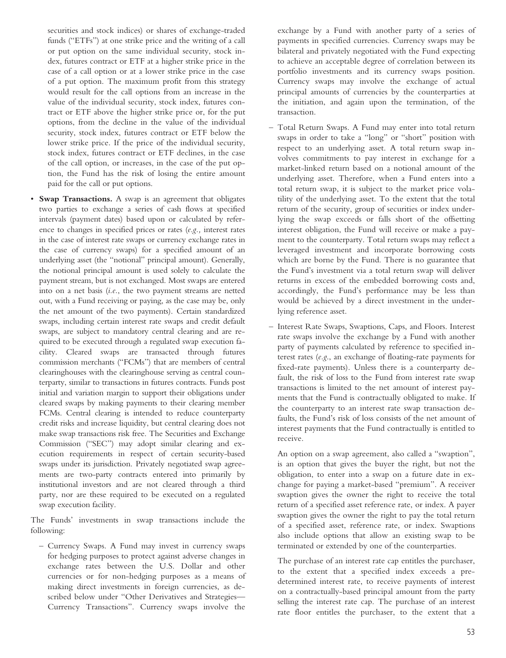securities and stock indices) or shares of exchange-traded funds ("ETFs") at one strike price and the writing of a call or put option on the same individual security, stock index, futures contract or ETF at a higher strike price in the case of a call option or at a lower strike price in the case of a put option. The maximum profit from this strategy would result for the call options from an increase in the value of the individual security, stock index, futures contract or ETF above the higher strike price or, for the put options, from the decline in the value of the individual security, stock index, futures contract or ETF below the lower strike price. If the price of the individual security, stock index, futures contract or ETF declines, in the case of the call option, or increases, in the case of the put option, the Fund has the risk of losing the entire amount paid for the call or put options.

• **Swap Transactions.** A swap is an agreement that obligates two parties to exchange a series of cash flows at specified intervals (payment dates) based upon or calculated by reference to changes in specified prices or rates (*e.g.,* interest rates in the case of interest rate swaps or currency exchange rates in the case of currency swaps) for a specified amount of an underlying asset (the "notional" principal amount). Generally, the notional principal amount is used solely to calculate the payment stream, but is not exchanged. Most swaps are entered into on a net basis (*i.e.*, the two payment streams are netted out, with a Fund receiving or paying, as the case may be, only the net amount of the two payments). Certain standardized swaps, including certain interest rate swaps and credit default swaps, are subject to mandatory central clearing and are required to be executed through a regulated swap execution facility. Cleared swaps are transacted through futures commission merchants ("FCMs") that are members of central clearinghouses with the clearinghouse serving as central counterparty, similar to transactions in futures contracts. Funds post initial and variation margin to support their obligations under cleared swaps by making payments to their clearing member FCMs. Central clearing is intended to reduce counterparty credit risks and increase liquidity, but central clearing does not make swap transactions risk free. The Securities and Exchange Commission ("SEC") may adopt similar clearing and execution requirements in respect of certain security-based swaps under its jurisdiction. Privately negotiated swap agreements are two-party contracts entered into primarily by institutional investors and are not cleared through a third party, nor are these required to be executed on a regulated swap execution facility.

The Funds' investments in swap transactions include the following:

– Currency Swaps. A Fund may invest in currency swaps for hedging purposes to protect against adverse changes in exchange rates between the U.S. Dollar and other currencies or for non-hedging purposes as a means of making direct investments in foreign currencies, as described below under "Other Derivatives and Strategies— Currency Transactions". Currency swaps involve the

exchange by a Fund with another party of a series of payments in specified currencies. Currency swaps may be bilateral and privately negotiated with the Fund expecting to achieve an acceptable degree of correlation between its portfolio investments and its currency swaps position. Currency swaps may involve the exchange of actual principal amounts of currencies by the counterparties at the initiation, and again upon the termination, of the transaction.

- Total Return Swaps. A Fund may enter into total return swaps in order to take a "long" or "short" position with respect to an underlying asset. A total return swap involves commitments to pay interest in exchange for a market-linked return based on a notional amount of the underlying asset. Therefore, when a Fund enters into a total return swap, it is subject to the market price volatility of the underlying asset. To the extent that the total return of the security, group of securities or index underlying the swap exceeds or falls short of the offsetting interest obligation, the Fund will receive or make a payment to the counterparty. Total return swaps may reflect a leveraged investment and incorporate borrowing costs which are borne by the Fund. There is no guarantee that the Fund's investment via a total return swap will deliver returns in excess of the embedded borrowing costs and, accordingly, the Fund's performance may be less than would be achieved by a direct investment in the underlying reference asset.
- Interest Rate Swaps, Swaptions, Caps, and Floors. Interest rate swaps involve the exchange by a Fund with another party of payments calculated by reference to specified interest rates (*e.g*., an exchange of floating-rate payments for fixed-rate payments). Unless there is a counterparty default, the risk of loss to the Fund from interest rate swap transactions is limited to the net amount of interest payments that the Fund is contractually obligated to make. If the counterparty to an interest rate swap transaction defaults, the Fund's risk of loss consists of the net amount of interest payments that the Fund contractually is entitled to receive.

An option on a swap agreement, also called a "swaption", is an option that gives the buyer the right, but not the obligation, to enter into a swap on a future date in exchange for paying a market-based "premium". A receiver swaption gives the owner the right to receive the total return of a specified asset reference rate, or index. A payer swaption gives the owner the right to pay the total return of a specified asset, reference rate, or index. Swaptions also include options that allow an existing swap to be terminated or extended by one of the counterparties.

The purchase of an interest rate cap entitles the purchaser, to the extent that a specified index exceeds a predetermined interest rate, to receive payments of interest on a contractually-based principal amount from the party selling the interest rate cap. The purchase of an interest rate floor entitles the purchaser, to the extent that a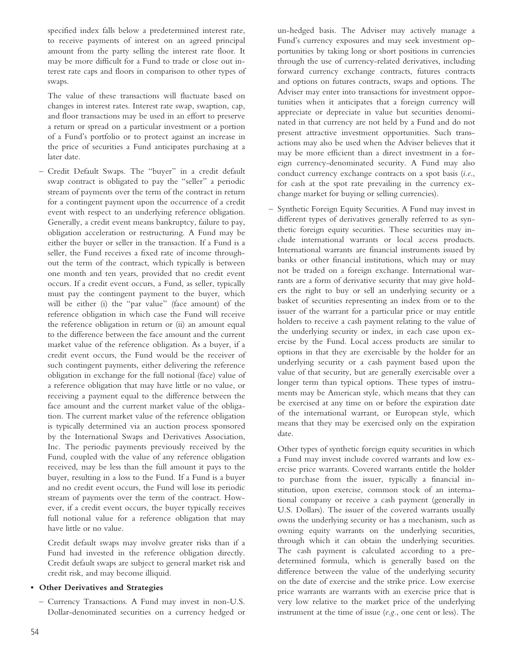specified index falls below a predetermined interest rate, to receive payments of interest on an agreed principal amount from the party selling the interest rate floor. It may be more difficult for a Fund to trade or close out interest rate caps and floors in comparison to other types of swaps.

The value of these transactions will fluctuate based on changes in interest rates. Interest rate swap, swaption, cap, and floor transactions may be used in an effort to preserve a return or spread on a particular investment or a portion of a Fund's portfolio or to protect against an increase in the price of securities a Fund anticipates purchasing at a later date.

– Credit Default Swaps. The "buyer" in a credit default swap contract is obligated to pay the "seller" a periodic stream of payments over the term of the contract in return for a contingent payment upon the occurrence of a credit event with respect to an underlying reference obligation. Generally, a credit event means bankruptcy, failure to pay, obligation acceleration or restructuring. A Fund may be either the buyer or seller in the transaction. If a Fund is a seller, the Fund receives a fixed rate of income throughout the term of the contract, which typically is between one month and ten years, provided that no credit event occurs. If a credit event occurs, a Fund, as seller, typically must pay the contingent payment to the buyer, which will be either (i) the "par value" (face amount) of the reference obligation in which case the Fund will receive the reference obligation in return or (ii) an amount equal to the difference between the face amount and the current market value of the reference obligation. As a buyer, if a credit event occurs, the Fund would be the receiver of such contingent payments, either delivering the reference obligation in exchange for the full notional (face) value of a reference obligation that may have little or no value, or receiving a payment equal to the difference between the face amount and the current market value of the obligation. The current market value of the reference obligation is typically determined via an auction process sponsored by the International Swaps and Derivatives Association, Inc. The periodic payments previously received by the Fund, coupled with the value of any reference obligation received, may be less than the full amount it pays to the buyer, resulting in a loss to the Fund. If a Fund is a buyer and no credit event occurs, the Fund will lose its periodic stream of payments over the term of the contract. However, if a credit event occurs, the buyer typically receives full notional value for a reference obligation that may have little or no value.

Credit default swaps may involve greater risks than if a Fund had invested in the reference obligation directly. Credit default swaps are subject to general market risk and credit risk, and may become illiquid.

### **• Other Derivatives and Strategies**

– Currency Transactions. A Fund may invest in non-U.S. Dollar-denominated securities on a currency hedged or

un-hedged basis. The Adviser may actively manage a Fund's currency exposures and may seek investment opportunities by taking long or short positions in currencies through the use of currency-related derivatives, including forward currency exchange contracts, futures contracts and options on futures contracts, swaps and options. The Adviser may enter into transactions for investment opportunities when it anticipates that a foreign currency will appreciate or depreciate in value but securities denominated in that currency are not held by a Fund and do not present attractive investment opportunities. Such transactions may also be used when the Adviser believes that it may be more efficient than a direct investment in a foreign currency-denominated security. A Fund may also conduct currency exchange contracts on a spot basis (*i.e*., for cash at the spot rate prevailing in the currency exchange market for buying or selling currencies).

– Synthetic Foreign Equity Securities. A Fund may invest in different types of derivatives generally referred to as synthetic foreign equity securities. These securities may include international warrants or local access products. International warrants are financial instruments issued by banks or other financial institutions, which may or may not be traded on a foreign exchange. International warrants are a form of derivative security that may give holders the right to buy or sell an underlying security or a basket of securities representing an index from or to the issuer of the warrant for a particular price or may entitle holders to receive a cash payment relating to the value of the underlying security or index, in each case upon exercise by the Fund. Local access products are similar to options in that they are exercisable by the holder for an underlying security or a cash payment based upon the value of that security, but are generally exercisable over a longer term than typical options. These types of instruments may be American style, which means that they can be exercised at any time on or before the expiration date of the international warrant, or European style, which means that they may be exercised only on the expiration date.

Other types of synthetic foreign equity securities in which a Fund may invest include covered warrants and low exercise price warrants. Covered warrants entitle the holder to purchase from the issuer, typically a financial institution, upon exercise, common stock of an international company or receive a cash payment (generally in U.S. Dollars). The issuer of the covered warrants usually owns the underlying security or has a mechanism, such as owning equity warrants on the underlying securities, through which it can obtain the underlying securities. The cash payment is calculated according to a predetermined formula, which is generally based on the difference between the value of the underlying security on the date of exercise and the strike price. Low exercise price warrants are warrants with an exercise price that is very low relative to the market price of the underlying instrument at the time of issue (*e.g.*, one cent or less). The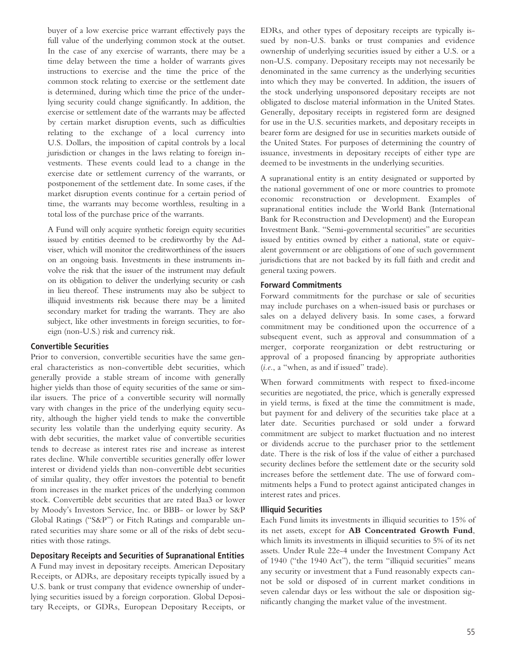buyer of a low exercise price warrant effectively pays the full value of the underlying common stock at the outset. In the case of any exercise of warrants, there may be a time delay between the time a holder of warrants gives instructions to exercise and the time the price of the common stock relating to exercise or the settlement date is determined, during which time the price of the underlying security could change significantly. In addition, the exercise or settlement date of the warrants may be affected by certain market disruption events, such as difficulties relating to the exchange of a local currency into U.S. Dollars, the imposition of capital controls by a local jurisdiction or changes in the laws relating to foreign investments. These events could lead to a change in the exercise date or settlement currency of the warrants, or postponement of the settlement date. In some cases, if the market disruption events continue for a certain period of time, the warrants may become worthless, resulting in a total loss of the purchase price of the warrants.

A Fund will only acquire synthetic foreign equity securities issued by entities deemed to be creditworthy by the Adviser, which will monitor the creditworthiness of the issuers on an ongoing basis. Investments in these instruments involve the risk that the issuer of the instrument may default on its obligation to deliver the underlying security or cash in lieu thereof. These instruments may also be subject to illiquid investments risk because there may be a limited secondary market for trading the warrants. They are also subject, like other investments in foreign securities, to foreign (non-U.S.) risk and currency risk.

#### **Convertible Securities**

Prior to conversion, convertible securities have the same general characteristics as non-convertible debt securities, which generally provide a stable stream of income with generally higher yields than those of equity securities of the same or similar issuers. The price of a convertible security will normally vary with changes in the price of the underlying equity security, although the higher yield tends to make the convertible security less volatile than the underlying equity security. As with debt securities, the market value of convertible securities tends to decrease as interest rates rise and increase as interest rates decline. While convertible securities generally offer lower interest or dividend yields than non-convertible debt securities of similar quality, they offer investors the potential to benefit from increases in the market prices of the underlying common stock. Convertible debt securities that are rated Baa3 or lower by Moody's Investors Service, Inc. or BBB- or lower by S&P Global Ratings ("S&P") or Fitch Ratings and comparable unrated securities may share some or all of the risks of debt securities with those ratings.

#### **Depositary Receipts and Securities of Supranational Entities**

A Fund may invest in depositary receipts. American Depositary Receipts, or ADRs, are depositary receipts typically issued by a U.S. bank or trust company that evidence ownership of underlying securities issued by a foreign corporation. Global Depositary Receipts, or GDRs, European Depositary Receipts, or EDRs, and other types of depositary receipts are typically issued by non-U.S. banks or trust companies and evidence ownership of underlying securities issued by either a U.S. or a non-U.S. company. Depositary receipts may not necessarily be denominated in the same currency as the underlying securities into which they may be converted. In addition, the issuers of the stock underlying unsponsored depositary receipts are not obligated to disclose material information in the United States. Generally, depositary receipts in registered form are designed for use in the U.S. securities markets, and depositary receipts in bearer form are designed for use in securities markets outside of the United States. For purposes of determining the country of issuance, investments in depositary receipts of either type are deemed to be investments in the underlying securities.

A supranational entity is an entity designated or supported by the national government of one or more countries to promote economic reconstruction or development. Examples of supranational entities include the World Bank (International Bank for Reconstruction and Development) and the European Investment Bank. "Semi-governmental securities" are securities issued by entities owned by either a national, state or equivalent government or are obligations of one of such government jurisdictions that are not backed by its full faith and credit and general taxing powers.

#### **Forward Commitments**

Forward commitments for the purchase or sale of securities may include purchases on a when-issued basis or purchases or sales on a delayed delivery basis. In some cases, a forward commitment may be conditioned upon the occurrence of a subsequent event, such as approval and consummation of a merger, corporate reorganization or debt restructuring or approval of a proposed financing by appropriate authorities (*i.e.*, a "when, as and if issued" trade).

When forward commitments with respect to fixed-income securities are negotiated, the price, which is generally expressed in yield terms, is fixed at the time the commitment is made, but payment for and delivery of the securities take place at a later date. Securities purchased or sold under a forward commitment are subject to market fluctuation and no interest or dividends accrue to the purchaser prior to the settlement date. There is the risk of loss if the value of either a purchased security declines before the settlement date or the security sold increases before the settlement date. The use of forward commitments helps a Fund to protect against anticipated changes in interest rates and prices.

#### **Illiquid Securities**

Each Fund limits its investments in illiquid securities to 15% of its net assets, except for **AB Concentrated Growth Fund**, which limits its investments in illiquid securities to 5% of its net assets. Under Rule 22e-4 under the Investment Company Act of 1940 ("the 1940 Act"), the term "illiquid securities" means any security or investment that a Fund reasonably expects cannot be sold or disposed of in current market conditions in seven calendar days or less without the sale or disposition significantly changing the market value of the investment.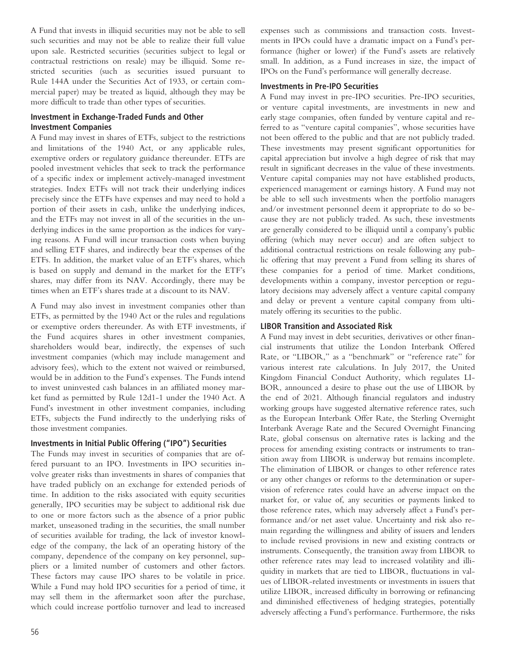A Fund that invests in illiquid securities may not be able to sell such securities and may not be able to realize their full value upon sale. Restricted securities (securities subject to legal or contractual restrictions on resale) may be illiquid. Some restricted securities (such as securities issued pursuant to Rule 144A under the Securities Act of 1933, or certain commercial paper) may be treated as liquid, although they may be more difficult to trade than other types of securities.

# **Investment in Exchange-Traded Funds and Other Investment Companies**

A Fund may invest in shares of ETFs, subject to the restrictions and limitations of the 1940 Act, or any applicable rules, exemptive orders or regulatory guidance thereunder. ETFs are pooled investment vehicles that seek to track the performance of a specific index or implement actively-managed investment strategies. Index ETFs will not track their underlying indices precisely since the ETFs have expenses and may need to hold a portion of their assets in cash, unlike the underlying indices, and the ETFs may not invest in all of the securities in the underlying indices in the same proportion as the indices for varying reasons. A Fund will incur transaction costs when buying and selling ETF shares, and indirectly bear the expenses of the ETFs. In addition, the market value of an ETF's shares, which is based on supply and demand in the market for the ETF's shares, may differ from its NAV. Accordingly, there may be times when an ETF's shares trade at a discount to its NAV.

A Fund may also invest in investment companies other than ETFs, as permitted by the 1940 Act or the rules and regulations or exemptive orders thereunder. As with ETF investments, if the Fund acquires shares in other investment companies, shareholders would bear, indirectly, the expenses of such investment companies (which may include management and advisory fees), which to the extent not waived or reimbursed, would be in addition to the Fund's expenses. The Funds intend to invest uninvested cash balances in an affiliated money market fund as permitted by Rule 12d1-1 under the 1940 Act. A Fund's investment in other investment companies, including ETFs, subjects the Fund indirectly to the underlying risks of those investment companies.

# **Investments in Initial Public Offering ("IPO") Securities**

The Funds may invest in securities of companies that are offered pursuant to an IPO. Investments in IPO securities involve greater risks than investments in shares of companies that have traded publicly on an exchange for extended periods of time. In addition to the risks associated with equity securities generally, IPO securities may be subject to additional risk due to one or more factors such as the absence of a prior public market, unseasoned trading in the securities, the small number of securities available for trading, the lack of investor knowledge of the company, the lack of an operating history of the company, dependence of the company on key personnel, suppliers or a limited number of customers and other factors. These factors may cause IPO shares to be volatile in price. While a Fund may hold IPO securities for a period of time, it may sell them in the aftermarket soon after the purchase, which could increase portfolio turnover and lead to increased

56

expenses such as commissions and transaction costs. Investments in IPOs could have a dramatic impact on a Fund's performance (higher or lower) if the Fund's assets are relatively small. In addition, as a Fund increases in size, the impact of IPOs on the Fund's performance will generally decrease.

### **Investments in Pre-IPO Securities**

A Fund may invest in pre-IPO securities. Pre-IPO securities, or venture capital investments, are investments in new and early stage companies, often funded by venture capital and referred to as "venture capital companies", whose securities have not been offered to the public and that are not publicly traded. These investments may present significant opportunities for capital appreciation but involve a high degree of risk that may result in significant decreases in the value of these investments. Venture capital companies may not have established products, experienced management or earnings history. A Fund may not be able to sell such investments when the portfolio managers and/or investment personnel deem it appropriate to do so because they are not publicly traded. As such, these investments are generally considered to be illiquid until a company's public offering (which may never occur) and are often subject to additional contractual restrictions on resale following any public offering that may prevent a Fund from selling its shares of these companies for a period of time. Market conditions, developments within a company, investor perception or regulatory decisions may adversely affect a venture capital company and delay or prevent a venture capital company from ultimately offering its securities to the public.

# **LIBOR Transition and Associated Risk**

A Fund may invest in debt securities, derivatives or other financial instruments that utilize the London Interbank Offered Rate, or "LIBOR," as a "benchmark" or "reference rate" for various interest rate calculations. In July 2017, the United Kingdom Financial Conduct Authority, which regulates LI-BOR, announced a desire to phase out the use of LIBOR by the end of 2021. Although financial regulators and industry working groups have suggested alternative reference rates, such as the European Interbank Offer Rate, the Sterling Overnight Interbank Average Rate and the Secured Overnight Financing Rate, global consensus on alternative rates is lacking and the process for amending existing contracts or instruments to transition away from LIBOR is underway but remains incomplete. The elimination of LIBOR or changes to other reference rates or any other changes or reforms to the determination or supervision of reference rates could have an adverse impact on the market for, or value of, any securities or payments linked to those reference rates, which may adversely affect a Fund's performance and/or net asset value. Uncertainty and risk also remain regarding the willingness and ability of issuers and lenders to include revised provisions in new and existing contracts or instruments. Consequently, the transition away from LIBOR to other reference rates may lead to increased volatility and illiquidity in markets that are tied to LIBOR, fluctuations in values of LIBOR-related investments or investments in issuers that utilize LIBOR, increased difficulty in borrowing or refinancing and diminished effectiveness of hedging strategies, potentially adversely affecting a Fund's performance. Furthermore, the risks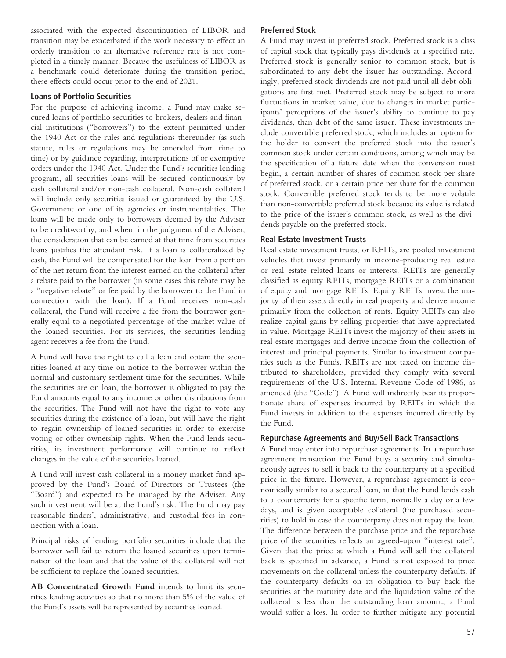associated with the expected discontinuation of LIBOR and transition may be exacerbated if the work necessary to effect an orderly transition to an alternative reference rate is not completed in a timely manner. Because the usefulness of LIBOR as a benchmark could deteriorate during the transition period, these effects could occur prior to the end of 2021.

#### **Loans of Portfolio Securities**

For the purpose of achieving income, a Fund may make secured loans of portfolio securities to brokers, dealers and financial institutions ("borrowers") to the extent permitted under the 1940 Act or the rules and regulations thereunder (as such statute, rules or regulations may be amended from time to time) or by guidance regarding, interpretations of or exemptive orders under the 1940 Act. Under the Fund's securities lending program, all securities loans will be secured continuously by cash collateral and/or non-cash collateral. Non-cash collateral will include only securities issued or guaranteed by the U.S. Government or one of its agencies or instrumentalities. The loans will be made only to borrowers deemed by the Adviser to be creditworthy, and when, in the judgment of the Adviser, the consideration that can be earned at that time from securities loans justifies the attendant risk. If a loan is collateralized by cash, the Fund will be compensated for the loan from a portion of the net return from the interest earned on the collateral after a rebate paid to the borrower (in some cases this rebate may be a "negative rebate" or fee paid by the borrower to the Fund in connection with the loan). If a Fund receives non-cash collateral, the Fund will receive a fee from the borrower generally equal to a negotiated percentage of the market value of the loaned securities. For its services, the securities lending agent receives a fee from the Fund.

A Fund will have the right to call a loan and obtain the securities loaned at any time on notice to the borrower within the normal and customary settlement time for the securities. While the securities are on loan, the borrower is obligated to pay the Fund amounts equal to any income or other distributions from the securities. The Fund will not have the right to vote any securities during the existence of a loan, but will have the right to regain ownership of loaned securities in order to exercise voting or other ownership rights. When the Fund lends securities, its investment performance will continue to reflect changes in the value of the securities loaned.

A Fund will invest cash collateral in a money market fund approved by the Fund's Board of Directors or Trustees (the "Board") and expected to be managed by the Adviser. Any such investment will be at the Fund's risk. The Fund may pay reasonable finders', administrative, and custodial fees in connection with a loan.

Principal risks of lending portfolio securities include that the borrower will fail to return the loaned securities upon termination of the loan and that the value of the collateral will not be sufficient to replace the loaned securities.

**AB Concentrated Growth Fund** intends to limit its securities lending activities so that no more than 5% of the value of the Fund's assets will be represented by securities loaned.

#### **Preferred Stock**

A Fund may invest in preferred stock. Preferred stock is a class of capital stock that typically pays dividends at a specified rate. Preferred stock is generally senior to common stock, but is subordinated to any debt the issuer has outstanding. Accordingly, preferred stock dividends are not paid until all debt obligations are first met. Preferred stock may be subject to more fluctuations in market value, due to changes in market participants' perceptions of the issuer's ability to continue to pay dividends, than debt of the same issuer. These investments include convertible preferred stock, which includes an option for the holder to convert the preferred stock into the issuer's common stock under certain conditions, among which may be the specification of a future date when the conversion must begin, a certain number of shares of common stock per share of preferred stock, or a certain price per share for the common stock. Convertible preferred stock tends to be more volatile than non-convertible preferred stock because its value is related to the price of the issuer's common stock, as well as the dividends payable on the preferred stock.

#### **Real Estate Investment Trusts**

Real estate investment trusts, or REITs, are pooled investment vehicles that invest primarily in income-producing real estate or real estate related loans or interests. REITs are generally classified as equity REITs, mortgage REITs or a combination of equity and mortgage REITs. Equity REITs invest the majority of their assets directly in real property and derive income primarily from the collection of rents. Equity REITs can also realize capital gains by selling properties that have appreciated in value. Mortgage REITs invest the majority of their assets in real estate mortgages and derive income from the collection of interest and principal payments. Similar to investment companies such as the Funds, REITs are not taxed on income distributed to shareholders, provided they comply with several requirements of the U.S. Internal Revenue Code of 1986, as amended (the "Code"). A Fund will indirectly bear its proportionate share of expenses incurred by REITs in which the Fund invests in addition to the expenses incurred directly by the Fund.

#### **Repurchase Agreements and Buy/Sell Back Transactions**

A Fund may enter into repurchase agreements. In a repurchase agreement transaction the Fund buys a security and simultaneously agrees to sell it back to the counterparty at a specified price in the future. However, a repurchase agreement is economically similar to a secured loan, in that the Fund lends cash to a counterparty for a specific term, normally a day or a few days, and is given acceptable collateral (the purchased securities) to hold in case the counterparty does not repay the loan. The difference between the purchase price and the repurchase price of the securities reflects an agreed-upon "interest rate". Given that the price at which a Fund will sell the collateral back is specified in advance, a Fund is not exposed to price movements on the collateral unless the counterparty defaults. If the counterparty defaults on its obligation to buy back the securities at the maturity date and the liquidation value of the collateral is less than the outstanding loan amount, a Fund would suffer a loss. In order to further mitigate any potential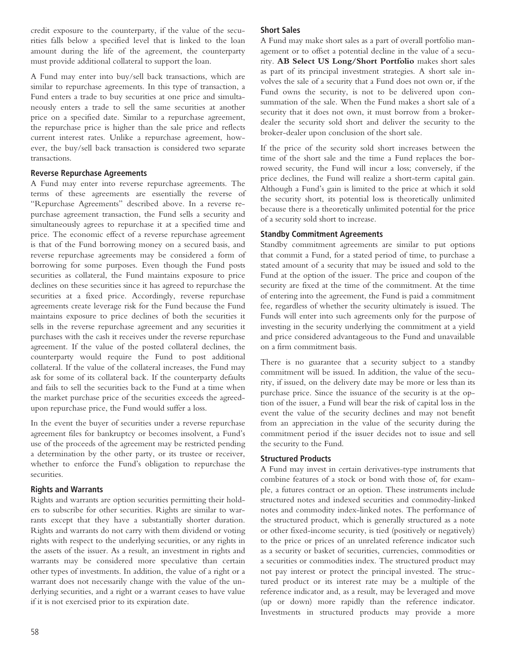credit exposure to the counterparty, if the value of the securities falls below a specified level that is linked to the loan amount during the life of the agreement, the counterparty must provide additional collateral to support the loan.

A Fund may enter into buy/sell back transactions, which are similar to repurchase agreements. In this type of transaction, a Fund enters a trade to buy securities at one price and simultaneously enters a trade to sell the same securities at another price on a specified date. Similar to a repurchase agreement, the repurchase price is higher than the sale price and reflects current interest rates. Unlike a repurchase agreement, however, the buy/sell back transaction is considered two separate transactions.

# **Reverse Repurchase Agreements**

A Fund may enter into reverse repurchase agreements. The terms of these agreements are essentially the reverse of "Repurchase Agreements" described above. In a reverse repurchase agreement transaction, the Fund sells a security and simultaneously agrees to repurchase it at a specified time and price. The economic effect of a reverse repurchase agreement is that of the Fund borrowing money on a secured basis, and reverse repurchase agreements may be considered a form of borrowing for some purposes. Even though the Fund posts securities as collateral, the Fund maintains exposure to price declines on these securities since it has agreed to repurchase the securities at a fixed price. Accordingly, reverse repurchase agreements create leverage risk for the Fund because the Fund maintains exposure to price declines of both the securities it sells in the reverse repurchase agreement and any securities it purchases with the cash it receives under the reverse repurchase agreement. If the value of the posted collateral declines, the counterparty would require the Fund to post additional collateral. If the value of the collateral increases, the Fund may ask for some of its collateral back. If the counterparty defaults and fails to sell the securities back to the Fund at a time when the market purchase price of the securities exceeds the agreedupon repurchase price, the Fund would suffer a loss.

In the event the buyer of securities under a reverse repurchase agreement files for bankruptcy or becomes insolvent, a Fund's use of the proceeds of the agreement may be restricted pending a determination by the other party, or its trustee or receiver, whether to enforce the Fund's obligation to repurchase the securities.

# **Rights and Warrants**

Rights and warrants are option securities permitting their holders to subscribe for other securities. Rights are similar to warrants except that they have a substantially shorter duration. Rights and warrants do not carry with them dividend or voting rights with respect to the underlying securities, or any rights in the assets of the issuer. As a result, an investment in rights and warrants may be considered more speculative than certain other types of investments. In addition, the value of a right or a warrant does not necessarily change with the value of the underlying securities, and a right or a warrant ceases to have value if it is not exercised prior to its expiration date.

# **Short Sales**

A Fund may make short sales as a part of overall portfolio management or to offset a potential decline in the value of a security. **AB Select US Long/Short Portfolio** makes short sales as part of its principal investment strategies. A short sale involves the sale of a security that a Fund does not own or, if the Fund owns the security, is not to be delivered upon consummation of the sale. When the Fund makes a short sale of a security that it does not own, it must borrow from a brokerdealer the security sold short and deliver the security to the broker-dealer upon conclusion of the short sale.

If the price of the security sold short increases between the time of the short sale and the time a Fund replaces the borrowed security, the Fund will incur a loss; conversely, if the price declines, the Fund will realize a short-term capital gain. Although a Fund's gain is limited to the price at which it sold the security short, its potential loss is theoretically unlimited because there is a theoretically unlimited potential for the price of a security sold short to increase.

# **Standby Commitment Agreements**

Standby commitment agreements are similar to put options that commit a Fund, for a stated period of time, to purchase a stated amount of a security that may be issued and sold to the Fund at the option of the issuer. The price and coupon of the security are fixed at the time of the commitment. At the time of entering into the agreement, the Fund is paid a commitment fee, regardless of whether the security ultimately is issued. The Funds will enter into such agreements only for the purpose of investing in the security underlying the commitment at a yield and price considered advantageous to the Fund and unavailable on a firm commitment basis.

There is no guarantee that a security subject to a standby commitment will be issued. In addition, the value of the security, if issued, on the delivery date may be more or less than its purchase price. Since the issuance of the security is at the option of the issuer, a Fund will bear the risk of capital loss in the event the value of the security declines and may not benefit from an appreciation in the value of the security during the commitment period if the issuer decides not to issue and sell the security to the Fund.

# **Structured Products**

A Fund may invest in certain derivatives-type instruments that combine features of a stock or bond with those of, for example, a futures contract or an option. These instruments include structured notes and indexed securities and commodity-linked notes and commodity index-linked notes. The performance of the structured product, which is generally structured as a note or other fixed-income security, is tied (positively or negatively) to the price or prices of an unrelated reference indicator such as a security or basket of securities, currencies, commodities or a securities or commodities index. The structured product may not pay interest or protect the principal invested. The structured product or its interest rate may be a multiple of the reference indicator and, as a result, may be leveraged and move (up or down) more rapidly than the reference indicator. Investments in structured products may provide a more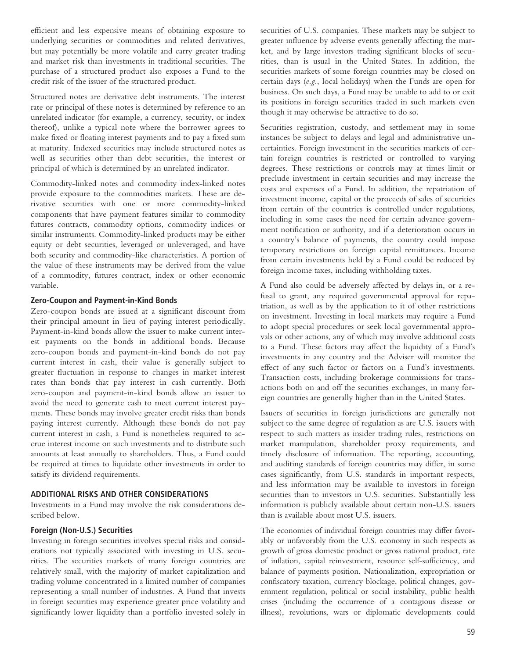efficient and less expensive means of obtaining exposure to underlying securities or commodities and related derivatives, but may potentially be more volatile and carry greater trading and market risk than investments in traditional securities. The purchase of a structured product also exposes a Fund to the credit risk of the issuer of the structured product.

Structured notes are derivative debt instruments. The interest rate or principal of these notes is determined by reference to an unrelated indicator (for example, a currency, security, or index thereof), unlike a typical note where the borrower agrees to make fixed or floating interest payments and to pay a fixed sum at maturity. Indexed securities may include structured notes as well as securities other than debt securities, the interest or principal of which is determined by an unrelated indicator.

Commodity-linked notes and commodity index-linked notes provide exposure to the commodities markets. These are derivative securities with one or more commodity-linked components that have payment features similar to commodity futures contracts, commodity options, commodity indices or similar instruments. Commodity-linked products may be either equity or debt securities, leveraged or unleveraged, and have both security and commodity-like characteristics. A portion of the value of these instruments may be derived from the value of a commodity, futures contract, index or other economic variable.

#### **Zero-Coupon and Payment-in-Kind Bonds**

Zero-coupon bonds are issued at a significant discount from their principal amount in lieu of paying interest periodically. Payment-in-kind bonds allow the issuer to make current interest payments on the bonds in additional bonds. Because zero-coupon bonds and payment-in-kind bonds do not pay current interest in cash, their value is generally subject to greater fluctuation in response to changes in market interest rates than bonds that pay interest in cash currently. Both zero-coupon and payment-in-kind bonds allow an issuer to avoid the need to generate cash to meet current interest payments. These bonds may involve greater credit risks than bonds paying interest currently. Although these bonds do not pay current interest in cash, a Fund is nonetheless required to accrue interest income on such investments and to distribute such amounts at least annually to shareholders. Thus, a Fund could be required at times to liquidate other investments in order to satisfy its dividend requirements.

#### **ADDITIONAL RISKS AND OTHER CONSIDERATIONS**

Investments in a Fund may involve the risk considerations described below.

#### **Foreign (Non-U.S.) Securities**

Investing in foreign securities involves special risks and considerations not typically associated with investing in U.S. securities. The securities markets of many foreign countries are relatively small, with the majority of market capitalization and trading volume concentrated in a limited number of companies representing a small number of industries. A Fund that invests in foreign securities may experience greater price volatility and significantly lower liquidity than a portfolio invested solely in securities of U.S. companies. These markets may be subject to greater influence by adverse events generally affecting the market, and by large investors trading significant blocks of securities, than is usual in the United States. In addition, the securities markets of some foreign countries may be closed on certain days (*e.g.*, local holidays) when the Funds are open for business. On such days, a Fund may be unable to add to or exit its positions in foreign securities traded in such markets even though it may otherwise be attractive to do so.

Securities registration, custody, and settlement may in some instances be subject to delays and legal and administrative uncertainties. Foreign investment in the securities markets of certain foreign countries is restricted or controlled to varying degrees. These restrictions or controls may at times limit or preclude investment in certain securities and may increase the costs and expenses of a Fund. In addition, the repatriation of investment income, capital or the proceeds of sales of securities from certain of the countries is controlled under regulations, including in some cases the need for certain advance government notification or authority, and if a deterioration occurs in a country's balance of payments, the country could impose temporary restrictions on foreign capital remittances. Income from certain investments held by a Fund could be reduced by foreign income taxes, including withholding taxes.

A Fund also could be adversely affected by delays in, or a refusal to grant, any required governmental approval for repatriation, as well as by the application to it of other restrictions on investment. Investing in local markets may require a Fund to adopt special procedures or seek local governmental approvals or other actions, any of which may involve additional costs to a Fund. These factors may affect the liquidity of a Fund's investments in any country and the Adviser will monitor the effect of any such factor or factors on a Fund's investments. Transaction costs, including brokerage commissions for transactions both on and off the securities exchanges, in many foreign countries are generally higher than in the United States.

Issuers of securities in foreign jurisdictions are generally not subject to the same degree of regulation as are U.S. issuers with respect to such matters as insider trading rules, restrictions on market manipulation, shareholder proxy requirements, and timely disclosure of information. The reporting, accounting, and auditing standards of foreign countries may differ, in some cases significantly, from U.S. standards in important respects, and less information may be available to investors in foreign securities than to investors in U.S. securities. Substantially less information is publicly available about certain non-U.S. issuers than is available about most U.S. issuers.

The economies of individual foreign countries may differ favorably or unfavorably from the U.S. economy in such respects as growth of gross domestic product or gross national product, rate of inflation, capital reinvestment, resource self-sufficiency, and balance of payments position. Nationalization, expropriation or confiscatory taxation, currency blockage, political changes, government regulation, political or social instability, public health crises (including the occurrence of a contagious disease or illness), revolutions, wars or diplomatic developments could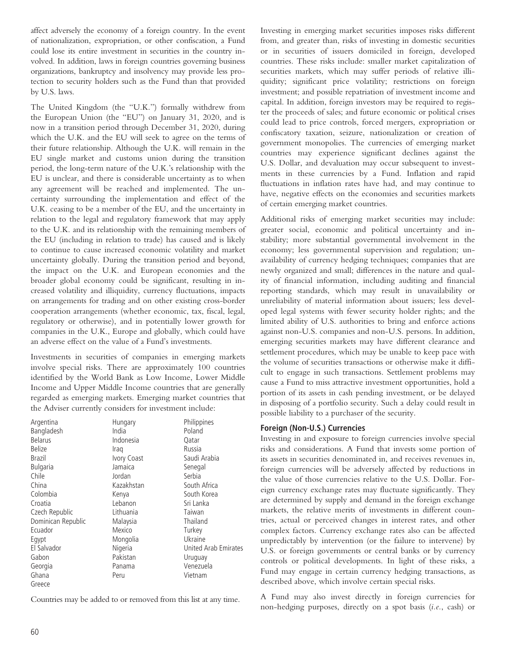affect adversely the economy of a foreign country. In the event of nationalization, expropriation, or other confiscation, a Fund could lose its entire investment in securities in the country involved. In addition, laws in foreign countries governing business organizations, bankruptcy and insolvency may provide less protection to security holders such as the Fund than that provided by U.S. laws.

The United Kingdom (the "U.K.") formally withdrew from the European Union (the "EU") on January 31, 2020, and is now in a transition period through December 31, 2020, during which the U.K. and the EU will seek to agree on the terms of their future relationship. Although the U.K. will remain in the EU single market and customs union during the transition period, the long-term nature of the U.K.'s relationship with the EU is unclear, and there is considerable uncertainty as to when any agreement will be reached and implemented. The uncertainty surrounding the implementation and effect of the U.K. ceasing to be a member of the EU, and the uncertainty in relation to the legal and regulatory framework that may apply to the U.K. and its relationship with the remaining members of the EU (including in relation to trade) has caused and is likely to continue to cause increased economic volatility and market uncertainty globally. During the transition period and beyond, the impact on the U.K. and European economies and the broader global economy could be significant, resulting in increased volatility and illiquidity, currency fluctuations, impacts on arrangements for trading and on other existing cross-border cooperation arrangements (whether economic, tax, fiscal, legal, regulatory or otherwise), and in potentially lower growth for companies in the U.K., Europe and globally, which could have an adverse effect on the value of a Fund's investments.

Investments in securities of companies in emerging markets involve special risks. There are approximately 100 countries identified by the World Bank as Low Income, Lower Middle Income and Upper Middle Income countries that are generally regarded as emerging markets. Emerging market countries that the Adviser currently considers for investment include:

| Argentina          | Hungary            | Philippines          |
|--------------------|--------------------|----------------------|
| Bangladesh         | India              | Poland               |
| <b>Belarus</b>     | Indonesia          | Qatar                |
| <b>Belize</b>      | Iraq               | Russia               |
| <b>Brazil</b>      | <b>Ivory Coast</b> | Saudi Arabia         |
| <b>Bulgaria</b>    | Jamaica            | Senegal              |
| Chile              | Jordan             | Serbia               |
| China              | Kazakhstan         | South Africa         |
| Colombia           | Kenya              | South Korea          |
| Croatia            | Lebanon            | Sri Lanka            |
| Czech Republic     | Lithuania          | Taiwan               |
| Dominican Republic | Malaysia           | Thailand             |
| Ecuador            | Mexico             | Turkey               |
| Eqypt              | Mongolia           | Ukraine              |
| El Salvador        | Nigeria            | United Arab Emirates |
| Gabon              | Pakistan           | Uruguay              |
| Georgia            | Panama             | Venezuela            |
| Ghana              | Peru               | Vietnam              |
| Greece             |                    |                      |

Countries may be added to or removed from this list at any time.

Investing in emerging market securities imposes risks different from, and greater than, risks of investing in domestic securities or in securities of issuers domiciled in foreign, developed countries. These risks include: smaller market capitalization of securities markets, which may suffer periods of relative illiquidity; significant price volatility; restrictions on foreign investment; and possible repatriation of investment income and capital. In addition, foreign investors may be required to register the proceeds of sales; and future economic or political crises could lead to price controls, forced mergers, expropriation or confiscatory taxation, seizure, nationalization or creation of government monopolies. The currencies of emerging market countries may experience significant declines against the U.S. Dollar, and devaluation may occur subsequent to investments in these currencies by a Fund. Inflation and rapid fluctuations in inflation rates have had, and may continue to have, negative effects on the economies and securities markets of certain emerging market countries.

Additional risks of emerging market securities may include: greater social, economic and political uncertainty and instability; more substantial governmental involvement in the economy; less governmental supervision and regulation; unavailability of currency hedging techniques; companies that are newly organized and small; differences in the nature and quality of financial information, including auditing and financial reporting standards, which may result in unavailability or unreliability of material information about issuers; less developed legal systems with fewer security holder rights; and the limited ability of U.S. authorities to bring and enforce actions against non-U.S. companies and non-U.S. persons. In addition, emerging securities markets may have different clearance and settlement procedures, which may be unable to keep pace with the volume of securities transactions or otherwise make it difficult to engage in such transactions. Settlement problems may cause a Fund to miss attractive investment opportunities, hold a portion of its assets in cash pending investment, or be delayed in disposing of a portfolio security. Such a delay could result in possible liability to a purchaser of the security.

### **Foreign (Non-U.S.) Currencies**

Investing in and exposure to foreign currencies involve special risks and considerations. A Fund that invests some portion of its assets in securities denominated in, and receives revenues in, foreign currencies will be adversely affected by reductions in the value of those currencies relative to the U.S. Dollar. Foreign currency exchange rates may fluctuate significantly. They are determined by supply and demand in the foreign exchange markets, the relative merits of investments in different countries, actual or perceived changes in interest rates, and other complex factors. Currency exchange rates also can be affected unpredictably by intervention (or the failure to intervene) by U.S. or foreign governments or central banks or by currency controls or political developments. In light of these risks, a Fund may engage in certain currency hedging transactions, as described above, which involve certain special risks.

A Fund may also invest directly in foreign currencies for non-hedging purposes, directly on a spot basis (*i.e.*, cash) or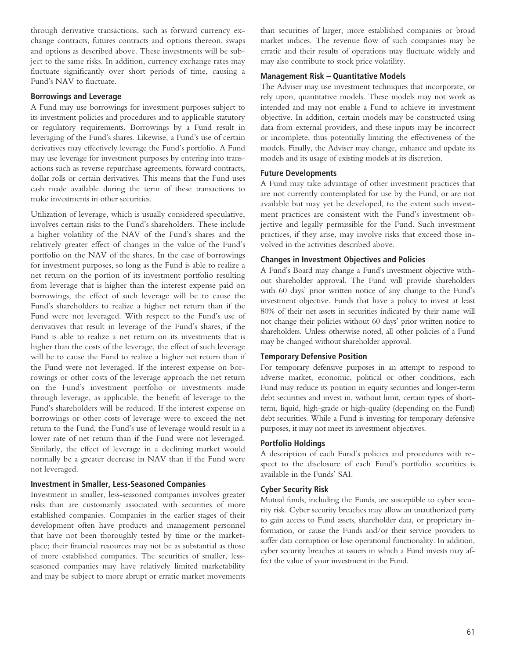through derivative transactions, such as forward currency exchange contracts, futures contracts and options thereon, swaps and options as described above. These investments will be subject to the same risks. In addition, currency exchange rates may fluctuate significantly over short periods of time, causing a Fund's NAV to fluctuate.

#### **Borrowings and Leverage**

A Fund may use borrowings for investment purposes subject to its investment policies and procedures and to applicable statutory or regulatory requirements. Borrowings by a Fund result in leveraging of the Fund's shares. Likewise, a Fund's use of certain derivatives may effectively leverage the Fund's portfolio. A Fund may use leverage for investment purposes by entering into transactions such as reverse repurchase agreements, forward contracts, dollar rolls or certain derivatives. This means that the Fund uses cash made available during the term of these transactions to make investments in other securities.

Utilization of leverage, which is usually considered speculative, involves certain risks to the Fund's shareholders. These include a higher volatility of the NAV of the Fund's shares and the relatively greater effect of changes in the value of the Fund's portfolio on the NAV of the shares. In the case of borrowings for investment purposes, so long as the Fund is able to realize a net return on the portion of its investment portfolio resulting from leverage that is higher than the interest expense paid on borrowings, the effect of such leverage will be to cause the Fund's shareholders to realize a higher net return than if the Fund were not leveraged. With respect to the Fund's use of derivatives that result in leverage of the Fund's shares, if the Fund is able to realize a net return on its investments that is higher than the costs of the leverage, the effect of such leverage will be to cause the Fund to realize a higher net return than if the Fund were not leveraged. If the interest expense on borrowings or other costs of the leverage approach the net return on the Fund's investment portfolio or investments made through leverage, as applicable, the benefit of leverage to the Fund's shareholders will be reduced. If the interest expense on borrowings or other costs of leverage were to exceed the net return to the Fund, the Fund's use of leverage would result in a lower rate of net return than if the Fund were not leveraged. Similarly, the effect of leverage in a declining market would normally be a greater decrease in NAV than if the Fund were not leveraged.

### **Investment in Smaller, Less-Seasoned Companies**

Investment in smaller, less-seasoned companies involves greater risks than are customarily associated with securities of more established companies. Companies in the earlier stages of their development often have products and management personnel that have not been thoroughly tested by time or the marketplace; their financial resources may not be as substantial as those of more established companies. The securities of smaller, lessseasoned companies may have relatively limited marketability and may be subject to more abrupt or erratic market movements than securities of larger, more established companies or broad market indices. The revenue flow of such companies may be erratic and their results of operations may fluctuate widely and may also contribute to stock price volatility.

#### **Management Risk – Quantitative Models**

The Adviser may use investment techniques that incorporate, or rely upon, quantitative models. These models may not work as intended and may not enable a Fund to achieve its investment objective. In addition, certain models may be constructed using data from external providers, and these inputs may be incorrect or incomplete, thus potentially limiting the effectiveness of the models. Finally, the Adviser may change, enhance and update its models and its usage of existing models at its discretion.

#### **Future Developments**

A Fund may take advantage of other investment practices that are not currently contemplated for use by the Fund, or are not available but may yet be developed, to the extent such investment practices are consistent with the Fund's investment objective and legally permissible for the Fund. Such investment practices, if they arise, may involve risks that exceed those involved in the activities described above.

#### **Changes in Investment Objectives and Policies**

A Fund's Board may change a Fund's investment objective without shareholder approval. The Fund will provide shareholders with 60 days' prior written notice of any change to the Fund's investment objective. Funds that have a policy to invest at least 80% of their net assets in securities indicated by their name will not change their policies without 60 days' prior written notice to shareholders. Unless otherwise noted, all other policies of a Fund may be changed without shareholder approval.

### **Temporary Defensive Position**

For temporary defensive purposes in an attempt to respond to adverse market, economic, political or other conditions, each Fund may reduce its position in equity securities and longer-term debt securities and invest in, without limit, certain types of shortterm, liquid, high-grade or high-quality (depending on the Fund) debt securities. While a Fund is investing for temporary defensive purposes, it may not meet its investment objectives.

### **Portfolio Holdings**

A description of each Fund's policies and procedures with respect to the disclosure of each Fund's portfolio securities is available in the Funds' SAI.

### **Cyber Security Risk**

Mutual funds, including the Funds, are susceptible to cyber security risk. Cyber security breaches may allow an unauthorized party to gain access to Fund assets, shareholder data, or proprietary information, or cause the Funds and/or their service providers to suffer data corruption or lose operational functionality. In addition, cyber security breaches at issuers in which a Fund invests may affect the value of your investment in the Fund.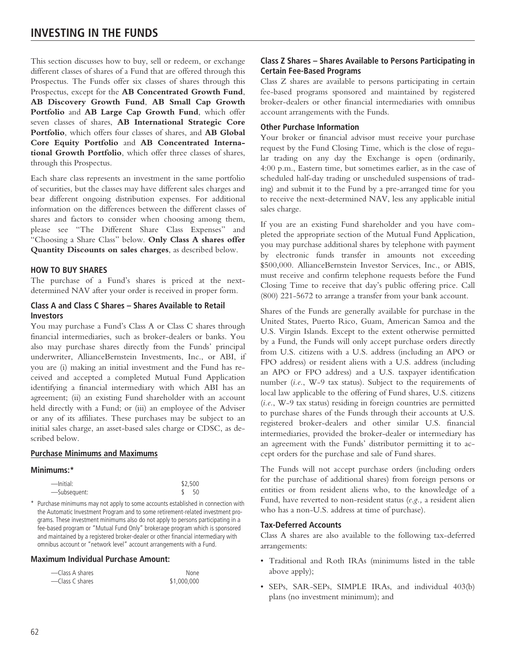# **INVESTING IN THE FUNDS**

This section discusses how to buy, sell or redeem, or exchange different classes of shares of a Fund that are offered through this Prospectus. The Funds offer six classes of shares through this Prospectus, except for the **AB Concentrated Growth Fund**, **AB Discovery Growth Fund**, **AB Small Cap Growth Portfolio** and **AB Large Cap Growth Fund**, which offer seven classes of shares, **AB International Strategic Core Portfolio**, which offers four classes of shares, and **AB Global Core Equity Portfolio** and **AB Concentrated International Growth Portfolio**, which offer three classes of shares, through this Prospectus.

Each share class represents an investment in the same portfolio of securities, but the classes may have different sales charges and bear different ongoing distribution expenses. For additional information on the differences between the different classes of shares and factors to consider when choosing among them, please see "The Different Share Class Expenses" and "Choosing a Share Class" below. **Only Class A shares offer Quantity Discounts on sales charges**, as described below.

### **HOW TO BUY SHARES**

The purchase of a Fund's shares is priced at the nextdetermined NAV after your order is received in proper form.

### **Class A and Class C Shares – Shares Available to Retail Investors**

You may purchase a Fund's Class A or Class C shares through financial intermediaries, such as broker-dealers or banks. You also may purchase shares directly from the Funds' principal underwriter, AllianceBernstein Investments, Inc., or ABI, if you are (i) making an initial investment and the Fund has received and accepted a completed Mutual Fund Application identifying a financial intermediary with which ABI has an agreement; (ii) an existing Fund shareholder with an account held directly with a Fund; or (iii) an employee of the Adviser or any of its affiliates. These purchases may be subject to an initial sales charge, an asset-based sales charge or CDSC, as described below.

### **Purchase Minimums and Maximums**

#### **Minimums:\***

| -Initial:    | \$2,500 |     |
|--------------|---------|-----|
| -Subsequent: |         | -50 |

\* Purchase minimums may not apply to some accounts established in connection with the Automatic Investment Program and to some retirement-related investment programs. These investment minimums also do not apply to persons participating in a fee-based program or "Mutual Fund Only" brokerage program which is sponsored and maintained by a registered broker-dealer or other financial intermediary with omnibus account or "network level" account arrangements with a Fund.

#### **Maximum Individual Purchase Amount:**

| -Class A shares | None        |
|-----------------|-------------|
| -Class C shares | \$1,000,000 |

# **Class Z Shares – Shares Available to Persons Participating in Certain Fee-Based Programs**

Class Z shares are available to persons participating in certain fee-based programs sponsored and maintained by registered broker-dealers or other financial intermediaries with omnibus account arrangements with the Funds.

#### **Other Purchase Information**

Your broker or financial advisor must receive your purchase request by the Fund Closing Time, which is the close of regular trading on any day the Exchange is open (ordinarily, 4:00 p.m., Eastern time, but sometimes earlier, as in the case of scheduled half-day trading or unscheduled suspensions of trading) and submit it to the Fund by a pre-arranged time for you to receive the next-determined NAV, less any applicable initial sales charge.

If you are an existing Fund shareholder and you have completed the appropriate section of the Mutual Fund Application, you may purchase additional shares by telephone with payment by electronic funds transfer in amounts not exceeding \$500,000. AllianceBernstein Investor Services, Inc., or ABIS, must receive and confirm telephone requests before the Fund Closing Time to receive that day's public offering price. Call (800) 221-5672 to arrange a transfer from your bank account.

Shares of the Funds are generally available for purchase in the United States, Puerto Rico, Guam, American Samoa and the U.S. Virgin Islands. Except to the extent otherwise permitted by a Fund, the Funds will only accept purchase orders directly from U.S. citizens with a U.S. address (including an APO or FPO address) or resident aliens with a U.S. address (including an APO or FPO address) and a U.S. taxpayer identification number (*i.e.*, W-9 tax status). Subject to the requirements of local law applicable to the offering of Fund shares, U.S. citizens (*i.e.*, W-9 tax status) residing in foreign countries are permitted to purchase shares of the Funds through their accounts at U.S. registered broker-dealers and other similar U.S. financial intermediaries, provided the broker-dealer or intermediary has an agreement with the Funds' distributor permitting it to accept orders for the purchase and sale of Fund shares.

The Funds will not accept purchase orders (including orders for the purchase of additional shares) from foreign persons or entities or from resident aliens who, to the knowledge of a Fund, have reverted to non-resident status (*e.g.,* a resident alien who has a non-U.S. address at time of purchase).

#### **Tax-Deferred Accounts**

Class A shares are also available to the following tax-deferred arrangements:

- Traditional and Roth IRAs (minimums listed in the table above apply);
- SEPs, SAR-SEPs, SIMPLE IRAs, and individual 403(b) plans (no investment minimum); and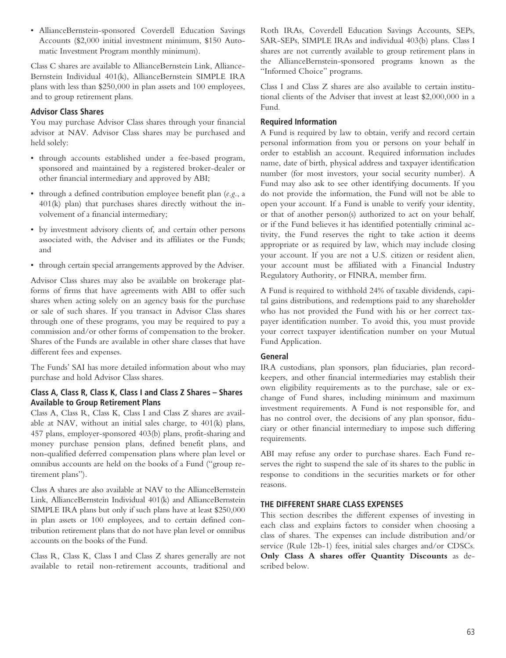• AllianceBernstein-sponsored Coverdell Education Savings Accounts (\$2,000 initial investment minimum, \$150 Automatic Investment Program monthly minimum).

Class C shares are available to AllianceBernstein Link, Alliance-Bernstein Individual 401(k), AllianceBernstein SIMPLE IRA plans with less than \$250,000 in plan assets and 100 employees, and to group retirement plans.

# **Advisor Class Shares**

You may purchase Advisor Class shares through your financial advisor at NAV. Advisor Class shares may be purchased and held solely:

- through accounts established under a fee-based program, sponsored and maintained by a registered broker-dealer or other financial intermediary and approved by ABI;
- through a defined contribution employee benefit plan (*e.g.*, a 401(k) plan) that purchases shares directly without the involvement of a financial intermediary;
- by investment advisory clients of, and certain other persons associated with, the Adviser and its affiliates or the Funds; and
- through certain special arrangements approved by the Adviser.

Advisor Class shares may also be available on brokerage platforms of firms that have agreements with ABI to offer such shares when acting solely on an agency basis for the purchase or sale of such shares. If you transact in Advisor Class shares through one of these programs, you may be required to pay a commission and/or other forms of compensation to the broker. Shares of the Funds are available in other share classes that have different fees and expenses.

The Funds' SAI has more detailed information about who may purchase and hold Advisor Class shares.

# **Class A, Class R, Class K, Class I and Class Z Shares – Shares Available to Group Retirement Plans**

Class A, Class R, Class K, Class I and Class Z shares are available at NAV, without an initial sales charge, to 401(k) plans, 457 plans, employer-sponsored 403(b) plans, profit-sharing and money purchase pension plans, defined benefit plans, and non-qualified deferred compensation plans where plan level or omnibus accounts are held on the books of a Fund ("group retirement plans").

Class A shares are also available at NAV to the AllianceBernstein Link, AllianceBernstein Individual 401(k) and AllianceBernstein SIMPLE IRA plans but only if such plans have at least \$250,000 in plan assets or 100 employees, and to certain defined contribution retirement plans that do not have plan level or omnibus accounts on the books of the Fund.

Class R, Class K, Class I and Class Z shares generally are not available to retail non-retirement accounts, traditional and

Roth IRAs, Coverdell Education Savings Accounts, SEPs, SAR-SEPs, SIMPLE IRAs and individual 403(b) plans. Class I shares are not currently available to group retirement plans in the AllianceBernstein-sponsored programs known as the "Informed Choice" programs.

Class I and Class Z shares are also available to certain institutional clients of the Adviser that invest at least \$2,000,000 in a Fund.

# **Required Information**

A Fund is required by law to obtain, verify and record certain personal information from you or persons on your behalf in order to establish an account. Required information includes name, date of birth, physical address and taxpayer identification number (for most investors, your social security number). A Fund may also ask to see other identifying documents. If you do not provide the information, the Fund will not be able to open your account. If a Fund is unable to verify your identity, or that of another person(s) authorized to act on your behalf, or if the Fund believes it has identified potentially criminal activity, the Fund reserves the right to take action it deems appropriate or as required by law, which may include closing your account. If you are not a U.S. citizen or resident alien, your account must be affiliated with a Financial Industry Regulatory Authority, or FINRA, member firm.

A Fund is required to withhold 24% of taxable dividends, capital gains distributions, and redemptions paid to any shareholder who has not provided the Fund with his or her correct taxpayer identification number. To avoid this, you must provide your correct taxpayer identification number on your Mutual Fund Application.

# **General**

IRA custodians, plan sponsors, plan fiduciaries, plan recordkeepers, and other financial intermediaries may establish their own eligibility requirements as to the purchase, sale or exchange of Fund shares, including minimum and maximum investment requirements. A Fund is not responsible for, and has no control over, the decisions of any plan sponsor, fiduciary or other financial intermediary to impose such differing requirements.

ABI may refuse any order to purchase shares. Each Fund reserves the right to suspend the sale of its shares to the public in response to conditions in the securities markets or for other reasons.

# **THE DIFFERENT SHARE CLASS EXPENSES**

This section describes the different expenses of investing in each class and explains factors to consider when choosing a class of shares. The expenses can include distribution and/or service (Rule 12b-1) fees, initial sales charges and/or CDSCs. **Only Class A shares offer Quantity Discounts** as described below.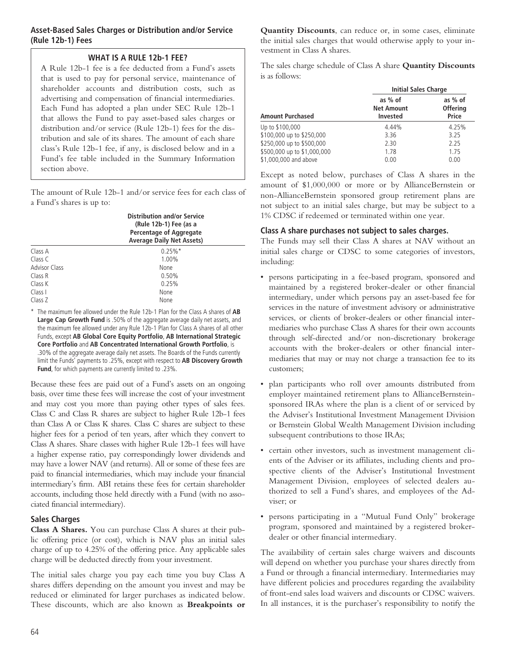# **Asset-Based Sales Charges or Distribution and/or Service (Rule 12b-1) Fees**

# **WHAT IS A RULE 12b-1 FEE?**

A Rule 12b-1 fee is a fee deducted from a Fund's assets that is used to pay for personal service, maintenance of shareholder accounts and distribution costs, such as advertising and compensation of financial intermediaries. Each Fund has adopted a plan under SEC Rule 12b-1 that allows the Fund to pay asset-based sales charges or distribution and/or service (Rule 12b-1) fees for the distribution and sale of its shares. The amount of each share class's Rule 12b-1 fee, if any, is disclosed below and in a Fund's fee table included in the Summary Information section above.

The amount of Rule 12b-1 and/or service fees for each class of a Fund's shares is up to:

|                      | <b>Distribution and/or Service</b><br>(Rule 12b-1) Fee (as a<br>Percentage of Aggregate<br><b>Average Daily Net Assets)</b> |  |
|----------------------|-----------------------------------------------------------------------------------------------------------------------------|--|
| Class A              | $0.25\%$ <sup>*</sup>                                                                                                       |  |
| Class C              | 1.00%                                                                                                                       |  |
| <b>Advisor Class</b> | None                                                                                                                        |  |
| Class R              | 0.50%                                                                                                                       |  |
| Class K              | 0.25%                                                                                                                       |  |
| Class I              | None                                                                                                                        |  |
| Class Z              | None                                                                                                                        |  |

\* The maximum fee allowed under the Rule 12b-1 Plan for the Class A shares of **AB Large Cap Growth Fund** is .50% of the aggregate average daily net assets, and the maximum fee allowed under any Rule 12b-1 Plan for Class A shares of all other Funds, except **AB Global Core Equity Portfolio**, **AB International Strategic Core Portfolio** and **AB Concentrated International Growth Portfolio**, is .30% of the aggregate average daily net assets. The Boards of the Funds currently limit the Funds' payments to .25%, except with respect to **AB Discovery Growth Fund**, for which payments are currently limited to .23%.

Because these fees are paid out of a Fund's assets on an ongoing basis, over time these fees will increase the cost of your investment and may cost you more than paying other types of sales fees. Class C and Class R shares are subject to higher Rule 12b-1 fees than Class A or Class K shares. Class C shares are subject to these higher fees for a period of ten years, after which they convert to Class A shares. Share classes with higher Rule 12b-1 fees will have a higher expense ratio, pay correspondingly lower dividends and may have a lower NAV (and returns). All or some of these fees are paid to financial intermediaries, which may include your financial intermediary's firm. ABI retains these fees for certain shareholder accounts, including those held directly with a Fund (with no associated financial intermediary).

### **Sales Charges**

**Class A Shares.** You can purchase Class A shares at their public offering price (or cost), which is NAV plus an initial sales charge of up to 4.25% of the offering price. Any applicable sales charge will be deducted directly from your investment.

The initial sales charge you pay each time you buy Class A shares differs depending on the amount you invest and may be reduced or eliminated for larger purchases as indicated below. These discounts, which are also known as **Breakpoints or** **Quantity Discounts**, can reduce or, in some cases, eliminate the initial sales charges that would otherwise apply to your investment in Class A shares.

The sales charge schedule of Class A share **Quantity Discounts** is as follows:

|                             | <b>Initial Sales Charge</b>                     |                                     |
|-----------------------------|-------------------------------------------------|-------------------------------------|
| <b>Amount Purchased</b>     | as % of<br><b>Net Amount</b><br><b>Invested</b> | as % of<br><b>Offering</b><br>Price |
| Up to \$100,000             | 4.44%                                           | 4.25%                               |
| \$100,000 up to \$250,000   | 3.36                                            | 3.25                                |
| \$250,000 up to \$500,000   | 2.30                                            | 2.25                                |
| \$500,000 up to \$1,000,000 | 1.78                                            | 1.75                                |
| \$1,000,000 and above       | 0.00                                            | 0.00                                |

Except as noted below, purchases of Class A shares in the amount of \$1,000,000 or more or by AllianceBernstein or non-AllianceBernstein sponsored group retirement plans are not subject to an initial sales charge, but may be subject to a 1% CDSC if redeemed or terminated within one year.

### **Class A share purchases not subject to sales charges.**

The Funds may sell their Class A shares at NAV without an initial sales charge or CDSC to some categories of investors, including:

- persons participating in a fee-based program, sponsored and maintained by a registered broker-dealer or other financial intermediary, under which persons pay an asset-based fee for services in the nature of investment advisory or administrative services, or clients of broker-dealers or other financial intermediaries who purchase Class A shares for their own accounts through self-directed and/or non-discretionary brokerage accounts with the broker-dealers or other financial intermediaries that may or may not charge a transaction fee to its customers;
- plan participants who roll over amounts distributed from employer maintained retirement plans to AllianceBernsteinsponsored IRAs where the plan is a client of or serviced by the Adviser's Institutional Investment Management Division or Bernstein Global Wealth Management Division including subsequent contributions to those IRAs;
- certain other investors, such as investment management clients of the Adviser or its affiliates, including clients and prospective clients of the Adviser's Institutional Investment Management Division, employees of selected dealers authorized to sell a Fund's shares, and employees of the Adviser; or
- persons participating in a "Mutual Fund Only" brokerage program, sponsored and maintained by a registered brokerdealer or other financial intermediary.

The availability of certain sales charge waivers and discounts will depend on whether you purchase your shares directly from a Fund or through a financial intermediary. Intermediaries may have different policies and procedures regarding the availability of front-end sales load waivers and discounts or CDSC waivers. In all instances, it is the purchaser's responsibility to notify the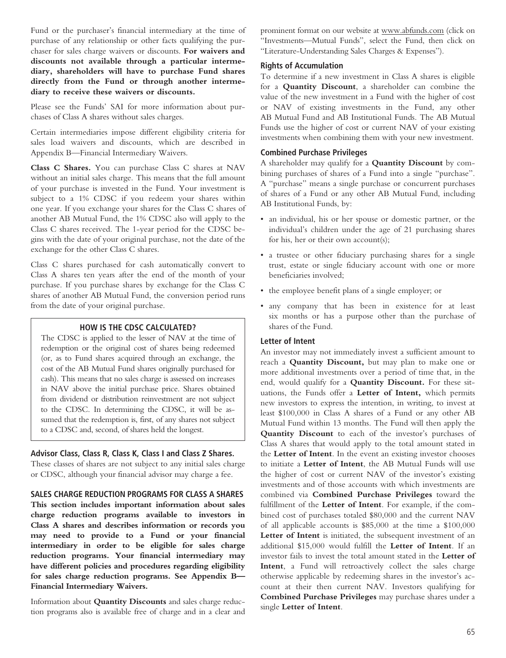Fund or the purchaser's financial intermediary at the time of purchase of any relationship or other facts qualifying the purchaser for sales charge waivers or discounts. **For waivers and discounts not available through a particular intermediary, shareholders will have to purchase Fund shares directly from the Fund or through another intermediary to receive these waivers or discounts.**

Please see the Funds' SAI for more information about purchases of Class A shares without sales charges.

Certain intermediaries impose different eligibility criteria for sales load waivers and discounts, which are described in Appendix B—Financial Intermediary Waivers.

**Class C Shares.** You can purchase Class C shares at NAV without an initial sales charge. This means that the full amount of your purchase is invested in the Fund. Your investment is subject to a 1% CDSC if you redeem your shares within one year. If you exchange your shares for the Class C shares of another AB Mutual Fund, the 1% CDSC also will apply to the Class C shares received. The 1-year period for the CDSC begins with the date of your original purchase, not the date of the exchange for the other Class C shares.

Class C shares purchased for cash automatically convert to Class A shares ten years after the end of the month of your purchase. If you purchase shares by exchange for the Class C shares of another AB Mutual Fund, the conversion period runs from the date of your original purchase.

#### **HOW IS THE CDSC CALCULATED?**

The CDSC is applied to the lesser of NAV at the time of redemption or the original cost of shares being redeemed (or, as to Fund shares acquired through an exchange, the cost of the AB Mutual Fund shares originally purchased for cash). This means that no sales charge is assessed on increases in NAV above the initial purchase price. Shares obtained from dividend or distribution reinvestment are not subject to the CDSC. In determining the CDSC, it will be assumed that the redemption is, first, of any shares not subject to a CDSC and, second, of shares held the longest.

### **Advisor Class, Class R, Class K, Class I and Class Z Shares.**

These classes of shares are not subject to any initial sales charge or CDSC, although your financial advisor may charge a fee.

**SALES CHARGE REDUCTION PROGRAMS FOR CLASS A SHARES**

**This section includes important information about sales charge reduction programs available to investors in Class A shares and describes information or records you may need to provide to a Fund or your financial intermediary in order to be eligible for sales charge reduction programs. Your financial intermediary may have different policies and procedures regarding eligibility for sales charge reduction programs. See Appendix B— Financial Intermediary Waivers.**

Information about **Quantity Discounts** and sales charge reduction programs also is available free of charge and in a clear and

prominent format on our website at www.abfunds.com (click on "Investments—Mutual Funds", select the Fund, then click on "Literature-Understanding Sales Charges & Expenses").

#### **Rights of Accumulation**

To determine if a new investment in Class A shares is eligible for a **Quantity Discount**, a shareholder can combine the value of the new investment in a Fund with the higher of cost or NAV of existing investments in the Fund, any other AB Mutual Fund and AB Institutional Funds. The AB Mutual Funds use the higher of cost or current NAV of your existing investments when combining them with your new investment.

# **Combined Purchase Privileges**

A shareholder may qualify for a **Quantity Discount** by combining purchases of shares of a Fund into a single "purchase". A "purchase" means a single purchase or concurrent purchases of shares of a Fund or any other AB Mutual Fund, including AB Institutional Funds, by:

- an individual, his or her spouse or domestic partner, or the individual's children under the age of 21 purchasing shares for his, her or their own account(s);
- a trustee or other fiduciary purchasing shares for a single trust, estate or single fiduciary account with one or more beneficiaries involved;
- the employee benefit plans of a single employer; or
- any company that has been in existence for at least six months or has a purpose other than the purchase of shares of the Fund.

### **Letter of Intent**

An investor may not immediately invest a sufficient amount to reach a **Quantity Discount,** but may plan to make one or more additional investments over a period of time that, in the end, would qualify for a **Quantity Discount.** For these situations, the Funds offer a **Letter of Intent,** which permits new investors to express the intention, in writing, to invest at least \$100,000 in Class A shares of a Fund or any other AB Mutual Fund within 13 months. The Fund will then apply the **Quantity Discount** to each of the investor's purchases of Class A shares that would apply to the total amount stated in the **Letter of Intent**. In the event an existing investor chooses to initiate a **Letter of Intent**, the AB Mutual Funds will use the higher of cost or current NAV of the investor's existing investments and of those accounts with which investments are combined via **Combined Purchase Privileges** toward the fulfillment of the **Letter of Intent**. For example, if the combined cost of purchases totaled \$80,000 and the current NAV of all applicable accounts is \$85,000 at the time a \$100,000 **Letter of Intent** is initiated, the subsequent investment of an additional \$15,000 would fulfill the **Letter of Intent**. If an investor fails to invest the total amount stated in the **Letter of Intent**, a Fund will retroactively collect the sales charge otherwise applicable by redeeming shares in the investor's account at their then current NAV. Investors qualifying for **Combined Purchase Privileges** may purchase shares under a single **Letter of Intent**.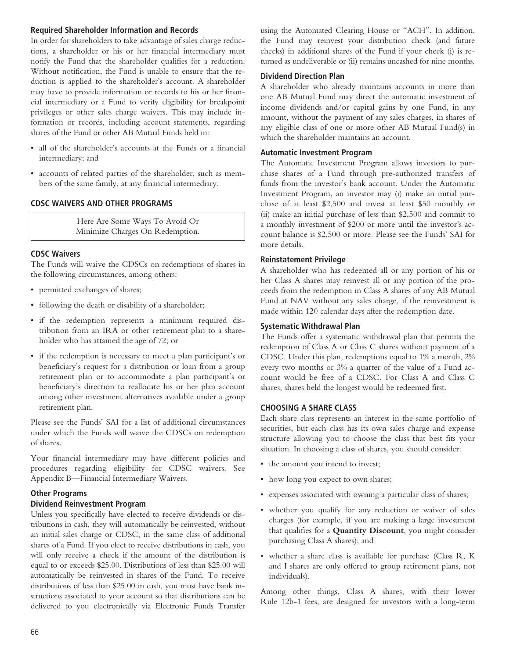### **Required Shareholder Information and Records**

In order for shareholders to take advantage of sales charge reductions, a shareholder or his or her financial intermediary must notify the Fund that the shareholder qualifies for a reduction. Without notification, the Fund is unable to ensure that the reduction is applied to the shareholder's account. A shareholder may have to provide information or records to his or her financial intermediary or a Fund to verify eligibility for breakpoint privileges or other sales charge waivers. This may include information or records, including account statements, regarding shares of the Fund or other AB Mutual Funds held in:

- all of the shareholder's accounts at the Funds or a financial intermediary; and
- accounts of related parties of the shareholder, such as members of the same family, at any financial intermediary.

# **CDSC WAIVERS AND OTHER PROGRAMS**

Here Are Some Ways To Avoid Or Minimize Charges On Redemption.

### **CDSC Waivers**

The Funds will waive the CDSCs on redemptions of shares in the following circumstances, among others:

- permitted exchanges of shares;
- following the death or disability of a shareholder;
- if the redemption represents a minimum required distribution from an IRA or other retirement plan to a shareholder who has attained the age of 72; or
- if the redemption is necessary to meet a plan participant's or beneficiary's request for a distribution or loan from a group retirement plan or to accommodate a plan participant's or beneficiary's direction to reallocate his or her plan account among other investment alternatives available under a group retirement plan.

Please see the Funds' SAI for a list of additional circumstances under which the Funds will waive the CDSCs on redemption of shares.

Your financial intermediary may have different policies and procedures regarding eligibility for CDSC waivers. See Appendix B—Financial Intermediary Waivers.

# **Other Programs**

# **Dividend Reinvestment Program**

Unless you specifically have elected to receive dividends or distributions in cash, they will automatically be reinvested, without an initial sales charge or CDSC, in the same class of additional shares of a Fund. If you elect to receive distributions in cash, you will only receive a check if the amount of the distribution is equal to or exceeds \$25.00. Distributions of less than \$25.00 will automatically be reinvested in shares of the Fund. To receive distributions of less than \$25.00 in cash, you must have bank instructions associated to your account so that distributions can be delivered to you electronically via Electronic Funds Transfer

using the Automated Clearing House or "ACH". In addition, the Fund may reinvest your distribution check (and future checks) in additional shares of the Fund if your check (i) is returned as undeliverable or (ii) remains uncashed for nine months.

# **Dividend Direction Plan**

A shareholder who already maintains accounts in more than one AB Mutual Fund may direct the automatic investment of income dividends and/or capital gains by one Fund, in any amount, without the payment of any sales charges, in shares of any eligible class of one or more other AB Mutual Fund(s) in which the shareholder maintains an account.

# **Automatic Investment Program**

The Automatic Investment Program allows investors to purchase shares of a Fund through pre-authorized transfers of funds from the investor's bank account. Under the Automatic Investment Program, an investor may (i) make an initial purchase of at least \$2,500 and invest at least \$50 monthly or (ii) make an initial purchase of less than \$2,500 and commit to a monthly investment of \$200 or more until the investor's account balance is \$2,500 or more. Please see the Funds' SAI for more details.

# **Reinstatement Privilege**

A shareholder who has redeemed all or any portion of his or her Class A shares may reinvest all or any portion of the proceeds from the redemption in Class A shares of any AB Mutual Fund at NAV without any sales charge, if the reinvestment is made within 120 calendar days after the redemption date.

### **Systematic Withdrawal Plan**

The Funds offer a systematic withdrawal plan that permits the redemption of Class A or Class C shares without payment of a CDSC. Under this plan, redemptions equal to 1% a month, 2% every two months or 3% a quarter of the value of a Fund account would be free of a CDSC. For Class A and Class C shares, shares held the longest would be redeemed first.

### **CHOOSING A SHARE CLASS**

Each share class represents an interest in the same portfolio of securities, but each class has its own sales charge and expense structure allowing you to choose the class that best fits your situation. In choosing a class of shares, you should consider:

- the amount you intend to invest;
- how long you expect to own shares;
- expenses associated with owning a particular class of shares;
- whether you qualify for any reduction or waiver of sales charges (for example, if you are making a large investment that qualifies for a **Quantity Discount**, you might consider purchasing Class A shares); and
- whether a share class is available for purchase (Class R, K and I shares are only offered to group retirement plans, not individuals).

Among other things, Class A shares, with their lower Rule 12b-1 fees, are designed for investors with a long-term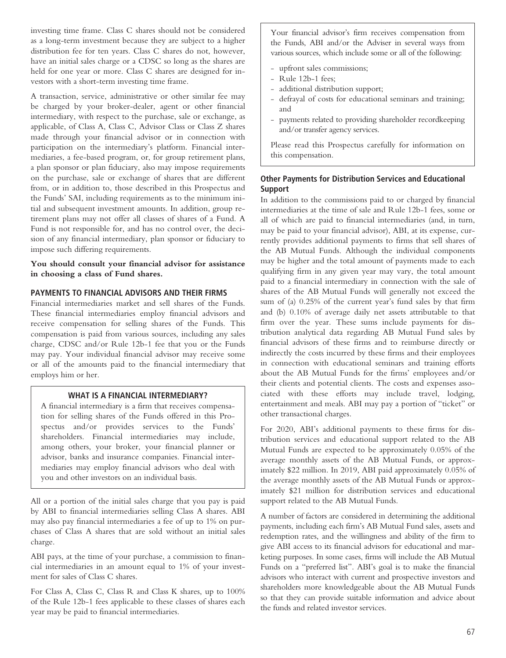investing time frame. Class C shares should not be considered as a long-term investment because they are subject to a higher distribution fee for ten years. Class C shares do not, however, have an initial sales charge or a CDSC so long as the shares are held for one year or more. Class C shares are designed for investors with a short-term investing time frame.

A transaction, service, administrative or other similar fee may be charged by your broker-dealer, agent or other financial intermediary, with respect to the purchase, sale or exchange, as applicable, of Class A, Class C, Advisor Class or Class Z shares made through your financial advisor or in connection with participation on the intermediary's platform. Financial intermediaries, a fee-based program, or, for group retirement plans, a plan sponsor or plan fiduciary, also may impose requirements on the purchase, sale or exchange of shares that are different from, or in addition to, those described in this Prospectus and the Funds' SAI, including requirements as to the minimum initial and subsequent investment amounts. In addition, group retirement plans may not offer all classes of shares of a Fund. A Fund is not responsible for, and has no control over, the decision of any financial intermediary, plan sponsor or fiduciary to impose such differing requirements.

**You should consult your financial advisor for assistance in choosing a class of Fund shares.**

# **PAYMENTS TO FINANCIAL ADVISORS AND THEIR FIRMS**

Financial intermediaries market and sell shares of the Funds. These financial intermediaries employ financial advisors and receive compensation for selling shares of the Funds. This compensation is paid from various sources, including any sales charge, CDSC and/or Rule 12b-1 fee that you or the Funds may pay. Your individual financial advisor may receive some or all of the amounts paid to the financial intermediary that employs him or her.

# **WHAT IS A FINANCIAL INTERMEDIARY?**

A financial intermediary is a firm that receives compensation for selling shares of the Funds offered in this Prospectus and/or provides services to the Funds' shareholders. Financial intermediaries may include, among others, your broker, your financial planner or advisor, banks and insurance companies. Financial intermediaries may employ financial advisors who deal with you and other investors on an individual basis.

All or a portion of the initial sales charge that you pay is paid by ABI to financial intermediaries selling Class A shares. ABI may also pay financial intermediaries a fee of up to 1% on purchases of Class A shares that are sold without an initial sales charge.

ABI pays, at the time of your purchase, a commission to financial intermediaries in an amount equal to 1% of your investment for sales of Class C shares.

For Class A, Class C, Class R and Class K shares, up to 100% of the Rule 12b-1 fees applicable to these classes of shares each year may be paid to financial intermediaries.

Your financial advisor's firm receives compensation from the Funds, ABI and/or the Adviser in several ways from various sources, which include some or all of the following:

- upfront sales commissions;
- Rule 12b-1 fees;
- additional distribution support;
- defrayal of costs for educational seminars and training; and
- payments related to providing shareholder recordkeeping and/or transfer agency services.

Please read this Prospectus carefully for information on this compensation.

# **Other Payments for Distribution Services and Educational Support**

In addition to the commissions paid to or charged by financial intermediaries at the time of sale and Rule 12b-1 fees, some or all of which are paid to financial intermediaries (and, in turn, may be paid to your financial advisor), ABI, at its expense, currently provides additional payments to firms that sell shares of the AB Mutual Funds. Although the individual components may be higher and the total amount of payments made to each qualifying firm in any given year may vary, the total amount paid to a financial intermediary in connection with the sale of shares of the AB Mutual Funds will generally not exceed the sum of (a) 0.25% of the current year's fund sales by that firm and (b) 0.10% of average daily net assets attributable to that firm over the year. These sums include payments for distribution analytical data regarding AB Mutual Fund sales by financial advisors of these firms and to reimburse directly or indirectly the costs incurred by these firms and their employees in connection with educational seminars and training efforts about the AB Mutual Funds for the firms' employees and/or their clients and potential clients. The costs and expenses associated with these efforts may include travel, lodging, entertainment and meals. ABI may pay a portion of "ticket" or other transactional charges.

For 2020, ABI's additional payments to these firms for distribution services and educational support related to the AB Mutual Funds are expected to be approximately 0.05% of the average monthly assets of the AB Mutual Funds, or approximately \$22 million. In 2019, ABI paid approximately 0.05% of the average monthly assets of the AB Mutual Funds or approximately \$21 million for distribution services and educational support related to the AB Mutual Funds.

A number of factors are considered in determining the additional payments, including each firm's AB Mutual Fund sales, assets and redemption rates, and the willingness and ability of the firm to give ABI access to its financial advisors for educational and marketing purposes. In some cases, firms will include the AB Mutual Funds on a "preferred list". ABI's goal is to make the financial advisors who interact with current and prospective investors and shareholders more knowledgeable about the AB Mutual Funds so that they can provide suitable information and advice about the funds and related investor services.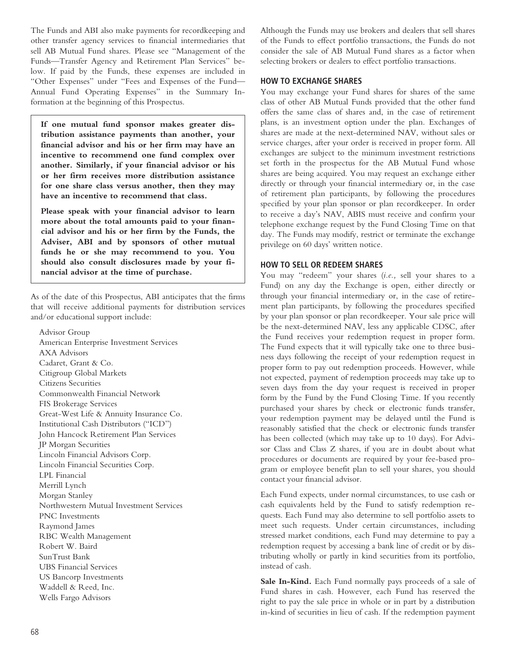The Funds and ABI also make payments for recordkeeping and other transfer agency services to financial intermediaries that sell AB Mutual Fund shares. Please see "Management of the Funds—Transfer Agency and Retirement Plan Services" below. If paid by the Funds, these expenses are included in "Other Expenses" under "Fees and Expenses of the Fund— Annual Fund Operating Expenses" in the Summary Information at the beginning of this Prospectus.

**If one mutual fund sponsor makes greater distribution assistance payments than another, your financial advisor and his or her firm may have an incentive to recommend one fund complex over another. Similarly, if your financial advisor or his or her firm receives more distribution assistance for one share class versus another, then they may have an incentive to recommend that class.**

**Please speak with your financial advisor to learn more about the total amounts paid to your financial advisor and his or her firm by the Funds, the Adviser, ABI and by sponsors of other mutual funds he or she may recommend to you. You should also consult disclosures made by your financial advisor at the time of purchase.**

As of the date of this Prospectus, ABI anticipates that the firms that will receive additional payments for distribution services and/or educational support include:

Advisor Group American Enterprise Investment Services AXA Advisors Cadaret, Grant & Co. Citigroup Global Markets Citizens Securities Commonwealth Financial Network FIS Brokerage Services Great-West Life & Annuity Insurance Co. Institutional Cash Distributors ("ICD") John Hancock Retirement Plan Services JP Morgan Securities Lincoln Financial Advisors Corp. Lincoln Financial Securities Corp. LPL Financial Merrill Lynch Morgan Stanley Northwestern Mutual Investment Services PNC Investments Raymond James RBC Wealth Management Robert W. Baird SunTrust Bank UBS Financial Services US Bancorp Investments Waddell & Reed, Inc. Wells Fargo Advisors

Although the Funds may use brokers and dealers that sell shares of the Funds to effect portfolio transactions, the Funds do not consider the sale of AB Mutual Fund shares as a factor when selecting brokers or dealers to effect portfolio transactions.

### **HOW TO EXCHANGE SHARES**

You may exchange your Fund shares for shares of the same class of other AB Mutual Funds provided that the other fund offers the same class of shares and, in the case of retirement plans, is an investment option under the plan. Exchanges of shares are made at the next-determined NAV, without sales or service charges, after your order is received in proper form. All exchanges are subject to the minimum investment restrictions set forth in the prospectus for the AB Mutual Fund whose shares are being acquired. You may request an exchange either directly or through your financial intermediary or, in the case of retirement plan participants, by following the procedures specified by your plan sponsor or plan recordkeeper. In order to receive a day's NAV, ABIS must receive and confirm your telephone exchange request by the Fund Closing Time on that day. The Funds may modify, restrict or terminate the exchange privilege on 60 days' written notice.

### **HOW TO SELL OR REDEEM SHARES**

You may "redeem" your shares (*i.e.,* sell your shares to a Fund) on any day the Exchange is open, either directly or through your financial intermediary or, in the case of retirement plan participants, by following the procedures specified by your plan sponsor or plan recordkeeper. Your sale price will be the next-determined NAV, less any applicable CDSC, after the Fund receives your redemption request in proper form. The Fund expects that it will typically take one to three business days following the receipt of your redemption request in proper form to pay out redemption proceeds. However, while not expected, payment of redemption proceeds may take up to seven days from the day your request is received in proper form by the Fund by the Fund Closing Time. If you recently purchased your shares by check or electronic funds transfer, your redemption payment may be delayed until the Fund is reasonably satisfied that the check or electronic funds transfer has been collected (which may take up to 10 days). For Advisor Class and Class Z shares, if you are in doubt about what procedures or documents are required by your fee-based program or employee benefit plan to sell your shares, you should contact your financial advisor.

Each Fund expects, under normal circumstances, to use cash or cash equivalents held by the Fund to satisfy redemption requests. Each Fund may also determine to sell portfolio assets to meet such requests. Under certain circumstances, including stressed market conditions, each Fund may determine to pay a redemption request by accessing a bank line of credit or by distributing wholly or partly in kind securities from its portfolio, instead of cash.

**Sale In-Kind.** Each Fund normally pays proceeds of a sale of Fund shares in cash. However, each Fund has reserved the right to pay the sale price in whole or in part by a distribution in-kind of securities in lieu of cash. If the redemption payment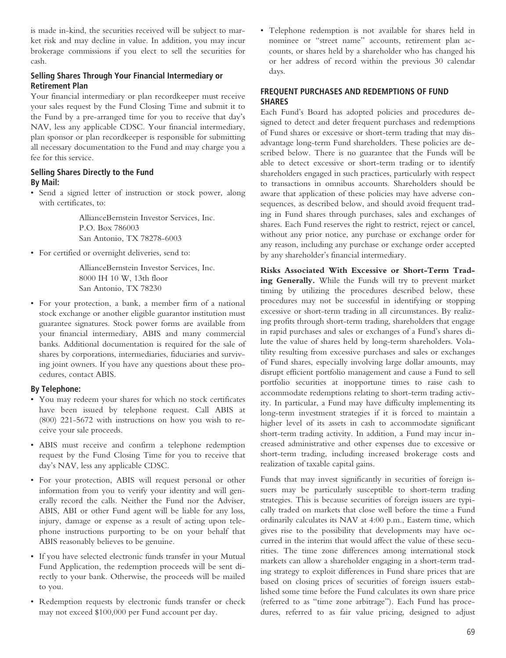is made in-kind, the securities received will be subject to market risk and may decline in value. In addition, you may incur brokerage commissions if you elect to sell the securities for cash.

# **Selling Shares Through Your Financial Intermediary or Retirement Plan**

Your financial intermediary or plan recordkeeper must receive your sales request by the Fund Closing Time and submit it to the Fund by a pre-arranged time for you to receive that day's NAV, less any applicable CDSC. Your financial intermediary, plan sponsor or plan recordkeeper is responsible for submitting all necessary documentation to the Fund and may charge you a fee for this service.

# **Selling Shares Directly to the Fund By Mail:**

• Send a signed letter of instruction or stock power, along with certificates, to:

> AllianceBernstein Investor Services, Inc. P.O. Box 786003 San Antonio, TX 78278-6003

• For certified or overnight deliveries, send to:

AllianceBernstein Investor Services, Inc. 8000 IH 10 W, 13th floor San Antonio, TX 78230

• For your protection, a bank, a member firm of a national stock exchange or another eligible guarantor institution must guarantee signatures. Stock power forms are available from your financial intermediary, ABIS and many commercial banks. Additional documentation is required for the sale of shares by corporations, intermediaries, fiduciaries and surviving joint owners. If you have any questions about these procedures, contact ABIS.

# **By Telephone:**

- You may redeem your shares for which no stock certificates have been issued by telephone request. Call ABIS at (800) 221-5672 with instructions on how you wish to receive your sale proceeds.
- ABIS must receive and confirm a telephone redemption request by the Fund Closing Time for you to receive that day's NAV, less any applicable CDSC.
- For your protection, ABIS will request personal or other information from you to verify your identity and will generally record the calls. Neither the Fund nor the Adviser, ABIS, ABI or other Fund agent will be liable for any loss, injury, damage or expense as a result of acting upon telephone instructions purporting to be on your behalf that ABIS reasonably believes to be genuine.
- If you have selected electronic funds transfer in your Mutual Fund Application, the redemption proceeds will be sent directly to your bank. Otherwise, the proceeds will be mailed to you.
- Redemption requests by electronic funds transfer or check may not exceed \$100,000 per Fund account per day.

• Telephone redemption is not available for shares held in nominee or "street name" accounts, retirement plan accounts, or shares held by a shareholder who has changed his or her address of record within the previous 30 calendar days.

# **FREQUENT PURCHASES AND REDEMPTIONS OF FUND SHARES**

Each Fund's Board has adopted policies and procedures designed to detect and deter frequent purchases and redemptions of Fund shares or excessive or short-term trading that may disadvantage long-term Fund shareholders. These policies are described below. There is no guarantee that the Funds will be able to detect excessive or short-term trading or to identify shareholders engaged in such practices, particularly with respect to transactions in omnibus accounts. Shareholders should be aware that application of these policies may have adverse consequences, as described below, and should avoid frequent trading in Fund shares through purchases, sales and exchanges of shares. Each Fund reserves the right to restrict, reject or cancel, without any prior notice, any purchase or exchange order for any reason, including any purchase or exchange order accepted by any shareholder's financial intermediary.

**Risks Associated With Excessive or Short-Term Trading Generally.** While the Funds will try to prevent market timing by utilizing the procedures described below, these procedures may not be successful in identifying or stopping excessive or short-term trading in all circumstances. By realizing profits through short-term trading, shareholders that engage in rapid purchases and sales or exchanges of a Fund's shares dilute the value of shares held by long-term shareholders. Volatility resulting from excessive purchases and sales or exchanges of Fund shares, especially involving large dollar amounts, may disrupt efficient portfolio management and cause a Fund to sell portfolio securities at inopportune times to raise cash to accommodate redemptions relating to short-term trading activity. In particular, a Fund may have difficulty implementing its long-term investment strategies if it is forced to maintain a higher level of its assets in cash to accommodate significant short-term trading activity. In addition, a Fund may incur increased administrative and other expenses due to excessive or short-term trading, including increased brokerage costs and realization of taxable capital gains.

Funds that may invest significantly in securities of foreign issuers may be particularly susceptible to short-term trading strategies. This is because securities of foreign issuers are typically traded on markets that close well before the time a Fund ordinarily calculates its NAV at 4:00 p.m., Eastern time, which gives rise to the possibility that developments may have occurred in the interim that would affect the value of these securities. The time zone differences among international stock markets can allow a shareholder engaging in a short-term trading strategy to exploit differences in Fund share prices that are based on closing prices of securities of foreign issuers established some time before the Fund calculates its own share price (referred to as "time zone arbitrage"). Each Fund has procedures, referred to as fair value pricing, designed to adjust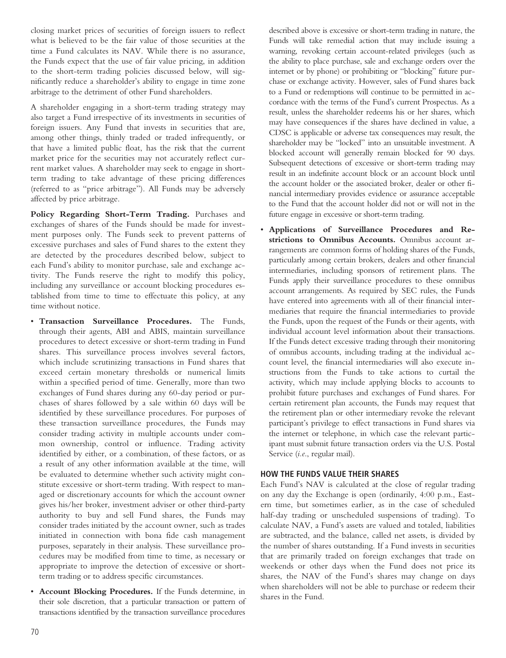closing market prices of securities of foreign issuers to reflect what is believed to be the fair value of those securities at the time a Fund calculates its NAV. While there is no assurance, the Funds expect that the use of fair value pricing, in addition to the short-term trading policies discussed below, will significantly reduce a shareholder's ability to engage in time zone arbitrage to the detriment of other Fund shareholders.

A shareholder engaging in a short-term trading strategy may also target a Fund irrespective of its investments in securities of foreign issuers. Any Fund that invests in securities that are, among other things, thinly traded or traded infrequently, or that have a limited public float, has the risk that the current market price for the securities may not accurately reflect current market values. A shareholder may seek to engage in shortterm trading to take advantage of these pricing differences (referred to as "price arbitrage"). All Funds may be adversely affected by price arbitrage.

**Policy Regarding Short-Term Trading.** Purchases and exchanges of shares of the Funds should be made for investment purposes only. The Funds seek to prevent patterns of excessive purchases and sales of Fund shares to the extent they are detected by the procedures described below, subject to each Fund's ability to monitor purchase, sale and exchange activity. The Funds reserve the right to modify this policy, including any surveillance or account blocking procedures established from time to time to effectuate this policy, at any time without notice.

- **Transaction Surveillance Procedures.** The Funds, through their agents, ABI and ABIS, maintain surveillance procedures to detect excessive or short-term trading in Fund shares. This surveillance process involves several factors, which include scrutinizing transactions in Fund shares that exceed certain monetary thresholds or numerical limits within a specified period of time. Generally, more than two exchanges of Fund shares during any 60-day period or purchases of shares followed by a sale within 60 days will be identified by these surveillance procedures. For purposes of these transaction surveillance procedures, the Funds may consider trading activity in multiple accounts under common ownership, control or influence. Trading activity identified by either, or a combination, of these factors, or as a result of any other information available at the time, will be evaluated to determine whether such activity might constitute excessive or short-term trading. With respect to managed or discretionary accounts for which the account owner gives his/her broker, investment adviser or other third-party authority to buy and sell Fund shares, the Funds may consider trades initiated by the account owner, such as trades initiated in connection with bona fide cash management purposes, separately in their analysis. These surveillance procedures may be modified from time to time, as necessary or appropriate to improve the detection of excessive or shortterm trading or to address specific circumstances.
- **Account Blocking Procedures.** If the Funds determine, in their sole discretion, that a particular transaction or pattern of transactions identified by the transaction surveillance procedures

described above is excessive or short-term trading in nature, the Funds will take remedial action that may include issuing a warning, revoking certain account-related privileges (such as the ability to place purchase, sale and exchange orders over the internet or by phone) or prohibiting or "blocking" future purchase or exchange activity. However, sales of Fund shares back to a Fund or redemptions will continue to be permitted in accordance with the terms of the Fund's current Prospectus. As a result, unless the shareholder redeems his or her shares, which may have consequences if the shares have declined in value, a CDSC is applicable or adverse tax consequences may result, the shareholder may be "locked" into an unsuitable investment. A blocked account will generally remain blocked for 90 days. Subsequent detections of excessive or short-term trading may result in an indefinite account block or an account block until the account holder or the associated broker, dealer or other financial intermediary provides evidence or assurance acceptable to the Fund that the account holder did not or will not in the future engage in excessive or short-term trading.

• **Applications of Surveillance Procedures and Restrictions to Omnibus Accounts.** Omnibus account arrangements are common forms of holding shares of the Funds, particularly among certain brokers, dealers and other financial intermediaries, including sponsors of retirement plans. The Funds apply their surveillance procedures to these omnibus account arrangements. As required by SEC rules, the Funds have entered into agreements with all of their financial intermediaries that require the financial intermediaries to provide the Funds, upon the request of the Funds or their agents, with individual account level information about their transactions. If the Funds detect excessive trading through their monitoring of omnibus accounts, including trading at the individual account level, the financial intermediaries will also execute instructions from the Funds to take actions to curtail the activity, which may include applying blocks to accounts to prohibit future purchases and exchanges of Fund shares. For certain retirement plan accounts, the Funds may request that the retirement plan or other intermediary revoke the relevant participant's privilege to effect transactions in Fund shares via the internet or telephone, in which case the relevant participant must submit future transaction orders via the U.S. Postal Service (*i.e*., regular mail).

### **HOW THE FUNDS VALUE THEIR SHARES**

Each Fund's NAV is calculated at the close of regular trading on any day the Exchange is open (ordinarily, 4:00 p.m., Eastern time, but sometimes earlier, as in the case of scheduled half-day trading or unscheduled suspensions of trading). To calculate NAV, a Fund's assets are valued and totaled, liabilities are subtracted, and the balance, called net assets, is divided by the number of shares outstanding. If a Fund invests in securities that are primarily traded on foreign exchanges that trade on weekends or other days when the Fund does not price its shares, the NAV of the Fund's shares may change on days when shareholders will not be able to purchase or redeem their shares in the Fund.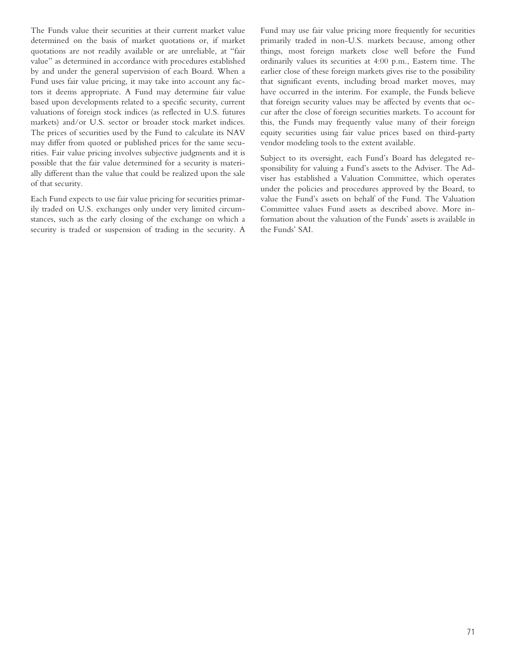The Funds value their securities at their current market value determined on the basis of market quotations or, if market quotations are not readily available or are unreliable, at "fair value" as determined in accordance with procedures established by and under the general supervision of each Board. When a Fund uses fair value pricing, it may take into account any factors it deems appropriate. A Fund may determine fair value based upon developments related to a specific security, current valuations of foreign stock indices (as reflected in U.S. futures markets) and/or U.S. sector or broader stock market indices. The prices of securities used by the Fund to calculate its NAV may differ from quoted or published prices for the same securities. Fair value pricing involves subjective judgments and it is possible that the fair value determined for a security is materially different than the value that could be realized upon the sale of that security.

Each Fund expects to use fair value pricing for securities primarily traded on U.S. exchanges only under very limited circumstances, such as the early closing of the exchange on which a security is traded or suspension of trading in the security. A

Fund may use fair value pricing more frequently for securities primarily traded in non-U.S. markets because, among other things, most foreign markets close well before the Fund ordinarily values its securities at 4:00 p.m., Eastern time. The earlier close of these foreign markets gives rise to the possibility that significant events, including broad market moves, may have occurred in the interim. For example, the Funds believe that foreign security values may be affected by events that occur after the close of foreign securities markets. To account for this, the Funds may frequently value many of their foreign equity securities using fair value prices based on third-party vendor modeling tools to the extent available.

Subject to its oversight, each Fund's Board has delegated responsibility for valuing a Fund's assets to the Adviser. The Adviser has established a Valuation Committee, which operates under the policies and procedures approved by the Board, to value the Fund's assets on behalf of the Fund. The Valuation Committee values Fund assets as described above. More information about the valuation of the Funds' assets is available in the Funds' SAI.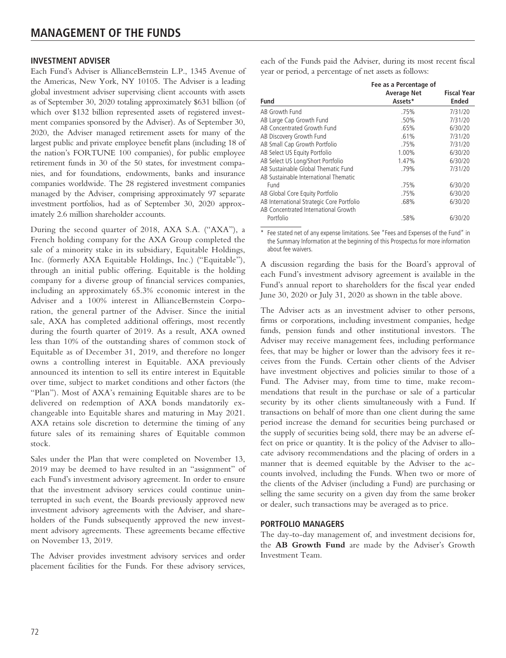#### **INVESTMENT ADVISER**

Each Fund's Adviser is AllianceBernstein L.P., 1345 Avenue of the Americas, New York, NY 10105. The Adviser is a leading global investment adviser supervising client accounts with assets as of September 30, 2020 totaling approximately \$631 billion (of which over \$132 billion represented assets of registered investment companies sponsored by the Adviser). As of September 30, 2020, the Adviser managed retirement assets for many of the largest public and private employee benefit plans (including 18 of the nation's FORTUNE 100 companies), for public employee retirement funds in 30 of the 50 states, for investment companies, and for foundations, endowments, banks and insurance companies worldwide. The 28 registered investment companies managed by the Adviser, comprising approximately 97 separate investment portfolios, had as of September 30, 2020 approximately 2.6 million shareholder accounts.

During the second quarter of 2018, AXA S.A. ("AXA"), a French holding company for the AXA Group completed the sale of a minority stake in its subsidiary, Equitable Holdings, Inc. (formerly AXA Equitable Holdings, Inc.) ("Equitable"), through an initial public offering. Equitable is the holding company for a diverse group of financial services companies, including an approximately 65.3% economic interest in the Adviser and a 100% interest in AllianceBernstein Corporation, the general partner of the Adviser. Since the initial sale, AXA has completed additional offerings, most recently during the fourth quarter of 2019. As a result, AXA owned less than 10% of the outstanding shares of common stock of Equitable as of December 31, 2019, and therefore no longer owns a controlling interest in Equitable. AXA previously announced its intention to sell its entire interest in Equitable over time, subject to market conditions and other factors (the "Plan"). Most of AXA's remaining Equitable shares are to be delivered on redemption of AXA bonds mandatorily exchangeable into Equitable shares and maturing in May 2021. AXA retains sole discretion to determine the timing of any future sales of its remaining shares of Equitable common stock.

Sales under the Plan that were completed on November 13, 2019 may be deemed to have resulted in an "assignment" of each Fund's investment advisory agreement. In order to ensure that the investment advisory services could continue uninterrupted in such event, the Boards previously approved new investment advisory agreements with the Adviser, and shareholders of the Funds subsequently approved the new investment advisory agreements. These agreements became effective on November 13, 2019.

The Adviser provides investment advisory services and order placement facilities for the Funds. For these advisory services,

each of the Funds paid the Adviser, during its most recent fiscal year or period, a percentage of net assets as follows:

| Fund                                                                              | Fee as a Percentage of<br><b>Average Net</b><br>Assets* | <b>Fiscal Year</b><br><b>Ended</b> |
|-----------------------------------------------------------------------------------|---------------------------------------------------------|------------------------------------|
| AB Growth Fund                                                                    | .75%                                                    | 7/31/20                            |
| AB Large Cap Growth Fund                                                          | .50%                                                    | 7/31/20                            |
| AB Concentrated Growth Fund                                                       | .65%                                                    | 6/30/20                            |
| AB Discovery Growth Fund                                                          | .61%                                                    | 7/31/20                            |
| AB Small Cap Growth Portfolio                                                     | .75%                                                    | 7/31/20                            |
| AB Select US Equity Portfolio                                                     | 1.00%                                                   | 6/30/20                            |
| AB Select US Long/Short Portfolio                                                 | 1.47%                                                   | 6/30/20                            |
| AB Sustainable Global Thematic Fund                                               | .79%                                                    | 7/31/20                            |
| AB Sustainable International Thematic                                             |                                                         |                                    |
| Fund                                                                              | .75%                                                    | 6/30/20                            |
| AB Global Core Equity Portfolio                                                   | .75%                                                    | 6/30/20                            |
| AB International Strategic Core Portfolio<br>AB Concentrated International Growth | .68%                                                    | 6/30/20                            |
| Portfolio                                                                         | .58%                                                    | 6/30/20                            |

\* Fee stated net of any expense limitations. See "Fees and Expenses of the Fund" in the Summary Information at the beginning of this Prospectus for more information about fee waivers.

A discussion regarding the basis for the Board's approval of each Fund's investment advisory agreement is available in the Fund's annual report to shareholders for the fiscal year ended June 30, 2020 or July 31, 2020 as shown in the table above.

The Adviser acts as an investment adviser to other persons, firms or corporations, including investment companies, hedge funds, pension funds and other institutional investors. The Adviser may receive management fees, including performance fees, that may be higher or lower than the advisory fees it receives from the Funds. Certain other clients of the Adviser have investment objectives and policies similar to those of a Fund. The Adviser may, from time to time, make recommendations that result in the purchase or sale of a particular security by its other clients simultaneously with a Fund. If transactions on behalf of more than one client during the same period increase the demand for securities being purchased or the supply of securities being sold, there may be an adverse effect on price or quantity. It is the policy of the Adviser to allocate advisory recommendations and the placing of orders in a manner that is deemed equitable by the Adviser to the accounts involved, including the Funds. When two or more of the clients of the Adviser (including a Fund) are purchasing or selling the same security on a given day from the same broker or dealer, such transactions may be averaged as to price.

#### **PORTFOLIO MANAGERS**

The day-to-day management of, and investment decisions for, the **AB Growth Fund** are made by the Adviser's Growth Investment Team.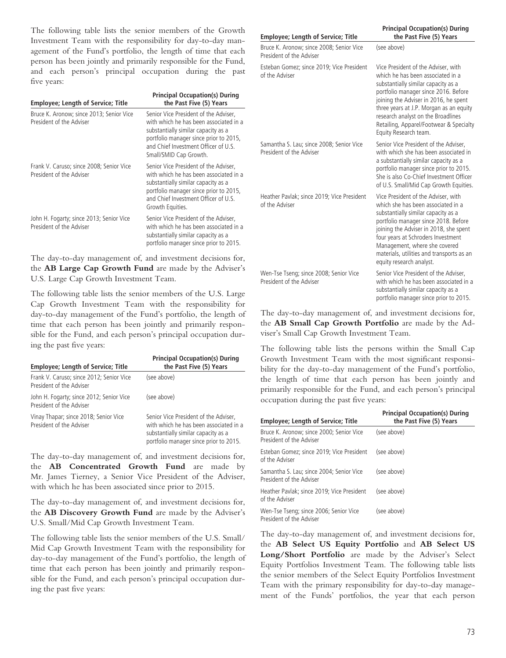The following table lists the senior members of the Growth Investment Team with the responsibility for day-to-day management of the Fund's portfolio, the length of time that each person has been jointly and primarily responsible for the Fund, and each person's principal occupation during the past five years:

| <b>Employee; Length of Service; Title</b>                            | <b>Principal Occupation(s) During</b><br>the Past Five (5) Years                                                                                                                                                                   |
|----------------------------------------------------------------------|------------------------------------------------------------------------------------------------------------------------------------------------------------------------------------------------------------------------------------|
| Bruce K. Aronow; since 2013; Senior Vice<br>President of the Adviser | Senior Vice President of the Adviser.<br>with which he has been associated in a<br>substantially similar capacity as a<br>portfolio manager since prior to 2015,<br>and Chief Investment Officer of U.S.<br>Small/SMID Cap Growth. |
| Frank V. Caruso; since 2008; Senior Vice<br>President of the Adviser | Senior Vice President of the Adviser,<br>with which he has been associated in a<br>substantially similar capacity as a<br>portfolio manager since prior to 2015,<br>and Chief Investment Officer of U.S.<br>Growth Equities.       |
| John H. Fogarty; since 2013; Senior Vice<br>President of the Adviser | Senior Vice President of the Adviser,<br>with which he has been associated in a<br>substantially similar capacity as a<br>portfolio manager since prior to 2015.                                                                   |

The day-to-day management of, and investment decisions for, the **AB Large Cap Growth Fund** are made by the Adviser's U.S. Large Cap Growth Investment Team.

The following table lists the senior members of the U.S. Large Cap Growth Investment Team with the responsibility for day-to-day management of the Fund's portfolio, the length of time that each person has been jointly and primarily responsible for the Fund, and each person's principal occupation during the past five years:

| <b>Employee: Length of Service: Title</b>                            | <b>Principal Occupation(s) During</b><br>the Past Five (5) Years                                                                                                 |
|----------------------------------------------------------------------|------------------------------------------------------------------------------------------------------------------------------------------------------------------|
| Frank V. Caruso; since 2012; Senior Vice<br>President of the Adviser | (see above)                                                                                                                                                      |
| John H. Fogarty; since 2012; Senior Vice<br>President of the Adviser | (see above)                                                                                                                                                      |
| Vinay Thapar; since 2018; Senior Vice<br>President of the Adviser    | Senior Vice President of the Adviser,<br>with which he has been associated in a<br>substantially similar capacity as a<br>portfolio manager since prior to 2015. |

The day-to-day management of, and investment decisions for, the **AB Concentrated Growth Fund** are made by Mr. James Tierney, a Senior Vice President of the Adviser, with which he has been associated since prior to 2015.

The day-to-day management of, and investment decisions for, the **AB Discovery Growth Fund** are made by the Adviser's U.S. Small/Mid Cap Growth Investment Team.

The following table lists the senior members of the U.S. Small/ Mid Cap Growth Investment Team with the responsibility for day-to-day management of the Fund's portfolio, the length of time that each person has been jointly and primarily responsible for the Fund, and each person's principal occupation during the past five years:

#### **Employee; Length of Service; Title**

| Bruce K. Aronow: since 2008: Senior Vice<br>President of the Adviser |
|----------------------------------------------------------------------|
| Esteban Gomez: since 2019: Vice President<br>of the Adviser          |

|                                                                      | substantially similar capacity as a<br>portfolio manager since 2016. Before<br>joining the Adviser in 2016, he spent<br>three years at J.P. Morgan as an equity<br>research analyst on the Broadlines<br>Retailing, Apparel/Footwear & Specialty<br>Equity Research team.                                                                          |
|----------------------------------------------------------------------|----------------------------------------------------------------------------------------------------------------------------------------------------------------------------------------------------------------------------------------------------------------------------------------------------------------------------------------------------|
| Samantha S. Lau; since 2008; Senior Vice<br>President of the Adviser | Senior Vice President of the Adviser,<br>with which she has been associated in<br>a substantially similar capacity as a<br>portfolio manager since prior to 2015.<br>She is also Co-Chief Investment Officer<br>of U.S. Small/Mid Cap Growth Equities.                                                                                             |
| Heather Pavlak; since 2019; Vice President<br>of the Adviser         | Vice President of the Adviser, with<br>which she has been associated in a<br>substantially similar capacity as a<br>portfolio manager since 2018. Before<br>joining the Adviser in 2018, she spent<br>four years at Schroders Investment<br>Management, where she covered<br>materials, utilities and transports as an<br>equity research analyst. |
| Wen-Tse Tseng; since 2008; Senior Vice<br>President of the Adviser   | Senior Vice President of the Adviser,<br>with which he has been associated in a<br>substantially similar capacity as a<br>portfolio manager since prior to 2015.                                                                                                                                                                                   |

**Principal Occupation(s) During the Past Five (5) Years**

Vice President of the Adviser, with which he has been associated in a

(see above)

The day-to-day management of, and investment decisions for, the **AB Small Cap Growth Portfolio** are made by the Adviser's Small Cap Growth Investment Team.

The following table lists the persons within the Small Cap Growth Investment Team with the most significant responsibility for the day-to-day management of the Fund's portfolio, the length of time that each person has been jointly and primarily responsible for the Fund, and each person's principal occupation during the past five years:

| <b>Employee; Length of Service; Title</b>                            | <b>Principal Occupation(s) During</b><br>the Past Five (5) Years |
|----------------------------------------------------------------------|------------------------------------------------------------------|
| Bruce K. Aronow; since 2000; Senior Vice<br>President of the Adviser | (see above)                                                      |
| Esteban Gomez; since 2019; Vice President<br>of the Adviser          | (see above)                                                      |
| Samantha S. Lau; since 2004; Senior Vice<br>President of the Adviser | (see above)                                                      |
| Heather Pavlak; since 2019; Vice President<br>of the Adviser         | (see above)                                                      |
| Wen-Tse Tseng; since 2006; Senior Vice<br>President of the Adviser   | (see above)                                                      |

The day-to-day management of, and investment decisions for, the **AB Select US Equity Portfolio** and **AB Select US Long/Short Portfolio** are made by the Adviser's Select Equity Portfolios Investment Team. The following table lists the senior members of the Select Equity Portfolios Investment Team with the primary responsibility for day-to-day management of the Funds' portfolios, the year that each person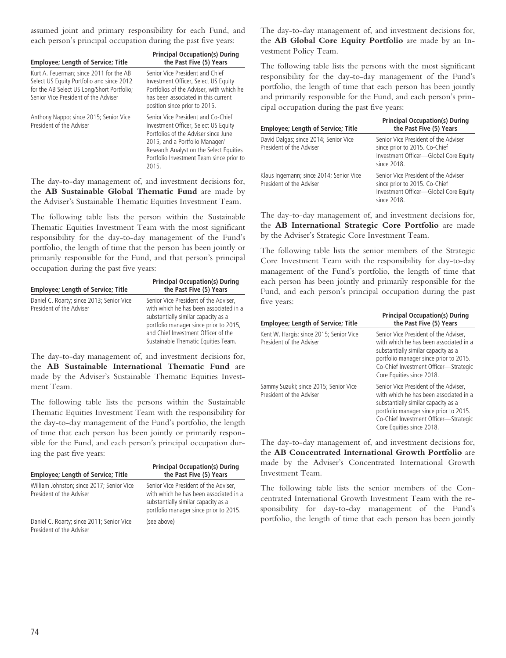assumed joint and primary responsibility for each Fund, and each person's principal occupation during the past five years:

| <b>Employee; Length of Service; Title</b>                                                                                                                                  | <b>Principal Occupation(s) During</b><br>the Past Five (5) Years                                                                                                                                                                                     |
|----------------------------------------------------------------------------------------------------------------------------------------------------------------------------|------------------------------------------------------------------------------------------------------------------------------------------------------------------------------------------------------------------------------------------------------|
| Kurt A. Feuerman; since 2011 for the AB<br>Select US Equity Portfolio and since 2012<br>for the AB Select US Long/Short Portfolio;<br>Senior Vice President of the Adviser | Senior Vice President and Chief<br>Investment Officer, Select US Equity<br>Portfolios of the Adviser, with which he<br>has been associated in this current<br>position since prior to 2015.                                                          |
| Anthony Nappo; since 2015; Senior Vice<br>President of the Adviser                                                                                                         | Senior Vice President and Co-Chief<br>Investment Officer, Select US Equity<br>Portfolios of the Adviser since June<br>2015, and a Portfolio Manager/<br>Research Analyst on the Select Equities<br>Portfolio Investment Team since prior to<br>2015. |

The day-to-day management of, and investment decisions for, the **AB Sustainable Global Thematic Fund** are made by the Adviser's Sustainable Thematic Equities Investment Team.

The following table lists the person within the Sustainable Thematic Equities Investment Team with the most significant responsibility for the day-to-day management of the Fund's portfolio, the length of time that the person has been jointly or primarily responsible for the Fund, and that person's principal occupation during the past five years:

| <b>Employee; Length of Service; Title</b>                             | <b>Principal Occupation(s) During</b><br>the Past Five (5) Years                                                                                                                                                                               |
|-----------------------------------------------------------------------|------------------------------------------------------------------------------------------------------------------------------------------------------------------------------------------------------------------------------------------------|
| Daniel C. Roarty; since 2013; Senior Vice<br>President of the Adviser | Senior Vice President of the Adviser,<br>with which he has been associated in a<br>substantially similar capacity as a<br>portfolio manager since prior to 2015,<br>and Chief Investment Officer of the<br>Sustainable Thematic Equities Team. |

The day-to-day management of, and investment decisions for, the **AB Sustainable International Thematic Fund** are made by the Adviser's Sustainable Thematic Equities Investment Team.

The following table lists the persons within the Sustainable Thematic Equities Investment Team with the responsibility for the day-to-day management of the Fund's portfolio, the length of time that each person has been jointly or primarily responsible for the Fund, and each person's principal occupation during the past five years:

| <b>Employee: Length of Service: Title</b>                             | <b>Principal Occupation(s) During</b><br>the Past Five (5) Years                                                                                                 |
|-----------------------------------------------------------------------|------------------------------------------------------------------------------------------------------------------------------------------------------------------|
| William Johnston; since 2017; Senior Vice<br>President of the Adviser | Senior Vice President of the Adviser,<br>with which he has been associated in a<br>substantially similar capacity as a<br>portfolio manager since prior to 2015. |
| Daniel C. Roarty; since 2011; Senior Vice<br>President of the Adviser | (see above)                                                                                                                                                      |

The day-to-day management of, and investment decisions for, the **AB Global Core Equity Portfolio** are made by an Investment Policy Team.

The following table lists the persons with the most significant responsibility for the day-to-day management of the Fund's portfolio, the length of time that each person has been jointly and primarily responsible for the Fund, and each person's principal occupation during the past five years:

| <b>Employee; Length of Service; Title</b>                           | <b>Principal Occupation(s) During</b><br>the Past Five (5) Years                                                              |
|---------------------------------------------------------------------|-------------------------------------------------------------------------------------------------------------------------------|
| David Dalgas; since 2014; Senior Vice<br>President of the Adviser   | Senior Vice President of the Adviser<br>since prior to 2015. Co-Chief<br>Investment Officer-Global Core Equity<br>since 2018. |
| Klaus Ingemann; since 2014; Senior Vice<br>President of the Adviser | Senior Vice President of the Adviser<br>since prior to 2015. Co-Chief<br>Investment Officer-Global Core Equity<br>since 2018. |

The day-to-day management of, and investment decisions for, the **AB International Strategic Core Portfolio** are made by the Adviser's Strategic Core Investment Team.

The following table lists the senior members of the Strategic Core Investment Team with the responsibility for day-to-day management of the Fund's portfolio, the length of time that each person has been jointly and primarily responsible for the Fund, and each person's principal occupation during the past five years:

| <b>Employee; Length of Service; Title</b>                           | <b>Principal Occupation(s) During</b><br>the Past Five (5) Years                                                                                                                                                                       |
|---------------------------------------------------------------------|----------------------------------------------------------------------------------------------------------------------------------------------------------------------------------------------------------------------------------------|
| Kent W. Hargis; since 2015; Senior Vice<br>President of the Adviser | Senior Vice President of the Adviser,<br>with which he has been associated in a<br>substantially similar capacity as a<br>portfolio manager since prior to 2015.<br>Co-Chief Investment Officer-Strategic<br>Core Equities since 2018. |
| Sammy Suzuki; since 2015; Senior Vice<br>President of the Adviser   | Senior Vice President of the Adviser,<br>with which he has been associated in a<br>substantially similar capacity as a<br>portfolio manager since prior to 2015.<br>Co-Chief Investment Officer-Strategic<br>Core Equities since 2018. |

The day-to-day management of, and investment decisions for, the **AB Concentrated International Growth Portfolio** are made by the Adviser's Concentrated International Growth Investment Team.

The following table lists the senior members of the Concentrated International Growth Investment Team with the responsibility for day-to-day management of the Fund's portfolio, the length of time that each person has been jointly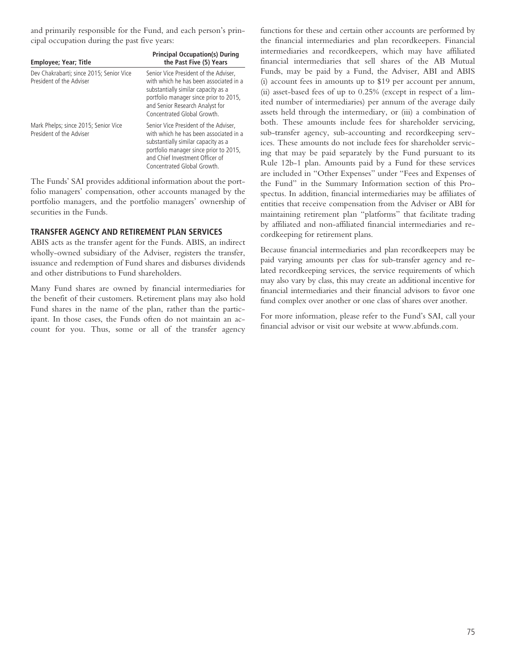and primarily responsible for the Fund, and each person's principal occupation during the past five years:

| Employee; Year; Title                                                | <b>Principal Occupation(s) During</b><br>the Past Five (5) Years                                                                                                                                                                   |
|----------------------------------------------------------------------|------------------------------------------------------------------------------------------------------------------------------------------------------------------------------------------------------------------------------------|
| Dev Chakrabarti; since 2015; Senior Vice<br>President of the Adviser | Senior Vice President of the Adviser.<br>with which he has been associated in a<br>substantially similar capacity as a<br>portfolio manager since prior to 2015,<br>and Senior Research Analyst for<br>Concentrated Global Growth. |
| Mark Phelps; since 2015; Senior Vice<br>President of the Adviser     | Senior Vice President of the Adviser.<br>with which he has been associated in a<br>substantially similar capacity as a<br>portfolio manager since prior to 2015,<br>and Chief Investment Officer of<br>Concentrated Global Growth. |

The Funds' SAI provides additional information about the portfolio managers' compensation, other accounts managed by the portfolio managers, and the portfolio managers' ownership of securities in the Funds.

### **TRANSFER AGENCY AND RETIREMENT PLAN SERVICES**

ABIS acts as the transfer agent for the Funds. ABIS, an indirect wholly-owned subsidiary of the Adviser, registers the transfer, issuance and redemption of Fund shares and disburses dividends and other distributions to Fund shareholders.

Many Fund shares are owned by financial intermediaries for the benefit of their customers. Retirement plans may also hold Fund shares in the name of the plan, rather than the participant. In those cases, the Funds often do not maintain an account for you. Thus, some or all of the transfer agency

functions for these and certain other accounts are performed by the financial intermediaries and plan recordkeepers. Financial intermediaries and recordkeepers, which may have affiliated financial intermediaries that sell shares of the AB Mutual Funds, may be paid by a Fund, the Adviser, ABI and ABIS (i) account fees in amounts up to \$19 per account per annum, (ii) asset-based fees of up to 0.25% (except in respect of a limited number of intermediaries) per annum of the average daily assets held through the intermediary, or (iii) a combination of both. These amounts include fees for shareholder servicing, sub-transfer agency, sub-accounting and recordkeeping services. These amounts do not include fees for shareholder servicing that may be paid separately by the Fund pursuant to its Rule 12b-1 plan. Amounts paid by a Fund for these services are included in "Other Expenses" under "Fees and Expenses of the Fund" in the Summary Information section of this Prospectus. In addition, financial intermediaries may be affiliates of entities that receive compensation from the Adviser or ABI for maintaining retirement plan "platforms" that facilitate trading by affiliated and non-affiliated financial intermediaries and recordkeeping for retirement plans.

Because financial intermediaries and plan recordkeepers may be paid varying amounts per class for sub-transfer agency and related recordkeeping services, the service requirements of which may also vary by class, this may create an additional incentive for financial intermediaries and their financial advisors to favor one fund complex over another or one class of shares over another.

For more information, please refer to the Fund's SAI, call your financial advisor or visit our website at www.abfunds.com.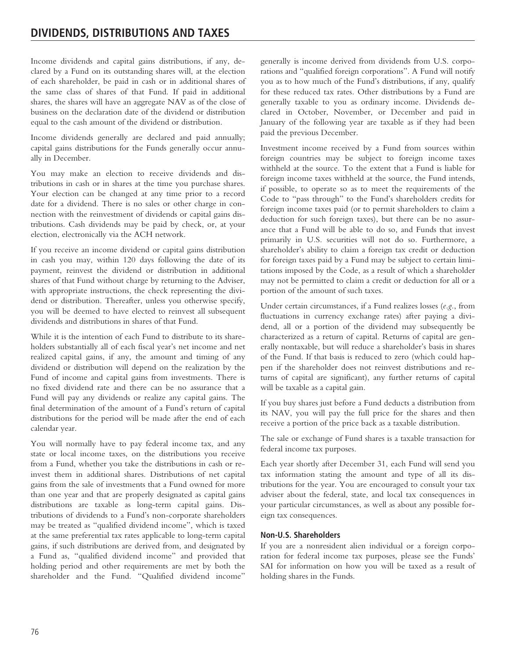Income dividends and capital gains distributions, if any, declared by a Fund on its outstanding shares will, at the election of each shareholder, be paid in cash or in additional shares of the same class of shares of that Fund. If paid in additional shares, the shares will have an aggregate NAV as of the close of business on the declaration date of the dividend or distribution equal to the cash amount of the dividend or distribution.

Income dividends generally are declared and paid annually; capital gains distributions for the Funds generally occur annually in December.

You may make an election to receive dividends and distributions in cash or in shares at the time you purchase shares. Your election can be changed at any time prior to a record date for a dividend. There is no sales or other charge in connection with the reinvestment of dividends or capital gains distributions. Cash dividends may be paid by check, or, at your election, electronically via the ACH network.

If you receive an income dividend or capital gains distribution in cash you may, within 120 days following the date of its payment, reinvest the dividend or distribution in additional shares of that Fund without charge by returning to the Adviser, with appropriate instructions, the check representing the dividend or distribution. Thereafter, unless you otherwise specify, you will be deemed to have elected to reinvest all subsequent dividends and distributions in shares of that Fund.

While it is the intention of each Fund to distribute to its shareholders substantially all of each fiscal year's net income and net realized capital gains, if any, the amount and timing of any dividend or distribution will depend on the realization by the Fund of income and capital gains from investments. There is no fixed dividend rate and there can be no assurance that a Fund will pay any dividends or realize any capital gains. The final determination of the amount of a Fund's return of capital distributions for the period will be made after the end of each calendar year.

You will normally have to pay federal income tax, and any state or local income taxes, on the distributions you receive from a Fund, whether you take the distributions in cash or reinvest them in additional shares. Distributions of net capital gains from the sale of investments that a Fund owned for more than one year and that are properly designated as capital gains distributions are taxable as long-term capital gains. Distributions of dividends to a Fund's non-corporate shareholders may be treated as "qualified dividend income", which is taxed at the same preferential tax rates applicable to long-term capital gains, if such distributions are derived from, and designated by a Fund as, "qualified dividend income" and provided that holding period and other requirements are met by both the shareholder and the Fund. "Qualified dividend income"

generally is income derived from dividends from U.S. corporations and "qualified foreign corporations". A Fund will notify you as to how much of the Fund's distributions, if any, qualify for these reduced tax rates. Other distributions by a Fund are generally taxable to you as ordinary income. Dividends declared in October, November, or December and paid in January of the following year are taxable as if they had been paid the previous December.

Investment income received by a Fund from sources within foreign countries may be subject to foreign income taxes withheld at the source. To the extent that a Fund is liable for foreign income taxes withheld at the source, the Fund intends, if possible, to operate so as to meet the requirements of the Code to "pass through" to the Fund's shareholders credits for foreign income taxes paid (or to permit shareholders to claim a deduction for such foreign taxes), but there can be no assurance that a Fund will be able to do so, and Funds that invest primarily in U.S. securities will not do so. Furthermore, a shareholder's ability to claim a foreign tax credit or deduction for foreign taxes paid by a Fund may be subject to certain limitations imposed by the Code, as a result of which a shareholder may not be permitted to claim a credit or deduction for all or a portion of the amount of such taxes.

Under certain circumstances, if a Fund realizes losses (*e.g.*, from fluctuations in currency exchange rates) after paying a dividend, all or a portion of the dividend may subsequently be characterized as a return of capital. Returns of capital are generally nontaxable, but will reduce a shareholder's basis in shares of the Fund. If that basis is reduced to zero (which could happen if the shareholder does not reinvest distributions and returns of capital are significant), any further returns of capital will be taxable as a capital gain.

If you buy shares just before a Fund deducts a distribution from its NAV, you will pay the full price for the shares and then receive a portion of the price back as a taxable distribution.

The sale or exchange of Fund shares is a taxable transaction for federal income tax purposes.

Each year shortly after December 31, each Fund will send you tax information stating the amount and type of all its distributions for the year. You are encouraged to consult your tax adviser about the federal, state, and local tax consequences in your particular circumstances, as well as about any possible foreign tax consequences.

### **Non-U.S. Shareholders**

If you are a nonresident alien individual or a foreign corporation for federal income tax purposes, please see the Funds' SAI for information on how you will be taxed as a result of holding shares in the Funds.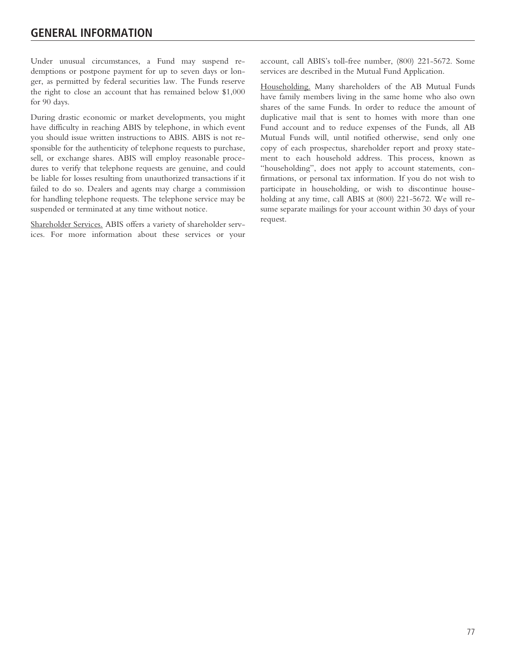Under unusual circumstances, a Fund may suspend redemptions or postpone payment for up to seven days or longer, as permitted by federal securities law. The Funds reserve the right to close an account that has remained below \$1,000 for 90 days.

During drastic economic or market developments, you might have difficulty in reaching ABIS by telephone, in which event you should issue written instructions to ABIS. ABIS is not responsible for the authenticity of telephone requests to purchase, sell, or exchange shares. ABIS will employ reasonable procedures to verify that telephone requests are genuine, and could be liable for losses resulting from unauthorized transactions if it failed to do so. Dealers and agents may charge a commission for handling telephone requests. The telephone service may be suspended or terminated at any time without notice.

Shareholder Services. ABIS offers a variety of shareholder services. For more information about these services or your account, call ABIS's toll-free number, (800) 221-5672. Some services are described in the Mutual Fund Application.

Householding. Many shareholders of the AB Mutual Funds have family members living in the same home who also own shares of the same Funds. In order to reduce the amount of duplicative mail that is sent to homes with more than one Fund account and to reduce expenses of the Funds, all AB Mutual Funds will, until notified otherwise, send only one copy of each prospectus, shareholder report and proxy statement to each household address. This process, known as "householding", does not apply to account statements, confirmations, or personal tax information. If you do not wish to participate in householding, or wish to discontinue householding at any time, call ABIS at (800) 221-5672. We will resume separate mailings for your account within 30 days of your request.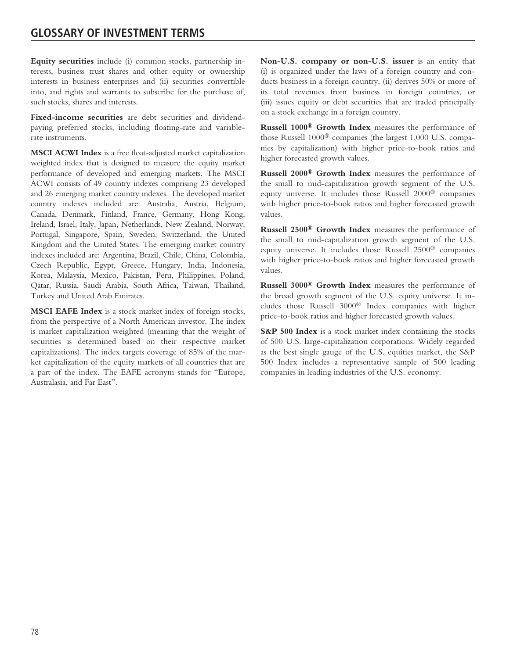**Equity securities** include (i) common stocks, partnership interests, business trust shares and other equity or ownership interests in business enterprises and (ii) securities convertible into, and rights and warrants to subscribe for the purchase of, such stocks, shares and interests.

**Fixed-income securities** are debt securities and dividendpaying preferred stocks, including floating-rate and variablerate instruments.

**MSCI ACWI Index** is a free float-adjusted market capitalization weighted index that is designed to measure the equity market performance of developed and emerging markets. The MSCI ACWI consists of 49 country indexes comprising 23 developed and 26 emerging market country indexes. The developed market country indexes included are: Australia, Austria, Belgium, Canada, Denmark, Finland, France, Germany, Hong Kong, Ireland, Israel, Italy, Japan, Netherlands, New Zealand, Norway, Portugal, Singapore, Spain, Sweden, Switzerland, the United Kingdom and the United States. The emerging market country indexes included are: Argentina, Brazil, Chile, China, Colombia, Czech Republic, Egypt, Greece, Hungary, India, Indonesia, Korea, Malaysia, Mexico, Pakistan, Peru, Philippines, Poland, Qatar, Russia, Saudi Arabia, South Africa, Taiwan, Thailand, Turkey and United Arab Emirates.

**MSCI EAFE Index** is a stock market index of foreign stocks, from the perspective of a North American investor. The index is market capitalization weighted (meaning that the weight of securities is determined based on their respective market capitalizations). The index targets coverage of 85% of the market capitalization of the equity markets of all countries that are a part of the index. The EAFE acronym stands for "Europe, Australasia, and Far East".

**Non-U.S. company or non-U.S. issuer** is an entity that (i) is organized under the laws of a foreign country and conducts business in a foreign country, (ii) derives 50% or more of its total revenues from business in foreign countries, or (iii) issues equity or debt securities that are traded principally on a stock exchange in a foreign country.

**Russell 1000® Growth Index** measures the performance of those Russell 1000® companies (the largest 1,000 U.S. companies by capitalization) with higher price-to-book ratios and higher forecasted growth values.

**Russell 2000® Growth Index** measures the performance of the small to mid-capitalization growth segment of the U.S. equity universe. It includes those Russell 2000® companies with higher price-to-book ratios and higher forecasted growth values.

**Russell 2500® Growth Index** measures the performance of the small to mid-capitalization growth segment of the U.S. equity universe. It includes those Russell 2500® companies with higher price-to-book ratios and higher forecasted growth values.

**Russell 3000® Growth Index** measures the performance of the broad growth segment of the U.S. equity universe. It includes those Russell 3000® Index companies with higher price-to-book ratios and higher forecasted growth values.

**S&P 500 Index** is a stock market index containing the stocks of 500 U.S. large-capitalization corporations. Widely regarded as the best single gauge of the U.S. equities market, the S&P 500 Index includes a representative sample of 500 leading companies in leading industries of the U.S. economy.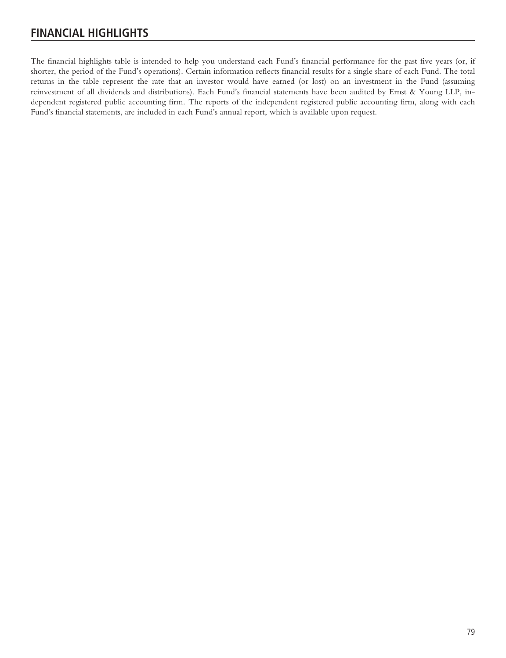# **FINANCIAL HIGHLIGHTS**

The financial highlights table is intended to help you understand each Fund's financial performance for the past five years (or, if shorter, the period of the Fund's operations). Certain information reflects financial results for a single share of each Fund. The total returns in the table represent the rate that an investor would have earned (or lost) on an investment in the Fund (assuming reinvestment of all dividends and distributions). Each Fund's financial statements have been audited by Ernst & Young LLP, independent registered public accounting firm. The reports of the independent registered public accounting firm, along with each Fund's financial statements, are included in each Fund's annual report, which is available upon request.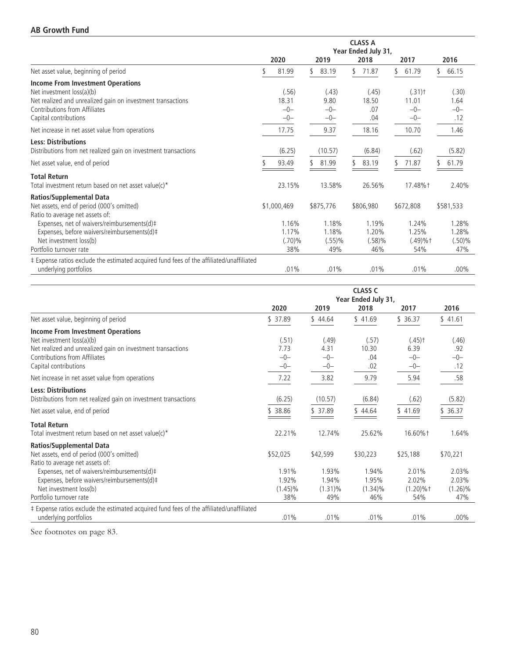|                                                                                          |                     |    |           |    | <b>CLASS A</b> |    |                      |           |
|------------------------------------------------------------------------------------------|---------------------|----|-----------|----|----------------|----|----------------------|-----------|
|                                                                                          | Year Ended July 31, |    |           |    |                |    |                      |           |
|                                                                                          | 2020                |    | 2019      |    | 2018           |    | 2017                 | 2016      |
| Net asset value, beginning of period                                                     | 81.99               | \$ | 83.19     | ٢. | 71.87          | \$ | 61.79                | 66.15     |
| Income From Investment Operations                                                        |                     |    |           |    |                |    |                      |           |
| Net investment loss(a)(b)                                                                | (.56)               |    | (.43)     |    | (.45)          |    | $(.31)$ <sup>+</sup> | (.30)     |
| Net realized and unrealized gain on investment transactions                              | 18.31               |    | 9.80      |    | 18.50          |    | 11.01                | 1.64      |
| Contributions from Affiliates                                                            | $-0-$               |    | $-0-$     |    | .07            |    | $-0-$                | $-0-$     |
| Capital contributions                                                                    | $-0-$               |    | $-0-$     |    | .04            |    | $-0-$                | .12       |
| Net increase in net asset value from operations                                          | 17.75               |    | 9.37      |    | 18.16          |    | 10.70                | 1.46      |
| <b>Less: Distributions</b>                                                               |                     |    |           |    |                |    |                      |           |
| Distributions from net realized gain on investment transactions                          | (6.25)              |    | (10.57)   |    | (6.84)         |    | (.62)                | (5.82)    |
| Net asset value, end of period                                                           | 93.49               |    | 81.99     |    | 83.19          |    | 71.87                | 61.79     |
| <b>Total Return</b>                                                                      |                     |    |           |    |                |    |                      |           |
| Total investment return based on net asset value(c)*                                     | 23.15%              |    | 13.58%    |    | 26.56%         |    | 17.48%+              | 2.40%     |
| <b>Ratios/Supplemental Data</b>                                                          |                     |    |           |    |                |    |                      |           |
| Net assets, end of period (000's omitted)                                                | \$1,000,469         |    | \$875,776 |    | \$806,980      |    | \$672,808            | \$581,533 |
| Ratio to average net assets of:                                                          |                     |    |           |    |                |    |                      |           |
| Expenses, net of waivers/reimbursements(d)#                                              | 1.16%               |    | 1.18%     |    | 1.19%          |    | 1.24%                | 1.28%     |
| Expenses, before waivers/reimbursements(d)#                                              | 1.17%               |    | 1.18%     |    | 1.20%          |    | 1.25%                | 1.28%     |
| Net investment loss(b)                                                                   | (.70)%              |    | (.55)%    |    | (.58)%         |    | $(.49) \%$ †         | (.50)%    |
| Portfolio turnover rate                                                                  | 38%                 |    | 49%       |    | 46%            |    | 54%                  | 47%       |
| ‡ Expense ratios exclude the estimated acquired fund fees of the affiliated/unaffiliated |                     |    |           |    |                |    |                      |           |
| underlying portfolios                                                                    | .01%                |    | .01%      |    | .01%           |    | .01%                 | $.00\%$   |

|                                                                                          | <b>CLASS C</b><br>Year Ended July 31, |            |            |                      |            |  |  |
|------------------------------------------------------------------------------------------|---------------------------------------|------------|------------|----------------------|------------|--|--|
|                                                                                          | 2020                                  | 2019       | 2018       | 2017                 | 2016       |  |  |
| Net asset value, beginning of period                                                     | \$ 37.89                              | \$44.64    | \$41.69    | \$ 36.37             | \$41.61    |  |  |
| <b>Income From Investment Operations</b>                                                 |                                       |            |            |                      |            |  |  |
| Net investment loss(a)(b)                                                                | (.51)                                 | (.49)      | (.57)      | $(.45)$ <sup>+</sup> | (.46)      |  |  |
| Net realized and unrealized gain on investment transactions                              | 7.73                                  | 4.31       | 10.30      | 6.39                 | .92        |  |  |
| Contributions from Affiliates                                                            | $-0-$                                 | $-0-$      | .04        | $-0-$                | $-0-$      |  |  |
| Capital contributions                                                                    | $-0-$                                 | $-0-$      | .02        | $-0-$                | .12        |  |  |
| Net increase in net asset value from operations                                          | 7.22                                  | 3.82       | 9.79       | 5.94                 | .58        |  |  |
| <b>Less: Distributions</b>                                                               |                                       |            |            |                      |            |  |  |
| Distributions from net realized gain on investment transactions                          | (6.25)                                | (10.57)    | (6.84)     | (.62)                | (5.82)     |  |  |
| Net asset value, end of period                                                           | \$ 38.86                              | \$37.89    | \$44.64    | 541.69               | \$36.37    |  |  |
| <b>Total Return</b>                                                                      |                                       |            |            |                      |            |  |  |
| Total investment return based on net asset value(c)*                                     | 22.21%                                | 12.74%     | 25.62%     | 16.60%+              | 1.64%      |  |  |
| <b>Ratios/Supplemental Data</b>                                                          |                                       |            |            |                      |            |  |  |
| Net assets, end of period (000's omitted)                                                | \$52,025                              | \$42,599   | \$30,223   | \$25,188             | \$70,221   |  |  |
| Ratio to average net assets of:                                                          |                                       |            |            |                      |            |  |  |
| Expenses, net of waivers/reimbursements(d)#                                              | 1.91%                                 | 1.93%      | 1.94%      | 2.01%                | 2.03%      |  |  |
| Expenses, before waivers/reimbursements(d)#                                              | 1.92%                                 | 1.94%      | 1.95%      | 2.02%                | 2.03%      |  |  |
| Net investment loss(b)                                                                   | $(1.45)\%$                            | $(1.31)\%$ | $(1.34)\%$ | $(1.20)\%$ †         | $(1.26)\%$ |  |  |
| Portfolio turnover rate                                                                  | 38%                                   | 49%        | 46%        | 54%                  | 47%        |  |  |
| ‡ Expense ratios exclude the estimated acquired fund fees of the affiliated/unaffiliated |                                       |            |            |                      |            |  |  |
| underlying portfolios                                                                    | .01%                                  | .01%       | .01%       | .01%                 | $.00\%$    |  |  |

See footnotes on page 83.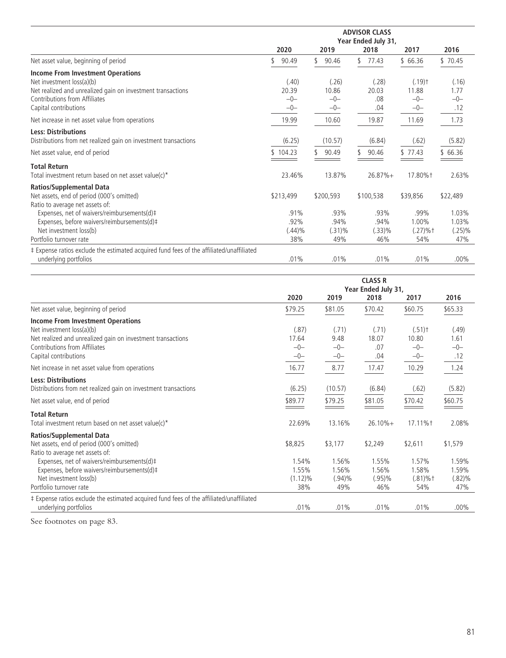|                                                                                          | 2020       | 2019        | 2018        | 2017                 | 2016      |
|------------------------------------------------------------------------------------------|------------|-------------|-------------|----------------------|-----------|
| Net asset value, beginning of period                                                     | 90.49      | 90.46<br>\$ | 77.43<br>٢. | \$66.36              | \$70.45   |
| <b>Income From Investment Operations</b>                                                 |            |             |             |                      |           |
| Net investment loss(a)(b)                                                                | (.40)      | (.26)       | (.28)       | $(.19)$ <sup>+</sup> | (.16)     |
| Net realized and unrealized gain on investment transactions                              | 20.39      | 10.86       | 20.03       | 11.88                | 1.77      |
| Contributions from Affiliates                                                            | $-0-$      | $-0-$       | .08         | $-0-$                | $-0-$     |
| Capital contributions                                                                    | $-0-$      | $-0-$       | .04         | $-0-$                | .12       |
| Net increase in net asset value from operations                                          | 19.99      | 10.60       | 19.87       | 11.69                | 1.73      |
| <b>Less: Distributions</b>                                                               |            |             |             |                      |           |
| Distributions from net realized gain on investment transactions                          | (6.25)     | (10.57)     | (6.84)      | (.62)                | (5.82)    |
| Net asset value, end of period                                                           | \$104.23   | 90.49       | 90.46       | \$77.43              | \$66.36   |
| <b>Total Return</b>                                                                      |            |             |             |                      |           |
| Total investment return based on net asset value(c)*                                     | 23.46%     | 13.87%      | $26.87%+$   | 17.80%†              | 2.63%     |
| <b>Ratios/Supplemental Data</b>                                                          |            |             |             |                      |           |
| Net assets, end of period (000's omitted)                                                | \$213,499  | \$200,593   | \$100,538   | \$39,856             | \$22,489  |
| Ratio to average net assets of:                                                          |            |             |             |                      |           |
| Expenses, net of waivers/reimbursements(d)#                                              | $.91\%$    | $.93\%$     | $.93\%$     | .99%                 | 1.03%     |
| Expenses, before waivers/reimbursements(d)#                                              | .92%       | .94%        | .94%        | 1.00%                | 1.03%     |
| Net investment loss(b)                                                                   | $(.44) \%$ | $(.31)\%$   | (.33)%      | $(.27)%$ †           | $(.25)\%$ |
| Portfolio turnover rate                                                                  | 38%        | 49%         | 46%         | 54%                  | 47%       |
| ‡ Expense ratios exclude the estimated acquired fund fees of the affiliated/unaffiliated |            |             |             |                      |           |
| underlying portfolios                                                                    | .01%       | .01%        | .01%        | .01%                 | $.00\%$   |

|                                                                                                                                                                       | <b>CLASS R</b><br>Year Ended July 31, |                             |                             |                                        |                             |  |  |  |
|-----------------------------------------------------------------------------------------------------------------------------------------------------------------------|---------------------------------------|-----------------------------|-----------------------------|----------------------------------------|-----------------------------|--|--|--|
|                                                                                                                                                                       | 2020                                  | 2019                        | 2018                        | 2017                                   | 2016                        |  |  |  |
| Net asset value, beginning of period                                                                                                                                  | \$79.25                               | \$81.05                     | \$70.42                     | \$60.75                                | \$65.33                     |  |  |  |
| <b>Income From Investment Operations</b><br>Net investment loss(a)(b)<br>Net realized and unrealized gain on investment transactions<br>Contributions from Affiliates | (.87)<br>17.64<br>$-0-$               | (.71)<br>9.48<br>$-0-$      | (.71)<br>18.07<br>.07       | $(.51)$ <sup>+</sup><br>10.80<br>$-0-$ | (.49)<br>1.61<br>$-0-$      |  |  |  |
| Capital contributions                                                                                                                                                 | $-0-$                                 | $-0-$                       | .04                         | $-0-$                                  | .12                         |  |  |  |
| Net increase in net asset value from operations                                                                                                                       | 16.77                                 | 8.77                        | 17.47                       | 10.29                                  | 1.24                        |  |  |  |
| <b>Less: Distributions</b><br>Distributions from net realized gain on investment transactions                                                                         | (6.25)                                | (10.57)                     | (6.84)                      | (.62)                                  | (5.82)                      |  |  |  |
| Net asset value, end of period                                                                                                                                        | \$89.77                               | \$79.25                     | \$81.05                     | \$70.42                                | \$60.75                     |  |  |  |
| <b>Total Return</b><br>Total investment return based on net asset value(c)*                                                                                           | 22.69%                                | 13.16%                      | $26.10% +$                  | 17.11% <sup>+</sup>                    | 2.08%                       |  |  |  |
| <b>Ratios/Supplemental Data</b>                                                                                                                                       |                                       |                             |                             |                                        |                             |  |  |  |
| Net assets, end of period (000's omitted)<br>Ratio to average net assets of:                                                                                          | \$8,825                               | \$3,177                     | \$2,249                     | \$2,611                                | \$1,579                     |  |  |  |
| Expenses, net of waivers/reimbursements(d)‡<br>Expenses, before waivers/reimbursements(d)#<br>Net investment loss(b)                                                  | 1.54%<br>1.55%<br>$(1.12)\%$          | 1.56%<br>1.56%<br>$(.94)\%$ | 1.55%<br>1.56%<br>$(.95)\%$ | 1.57%<br>1.58%<br>$(.81)\%$ †          | 1.59%<br>1.59%<br>$(.82)\%$ |  |  |  |
| Portfolio turnover rate                                                                                                                                               | 38%                                   | 49%                         | 46%                         | 54%                                    | 47%                         |  |  |  |
| # Expense ratios exclude the estimated acquired fund fees of the affiliated/unaffiliated<br>underlying portfolios                                                     | .01%                                  | .01%                        | .01%                        | .01%                                   | $.00\%$                     |  |  |  |

See footnotes on page 83.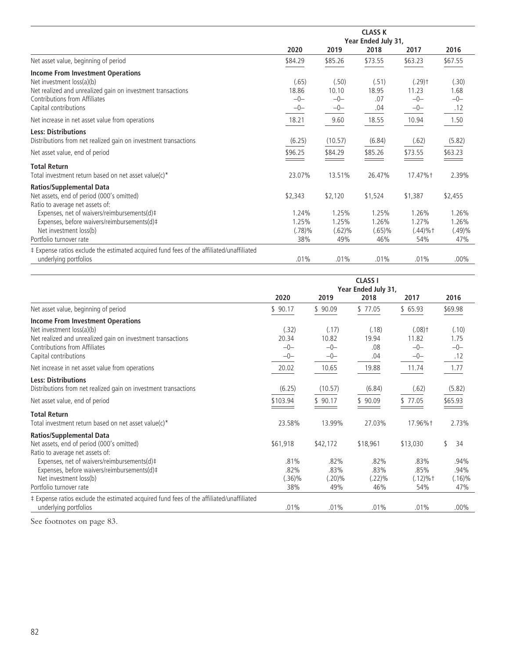|                                                                                          | <b>CLASS K</b><br>Year Ended July 31, |         |           |                      |         |  |  |
|------------------------------------------------------------------------------------------|---------------------------------------|---------|-----------|----------------------|---------|--|--|
|                                                                                          | 2020                                  | 2019    | 2018      | 2017                 | 2016    |  |  |
| Net asset value, beginning of period                                                     | \$84.29                               | \$85.26 | \$73.55   | \$63.23              | \$67.55 |  |  |
| <b>Income From Investment Operations</b>                                                 |                                       |         |           |                      |         |  |  |
| Net investment loss(a)(b)                                                                | (.65)                                 | (.50)   | (.51)     | $(.29)$ <sup>+</sup> | (.30)   |  |  |
| Net realized and unrealized gain on investment transactions                              | 18.86                                 | 10.10   | 18.95     | 11.23                | 1.68    |  |  |
| Contributions from Affiliates                                                            | $-0-$                                 | $-0-$   | .07       | $-0-$                | $-0-$   |  |  |
| Capital contributions                                                                    | $-0-$                                 | $-0-$   | .04       | $-0-$                | .12     |  |  |
| Net increase in net asset value from operations                                          | 18.21                                 | 9.60    | 18.55     | 10.94                | 1.50    |  |  |
| <b>Less: Distributions</b>                                                               |                                       |         |           |                      |         |  |  |
| Distributions from net realized gain on investment transactions                          | (6.25)                                | (10.57) | (6.84)    | (.62)                | (5.82)  |  |  |
| Net asset value, end of period                                                           | \$96.25                               | \$84.29 | \$85.26   | \$73.55              | \$63.23 |  |  |
| <b>Total Return</b>                                                                      |                                       |         |           |                      |         |  |  |
| Total investment return based on net asset value(c)*                                     | 23.07%                                | 13.51%  | 26.47%    | 17.47%+              | 2.39%   |  |  |
| <b>Ratios/Supplemental Data</b>                                                          |                                       |         |           |                      |         |  |  |
| Net assets, end of period (000's omitted)                                                | \$2,343                               | \$2,120 | \$1,524   | \$1,387              | \$2,455 |  |  |
| Ratio to average net assets of:                                                          |                                       |         |           |                      |         |  |  |
| Expenses, net of waivers/reimbursements(d)#                                              | 1.24%                                 | 1.25%   | 1.25%     | 1.26%                | 1.26%   |  |  |
| Expenses, before waivers/reimbursements(d)#                                              | 1.25%                                 | 1.25%   | 1.26%     | 1.27%                | 1.26%   |  |  |
| Net investment loss(b)                                                                   | (.78)%                                | (.62)%  | $(.65)\%$ | $(.44) \%$ †         | (.49)%  |  |  |
| Portfolio turnover rate                                                                  | 38%                                   | 49%     | 46%       | 54%                  | 47%     |  |  |
| ‡ Expense ratios exclude the estimated acquired fund fees of the affiliated/unaffiliated |                                       |         |           |                      |         |  |  |
| underlying portfolios                                                                    | .01%                                  | .01%    | .01%      | .01%                 | $.00\%$ |  |  |

|                                                                                                                                                                                                | <b>CLASS I</b><br>Year Ended July 31, |                                  |                               |                                                 |                                  |  |  |  |
|------------------------------------------------------------------------------------------------------------------------------------------------------------------------------------------------|---------------------------------------|----------------------------------|-------------------------------|-------------------------------------------------|----------------------------------|--|--|--|
|                                                                                                                                                                                                | 2020                                  | 2019                             | 2018                          | 2017                                            | 2016                             |  |  |  |
| Net asset value, beginning of period                                                                                                                                                           | \$90.17                               | \$90.09                          | \$77.05                       | \$65.93                                         | \$69.98                          |  |  |  |
| <b>Income From Investment Operations</b><br>Net investment loss(a)(b)<br>Net realized and unrealized gain on investment transactions<br>Contributions from Affiliates<br>Capital contributions | (.32)<br>20.34<br>$-0-$<br>$-0-$      | (.17)<br>10.82<br>$-0-$<br>$-0-$ | (.18)<br>19.94<br>.08<br>.04  | $(.08)$ <sup>+</sup><br>11.82<br>$-0-$<br>$-0-$ | (.10)<br>1.75<br>$-0-$<br>.12    |  |  |  |
| Net increase in net asset value from operations                                                                                                                                                | 20.02                                 | 10.65                            | 19.88                         | 11.74                                           | 1.77                             |  |  |  |
| <b>Less: Distributions</b><br>Distributions from net realized gain on investment transactions<br>Net asset value, end of period                                                                | (6.25)<br>\$103.94                    | (10.57)<br>\$90.17               | (6.84)<br>\$90.09             | (.62)<br>\$77.05                                | (5.82)<br>\$65.93                |  |  |  |
| <b>Total Return</b><br>Total investment return based on net asset value(c)*                                                                                                                    | 23.58%                                | 13.99%                           | 27.03%                        | 17.96%+                                         | 2.73%                            |  |  |  |
| <b>Ratios/Supplemental Data</b><br>Net assets, end of period (000's omitted)<br>Ratio to average net assets of:                                                                                | \$61,918                              | \$42,172                         | \$18,961                      | \$13,030                                        | 34                               |  |  |  |
| Expenses, net of waivers/reimbursements(d)‡<br>Expenses, before waivers/reimbursements(d)#<br>Net investment loss(b)<br>Portfolio turnover rate                                                | .81%<br>.82%<br>$(.36)\%$<br>38%      | .82%<br>.83%<br>$(.20)\%$<br>49% | .82%<br>.83%<br>(.22)%<br>46% | .83%<br>.85%<br>$(.12)\%$ †<br>54%              | .94%<br>.94%<br>$(.16)\%$<br>47% |  |  |  |
| ‡ Expense ratios exclude the estimated acquired fund fees of the affiliated/unaffiliated<br>underlying portfolios                                                                              | .01%                                  | .01%                             | .01%                          | .01%                                            | $.00\%$                          |  |  |  |

See footnotes on page 83.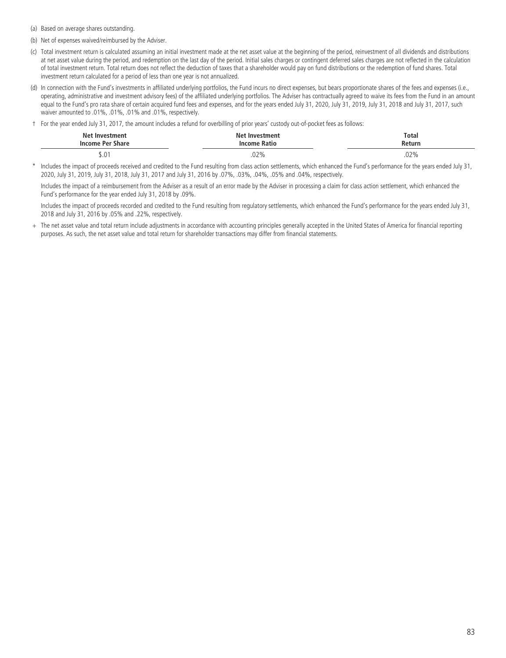(a) Based on average shares outstanding.

- (b) Net of expenses waived/reimbursed by the Adviser.
- (c) Total investment return is calculated assuming an initial investment made at the net asset value at the beginning of the period, reinvestment of all dividends and distributions at net asset value during the period, and redemption on the last day of the period. Initial sales charges or contingent deferred sales charges are not reflected in the calculation of total investment return. Total return does not reflect the deduction of taxes that a shareholder would pay on fund distributions or the redemption of fund shares. Total investment return calculated for a period of less than one year is not annualized.
- (d) In connection with the Fund's investments in affiliated underlying portfolios, the Fund incurs no direct expenses, but bears proportionate shares of the fees and expenses (i.e., operating, administrative and investment advisory fees) of the affiliated underlying portfolios. The Adviser has contractually agreed to waive its fees from the Fund in an amount equal to the Fund's pro rata share of certain acquired fund fees and expenses, and for the years ended July 31, 2020, July 31, 2019, July 31, 2018 and July 31, 2018 waiver amounted to .01%, .01%, .01% and .01%, respectively.
- † For the year ended July 31, 2017, the amount includes a refund for overbilling of prior years' custody out-of-pocket fees as follows:

| <b>Net Investment</b><br><b>Income Per Share</b> | <b>Net Investment</b><br>Income Ratio | <b>Total</b><br>Return |
|--------------------------------------------------|---------------------------------------|------------------------|
| $\bigcap$<br>J.U                                 | .02%                                  | $.02\%$                |

Includes the impact of proceeds received and credited to the Fund resulting from class action settlements, which enhanced the Fund's performance for the years ended July 31, 2020, July 31, 2019, July 31, 2018, July 31, 2017 and July 31, 2016 by .07%, .03%, .04%, .05% and .04%, respectively.

Includes the impact of a reimbursement from the Adviser as a result of an error made by the Adviser in processing a claim for class action settlement, which enhanced the Fund's performance for the year ended July 31, 2018 by .09%.

Includes the impact of proceeds recorded and credited to the Fund resulting from regulatory settlements, which enhanced the Fund's performance for the years ended July 31, 2018 and July 31, 2016 by .05% and .22%, respectively.

+ The net asset value and total return include adjustments in accordance with accounting principles generally accepted in the United States of America for financial reporting purposes. As such, the net asset value and total return for shareholder transactions may differ from financial statements.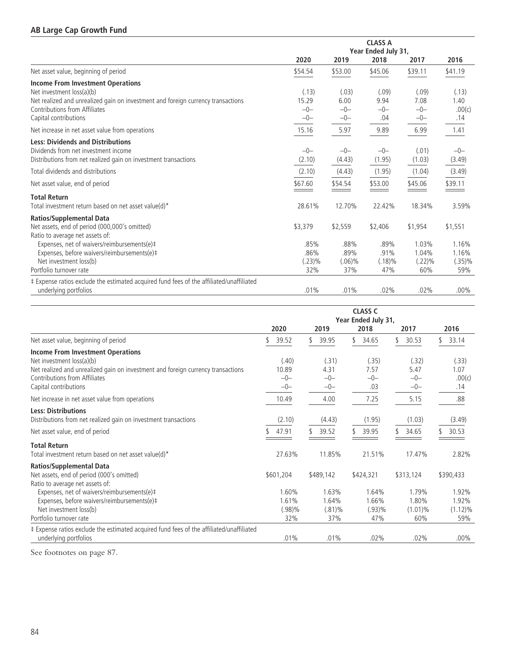# **AB Large Cap Growth Fund**

|                                                                                          |         |                     | <b>CLASS A</b> |         |         |
|------------------------------------------------------------------------------------------|---------|---------------------|----------------|---------|---------|
|                                                                                          |         | Year Ended July 31, |                |         |         |
|                                                                                          | 2020    | 2019                | 2018           | 2017    | 2016    |
| Net asset value, beginning of period                                                     | \$54.54 | \$53.00             | \$45.06        | \$39.11 | \$41.19 |
| <b>Income From Investment Operations</b>                                                 |         |                     |                |         |         |
| Net investment loss(a)(b)                                                                | (.13)   | (.03)               | (.09)          | (.09)   | (.13)   |
| Net realized and unrealized gain on investment and foreign currency transactions         | 15.29   | 6.00                | 9.94           | 7.08    | 1.40    |
| Contributions from Affiliates                                                            | $-0-$   | $-0-$               | $-0-$          | $-0-$   | .00(c)  |
| Capital contributions                                                                    | $-0-$   | $-0-$               | .04            | $-0-$   | .14     |
| Net increase in net asset value from operations                                          | 15.16   | 5.97                | 9.89           | 6.99    | 1.41    |
| <b>Less: Dividends and Distributions</b>                                                 |         |                     |                |         |         |
| Dividends from net investment income                                                     | $-0-$   | $-0-$               | $-0-$          | (.01)   | $-0-$   |
| Distributions from net realized gain on investment transactions                          | (2.10)  | (4.43)              | (1.95)         | (1.03)  | (3.49)  |
| Total dividends and distributions                                                        | (2.10)  | (4.43)              | (1.95)         | (1.04)  | (3.49)  |
| Net asset value, end of period                                                           | \$67.60 | \$54.54             | \$53.00        | \$45.06 | \$39.11 |
| <b>Total Return</b>                                                                      |         |                     |                |         |         |
| Total investment return based on net asset value(d)*                                     | 28.61%  | 12.70%              | 22.42%         | 18.34%  | 3.59%   |
| <b>Ratios/Supplemental Data</b>                                                          |         |                     |                |         |         |
| Net assets, end of period (000,000's omitted)                                            | \$3,379 | \$2,559             | \$2,406        | \$1,954 | \$1,551 |
| Ratio to average net assets of:                                                          |         |                     |                |         |         |
| Expenses, net of waivers/reimbursements(e)#                                              | .85%    | .88%                | .89%           | 1.03%   | 1.16%   |
| Expenses, before waivers/reimbursements(e)#                                              | .86%    | .89%                | .91%           | 1.04%   | 1.16%   |
| Net investment loss(b)                                                                   | (.23)%  | $(.06)\%$           | $(.18)\%$      | (.22)%  | (.35)%  |
| Portfolio turnover rate                                                                  | 32%     | 37%                 | 47%            | 60%     | 59%     |
| # Expense ratios exclude the estimated acquired fund fees of the affiliated/unaffiliated |         |                     |                |         |         |
| underlying portfolios                                                                    | .01%    | .01%                | .02%           | .02%    | $.00\%$ |

|                                                                                                                                                                                                              | <b>CLASS C</b><br>Year Ended July 31, |                                    |                                 |                                     |                                     |  |  |  |
|--------------------------------------------------------------------------------------------------------------------------------------------------------------------------------------------------------------|---------------------------------------|------------------------------------|---------------------------------|-------------------------------------|-------------------------------------|--|--|--|
|                                                                                                                                                                                                              | 2020                                  | 2019                               | 2018                            | 2017                                | 2016                                |  |  |  |
| Net asset value, beginning of period                                                                                                                                                                         | 39.52                                 | 39.95                              | 34.65                           | 30.53                               | 33.14                               |  |  |  |
| Income From Investment Operations<br>Net investment loss(a)(b)<br>Net realized and unrealized gain on investment and foreign currency transactions<br>Contributions from Affiliates<br>Capital contributions | (.40)<br>10.89<br>$-0-$<br>$-0-$      | (.31)<br>4.31<br>$-0-$<br>$-0-$    | (.35)<br>7.57<br>$-0-$<br>.03   | (.32)<br>5.47<br>$-0-$<br>$-0-$     | (.33)<br>1.07<br>.00(c)<br>.14      |  |  |  |
| Net increase in net asset value from operations                                                                                                                                                              | 10.49                                 | 4.00                               | 7.25                            | 5.15                                | .88                                 |  |  |  |
| <b>Less: Distributions</b><br>Distributions from net realized gain on investment transactions                                                                                                                | (2.10)                                | (4.43)                             | (1.95)                          | (1.03)                              | (3.49)                              |  |  |  |
| Net asset value, end of period                                                                                                                                                                               | 47.91                                 | 39.52<br>S                         | 39.95                           | 34.65                               | 30.53                               |  |  |  |
| <b>Total Return</b><br>Total investment return based on net asset value(d)*                                                                                                                                  | 27.63%                                | 11.85%                             | 21.51%                          | 17.47%                              | 2.82%                               |  |  |  |
| <b>Ratios/Supplemental Data</b><br>Net assets, end of period (000's omitted)<br>Ratio to average net assets of:                                                                                              | \$601,204                             | \$489,142                          | \$424,321                       | \$313,124                           | \$390,433                           |  |  |  |
| Expenses, net of waivers/reimbursements(e)#<br>Expenses, before waivers/reimbursements(e)#<br>Net investment loss(b)<br>Portfolio turnover rate                                                              | 1.60%<br>1.61%<br>(.98)%<br>32%       | 1.63%<br>1.64%<br>$(.81)\%$<br>37% | 1.64%<br>1.66%<br>(.93)%<br>47% | 1.79%<br>1.80%<br>$(1.01)\%$<br>60% | 1.92%<br>1.92%<br>$(1.12)\%$<br>59% |  |  |  |
| ‡ Expense ratios exclude the estimated acquired fund fees of the affiliated/unaffiliated<br>underlying portfolios                                                                                            | .01%                                  | .01%                               | $.02\%$                         | .02%                                | $.00\%$                             |  |  |  |

See footnotes on page 87.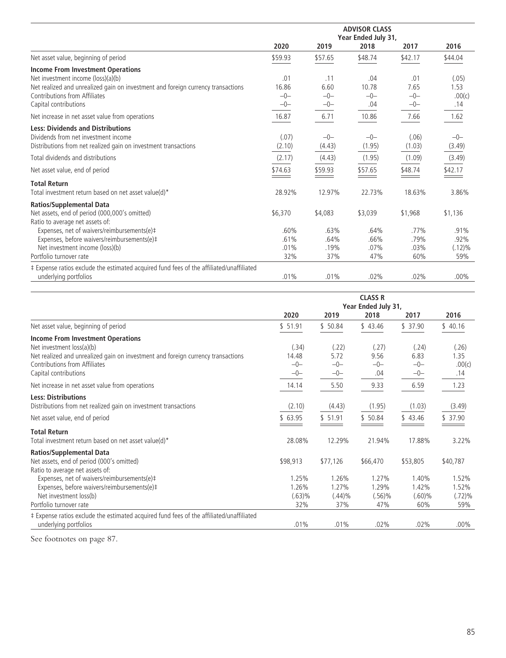|                                                                                          | <b>ADVISOR CLASS</b><br>Year Ended July 31, |         |         |         |           |  |  |
|------------------------------------------------------------------------------------------|---------------------------------------------|---------|---------|---------|-----------|--|--|
|                                                                                          | 2020                                        | 2019    | 2018    | 2017    | 2016      |  |  |
| Net asset value, beginning of period                                                     | \$59.93                                     | \$57.65 | \$48.74 | \$42.17 | \$44.04   |  |  |
| <b>Income From Investment Operations</b>                                                 |                                             |         |         |         |           |  |  |
| Net investment income (loss)(a)(b)                                                       | .01                                         | .11     | .04     | .01     | (.05)     |  |  |
| Net realized and unrealized gain on investment and foreign currency transactions         | 16.86                                       | 6.60    | 10.78   | 7.65    | 1.53      |  |  |
| Contributions from Affiliates                                                            | $-0-$                                       | $-0-$   | $-0-$   | $-0-$   | .00(c)    |  |  |
| Capital contributions                                                                    | $-0-$                                       | $-0-$   | .04     | $-0-$   | .14       |  |  |
| Net increase in net asset value from operations                                          | 16.87                                       | 6.71    | 10.86   | 7.66    | 1.62      |  |  |
| <b>Less: Dividends and Distributions</b>                                                 |                                             |         |         |         |           |  |  |
| Dividends from net investment income                                                     | (.07)                                       | $-0-$   | $-0-$   | (.06)   | $-0-$     |  |  |
| Distributions from net realized gain on investment transactions                          | (2.10)                                      | (4.43)  | (1.95)  | (1.03)  | (3.49)    |  |  |
| Total dividends and distributions                                                        | (2.17)                                      | (4.43)  | (1.95)  | (1.09)  | (3.49)    |  |  |
| Net asset value, end of period                                                           | \$74.63                                     | \$59.93 | \$57.65 | \$48.74 | \$42.17   |  |  |
| <b>Total Return</b>                                                                      |                                             |         |         |         |           |  |  |
| Total investment return based on net asset value(d)*                                     | 28.92%                                      | 12.97%  | 22.73%  | 18.63%  | 3.86%     |  |  |
| <b>Ratios/Supplemental Data</b>                                                          |                                             |         |         |         |           |  |  |
| Net assets, end of period (000,000's omitted)                                            | \$6,370                                     | \$4,083 | \$3,039 | \$1,968 | \$1,136   |  |  |
| Ratio to average net assets of:                                                          |                                             |         |         |         |           |  |  |
| Expenses, net of waivers/reimbursements(e)#                                              | .60%                                        | .63%    | .64%    | .77%    | .91%      |  |  |
| Expenses, before waivers/reimbursements(e)#                                              | .61%                                        | .64%    | .66%    | .79%    | .92%      |  |  |
| Net investment income (loss)(b)                                                          | .01%                                        | .19%    | .07%    | .03%    | $(.12)\%$ |  |  |
| Portfolio turnover rate                                                                  | 32%                                         | 37%     | 47%     | 60%     | 59%       |  |  |
| ‡ Expense ratios exclude the estimated acquired fund fees of the affiliated/unaffiliated |                                             |         |         |         |           |  |  |
| underlying portfolios                                                                    | .01%                                        | .01%    | .02%    | .02%    | $.00\%$   |  |  |

|                                                                                                                                            | <b>CLASS R</b><br>Year Ended July 31, |                        |                      |                        |                       |  |  |
|--------------------------------------------------------------------------------------------------------------------------------------------|---------------------------------------|------------------------|----------------------|------------------------|-----------------------|--|--|
|                                                                                                                                            | 2020                                  | 2019                   | 2018                 | 2017                   | 2016                  |  |  |
| Net asset value, beginning of period                                                                                                       | \$51.91                               | \$50.84                | \$43.46              | \$37.90                | \$40.16               |  |  |
| <b>Income From Investment Operations</b><br>Net investment loss(a)(b)                                                                      | (.34)                                 | (.22)                  | (.27)                | (.24)                  | (.26)                 |  |  |
| Net realized and unrealized gain on investment and foreign currency transactions<br>Contributions from Affiliates<br>Capital contributions | 14.48<br>$-0-$<br>$-0-$               | 5.72<br>$-0-$<br>$-0-$ | 9.56<br>$-0-$<br>.04 | 6.83<br>$-0-$<br>$-0-$ | 1.35<br>.00(c)<br>.14 |  |  |
| Net increase in net asset value from operations                                                                                            | 14.14                                 | 5.50                   | 9.33                 | 6.59                   | 1.23                  |  |  |
| <b>Less: Distributions</b><br>Distributions from net realized gain on investment transactions                                              | (2.10)                                | (4.43)                 | (1.95)               | (1.03)                 | (3.49)                |  |  |
| Net asset value, end of period                                                                                                             | \$63.95                               | \$51.91                | \$50.84              | \$43.46                | 37.90                 |  |  |
| <b>Total Return</b><br>Total investment return based on net asset value(d)*                                                                | 28.08%                                | 12.29%                 | 21.94%               | 17.88%                 | 3.22%                 |  |  |
| <b>Ratios/Supplemental Data</b><br>Net assets, end of period (000's omitted)<br>Ratio to average net assets of:                            | \$98,913                              | \$77,126               | \$66,470             | \$53,805               | \$40,787              |  |  |
| Expenses, net of waivers/reimbursements(e)#<br>Expenses, before waivers/reimbursements(e)#                                                 | 1.25%<br>1.26%                        | 1.26%<br>1.27%         | 1.27%<br>1.29%       | 1.40%<br>1.42%         | 1.52%<br>1.52%        |  |  |
| Net investment loss(b)<br>Portfolio turnover rate                                                                                          | (.63)%<br>32%                         | $(.44)\%$<br>37%       | $(.56)\%$<br>47%     | $(.60)\%$<br>60%       | $(.72)\%$<br>59%      |  |  |
| ‡ Expense ratios exclude the estimated acquired fund fees of the affiliated/unaffiliated<br>underlying portfolios                          | .01%                                  | .01%                   | .02%                 | .02%                   | $.00\%$               |  |  |

See footnotes on page 87.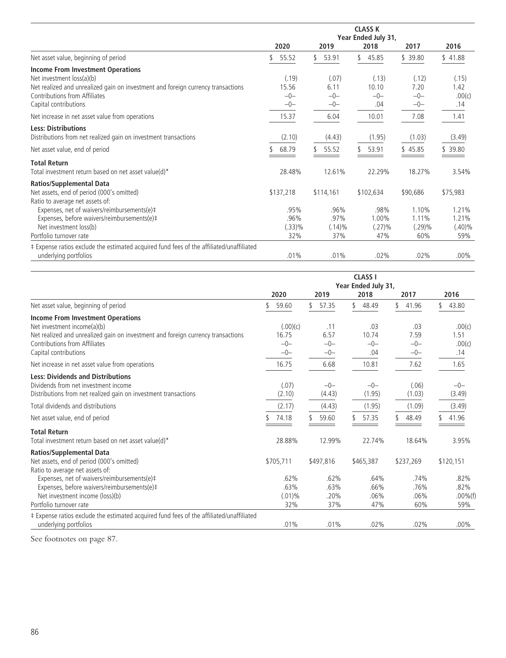|                                                                                          | <b>CLASS K</b> |                     |             |          |           |  |  |  |
|------------------------------------------------------------------------------------------|----------------|---------------------|-------------|----------|-----------|--|--|--|
|                                                                                          |                | Year Ended July 31, |             |          |           |  |  |  |
|                                                                                          | 2020           | 2019                | 2018        | 2017     | 2016      |  |  |  |
| Net asset value, beginning of period                                                     | 55.52          | 53.91<br>\$         | 45.85<br>\$ | \$39.80  | \$41.88   |  |  |  |
| <b>Income From Investment Operations</b>                                                 |                |                     |             |          |           |  |  |  |
| Net investment loss(a)(b)                                                                | (.19)          | (.07)               | (.13)       | (.12)    | (.15)     |  |  |  |
| Net realized and unrealized gain on investment and foreign currency transactions         | 15.56          | 6.11                | 10.10       | 7.20     | 1.42      |  |  |  |
| Contributions from Affiliates                                                            | $-0-$          | $-0-$               | $-0-$       | $-0-$    | .00(c)    |  |  |  |
| Capital contributions                                                                    | $-0-$          | $-0-$               | .04         | $-0-$    | .14       |  |  |  |
| Net increase in net asset value from operations                                          | 15.37          | 6.04                | 10.01       | 7.08     | 1.41      |  |  |  |
| <b>Less: Distributions</b>                                                               |                |                     |             |          |           |  |  |  |
| Distributions from net realized gain on investment transactions                          | (2.10)         | (4.43)              | (1.95)      | (1.03)   | (3.49)    |  |  |  |
| Net asset value, end of period                                                           | 68.79          | 55.52               | 53.91       | \$45.85  | 39.80     |  |  |  |
| <b>Total Return</b>                                                                      |                |                     |             |          |           |  |  |  |
| Total investment return based on net asset value(d)*                                     | 28.48%         | 12.61%              | 22.29%      | 18.27%   | 3.54%     |  |  |  |
| <b>Ratios/Supplemental Data</b>                                                          |                |                     |             |          |           |  |  |  |
| Net assets, end of period (000's omitted)                                                | \$137,218      | \$114,161           | \$102,634   | \$90,686 | \$75,983  |  |  |  |
| Ratio to average net assets of:                                                          |                |                     |             |          |           |  |  |  |
| Expenses, net of waivers/reimbursements(e)#                                              | .95%           | .96%                | .98%        | 1.10%    | 1.21%     |  |  |  |
| Expenses, before waivers/reimbursements(e)#                                              | .96%           | .97%                | 1.00%       | 1.11%    | 1.21%     |  |  |  |
| Net investment loss(b)                                                                   | (.33)%         | $(.14)\%$           | (.27)%      | (.29)%   | $(.40)\%$ |  |  |  |
| Portfolio turnover rate                                                                  | 32%            | 37%                 | 47%         | 60%      | 59%       |  |  |  |
| ‡ Expense ratios exclude the estimated acquired fund fees of the affiliated/unaffiliated |                |                     |             |          |           |  |  |  |
| underlying portfolios                                                                    | .01%           | .01%                | .02%        | .02%     | $.00\%$   |  |  |  |

|                                                                                                                                                     |                  |                 | <b>CLASS I</b><br>Year Ended July 31, |                 |                    |
|-----------------------------------------------------------------------------------------------------------------------------------------------------|------------------|-----------------|---------------------------------------|-----------------|--------------------|
|                                                                                                                                                     | 2020             | 2019            | 2018                                  | 2017            | 2016               |
| Net asset value, beginning of period                                                                                                                | 59.60            | \$<br>57.35     | \$<br>48.49                           | \$<br>41.96     | \$<br>43.80        |
| <b>Income From Investment Operations</b><br>Net investment income(a)(b)                                                                             | (.00)(c)         | .11             | .03                                   | .03             | .00(c)             |
| Net realized and unrealized gain on investment and foreign currency transactions<br>Contributions from Affiliates                                   | 16.75<br>$-0-$   | 6.57<br>$-0-$   | 10.74<br>$-0-$                        | 7.59<br>$-0-$   | 1.51<br>.00(c)     |
| Capital contributions                                                                                                                               | $-0-$            | $-0-$           | .04                                   | $-0-$           | .14                |
| Net increase in net asset value from operations                                                                                                     | 16.75            | 6.68            | 10.81                                 | 7.62            | 1.65               |
| <b>Less: Dividends and Distributions</b><br>Dividends from net investment income<br>Distributions from net realized gain on investment transactions | (.07)<br>(2.10)  | $-0-$<br>(4.43) | $-0-$<br>(1.95)                       | (.06)<br>(1.03) | $-0-$<br>(3.49)    |
| Total dividends and distributions                                                                                                                   | (2.17)           | (4.43)          | (1.95)                                | (1.09)          | (3.49)             |
| Net asset value, end of period                                                                                                                      | 74.18            | 59.60           | 57.35                                 | 48.49           | 41.96              |
| <b>Total Return</b><br>Total investment return based on net asset value(d)*                                                                         | 28.88%           | 12.99%          | 22.74%                                | 18.64%          | 3.95%              |
| <b>Ratios/Supplemental Data</b><br>Net assets, end of period (000's omitted)<br>Ratio to average net assets of:                                     | \$705,711        | \$497,816       | \$465,387                             | \$237,269       | \$120,151          |
| Expenses, net of waivers/reimbursements(e)#<br>Expenses, before waivers/reimbursements(e)#                                                          | .62%<br>.63%     | .62%<br>.63%    | .64%<br>.66%                          | .74%<br>.76%    | .82%<br>.82%       |
| Net investment income (loss)(b)<br>Portfolio turnover rate                                                                                          | $(.01)\%$<br>32% | .20%<br>37%     | .06%<br>47%                           | .06%<br>60%     | $.00\%$ (f)<br>59% |
| # Expense ratios exclude the estimated acquired fund fees of the affiliated/unaffiliated<br>underlying portfolios                                   | .01%             | .01%            | .02%                                  | $.02\%$         | $.00\%$            |

See footnotes on page 87.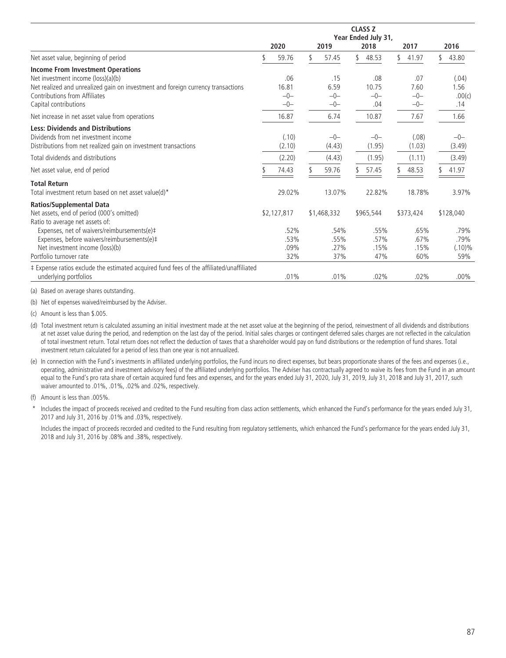|                                                                                                                                                     | <b>CLASS Z</b><br>Year Ended July 31, |                 |  |                 |    |                 |  |                 |  |                  |
|-----------------------------------------------------------------------------------------------------------------------------------------------------|---------------------------------------|-----------------|--|-----------------|----|-----------------|--|-----------------|--|------------------|
|                                                                                                                                                     |                                       | 2020            |  | 2019            |    | 2018            |  | 2017            |  | 2016             |
| Net asset value, beginning of period                                                                                                                |                                       | 59.76           |  | 57.45           | \$ | 48.53           |  | 41.97           |  | 43.80            |
| <b>Income From Investment Operations</b><br>Net investment income (loss)(a)(b)                                                                      |                                       | .06             |  | .15             |    | .08             |  | .07             |  | (.04)            |
| Net realized and unrealized gain on investment and foreign currency transactions<br>Contributions from Affiliates                                   |                                       | 16.81<br>$-0-$  |  | 6.59<br>$-0-$   |    | 10.75<br>$-0-$  |  | 7.60<br>$-0-$   |  | 1.56<br>.00(c)   |
| Capital contributions                                                                                                                               |                                       | $-0-$           |  | $-0-$           |    | .04             |  | $-0-$           |  | .14              |
| Net increase in net asset value from operations                                                                                                     |                                       | 16.87           |  | 6.74            |    | 10.87           |  | 7.67            |  | 1.66             |
| <b>Less: Dividends and Distributions</b><br>Dividends from net investment income<br>Distributions from net realized gain on investment transactions |                                       | (.10)<br>(2.10) |  | $-0-$<br>(4.43) |    | $-0-$<br>(1.95) |  | (.08)<br>(1.03) |  | $-0-$<br>(3.49)  |
| Total dividends and distributions                                                                                                                   |                                       | (2.20)          |  | (4.43)          |    | (1.95)          |  | (1.11)          |  | (3.49)           |
| Net asset value, end of period                                                                                                                      |                                       | 74.43           |  | 59.76           |    | 57.45           |  | 48.53           |  | 41.97            |
| <b>Total Return</b><br>Total investment return based on net asset value(d)*                                                                         |                                       | 29.02%          |  | 13.07%          |    | 22.82%          |  | 18.78%          |  | 3.97%            |
| <b>Ratios/Supplemental Data</b><br>Net assets, end of period (000's omitted)<br>Ratio to average net assets of:                                     |                                       | \$2,127,817     |  | \$1,468,332     |    | \$965,544       |  | \$373,424       |  | \$128,040        |
| Expenses, net of waivers/reimbursements(e)#<br>Expenses, before waivers/reimbursements(e)#                                                          |                                       | .52%<br>.53%    |  | .54%<br>.55%    |    | .55%<br>.57%    |  | .65%<br>.67%    |  | .79%<br>.79%     |
| Net investment income (loss)(b)<br>Portfolio turnover rate                                                                                          |                                       | .09%<br>32%     |  | .27%<br>37%     |    | .15%<br>47%     |  | .15%<br>60%     |  | $(.10)\%$<br>59% |
| ‡ Expense ratios exclude the estimated acquired fund fees of the affiliated/unaffiliated<br>underlying portfolios                                   |                                       | .01%            |  | .01%            |    | .02%            |  | .02%            |  | $.00\%$          |

(a) Based on average shares outstanding.

(b) Net of expenses waived/reimbursed by the Adviser.

(c) Amount is less than \$.005.

(d) Total investment return is calculated assuming an initial investment made at the net asset value at the beginning of the period, reinvestment of all dividends and distributions at net asset value during the period, and redemption on the last day of the period. Initial sales charges or contingent deferred sales charges are not reflected in the calculation of total investment return. Total return does not reflect the deduction of taxes that a shareholder would pay on fund distributions or the redemption of fund shares. Total investment return calculated for a period of less than one year is not annualized.

(e) In connection with the Fund's investments in affiliated underlying portfolios, the Fund incurs no direct expenses, but bears proportionate shares of the fees and expenses (i.e., operating, administrative and investment advisory fees) of the affiliated underlying portfolios. The Adviser has contractually agreed to waive its fees from the Fund in an amount equal to the Fund's pro rata share of certain acquired fund fees and expenses, and for the years ended July 31, 2020, July 31, 2019, July 31, 2018 and July 31, 2018 and July 31, 2017, such waiver amounted to .01%, .01%, .02% and .02%, respectively.

(f) Amount is less than .005%.

Includes the impact of proceeds received and credited to the Fund resulting from class action settlements, which enhanced the Fund's performance for the years ended July 31, 2017 and July 31, 2016 by .01% and .03%, respectively.

Includes the impact of proceeds recorded and credited to the Fund resulting from regulatory settlements, which enhanced the Fund's performance for the years ended July 31, 2018 and July 31, 2016 by .08% and .38%, respectively.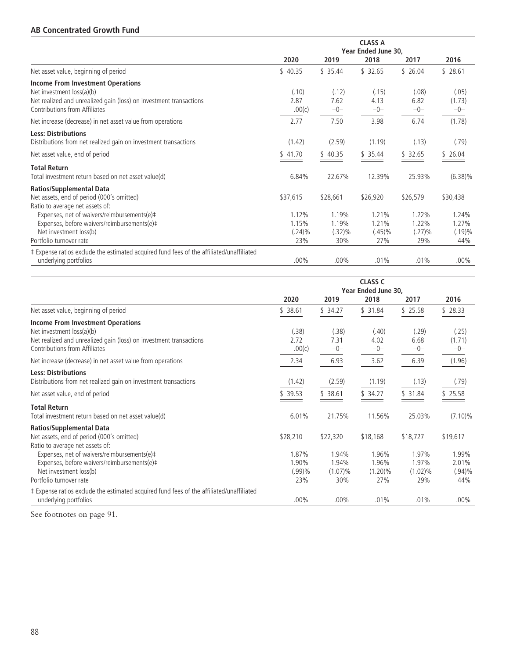### **AB Concentrated Growth Fund**

|                                                                                          |           |          | <b>CLASS A</b>      |          |            |
|------------------------------------------------------------------------------------------|-----------|----------|---------------------|----------|------------|
|                                                                                          |           |          | Year Ended June 30, |          |            |
|                                                                                          | 2020      | 2019     | 2018                | 2017     | 2016       |
| Net asset value, beginning of period                                                     | \$40.35   | \$35.44  | \$32.65             | \$26.04  | \$28.61    |
| <b>Income From Investment Operations</b>                                                 |           |          |                     |          |            |
| Net investment loss(a)(b)                                                                | (.10)     | (.12)    | (.15)               | (.08)    | (.05)      |
| Net realized and unrealized gain (loss) on investment transactions                       | 2.87      | 7.62     | 4.13                | 6.82     | (1.73)     |
| Contributions from Affiliates                                                            | .00(c)    | $-0-$    | $-0-$               | $-0-$    | $-0-$      |
| Net increase (decrease) in net asset value from operations                               | 2.77      | 7.50     | 3.98                | 6.74     | (1.78)     |
| <b>Less: Distributions</b>                                                               |           |          |                     |          |            |
| Distributions from net realized gain on investment transactions                          | (1.42)    | (2.59)   | (1.19)              | (.13)    | (.79)      |
| Net asset value, end of period                                                           | \$41.70   | \$40.35  | \$35.44             | \$32.65  | \$26.04    |
| <b>Total Return</b>                                                                      |           |          |                     |          |            |
| Total investment return based on net asset value(d)                                      | 6.84%     | 22.67%   | 12.39%              | 25.93%   | $(6.38)\%$ |
| <b>Ratios/Supplemental Data</b>                                                          |           |          |                     |          |            |
| Net assets, end of period (000's omitted)                                                | \$37,615  | \$28,661 | \$26,920            | \$26,579 | \$30,438   |
| Ratio to average net assets of:                                                          |           |          |                     |          |            |
| Expenses, net of waivers/reimbursements(e)#                                              | 1.12%     | 1.19%    | 1.21%               | 1.22%    | 1.24%      |
| Expenses, before waivers/reimbursements(e)#                                              | 1.15%     | 1.19%    | 1.21%               | 1.22%    | 1.27%      |
| Net investment loss(b)                                                                   | $(.24)\%$ | (.32)%   | $(.45)\%$           | (.27)%   | $(.19)\%$  |
| Portfolio turnover rate                                                                  | 23%       | 30%      | 27%                 | 29%      | 44%        |
| ‡ Expense ratios exclude the estimated acquired fund fees of the affiliated/unaffiliated |           |          |                     |          |            |
| underlying portfolios                                                                    | $.00\%$   | $.00\%$  | .01%                | .01%     | $.00\%$    |

|                                                                                                                                                 |                                 |                                     | <b>CLASS C</b><br>Year Ended June 30, |                                     |                                    |
|-------------------------------------------------------------------------------------------------------------------------------------------------|---------------------------------|-------------------------------------|---------------------------------------|-------------------------------------|------------------------------------|
|                                                                                                                                                 | 2020                            | 2019                                | 2018                                  | 2017                                | 2016                               |
| Net asset value, beginning of period                                                                                                            | \$38.61                         | \$34.27                             | \$31.84                               | \$25.58                             | \$28.33                            |
| <b>Income From Investment Operations</b><br>Net investment loss(a)(b)<br>Net realized and unrealized gain (loss) on investment transactions     | (.38)<br>2.72                   | (.38)<br>7.31                       | (.40)<br>4.02                         | (.29)<br>6.68                       | (.25)<br>(1.71)                    |
| Contributions from Affiliates                                                                                                                   | .00(c)                          | $-0-$                               | $-0-$                                 | $-0-$                               | $-0-$                              |
| Net increase (decrease) in net asset value from operations                                                                                      | 2.34                            | 6.93                                | 3.62                                  | 6.39                                | (1.96)                             |
| <b>Less: Distributions</b><br>Distributions from net realized gain on investment transactions                                                   | (1.42)                          | (2.59)                              | (1.19)                                | (.13)                               | (.79)                              |
| Net asset value, end of period                                                                                                                  | \$39.53                         | \$38.61                             | \$34.27                               | \$31.84                             | \$25.58                            |
| <b>Total Return</b><br>Total investment return based on net asset value(d)                                                                      | 6.01%                           | 21.75%                              | 11.56%                                | 25.03%                              | $(7.10)\%$                         |
| <b>Ratios/Supplemental Data</b><br>Net assets, end of period (000's omitted)<br>Ratio to average net assets of:                                 | \$28,210                        | \$22,320                            | \$18,168                              | \$18,727                            | \$19,617                           |
| Expenses, net of waivers/reimbursements(e)#<br>Expenses, before waivers/reimbursements(e)#<br>Net investment loss(b)<br>Portfolio turnover rate | 1.87%<br>1.90%<br>(.99)%<br>23% | 1.94%<br>1.94%<br>$(1.07)\%$<br>30% | 1.96%<br>1.96%<br>$(1.20)\%$<br>27%   | 1.97%<br>1.97%<br>$(1.02)\%$<br>29% | 1.99%<br>2.01%<br>$(.94)\%$<br>44% |
| ‡ Expense ratios exclude the estimated acquired fund fees of the affiliated/unaffiliated<br>underlying portfolios                               | $.00\%$                         | $.00\%$                             | .01%                                  | .01%                                | $.00\%$                            |

See footnotes on page 91.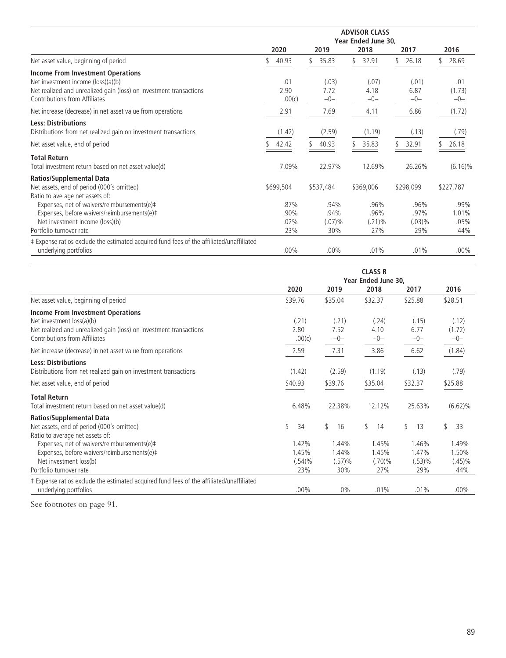|                                                                                                                                                                                       | 2020                        | 2019                          | 2018                             | 2017                             | 2016                         |
|---------------------------------------------------------------------------------------------------------------------------------------------------------------------------------------|-----------------------------|-------------------------------|----------------------------------|----------------------------------|------------------------------|
| Net asset value, beginning of period                                                                                                                                                  | 40.93                       | 35.83                         | 32.91                            | 26.18                            | 28.69                        |
| <b>Income From Investment Operations</b><br>Net investment income (loss)(a)(b)<br>Net realized and unrealized gain (loss) on investment transactions<br>Contributions from Affiliates | .01<br>2.90<br>.00(c)       | (.03)<br>7.72<br>$-0-$        | (.07)<br>4.18<br>$-0-$           | (.01)<br>6.87<br>$-0-$           | .01<br>(1.73)<br>$-0-$       |
| Net increase (decrease) in net asset value from operations                                                                                                                            | 2.91                        | 7.69                          | 4.11                             | 6.86                             | (1.72)                       |
| <b>Less: Distributions</b><br>Distributions from net realized gain on investment transactions<br>Net asset value, end of period                                                       | (1.42)<br>42.42             | (2.59)<br>40.93               | (1.19)<br>35.83                  | (.13)<br>32.91                   | (.79)<br>26.18               |
|                                                                                                                                                                                       |                             |                               |                                  |                                  |                              |
| <b>Total Return</b><br>Total investment return based on net asset value(d)                                                                                                            | 7.09%                       | 22.97%                        | 12.69%                           | 26.26%                           | $(6.16)\%$                   |
| <b>Ratios/Supplemental Data</b><br>Net assets, end of period (000's omitted)<br>Ratio to average net assets of:                                                                       | \$699,504                   | \$537,484                     | \$369,006                        | \$298,099                        | \$227,787                    |
| Expenses, net of waivers/reimbursements(e)#<br>Expenses, before waivers/reimbursements(e)#<br>Net investment income (loss)(b)<br>Portfolio turnover rate                              | .87%<br>.90%<br>.02%<br>23% | .94%<br>.94%<br>(.07)%<br>30% | .96%<br>.96%<br>$(.21)\%$<br>27% | .96%<br>.97%<br>$(.03)\%$<br>29% | .99%<br>1.01%<br>.05%<br>44% |
| ‡ Expense ratios exclude the estimated acquired fund fees of the affiliated/unaffiliated<br>underlying portfolios                                                                     | $.00\%$                     | $.00\%$                       | .01%                             | .01%                             | $.00\%$                      |

|                                                                                                                                                                              |                                    |                                 | <b>CLASS R</b><br>Year Ended June 30, |                                 |                                    |
|------------------------------------------------------------------------------------------------------------------------------------------------------------------------------|------------------------------------|---------------------------------|---------------------------------------|---------------------------------|------------------------------------|
|                                                                                                                                                                              | 2020                               | 2019                            | 2018                                  | 2017                            | 2016                               |
| Net asset value, beginning of period                                                                                                                                         | \$39.76                            | \$35.04                         | \$32.37                               | \$25.88                         | \$28.51                            |
| <b>Income From Investment Operations</b><br>Net investment loss(a)(b)<br>Net realized and unrealized gain (loss) on investment transactions<br>Contributions from Affiliates | (.21)<br>2.80<br>.00(c)            | (.21)<br>7.52<br>$-0-$          | (.24)<br>4.10<br>$-0-$                | (.15)<br>6.77<br>$-0-$          | (.12)<br>(1.72)<br>$-0-$           |
| Net increase (decrease) in net asset value from operations                                                                                                                   | 2.59                               | 7.31                            | 3.86                                  | 6.62                            | (1.84)                             |
| <b>Less: Distributions</b><br>Distributions from net realized gain on investment transactions                                                                                | (1.42)                             | (2.59)                          | (1.19)                                | (.13)                           | (.79)                              |
| Net asset value, end of period                                                                                                                                               | \$40.93                            | \$39.76                         | \$35.04                               | \$32.37                         | \$25.88                            |
| <b>Total Return</b><br>Total investment return based on net asset value(d)                                                                                                   | 6.48%                              | 22.38%                          | 12.12%                                | 25.63%                          | $(6.62)\%$                         |
| <b>Ratios/Supplemental Data</b><br>Net assets, end of period (000's omitted)<br>Ratio to average net assets of:                                                              | \$<br>34                           | \$<br>16                        | \$<br>14                              | \$<br>13                        | \$<br>33                           |
| Expenses, net of waivers/reimbursements(e)#<br>Expenses, before waivers/reimbursements(e)#<br>Net investment loss(b)<br>Portfolio turnover rate                              | 1.42%<br>1.45%<br>$(.54)\%$<br>23% | 1.44%<br>1.44%<br>(.57)%<br>30% | 1.45%<br>1.45%<br>(.70)%<br>27%       | 1.46%<br>1.47%<br>(.53)%<br>29% | 1.49%<br>1.50%<br>$(.45)\%$<br>44% |
| ‡ Expense ratios exclude the estimated acquired fund fees of the affiliated/unaffiliated<br>underlying portfolios                                                            | $.00\%$                            | $0\%$                           | .01%                                  | .01%                            | $.00\%$                            |

See footnotes on page 91.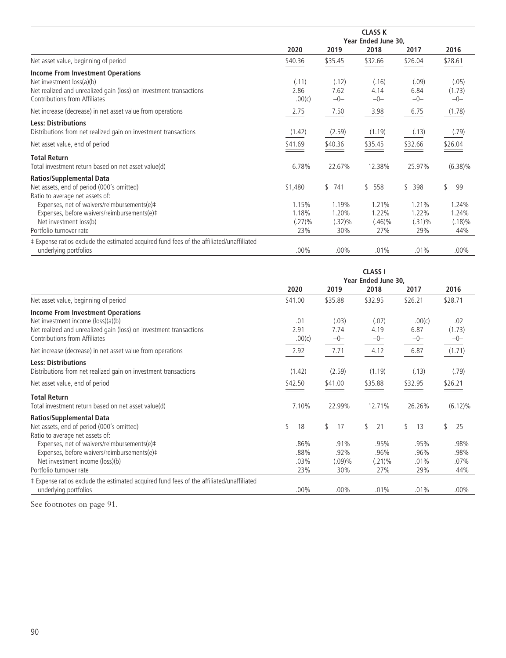|                                                                                                                   | <b>CLASS K</b><br>Year Ended June 30, |                |                  |                  |                  |  |  |  |  |
|-------------------------------------------------------------------------------------------------------------------|---------------------------------------|----------------|------------------|------------------|------------------|--|--|--|--|
|                                                                                                                   | 2020                                  | 2019           | 2018             | 2017             | 2016             |  |  |  |  |
| Net asset value, beginning of period                                                                              | \$40.36                               | \$35.45        | \$32.66          | \$26.04          | \$28.61          |  |  |  |  |
| <b>Income From Investment Operations</b><br>Net investment loss(a)(b)                                             | (.11)                                 | (.12)          | (.16)            | (.09)            | (.05)            |  |  |  |  |
| Net realized and unrealized gain (loss) on investment transactions<br>Contributions from Affiliates               | 2.86<br>.00(c)                        | 7.62<br>$-0-$  | 4.14<br>$-0-$    | 6.84<br>$-0-$    | (1.73)<br>$-0-$  |  |  |  |  |
| Net increase (decrease) in net asset value from operations                                                        | 2.75                                  | 7.50           | 3.98             | 6.75             | (1.78)           |  |  |  |  |
| <b>Less: Distributions</b><br>Distributions from net realized gain on investment transactions                     | (1.42)                                | (2.59)         | (1.19)           | (.13)            | (.79)            |  |  |  |  |
| Net asset value, end of period                                                                                    | \$41.69                               | \$40.36        | \$35.45          | \$32.66          | \$26.04          |  |  |  |  |
| <b>Total Return</b><br>Total investment return based on net asset value(d)                                        | 6.78%                                 | 22.67%         | 12.38%           | 25.97%           | $(6.38)\%$       |  |  |  |  |
| Ratios/Supplemental Data<br>Net assets, end of period (000's omitted)<br>Ratio to average net assets of:          | \$1,480                               | \$<br>741      | \$558            | \$<br>398        | \$<br>99         |  |  |  |  |
| Expenses, net of waivers/reimbursements(e)#<br>Expenses, before waivers/reimbursements(e)#                        | 1.15%<br>1.18%                        | 1.19%<br>1.20% | 1.21%<br>1.22%   | 1.21%<br>1.22%   | 1.24%<br>1.24%   |  |  |  |  |
| Net investment loss(b)<br>Portfolio turnover rate                                                                 | $(.27)\%$<br>23%                      | (.32)%<br>30%  | $(.46)\%$<br>27% | $(.31)\%$<br>29% | $(.18)\%$<br>44% |  |  |  |  |
| ‡ Expense ratios exclude the estimated acquired fund fees of the affiliated/unaffiliated<br>underlying portfolios | .00%                                  | $.00\%$        | .01%             | .01%             | $.00\%$          |  |  |  |  |

|                                                                                               | <b>CLASS I</b><br>Year Ended June 30, |        |         |         |    |           |    |         |    |            |
|-----------------------------------------------------------------------------------------------|---------------------------------------|--------|---------|---------|----|-----------|----|---------|----|------------|
|                                                                                               | 2020                                  |        |         | 2019    |    | 2018      |    | 2017    |    | 2016       |
| Net asset value, beginning of period                                                          | \$41.00                               |        | \$35.88 |         |    | \$32.95   |    | \$26.21 |    | \$28.71    |
| <b>Income From Investment Operations</b><br>Net investment income (loss)(a)(b)                |                                       | .01    |         | (.03)   |    | (.07)     |    | .00(c)  |    | .02        |
| Net realized and unrealized gain (loss) on investment transactions                            |                                       | 2.91   |         | 7.74    |    | 4.19      |    | 6.87    |    | (1.73)     |
| Contributions from Affiliates                                                                 |                                       | .00(c) |         | $-0-$   |    | $-0-$     |    | $-0-$   |    | $-0-$      |
| Net increase (decrease) in net asset value from operations                                    |                                       | 2.92   |         | 7.71    |    | 4.12      |    | 6.87    |    | (1.71)     |
| <b>Less: Distributions</b><br>Distributions from net realized gain on investment transactions |                                       | (1.42) |         | (2.59)  |    | (1.19)    |    | (.13)   |    | (.79)      |
|                                                                                               |                                       |        |         |         |    |           |    |         |    |            |
| Net asset value, end of period                                                                | \$42.50                               |        | \$41.00 |         |    | \$35.88   |    | \$32.95 |    | \$26.21    |
| <b>Total Return</b>                                                                           |                                       |        |         |         |    |           |    |         |    |            |
| Total investment return based on net asset value(d)                                           |                                       | 7.10%  |         | 22.99%  |    | 12.71%    |    | 26.26%  |    | $(6.12)\%$ |
| <b>Ratios/Supplemental Data</b>                                                               |                                       |        |         |         |    |           |    |         |    |            |
| Net assets, end of period (000's omitted)                                                     | \$                                    | 18     | \$      | 17      | \$ | 21        | \$ | 13      | \$ | 25         |
| Ratio to average net assets of:                                                               |                                       |        |         |         |    |           |    |         |    |            |
| Expenses, net of waivers/reimbursements(e)#                                                   |                                       | .86%   |         | .91%    |    | .95%      |    | .95%    |    | .98%       |
| Expenses, before waivers/reimbursements(e)#                                                   |                                       | .88%   |         | .92%    |    | .96%      |    | .96%    |    | .98%       |
| Net investment income (loss)(b)                                                               |                                       | .03%   |         | (.09)%  |    | $(.21)\%$ |    | .01%    |    | .07%       |
| Portfolio turnover rate                                                                       |                                       | 23%    |         | 30%     |    | 27%       |    | 29%     |    | 44%        |
| ‡ Expense ratios exclude the estimated acquired fund fees of the affiliated/unaffiliated      |                                       |        |         |         |    |           |    |         |    |            |
| underlying portfolios                                                                         |                                       | .00%   |         | $.00\%$ |    | .01%      |    | .01%    |    | $.00\%$    |

See footnotes on page 91.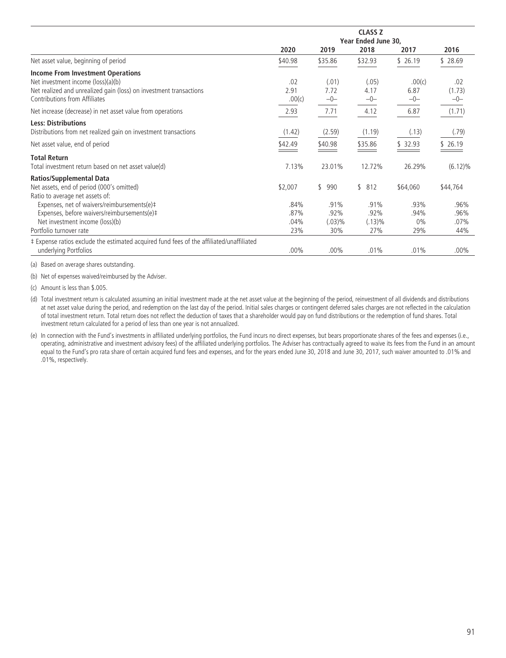|                                                                                                                                                                                       | <b>CLASS Z</b><br>Year Ended June 30, |                               |                               |                              |                                |  |  |  |  |
|---------------------------------------------------------------------------------------------------------------------------------------------------------------------------------------|---------------------------------------|-------------------------------|-------------------------------|------------------------------|--------------------------------|--|--|--|--|
|                                                                                                                                                                                       | 2020                                  | 2019                          | 2018                          | 2017                         | 2016                           |  |  |  |  |
| Net asset value, beginning of period                                                                                                                                                  | \$40.98                               | \$35.86                       | \$32.93                       | \$26.19                      | \$28.69                        |  |  |  |  |
| <b>Income From Investment Operations</b><br>Net investment income (loss)(a)(b)<br>Net realized and unrealized gain (loss) on investment transactions<br>Contributions from Affiliates | .02<br>2.91<br>.00(c)                 | (.01)<br>7.72<br>$-0-$        | (.05)<br>4.17<br>$-0-$        | .00(c)<br>6.87<br>$-0-$      | .02<br>(1.73)<br>-0-           |  |  |  |  |
| Net increase (decrease) in net asset value from operations                                                                                                                            | 2.93                                  | 7.71                          | 4.12                          | 6.87                         | (1.71)                         |  |  |  |  |
| <b>Less: Distributions</b><br>Distributions from net realized gain on investment transactions                                                                                         | (1.42)                                | (2.59)                        | (1.19)                        | (.13)                        | (.79)                          |  |  |  |  |
| Net asset value, end of period                                                                                                                                                        | \$42.49                               | \$40.98                       | \$35.86                       | \$ 32.93                     | \$26.19                        |  |  |  |  |
| <b>Total Return</b><br>Total investment return based on net asset value(d)                                                                                                            | 7.13%                                 | 23.01%                        | 12.72%                        | 26.29%                       | $(6.12)\%$                     |  |  |  |  |
| <b>Ratios/Supplemental Data</b><br>Net assets, end of period (000's omitted)<br>Ratio to average net assets of:                                                                       | \$2,007                               | \$990                         | \$<br>812                     | \$64,060                     | \$44,764                       |  |  |  |  |
| Expenses, net of waivers/reimbursements(e)#<br>Expenses, before waivers/reimbursements(e)#<br>Net investment income (loss)(b)<br>Portfolio turnover rate                              | .84%<br>.87%<br>$.04\%$<br>23%        | .91%<br>.92%<br>(.03)%<br>30% | .91%<br>.92%<br>(.13)%<br>27% | .93%<br>.94%<br>$0\%$<br>29% | .96%<br>.96%<br>$.07\%$<br>44% |  |  |  |  |
| ‡ Expense ratios exclude the estimated acquired fund fees of the affiliated/unaffiliated<br>underlying Portfolios                                                                     | $.00\%$                               | $.00\%$                       | .01%                          | .01%                         | $.00\%$                        |  |  |  |  |

(a) Based on average shares outstanding.

(b) Net of expenses waived/reimbursed by the Adviser.

(c) Amount is less than \$.005.

(d) Total investment return is calculated assuming an initial investment made at the net asset value at the beginning of the period, reinvestment of all dividends and distributions at net asset value during the period, and redemption on the last day of the period. Initial sales charges or contingent deferred sales charges are not reflected in the calculation of total investment return. Total return does not reflect the deduction of taxes that a shareholder would pay on fund distributions or the redemption of fund shares. Total investment return calculated for a period of less than one year is not annualized.

(e) In connection with the Fund's investments in affiliated underlying portfolios, the Fund incurs no direct expenses, but bears proportionate shares of the fees and expenses (i.e., operating, administrative and investment advisory fees) of the affiliated underlying portfolios. The Adviser has contractually agreed to waive its fees from the Fund in an amount equal to the Fund's pro rata share of certain acquired fund fees and expenses, and for the years ended June 30, 2018 and June 30, 2017, such waiver amounted to .01% and .01%, respectively.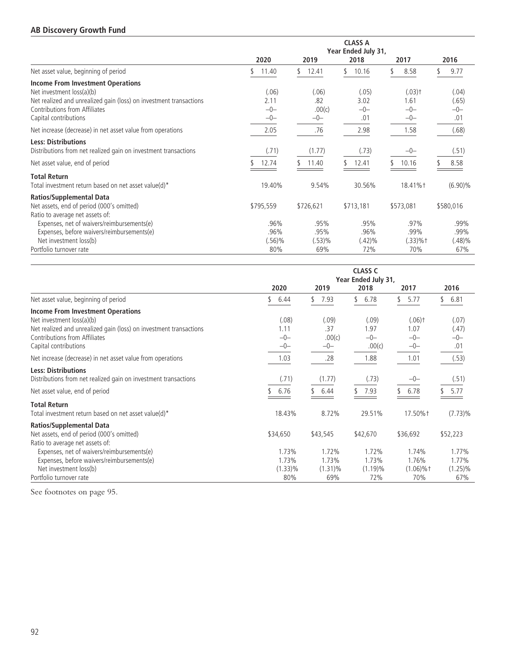## **AB Discovery Growth Fund**

|                                                                                                                                                                                                       | <b>CLASS A</b><br>Year Ended July 31, |                                 |                                  |                                                |                                  |  |  |  |  |
|-------------------------------------------------------------------------------------------------------------------------------------------------------------------------------------------------------|---------------------------------------|---------------------------------|----------------------------------|------------------------------------------------|----------------------------------|--|--|--|--|
|                                                                                                                                                                                                       | 2020                                  | 2019                            | 2018                             | 2017                                           | 2016                             |  |  |  |  |
| Net asset value, beginning of period                                                                                                                                                                  | 11.40<br>S.                           | 12.41                           | 10.16<br>\$                      | 8.58                                           | 9.77                             |  |  |  |  |
| <b>Income From Investment Operations</b><br>Net investment loss(a)(b)<br>Net realized and unrealized gain (loss) on investment transactions<br>Contributions from Affiliates<br>Capital contributions | (.06)<br>2.11<br>$-0-$<br>$-0-$       | (.06)<br>.82<br>.00(c)<br>$-0-$ | (.05)<br>3.02<br>$-0-$<br>.01    | $(.03)$ <sup>+</sup><br>1.61<br>$-0-$<br>$-0-$ | (.04)<br>(.65)<br>$-0-$<br>.01   |  |  |  |  |
| Net increase (decrease) in net asset value from operations                                                                                                                                            | 2.05                                  | .76                             | 2.98                             | 1.58                                           | (.68)                            |  |  |  |  |
| <b>Less: Distributions</b><br>Distributions from net realized gain on investment transactions<br>Net asset value, end of period                                                                       | (.71)<br>12.74                        | (1.77)<br>11.40                 | (.73)<br>12.41                   | $-0-$<br>10.16                                 | (.51)<br>8.58                    |  |  |  |  |
| <b>Total Return</b><br>Total investment return based on net asset value(d)*                                                                                                                           | 19.40%                                | 9.54%                           | 30.56%                           | 18.41%+                                        | $(6.90)\%$                       |  |  |  |  |
| <b>Ratios/Supplemental Data</b><br>Net assets, end of period (000's omitted)<br>Ratio to average net assets of:                                                                                       | \$795,559                             | \$726,621                       | \$713,181                        | \$573,081                                      | \$580,016                        |  |  |  |  |
| Expenses, net of waivers/reimbursements(e)<br>Expenses, before waivers/reimbursements(e)<br>Net investment loss(b)<br>Portfolio turnover rate                                                         | .96%<br>.96%<br>$(.56)\%$<br>80%      | .95%<br>.95%<br>(.53)%<br>69%   | .95%<br>.96%<br>$(.42)\%$<br>72% | .97%<br>.99%<br>$(.33)%$ †<br>70%              | .99%<br>.99%<br>$(.48)\%$<br>67% |  |  |  |  |

|                                                                                                                                                                                                |                                 |                                 | <b>CLASS C</b><br>Year Ended July 31, |                                                |                                |  |
|------------------------------------------------------------------------------------------------------------------------------------------------------------------------------------------------|---------------------------------|---------------------------------|---------------------------------------|------------------------------------------------|--------------------------------|--|
|                                                                                                                                                                                                | 2020                            | 2019                            | 2018                                  | 2017                                           | 2016                           |  |
| Net asset value, beginning of period                                                                                                                                                           | 6.44                            | \$<br>7.93                      | \$.<br>6.78                           | 5.77                                           | \$<br>6.81                     |  |
| Income From Investment Operations<br>Net investment loss(a)(b)<br>Net realized and unrealized gain (loss) on investment transactions<br>Contributions from Affiliates<br>Capital contributions | (.08)<br>1.11<br>$-0-$<br>$-0-$ | (.09)<br>.37<br>.00(c)<br>$-0-$ | (.09)<br>1.97<br>$-0-$<br>.00(c)      | $(.06)$ <sup>+</sup><br>1.07<br>$-0-$<br>$-0-$ | (.07)<br>(.47)<br>$-0-$<br>.01 |  |
| Net increase (decrease) in net asset value from operations                                                                                                                                     | 1.03                            | .28                             | 1.88                                  | 1.01                                           | (.53)                          |  |
| <b>Less: Distributions</b><br>Distributions from net realized gain on investment transactions<br>Net asset value, end of period                                                                | (.71)<br>6.76                   | (1.77)<br>6.44                  | (.73)<br>7.93                         | $-0-$<br>6.78                                  | (.51)<br>5.77                  |  |
| <b>Total Return</b><br>Total investment return based on net asset value(d)*                                                                                                                    | 18.43%                          | 8.72%                           | 29.51%                                | 17.50%+                                        | $(7.73)\%$                     |  |
| <b>Ratios/Supplemental Data</b><br>Net assets, end of period (000's omitted)<br>Ratio to average net assets of:<br>Expenses, net of waivers/reimbursements(e)                                  | \$34,650<br>1.73%               | \$43,545<br>1.72%               | \$42,670<br>1.72%                     | \$36,692<br>1.74%                              | \$52,223<br>1.77%              |  |
| Expenses, before waivers/reimbursements(e)<br>Net investment loss(b)<br>Portfolio turnover rate                                                                                                | 1.73%<br>$(1.33)\%$<br>80%      | 1.73%<br>$(1.31)\%$<br>69%      | 1.73%<br>$(1.19)\%$<br>72%            | 1.76%<br>$(1.06)\%$ †<br>70%                   | 1.77%<br>$(1.25)\%$<br>67%     |  |

See footnotes on page 95.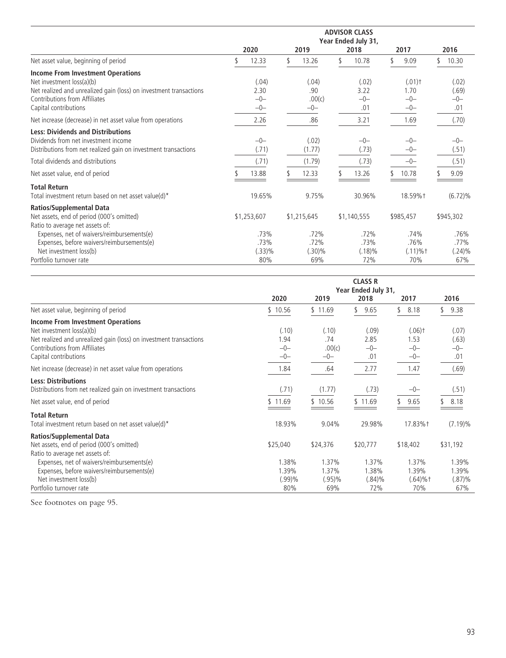|                                                                                                                                                                                                       | <b>ADVISOR CLASS</b><br>Year Ended July 31, |                                 |    |                                 |  |                               |  |                                                |  |                                |
|-------------------------------------------------------------------------------------------------------------------------------------------------------------------------------------------------------|---------------------------------------------|---------------------------------|----|---------------------------------|--|-------------------------------|--|------------------------------------------------|--|--------------------------------|
|                                                                                                                                                                                                       |                                             | 2020                            |    | 2019                            |  | 2018                          |  | 2017                                           |  | 2016                           |
| Net asset value, beginning of period                                                                                                                                                                  |                                             | 12.33                           | \$ | 13.26                           |  | 10.78                         |  | 9.09                                           |  | 10.30                          |
| <b>Income From Investment Operations</b><br>Net investment loss(a)(b)<br>Net realized and unrealized gain (loss) on investment transactions<br>Contributions from Affiliates<br>Capital contributions |                                             | (.04)<br>2.30<br>$-0-$<br>$-0-$ |    | (.04)<br>.90<br>.00(c)<br>$-0-$ |  | (.02)<br>3.22<br>$-0-$<br>.01 |  | $(.01)$ <sup>+</sup><br>1.70<br>$-0-$<br>$-0-$ |  | (.02)<br>(.69)<br>$-0-$<br>.01 |
| Net increase (decrease) in net asset value from operations                                                                                                                                            |                                             | 2.26                            |    | .86                             |  | 3.21                          |  | 1.69                                           |  | (.70)                          |
| <b>Less: Dividends and Distributions</b><br>Dividends from net investment income<br>Distributions from net realized gain on investment transactions<br>Total dividends and distributions              |                                             | $-0-$<br>(.71)<br>(.71)         |    | (.02)<br>(1.77)<br>(1.79)       |  | $-0-$<br>(.73)<br>(.73)       |  | $-0-$<br>$-0-$<br>$-0-$                        |  | $-0-$<br>(.51)<br>(.51)        |
| Net asset value, end of period                                                                                                                                                                        |                                             | 13.88                           |    | 12.33                           |  | 13.26                         |  | 10.78                                          |  | 9.09                           |
| <b>Total Return</b><br>Total investment return based on net asset value(d)*                                                                                                                           |                                             | 19.65%                          |    | 9.75%                           |  | 30.96%                        |  | 18.59%+                                        |  | $(6.72)\%$                     |
| <b>Ratios/Supplemental Data</b><br>Net assets, end of period (000's omitted)<br>Ratio to average net assets of:<br>Expenses, net of waivers/reimbursements(e)                                         |                                             | \$1,253,607<br>.73%             |    | \$1,215,645<br>.72%             |  | \$1,140,555<br>.72%           |  | \$985,457<br>.74%                              |  | \$945,302<br>.76%              |
| Expenses, before waivers/reimbursements(e)<br>Net investment loss(b)<br>Portfolio turnover rate                                                                                                       |                                             | .73%<br>(.33)%<br>80%           |    | .72%<br>(.30)%<br>69%           |  | .73%<br>$(.18)\%$<br>72%      |  | .76%<br>$(.11) \%$ †<br>70%                    |  | .77%<br>$(.24)\%$<br>67%       |

|                                                                                                                    | <b>CLASS R</b><br>Year Ended July 31, |                             |                             |                                |                             |  |  |
|--------------------------------------------------------------------------------------------------------------------|---------------------------------------|-----------------------------|-----------------------------|--------------------------------|-----------------------------|--|--|
|                                                                                                                    | 2020                                  | 2019                        | 2018                        | 2017                           | 2016                        |  |  |
| Net asset value, beginning of period                                                                               | \$10.56                               | \$11.69                     | 9.65                        | 8.18                           | 9.38                        |  |  |
| <b>Income From Investment Operations</b><br>Net investment loss(a)(b)                                              | (.10)                                 | (.10)                       | (.09)                       | $(.06)$ <sup>+</sup>           | (.07)                       |  |  |
| Net realized and unrealized gain (loss) on investment transactions<br>Contributions from Affiliates                | 1.94<br>$-0-$                         | .74<br>.00(c)               | 2.85<br>$-0-$               | 1.53<br>$-0-$                  | (.63)<br>$-0-$              |  |  |
| Capital contributions                                                                                              | $-0-$                                 | $-0-$                       | .01                         | $-0-$                          | .01                         |  |  |
| Net increase (decrease) in net asset value from operations                                                         | 1.84                                  | .64                         | 2.77                        | 1.47                           | (.69)                       |  |  |
| <b>Less: Distributions</b><br>Distributions from net realized gain on investment transactions                      | (.71)                                 | (1.77)                      | (.73)                       | $-0-$                          | (.51)                       |  |  |
| Net asset value, end of period                                                                                     | \$11.69                               | \$10.56                     | \$11.69                     | 9.65                           | 8.18                        |  |  |
| <b>Total Return</b><br>Total investment return based on net asset value(d)*                                        | 18.93%                                | 9.04%                       | 29.98%                      | 17.83%†                        | $(7.19)\%$                  |  |  |
| <b>Ratios/Supplemental Data</b><br>Net assets, end of period (000's omitted)<br>Ratio to average net assets of:    | \$25,040                              | \$24,376                    | \$20,777                    | \$18,402                       | \$31,192                    |  |  |
| Expenses, net of waivers/reimbursements(e)<br>Expenses, before waivers/reimbursements(e)<br>Net investment loss(b) | 1.38%<br>1.39%<br>$(.99)\%$           | 1.37%<br>1.37%<br>$(.95)\%$ | 1.37%<br>1.38%<br>$(.84)\%$ | 1.37%<br>1.39%<br>$(.64) \%$ † | 1.39%<br>1.39%<br>$(.87)\%$ |  |  |
| Portfolio turnover rate                                                                                            | 80%                                   | 69%                         | 72%                         | 70%                            | 67%                         |  |  |

See footnotes on page 95.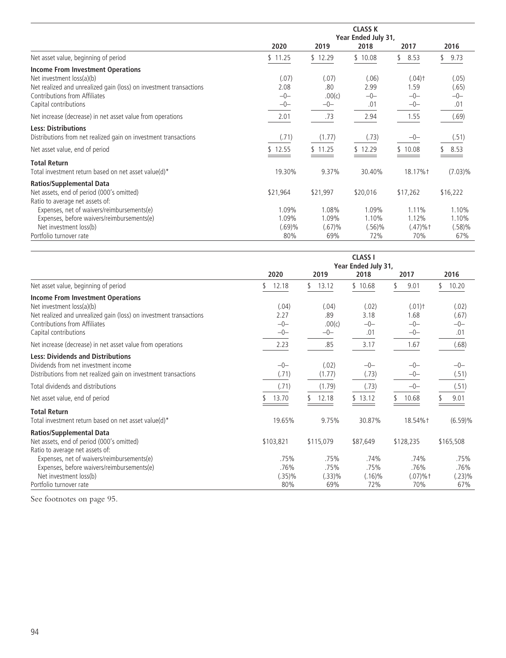|                                                                       | <b>CLASS K</b>      |          |           |                      |            |  |  |  |  |  |
|-----------------------------------------------------------------------|---------------------|----------|-----------|----------------------|------------|--|--|--|--|--|
|                                                                       | Year Ended July 31, |          |           |                      |            |  |  |  |  |  |
|                                                                       | 2020                | 2019     | 2018      | 2017                 | 2016       |  |  |  |  |  |
| Net asset value, beginning of period                                  | \$11.25             | \$12.29  | \$10.08   | 8.53                 | 9.73       |  |  |  |  |  |
| <b>Income From Investment Operations</b><br>Net investment loss(a)(b) | (.07)               | (.07)    | (.06)     | $(.04)$ <sup>+</sup> | (.05)      |  |  |  |  |  |
| Net realized and unrealized gain (loss) on investment transactions    | 2.08                | .80      | 2.99      | 1.59                 | (.65)      |  |  |  |  |  |
| Contributions from Affiliates                                         | $-0-$               | .00(c)   | $-0-$     | $-0-$                | $-0-$      |  |  |  |  |  |
| Capital contributions                                                 | $-0-$               | $-0-$    | .01       | $-0-$                | .01        |  |  |  |  |  |
| Net increase (decrease) in net asset value from operations            | 2.01                | .73      | 2.94      | 1.55                 | (.69)      |  |  |  |  |  |
| <b>Less: Distributions</b>                                            |                     |          |           |                      |            |  |  |  |  |  |
| Distributions from net realized gain on investment transactions       | (.71)               | (1.77)   | (.73)     | $-0-$                | (.51)      |  |  |  |  |  |
| Net asset value, end of period                                        | \$12.55             | \$11.25  | \$12.29   | \$10.08              | 8.53       |  |  |  |  |  |
| <b>Total Return</b>                                                   |                     |          |           |                      |            |  |  |  |  |  |
| Total investment return based on net asset value(d)*                  | 19.30%              | 9.37%    | 30.40%    | 18.17%†              | $(7.03)\%$ |  |  |  |  |  |
| <b>Ratios/Supplemental Data</b>                                       |                     |          |           |                      |            |  |  |  |  |  |
| Net assets, end of period (000's omitted)                             | \$21,964            | \$21,997 | \$20,016  | \$17,262             | \$16,222   |  |  |  |  |  |
| Ratio to average net assets of:                                       |                     |          |           |                      |            |  |  |  |  |  |
| Expenses, net of waivers/reimbursements(e)                            | 1.09%               | 1.08%    | 1.09%     | 1.11%                | 1.10%      |  |  |  |  |  |
| Expenses, before waivers/reimbursements(e)                            | 1.09%               | 1.09%    | 1.10%     | 1.12%                | 1.10%      |  |  |  |  |  |
| Net investment loss(b)                                                | $(.69)\%$           | (.67)%   | $(.56)\%$ | $(.47)%$ †           | (.58)%     |  |  |  |  |  |
| Portfolio turnover rate                                               | 80%                 | 69%      | 72%       | 70%                  | 67%        |  |  |  |  |  |

|                                                                                                                                                                                                       | <b>CLASS I</b><br>Year Ended July 31, |                                 |                                  |                                                |                                |  |  |  |  |
|-------------------------------------------------------------------------------------------------------------------------------------------------------------------------------------------------------|---------------------------------------|---------------------------------|----------------------------------|------------------------------------------------|--------------------------------|--|--|--|--|
|                                                                                                                                                                                                       | 2020                                  | 2019                            | 2018                             | 2017                                           | 2016                           |  |  |  |  |
| Net asset value, beginning of period                                                                                                                                                                  | 12.18                                 | 13.12<br>\$.                    | \$10.68                          | 9.01                                           | 10.20                          |  |  |  |  |
| <b>Income From Investment Operations</b><br>Net investment loss(a)(b)<br>Net realized and unrealized gain (loss) on investment transactions<br>Contributions from Affiliates<br>Capital contributions | (.04)<br>2.27<br>$-0-$<br>$-0-$       | (.04)<br>.89<br>.00(c)<br>$-0-$ | (.02)<br>3.18<br>$-0-$<br>.01    | $(.01)$ <sup>+</sup><br>1.68<br>$-0-$<br>$-0-$ | (.02)<br>(.67)<br>$-0-$<br>.01 |  |  |  |  |
| Net increase (decrease) in net asset value from operations                                                                                                                                            | 2.23                                  | .85                             | 3.17                             | 1.67                                           | (.68)                          |  |  |  |  |
| <b>Less: Dividends and Distributions</b><br>Dividends from net investment income<br>Distributions from net realized gain on investment transactions<br>Total dividends and distributions              | $-0-$<br>(.71)<br>(.71)               | (.02)<br>(1.77)<br>(1.79)       | $-0-$<br>(.73)<br>(.73)          | $-0-$<br>$-0-$<br>$-0-$                        | $-0-$<br>(.51)<br>(.51)        |  |  |  |  |
| Net asset value, end of period                                                                                                                                                                        | 13.70                                 | 12.18<br>\$                     | \$13.12                          | 10.68                                          | 9.01                           |  |  |  |  |
| <b>Total Return</b><br>Total investment return based on net asset value(d)*                                                                                                                           | 19.65%                                | 9.75%                           | 30.87%                           | 18.54%†                                        | (6.59)%                        |  |  |  |  |
| <b>Ratios/Supplemental Data</b><br>Net assets, end of period (000's omitted)<br>Ratio to average net assets of:                                                                                       | \$103,821                             | \$115,079                       | \$87,649                         | \$128,235                                      | \$165,508                      |  |  |  |  |
| Expenses, net of waivers/reimbursements(e)<br>Expenses, before waivers/reimbursements(e)<br>Net investment loss(b)<br>Portfolio turnover rate                                                         | .75%<br>.76%<br>$(.35)\%$<br>80%      | .75%<br>.75%<br>(.33)%<br>69%   | .74%<br>.75%<br>$(.16)\%$<br>72% | .74%<br>.76%<br>$(.07)%$ †<br>70%              | .75%<br>.76%<br>(.23)%<br>67%  |  |  |  |  |

See footnotes on page 95.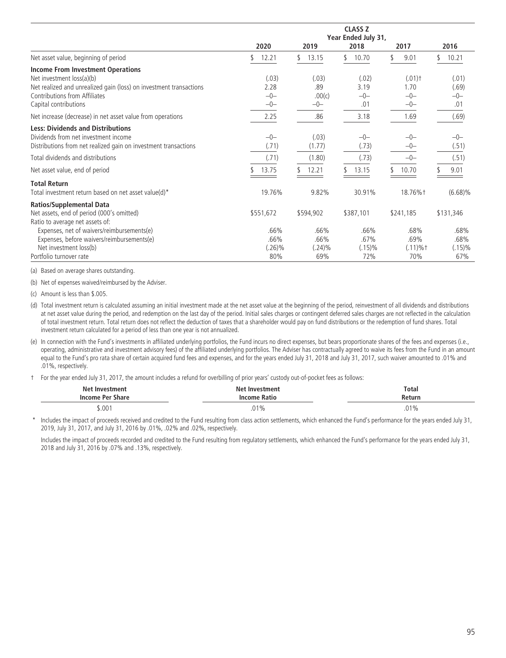|                                                                    |             | <b>CLASS Z</b>      |             |                      |             |  |  |  |  |  |  |
|--------------------------------------------------------------------|-------------|---------------------|-------------|----------------------|-------------|--|--|--|--|--|--|
|                                                                    |             | Year Ended July 31, |             |                      |             |  |  |  |  |  |  |
|                                                                    | 2020        | 2019                | 2018        | 2017                 | 2016        |  |  |  |  |  |  |
| Net asset value, beginning of period                               | 12.21<br>\$ | 13.15<br>S.         | 10.70<br>\$ | 9.01<br>٢,           | 10.21<br>\$ |  |  |  |  |  |  |
| <b>Income From Investment Operations</b>                           |             |                     |             |                      |             |  |  |  |  |  |  |
| Net investment loss(a)(b)                                          | (.03)       | (.03)               | (.02)       | $(.01)$ <sup>+</sup> | (.01)       |  |  |  |  |  |  |
| Net realized and unrealized gain (loss) on investment transactions | 2.28        | .89                 | 3.19        | 1.70                 | (.69)       |  |  |  |  |  |  |
| Contributions from Affiliates                                      | $-0-$       | .00(c)              | $-0-$       | $-0-$                | $-0-$       |  |  |  |  |  |  |
| Capital contributions                                              | $-0-$       | $-0-$               | .01         | $-0-$                | .01         |  |  |  |  |  |  |
| Net increase (decrease) in net asset value from operations         | 2.25        | .86                 | 3.18        | 1.69                 | (.69)       |  |  |  |  |  |  |
| <b>Less: Dividends and Distributions</b>                           |             |                     |             |                      |             |  |  |  |  |  |  |
| Dividends from net investment income                               | $-0-$       | (.03)               | $-0-$       | $-0-$                | $-0-$       |  |  |  |  |  |  |
| Distributions from net realized gain on investment transactions    | (.71)       | (1.77)              | (.73)       | $-0-$                | (.51)       |  |  |  |  |  |  |
| Total dividends and distributions                                  | (.71)       | (1.80)              | (.73)       | $-0-$                | (.51)       |  |  |  |  |  |  |
| Net asset value, end of period                                     | 13.75       | 12.21               | 13.15       | 10.70                | 9.01        |  |  |  |  |  |  |
| <b>Total Return</b>                                                |             |                     |             |                      |             |  |  |  |  |  |  |
| Total investment return based on net asset value(d)*               | 19.76%      | 9.82%               | 30.91%      | 18.76%+              | $(6.68)\%$  |  |  |  |  |  |  |
| <b>Ratios/Supplemental Data</b>                                    |             |                     |             |                      |             |  |  |  |  |  |  |
| Net assets, end of period (000's omitted)                          | \$551,672   | \$594,902           | \$387,101   | \$241,185            | \$131,346   |  |  |  |  |  |  |
| Ratio to average net assets of:                                    |             |                     |             |                      |             |  |  |  |  |  |  |
| Expenses, net of waivers/reimbursements(e)                         | .66%        | .66%                | .66%        | .68%                 | .68%        |  |  |  |  |  |  |
| Expenses, before waivers/reimbursements(e)                         | .66%        | .66%                | .67%        | .69%                 | .68%        |  |  |  |  |  |  |
| Net investment loss(b)                                             | $(.26)\%$   | $(.24)\%$           | $(.15)\%$   | $(.11) \%$ †         | $(.15)\%$   |  |  |  |  |  |  |
| Portfolio turnover rate                                            | 80%         | 69%                 | 72%         | 70%                  | 67%         |  |  |  |  |  |  |

(a) Based on average shares outstanding.

(b) Net of expenses waived/reimbursed by the Adviser.

(c) Amount is less than \$.005.

(d) Total investment return is calculated assuming an initial investment made at the net asset value at the beginning of the period, reinvestment of all dividends and distributions at net asset value during the period, and redemption on the last day of the period. Initial sales charges or contingent deferred sales charges are not reflected in the calculation of total investment return. Total return does not reflect the deduction of taxes that a shareholder would pay on fund distributions or the redemption of fund shares. Total investment return calculated for a period of less than one year is not annualized.

(e) In connection with the Fund's investments in affiliated underlying portfolios, the Fund incurs no direct expenses, but bears proportionate shares of the fees and expenses (i.e., operating, administrative and investment advisory fees) of the affiliated underlying portfolios. The Adviser has contractually agreed to waive its fees from the Fund in an amount equal to the Fund's pro rata share of certain acquired fund fees and expenses, and for the years ended July 31, 2018 and July 31, 2017, such waiver amounted to .01% and .01%, respectively.

† For the year ended July 31, 2017, the amount includes a refund for overbilling of prior years' custody out-of-pocket fees as follows:

| Net Investment   | <b>Net Investment</b>                      | <b>Total</b> |
|------------------|--------------------------------------------|--------------|
| Income Per Share |                                            | Return       |
|                  | .                                          |              |
| 5.001            | ገ1%<br>.U I<br>and the control of the con- |              |

Includes the impact of proceeds received and credited to the Fund resulting from class action settlements, which enhanced the Fund's performance for the years ended July 31, 2019, July 31, 2017, and July 31, 2016 by .01%, .02% and .02%, respectively.

Includes the impact of proceeds recorded and credited to the Fund resulting from regulatory settlements, which enhanced the Fund's performance for the years ended July 31, 2018 and July 31, 2016 by .07% and .13%, respectively.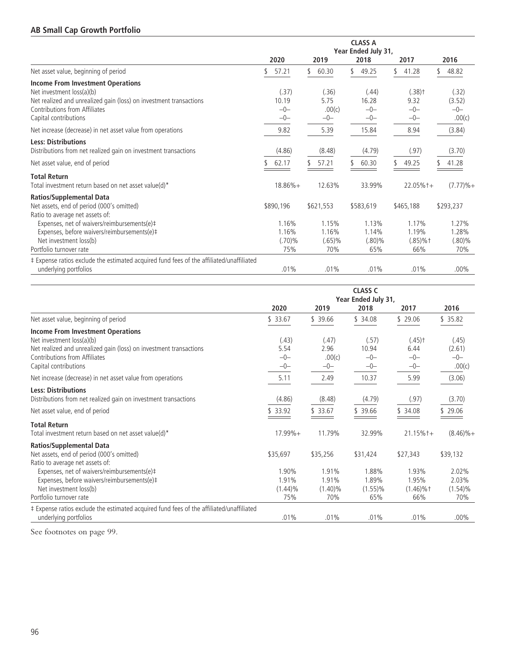## **AB Small Cap Growth Portfolio**

|                                                                                                 |                | Year Ended July 31, |                |                              |                 |
|-------------------------------------------------------------------------------------------------|----------------|---------------------|----------------|------------------------------|-----------------|
|                                                                                                 | 2020           | 2019                | 2018           | 2017                         | 2016            |
| Net asset value, beginning of period                                                            | 57.21          | 60.30<br>\$.        | 49.25<br>S     | 41.28                        | 48.82<br>\$     |
| <b>Income From Investment Operations</b>                                                        |                |                     |                |                              |                 |
| Net investment loss(a)(b)<br>Net realized and unrealized gain (loss) on investment transactions | (.37)<br>10.19 | (.36)<br>5.75       | (.44)<br>16.28 | $(.38)$ <sup>+</sup><br>9.32 | (.32)<br>(3.52) |
| Contributions from Affiliates                                                                   | $-0-$          | .00(c)              | $-0-$          | $-0-$                        | $-0-$           |
| Capital contributions                                                                           | $-0-$          | $-0-$               | $-0-$          | $-0-$                        | .00(c)          |
| Net increase (decrease) in net asset value from operations                                      | 9.82           | 5.39                | 15.84          | 8.94                         | (3.84)          |
| <b>Less: Distributions</b><br>Distributions from net realized gain on investment transactions   | (4.86)         | (8.48)              | (4.79)         | (.97)                        | (3.70)          |
| Net asset value, end of period                                                                  | 62.17          | 57.21               | 60.30          | 49.25                        | 41.28           |
| <b>Total Return</b>                                                                             |                |                     |                |                              |                 |
| Total investment return based on net asset value(d)*                                            | $18.86%+$      | 12.63%              | 33.99%         | $22.05%+$                    | $(7.77)%+$      |
| <b>Ratios/Supplemental Data</b>                                                                 |                |                     |                |                              |                 |
| Net assets, end of period (000's omitted)                                                       | \$890,196      | \$621,553           | \$583,619      | \$465,188                    | \$293,237       |
| Ratio to average net assets of:                                                                 |                |                     |                |                              |                 |
| Expenses, net of waivers/reimbursements(e)#                                                     | 1.16%          | 1.15%               | 1.13%          | 1.17%                        | 1.27%           |
| Expenses, before waivers/reimbursements(e)#                                                     | 1.16%          | 1.16%               | 1.14%          | 1.19%                        | 1.28%           |
| Net investment loss(b)                                                                          | $(.70)\%$      | $(.65)\%$           | (.80)%         | $(.85)\%$ †                  | $(.80)\%$       |
| Portfolio turnover rate                                                                         | 75%            | 70%                 | 65%            | 66%                          | 70%             |
| # Expense ratios exclude the estimated acquired fund fees of the affiliated/unaffiliated        |                |                     |                |                              |                 |
| underlying portfolios                                                                           | .01%           | .01%                | .01%           | .01%                         | $.00\%$         |

|                                                                                          | <b>CLASS C</b><br>Year Ended July 31, |            |            |                      |              |  |  |
|------------------------------------------------------------------------------------------|---------------------------------------|------------|------------|----------------------|--------------|--|--|
|                                                                                          | 2020                                  | 2019       | 2018       | 2017                 | 2016         |  |  |
| Net asset value, beginning of period                                                     | \$33.67                               | \$39.66    | \$34.08    | \$29.06              | \$35.82      |  |  |
| <b>Income From Investment Operations</b>                                                 |                                       |            |            |                      |              |  |  |
| Net investment loss(a)(b)                                                                | (.43)                                 | (.47)      | (.57)      | $(.45)$ <sup>+</sup> | (.45)        |  |  |
| Net realized and unrealized gain (loss) on investment transactions                       | 5.54                                  | 2.96       | 10.94      | 6.44                 | (2.61)       |  |  |
| Contributions from Affiliates                                                            | $-0-$                                 | .00(c)     | $-0-$      | $-0-$                | $-0-$        |  |  |
| Capital contributions                                                                    | $-0-$                                 | $-0-$      | $-0-$      | $-0-$                | .00(c)       |  |  |
| Net increase (decrease) in net asset value from operations                               | 5.11                                  | 2.49       | 10.37      | 5.99                 | (3.06)       |  |  |
| <b>Less: Distributions</b>                                                               |                                       |            |            |                      |              |  |  |
| Distributions from net realized gain on investment transactions                          | (4.86)                                | (8.48)     | (4.79)     | (.97)                | (3.70)       |  |  |
| Net asset value, end of period                                                           | \$33.92                               | \$33.67    | \$39.66    | \$ 34.08             | \$29.06      |  |  |
| <b>Total Return</b>                                                                      |                                       |            |            |                      |              |  |  |
| Total investment return based on net asset value(d)*                                     | $17.99\% +$                           | 11.79%     | 32.99%     | $21.15%$ +           | $(8.46)\% +$ |  |  |
| <b>Ratios/Supplemental Data</b>                                                          |                                       |            |            |                      |              |  |  |
| Net assets, end of period (000's omitted)                                                | \$35,697                              | \$35,256   | \$31,424   | \$27,343             | \$39,132     |  |  |
| Ratio to average net assets of:                                                          |                                       |            |            |                      |              |  |  |
| Expenses, net of waivers/reimbursements(e)#                                              | 1.90%                                 | 1.91%      | 1.88%      | 1.93%                | 2.02%        |  |  |
| Expenses, before waivers/reimbursements(e)#                                              | 1.91%                                 | 1.91%      | 1.89%      | 1.95%                | 2.03%        |  |  |
| Net investment loss(b)                                                                   | $(1.44)\%$                            | $(1.40)\%$ | $(1.55)\%$ | $(1.46)\%$ †         | $(1.54)\%$   |  |  |
| Portfolio turnover rate                                                                  | 75%                                   | 70%        | 65%        | 66%                  | 70%          |  |  |
| # Expense ratios exclude the estimated acquired fund fees of the affiliated/unaffiliated |                                       |            |            |                      |              |  |  |
| underlying portfolios                                                                    | $.01\%$                               | .01%       | .01%       | .01%                 | $.00\%$      |  |  |

See footnotes on page 99.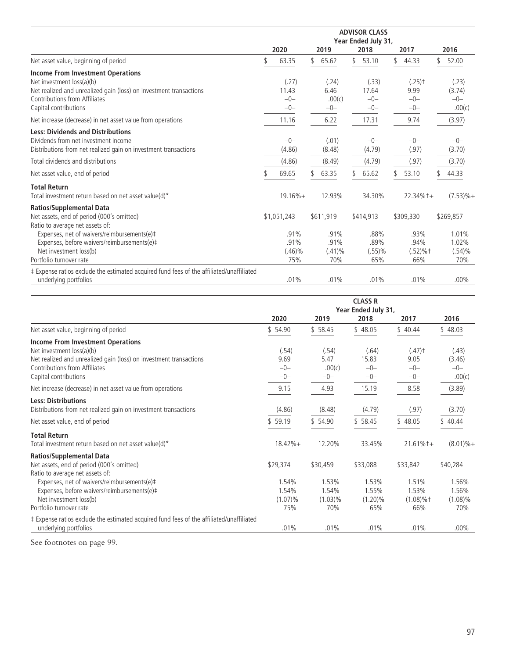|                                                                                          | <b>ADVISOR CLASS</b><br>Year Ended July 31, |             |    |           |    |           |  |                      |  |              |
|------------------------------------------------------------------------------------------|---------------------------------------------|-------------|----|-----------|----|-----------|--|----------------------|--|--------------|
|                                                                                          |                                             | 2020        |    | 2019      |    | 2018      |  | 2017                 |  | 2016         |
| Net asset value, beginning of period                                                     |                                             | 63.35       | \$ | 65.62     | \$ | 53.10     |  | 44.33                |  | 52.00        |
| <b>Income From Investment Operations</b>                                                 |                                             |             |    |           |    |           |  |                      |  |              |
| Net investment loss(a)(b)                                                                |                                             | (.27)       |    | (.24)     |    | (.33)     |  | $(.25)$ <sup>+</sup> |  | (.23)        |
| Net realized and unrealized gain (loss) on investment transactions                       |                                             | 11.43       |    | 6.46      |    | 17.64     |  | 9.99                 |  | (3.74)       |
| Contributions from Affiliates                                                            |                                             | $-0-$       |    | .00(c)    |    | $-0-$     |  | $-0-$                |  | $-0-$        |
| Capital contributions                                                                    |                                             | $-0-$       |    | $-0-$     |    | $-0-$     |  | $-0-$                |  | .00(c)       |
| Net increase (decrease) in net asset value from operations                               |                                             | 11.16       |    | 6.22      |    | 17.31     |  | 9.74                 |  | (3.97)       |
| <b>Less: Dividends and Distributions</b>                                                 |                                             |             |    |           |    |           |  |                      |  |              |
| Dividends from net investment income                                                     |                                             | $-0-$       |    | (.01)     |    | $-0-$     |  | $-0-$                |  | $-0-$        |
| Distributions from net realized gain on investment transactions                          |                                             | (4.86)      |    | (8.48)    |    | (4.79)    |  | (.97)                |  | (3.70)       |
| Total dividends and distributions                                                        |                                             | (4.86)      |    | (8.49)    |    | (4.79)    |  | (.97)                |  | (3.70)       |
| Net asset value, end of period                                                           |                                             | 69.65       |    | 63.35     |    | 65.62     |  | 53.10                |  | 44.33        |
| <b>Total Return</b>                                                                      |                                             |             |    |           |    |           |  |                      |  |              |
| Total investment return based on net asset value(d)*                                     |                                             | $19.16% +$  |    | 12.93%    |    | 34.30%    |  | $22.34\%$ t+         |  | $(7.53)\% +$ |
| <b>Ratios/Supplemental Data</b>                                                          |                                             |             |    |           |    |           |  |                      |  |              |
| Net assets, end of period (000's omitted)                                                |                                             | \$1,051,243 |    | \$611,919 |    | \$414,913 |  | \$309.330            |  | \$269,857    |
| Ratio to average net assets of:                                                          |                                             |             |    |           |    |           |  |                      |  |              |
| Expenses, net of waivers/reimbursements(e)#                                              |                                             | .91%        |    | .91%      |    | .88%      |  | .93%                 |  | 1.01%        |
| Expenses, before waivers/reimbursements(e)#                                              |                                             | .91%        |    | .91%      |    | .89%      |  | .94%                 |  | 1.02%        |
| Net investment loss(b)                                                                   |                                             | $(.46)\%$   |    | $(.41)\%$ |    | $(.55)$ % |  | $(.52) \%$ †         |  | $(.54)\%$    |
| Portfolio turnover rate                                                                  |                                             | 75%         |    | 70%       |    | 65%       |  | 66%                  |  | 70%          |
| ‡ Expense ratios exclude the estimated acquired fund fees of the affiliated/unaffiliated |                                             |             |    |           |    |           |  |                      |  |              |
| underlying portfolios                                                                    |                                             | .01%        |    | .01%      |    | .01%      |  | .01%                 |  | $.00\%$      |

|                                                                                                                                                                              | <b>CLASS R</b><br>Year Ended July 31, |                         |                         |                                       |                          |  |  |
|------------------------------------------------------------------------------------------------------------------------------------------------------------------------------|---------------------------------------|-------------------------|-------------------------|---------------------------------------|--------------------------|--|--|
|                                                                                                                                                                              | 2020                                  | 2019                    | 2018                    | 2017                                  | 2016                     |  |  |
| Net asset value, beginning of period                                                                                                                                         | \$54.90                               | \$58.45                 | \$48.05                 | \$40.44                               | \$48.03                  |  |  |
| <b>Income From Investment Operations</b><br>Net investment loss(a)(b)<br>Net realized and unrealized gain (loss) on investment transactions<br>Contributions from Affiliates | (.54)<br>9.69<br>$-0-$                | (.54)<br>5.47<br>.00(c) | (.64)<br>15.83<br>$-0-$ | $(.47)$ <sup>+</sup><br>9.05<br>$-0-$ | (.43)<br>(3.46)<br>$-0-$ |  |  |
| Capital contributions                                                                                                                                                        | $-0-$                                 | $-0-$                   | $-0-$                   | $-0-$                                 | .00(c)                   |  |  |
| Net increase (decrease) in net asset value from operations                                                                                                                   | 9.15                                  | 4.93                    | 15.19                   | 8.58                                  | (3.89)                   |  |  |
| <b>Less: Distributions</b><br>Distributions from net realized gain on investment transactions                                                                                | (4.86)                                | (8.48)                  | (4.79)                  | (.97)                                 | (3.70)                   |  |  |
| Net asset value, end of period                                                                                                                                               | \$59.19                               | \$54.90                 | \$58.45                 | \$48.05                               | \$40.44                  |  |  |
| <b>Total Return</b><br>Total investment return based on net asset value(d)*                                                                                                  | $18.42% +$                            | 12.20%                  | 33.45%                  | $21.61\%$ t+                          | $(8.01)\% +$             |  |  |
| <b>Ratios/Supplemental Data</b>                                                                                                                                              |                                       |                         |                         |                                       |                          |  |  |
| Net assets, end of period (000's omitted)<br>Ratio to average net assets of:                                                                                                 | \$29,374                              | \$30,459                | \$33,088                | \$33,842                              | \$40,284                 |  |  |
| Expenses, net of waivers/reimbursements(e)#<br>Expenses, before waivers/reimbursements(e)#                                                                                   | 1.54%<br>1.54%                        | 1.53%<br>1.54%          | 1.53%<br>1.55%          | 1.51%<br>1.53%                        | 1.56%<br>1.56%           |  |  |
| Net investment loss(b)                                                                                                                                                       | $(1.07)\%$                            | $(1.03)\%$              | $(1.20)\%$              | $(1.08)\%$ †                          | $(1.08)\%$               |  |  |
| Portfolio turnover rate                                                                                                                                                      | 75%                                   | 70%                     | 65%                     | 66%                                   | 70%                      |  |  |
| ‡ Expense ratios exclude the estimated acquired fund fees of the affiliated/unaffiliated<br>underlying portfolios                                                            | .01%                                  | .01%                    | .01%                    | .01%                                  | $.00\%$                  |  |  |

See footnotes on page 99.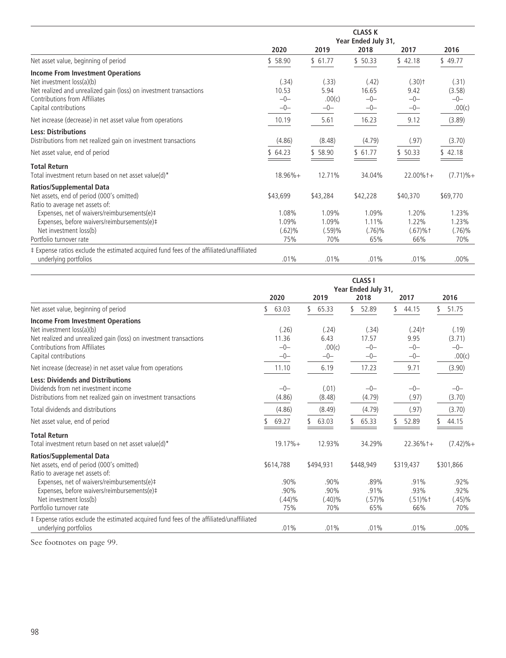|                                                                                          | <b>CLASS K</b><br>Year Ended July 31, |          |           |                      |              |  |  |  |  |
|------------------------------------------------------------------------------------------|---------------------------------------|----------|-----------|----------------------|--------------|--|--|--|--|
|                                                                                          | 2020                                  | 2019     | 2018      | 2017                 | 2016         |  |  |  |  |
| Net asset value, beginning of period                                                     | \$58.90                               | \$61.77  | \$50.33   | \$42.18              | \$49.77      |  |  |  |  |
| <b>Income From Investment Operations</b>                                                 |                                       |          |           |                      |              |  |  |  |  |
| Net investment loss(a)(b)                                                                | (.34)                                 | (.33)    | (.42)     | $(.30)$ <sup>+</sup> | (.31)        |  |  |  |  |
| Net realized and unrealized gain (loss) on investment transactions                       | 10.53                                 | 5.94     | 16.65     | 9.42                 | (3.58)       |  |  |  |  |
| Contributions from Affiliates                                                            | $-0-$                                 | .00(c)   | $-0-$     | $-0-$                | $-0-$        |  |  |  |  |
| Capital contributions                                                                    | $-0-$                                 | $-0-$    | $-0-$     | $-0-$                | .00(c)       |  |  |  |  |
| Net increase (decrease) in net asset value from operations                               | 10.19                                 | 5.61     | 16.23     | 9.12                 | (3.89)       |  |  |  |  |
| <b>Less: Distributions</b>                                                               |                                       |          |           |                      |              |  |  |  |  |
| Distributions from net realized gain on investment transactions                          | (4.86)                                | (8.48)   | (4.79)    | (.97)                | (3.70)       |  |  |  |  |
| Net asset value, end of period                                                           | \$64.23                               | \$ 58.90 | \$61.77   | \$50.33              | \$42.18      |  |  |  |  |
| <b>Total Return</b>                                                                      |                                       |          |           |                      |              |  |  |  |  |
| Total investment return based on net asset value(d)*                                     | $18.96%+$                             | 12.71%   | 34.04%    | $22.00\%$ t +        | $(7.71)\% +$ |  |  |  |  |
| Ratios/Supplemental Data                                                                 |                                       |          |           |                      |              |  |  |  |  |
| Net assets, end of period (000's omitted)                                                | \$43,699                              | \$43,284 | \$42,228  | \$40,370             | \$69,770     |  |  |  |  |
| Ratio to average net assets of:                                                          |                                       |          |           |                      |              |  |  |  |  |
| Expenses, net of waivers/reimbursements(e)#                                              | 1.08%                                 | 1.09%    | 1.09%     | 1.20%                | 1.23%        |  |  |  |  |
| Expenses, before waivers/reimbursements(e)#                                              | 1.09%                                 | 1.09%    | 1.11%     | 1.22%                | 1.23%        |  |  |  |  |
| Net investment loss(b)                                                                   | (.62)%                                | (.59)%   | $(.76)\%$ | $(.67) \%$ †         | $(.76)\%$    |  |  |  |  |
| Portfolio turnover rate                                                                  | 75%                                   | 70%      | 65%       | 66%                  | 70%          |  |  |  |  |
| ‡ Expense ratios exclude the estimated acquired fund fees of the affiliated/unaffiliated |                                       |          |           |                      |              |  |  |  |  |
| underlying portfolios                                                                    | .01%                                  | .01%     | .01%      | .01%                 | $.00\%$      |  |  |  |  |

|                                                                                                                                                                                                       | <b>CLASS I</b><br>Year Ended July 31, |                                  |                                  |                                                |                                    |  |  |
|-------------------------------------------------------------------------------------------------------------------------------------------------------------------------------------------------------|---------------------------------------|----------------------------------|----------------------------------|------------------------------------------------|------------------------------------|--|--|
|                                                                                                                                                                                                       | 2020                                  | 2019                             | 2018                             | 2017                                           | 2016                               |  |  |
| Net asset value, beginning of period                                                                                                                                                                  | \$<br>63.03                           | \$<br>65.33                      | 52.89                            | 44.15<br>\$                                    | 51.75<br>\$                        |  |  |
| <b>Income From Investment Operations</b><br>Net investment loss(a)(b)<br>Net realized and unrealized gain (loss) on investment transactions<br>Contributions from Affiliates<br>Capital contributions | (.26)<br>11.36<br>$-0-$<br>$-0-$      | (.24)<br>6.43<br>.00(c)<br>$-0-$ | (.34)<br>17.57<br>$-0-$<br>$-0-$ | $(.24)$ <sup>+</sup><br>9.95<br>$-0-$<br>$-0-$ | (.19)<br>(3.71)<br>$-0-$<br>.00(c) |  |  |
| Net increase (decrease) in net asset value from operations                                                                                                                                            | 11.10                                 | 6.19                             | 17.23                            | 9.71                                           | (3.90)                             |  |  |
| <b>Less: Dividends and Distributions</b><br>Dividends from net investment income<br>Distributions from net realized gain on investment transactions<br>Total dividends and distributions              | $-0-$<br>(4.86)<br>(4.86)             | (.01)<br>(8.48)<br>(8.49)        | $-0-$<br>(4.79)<br>(4.79)        | $-0-$<br>(.97)<br>(.97)                        | $-0-$<br>(3.70)<br>(3.70)          |  |  |
| Net asset value, end of period                                                                                                                                                                        | 69.27                                 | 63.03                            | 65.33                            | 52.89                                          | 44.15                              |  |  |
| <b>Total Return</b><br>Total investment return based on net asset value(d)*                                                                                                                           | $19.17% +$                            | 12.93%                           | 34.29%                           | $22.36\%$ t+                                   | $(7.42)\%+$                        |  |  |
| <b>Ratios/Supplemental Data</b><br>Net assets, end of period (000's omitted)<br>Ratio to average net assets of:                                                                                       | \$614,788                             | \$494,931                        | \$448,949                        | \$319,437                                      | \$301,866                          |  |  |
| Expenses, net of waivers/reimbursements(e)#<br>Expenses, before waivers/reimbursements(e)#<br>Net investment loss(b)<br>Portfolio turnover rate                                                       | .90%<br>.90%<br>$(.44)\%$<br>75%      | .90%<br>.90%<br>$(.40)\%$<br>70% | .89%<br>.91%<br>(.57)%<br>65%    | .91%<br>$.93\%$<br>$(.51) \%$ †<br>66%         | .92%<br>.92%<br>$(.45)\%$<br>70%   |  |  |
| ‡ Expense ratios exclude the estimated acquired fund fees of the affiliated/unaffiliated<br>underlying portfolios                                                                                     | .01%                                  | .01%                             | .01%                             | .01%                                           | $.00\%$                            |  |  |

See footnotes on page 99.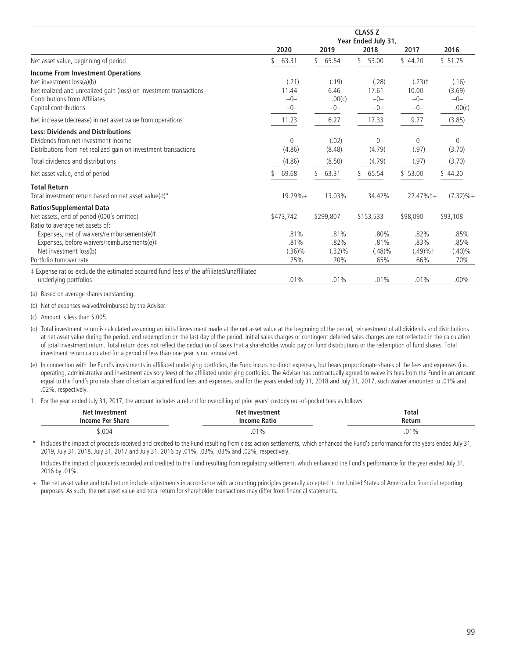|                                                                                          | <b>CLASS Z</b><br>Year Ended July 31, |           |            |            |              |  |  |  |
|------------------------------------------------------------------------------------------|---------------------------------------|-----------|------------|------------|--------------|--|--|--|
|                                                                                          | 2020                                  | 2019      | 2018       | 2017       | 2016         |  |  |  |
| Net asset value, beginning of period                                                     | 63.31                                 | 65.54     | 53.00<br>S | \$44.20    | \$51.75      |  |  |  |
| <b>Income From Investment Operations</b>                                                 |                                       |           |            |            |              |  |  |  |
| Net investment loss(a)(b)                                                                | (.21)                                 | (.19)     | (.28)      | $(.23)$ †  | (.16)        |  |  |  |
| Net realized and unrealized gain (loss) on investment transactions                       | 11.44                                 | 6.46      | 17.61      | 10.00      | (3.69)       |  |  |  |
| Contributions from Affiliates                                                            | $-0-$                                 | .00(c)    | $-0-$      | $-0-$      | $-0-$        |  |  |  |
| Capital contributions                                                                    | $-0-$                                 | $-0-$     | $-0-$      | $-0-$      | .00(c)       |  |  |  |
| Net increase (decrease) in net asset value from operations                               | 11.23                                 | 6.27      | 17.33      | 9.77       | (3.85)       |  |  |  |
| <b>Less: Dividends and Distributions</b>                                                 |                                       |           |            |            |              |  |  |  |
| Dividends from net investment income                                                     | $-0-$                                 | (.02)     | $-0-$      | $-0-$      | $-0-$        |  |  |  |
| Distributions from net realized gain on investment transactions                          | (4.86)                                | (8.48)    | (4.79)     | (.97)      | (3.70)       |  |  |  |
| Total dividends and distributions                                                        | (4.86)                                | (8.50)    | (4.79)     | (.97)      | (3.70)       |  |  |  |
| Net asset value, end of period                                                           | 69.68                                 | 63.31     | 65.54      | \$53.00    | \$44.20      |  |  |  |
| <b>Total Return</b>                                                                      |                                       |           |            |            |              |  |  |  |
| Total investment return based on net asset value(d)*                                     | $19.29%+$                             | 13.03%    | 34.42%     | $22.47%+$  | $(7.32)\% +$ |  |  |  |
| <b>Ratios/Supplemental Data</b>                                                          |                                       |           |            |            |              |  |  |  |
| Net assets, end of period (000's omitted)                                                | \$473,742                             | \$299,807 | \$153,533  | \$98,090   | \$93,108     |  |  |  |
| Ratio to average net assets of:                                                          |                                       |           |            |            |              |  |  |  |
| Expenses, net of waivers/reimbursements(e)#                                              | .81%                                  | .81%      | .80%       | .82%       | .85%         |  |  |  |
| Expenses, before waivers/reimbursements(e)#                                              | .81%                                  | .82%      | .81%       | .83%       | .85%         |  |  |  |
| Net investment loss(b)                                                                   | $(.36)\%$                             | (.32)%    | $(.48)\%$  | $(.49)%$ † | $(.40)\%$    |  |  |  |
| Portfolio turnover rate                                                                  | 75%                                   | 70%       | 65%        | 66%        | 70%          |  |  |  |
| ‡ Expense ratios exclude the estimated acquired fund fees of the affiliated/unaffiliated |                                       |           |            |            |              |  |  |  |
| underlying portfolios                                                                    | .01%                                  | .01%      | .01%       | .01%       | $.00\%$      |  |  |  |

(a) Based on average shares outstanding.

(b) Net of expenses waived/reimbursed by the Adviser.

(c) Amount is less than \$.005.

(d) Total investment return is calculated assuming an initial investment made at the net asset value at the beginning of the period, reinvestment of all dividends and distributions at net asset value during the period, and redemption on the last day of the period. Initial sales charges or contingent deferred sales charges are not reflected in the calculation of total investment return. Total return does not reflect the deduction of taxes that a shareholder would pay on fund distributions or the redemption of fund shares. Total investment return calculated for a period of less than one year is not annualized.

(e) In connection with the Fund's investments in affiliated underlying portfolios, the Fund incurs no direct expenses, but bears proportionate shares of the fees and expenses (i.e., operating, administrative and investment advisory fees) of the affiliated underlying portfolios. The Adviser has contractually agreed to waive its fees from the Fund in an amount equal to the Fund's pro rata share of certain acquired fund fees and expenses, and for the years ended July 31, 2018 and July 31, 2017, such waiver amounted to .01% and .02%, respectively.

† For the year ended July 31, 2017, the amount includes a refund for overbilling of prior years' custody out-of-pocket fees as follows:

| Net Investment   | Net Investment      | <b>Total</b>    |
|------------------|---------------------|-----------------|
| Income Per Share | <b>Income Ratio</b> | Return          |
| \$.004           | .01%                | 0.10<br>.U I 70 |

Includes the impact of proceeds received and credited to the Fund resulting from class action settlements, which enhanced the Fund's performance for the years ended July 31, 2019, July 31, 2018, July 31, 2017 and July 31, 2016 by .01%, .03%, .03% and .02%, respectively.

Includes the impact of proceeds recorded and credited to the Fund resulting from regulatory settlement, which enhanced the Fund's performance for the year ended July 31, 2016 by .01%.

+ The net asset value and total return include adjustments in accordance with accounting principles generally accepted in the United States of America for financial reporting purposes. As such, the net asset value and total return for shareholder transactions may differ from financial statements.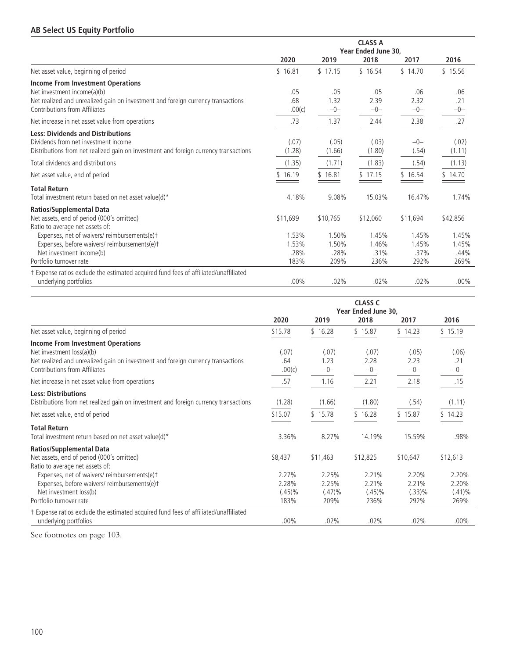## **AB Select US Equity Portfolio**

|                                                                                      | <b>CLASS A</b> |          |                     |          |          |  |
|--------------------------------------------------------------------------------------|----------------|----------|---------------------|----------|----------|--|
|                                                                                      |                |          | Year Ended June 30. |          |          |  |
|                                                                                      | 2020           | 2019     | 2018                | 2017     | 2016     |  |
| Net asset value, beginning of period                                                 | \$16.81        | \$17.15  | \$16.54             | \$14.70  | \$15.56  |  |
| <b>Income From Investment Operations</b>                                             |                |          |                     |          |          |  |
| Net investment income(a)(b)                                                          | .05            | .05      | .05                 | .06      | .06      |  |
| Net realized and unrealized gain on investment and foreign currency transactions     | .68            | 1.32     | 2.39                | 2.32     | .21      |  |
| Contributions from Affiliates                                                        | .00(c)         | $-0-$    | $-0-$               | $-0-$    | $-0-$    |  |
| Net increase in net asset value from operations                                      | .73            | 1.37     | 2.44                | 2.38     | .27      |  |
| <b>Less: Dividends and Distributions</b>                                             |                |          |                     |          |          |  |
| Dividends from net investment income                                                 | (.07)          | (.05)    | (.03)               | $-0-$    | (.02)    |  |
| Distributions from net realized gain on investment and foreign currency transactions | (1.28)         | (1.66)   | (1.80)              | (.54)    | (1.11)   |  |
| Total dividends and distributions                                                    | (1.35)         | (1.71)   | (1.83)              | (.54)    | (1.13)   |  |
| Net asset value, end of period                                                       | 16.19          | \$16.81  | 17.15               | \$16.54  | 14.70    |  |
| <b>Total Return</b>                                                                  |                |          |                     |          |          |  |
| Total investment return based on net asset value(d)*                                 | 4.18%          | 9.08%    | 15.03%              | 16.47%   | 1.74%    |  |
| <b>Ratios/Supplemental Data</b>                                                      |                |          |                     |          |          |  |
| Net assets, end of period (000's omitted)                                            | \$11,699       | \$10,765 | \$12,060            | \$11,694 | \$42,856 |  |
| Ratio to average net assets of:                                                      |                |          |                     |          |          |  |
| Expenses, net of waivers/reimbursements(e)t                                          | 1.53%          | 1.50%    | 1.45%               | 1.45%    | 1.45%    |  |
| Expenses, before waivers/reimbursements(e)t                                          | 1.53%          | 1.50%    | 1.46%               | 1.45%    | 1.45%    |  |
| Net investment income(b)                                                             | .28%           | .28%     | .31%                | .37%     | .44%     |  |
| Portfolio turnover rate                                                              | 183%           | 209%     | 236%                | 292%     | 269%     |  |
| t Expense ratios exclude the estimated acquired fund fees of affiliated/unaffiliated |                |          |                     |          |          |  |
| underlying portfolios                                                                | $.00\%$        | .02%     | .02%                | .02%     | $.00\%$  |  |

|                                                                                                                                                           | <b>CLASS C</b><br>Year Ended June 30, |                |                   |                |                   |  |  |
|-----------------------------------------------------------------------------------------------------------------------------------------------------------|---------------------------------------|----------------|-------------------|----------------|-------------------|--|--|
|                                                                                                                                                           | 2020                                  | 2019           | 2018              | 2017           | 2016              |  |  |
| Net asset value, beginning of period                                                                                                                      | \$15.78                               | \$16.28        | \$15.87           | \$14.23        | \$15.19           |  |  |
| <b>Income From Investment Operations</b><br>Net investment loss(a)(b)<br>Net realized and unrealized gain on investment and foreign currency transactions | (.07)<br>.64                          | (.07)<br>1.23  | (.07)<br>2.28     | (.05)<br>2.23  | (.06)<br>.21      |  |  |
| Contributions from Affiliates                                                                                                                             | .00(c)                                | $-0-$          | $-0-$             | $-0-$          | $-0-$             |  |  |
| Net increase in net asset value from operations                                                                                                           | .57                                   | 1.16           | 2.21              | 2.18           | .15               |  |  |
| <b>Less: Distributions</b><br>Distributions from net realized gain on investment and foreign currency transactions                                        | (1.28)                                | (1.66)         | (1.80)            | (.54)          | (1.11)            |  |  |
| Net asset value, end of period                                                                                                                            | \$15.07                               | \$15.78        | \$16.28           | \$15.87        | \$14.23           |  |  |
| <b>Total Return</b><br>Total investment return based on net asset value(d)*                                                                               | 3.36%                                 | 8.27%          | 14.19%            | 15.59%         | .98%              |  |  |
| <b>Ratios/Supplemental Data</b><br>Net assets, end of period (000's omitted)<br>Ratio to average net assets of:                                           | \$8,437                               | \$11,463       | \$12,825          | \$10,647       | \$12,613          |  |  |
| Expenses, net of waivers/reimbursements(e)t<br>Expenses, before waivers/reimbursements(e)t                                                                | 2.27%<br>2.28%                        | 2.25%<br>2.25% | 2.21%<br>2.21%    | 2.20%<br>2.21% | 2.20%<br>2.20%    |  |  |
| Net investment loss(b)<br>Portfolio turnover rate                                                                                                         | $(.45)\%$<br>183%                     | (.47)%<br>209% | $(.45)\%$<br>236% | (.33)%<br>292% | $(.41)\%$<br>269% |  |  |
| † Expense ratios exclude the estimated acquired fund fees of affiliated/unaffiliated<br>underlying portfolios                                             | $.00\%$                               | .02%           | .02%              | .02%           | $.00\%$           |  |  |

See footnotes on page 103.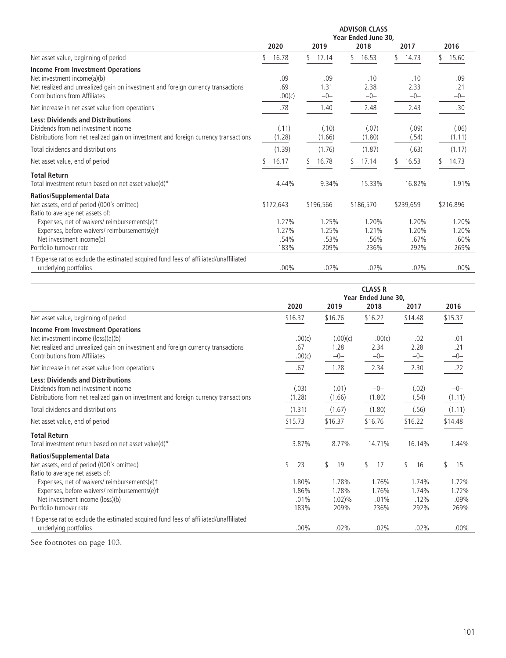|                                                                                                                                                                                              | <b>ADVISOR CLASS</b><br>Year Ended June 30. |                        |                        |                        |                        |  |  |
|----------------------------------------------------------------------------------------------------------------------------------------------------------------------------------------------|---------------------------------------------|------------------------|------------------------|------------------------|------------------------|--|--|
|                                                                                                                                                                                              | 2020                                        | 2019                   | 2018                   | 2017                   | 2016                   |  |  |
| Net asset value, beginning of period                                                                                                                                                         | 16.78                                       | S<br>17.14             | 16.53<br>S             | 14.73<br>\$            | 15.60                  |  |  |
| <b>Income From Investment Operations</b><br>Net investment income(a)(b)<br>Net realized and unrealized gain on investment and foreign currency transactions<br>Contributions from Affiliates | .09<br>.69<br>.00(c)                        | .09<br>1.31<br>$-0-$   | .10<br>2.38<br>$-0-$   | .10<br>2.33<br>$-0-$   | .09<br>.21<br>$-0-$    |  |  |
| Net increase in net asset value from operations                                                                                                                                              | .78                                         | 1.40                   | 2.48                   | 2.43                   | .30                    |  |  |
| <b>Less: Dividends and Distributions</b><br>Dividends from net investment income<br>Distributions from net realized gain on investment and foreign currency transactions                     | (.11)<br>(1.28)                             | (.10)<br>(1.66)        | (.07)<br>(1.80)        | (.09)<br>(.54)         | (.06)<br>(1.11)        |  |  |
| Total dividends and distributions                                                                                                                                                            | (1.39)                                      | (1.76)                 | (1.87)                 | (.63)                  | (1.17)                 |  |  |
| Net asset value, end of period                                                                                                                                                               | 16.17                                       | 16.78                  | 17.14                  | 16.53                  | 14.73                  |  |  |
| <b>Total Return</b><br>Total investment return based on net asset value(d)*                                                                                                                  | 4.44%                                       | 9.34%                  | 15.33%                 | 16.82%                 | 1.91%                  |  |  |
| <b>Ratios/Supplemental Data</b><br>Net assets, end of period (000's omitted)<br>Ratio to average net assets of:                                                                              | \$172,643                                   | \$196,566              | \$186,570              | \$239,659              | \$216,896              |  |  |
| Expenses, net of waivers/reimbursements(e)t<br>Expenses, before waivers/reimbursements(e)t<br>Net investment income(b)                                                                       | 1.27%<br>1.27%<br>.54%                      | 1.25%<br>1.25%<br>.53% | 1.20%<br>1.21%<br>.56% | 1.20%<br>1.20%<br>.67% | 1.20%<br>1.20%<br>.60% |  |  |
| Portfolio turnover rate                                                                                                                                                                      | 183%                                        | 209%                   | 236%                   | 292%                   | 269%                   |  |  |
| t Expense ratios exclude the estimated acquired fund fees of affiliated/unaffiliated<br>underlying portfolios                                                                                | .00%                                        | .02%                   | .02%                   | .02%                   | $.00\%$                |  |  |

|                                                                                                                                                                                                     | <b>CLASS R</b><br>Year Ended June 30. |                           |                         |                        |                        |
|-----------------------------------------------------------------------------------------------------------------------------------------------------------------------------------------------------|---------------------------------------|---------------------------|-------------------------|------------------------|------------------------|
|                                                                                                                                                                                                     | 2020                                  | 2019                      | 2018                    | 2017                   | 2016                   |
| Net asset value, beginning of period                                                                                                                                                                | \$16.37                               | \$16.76                   | \$16.22                 | \$14.48                | \$15.37                |
| <b>Income From Investment Operations</b><br>Net investment income (loss)(a)(b)<br>Net realized and unrealized gain on investment and foreign currency transactions<br>Contributions from Affiliates | .00(c)<br>.67<br>.00(c)               | (.00)(c)<br>1.28<br>$-0-$ | .00(c)<br>2.34<br>$-0-$ | .02<br>2.28<br>$-0-$   | .01<br>.21<br>-0-      |
| Net increase in net asset value from operations                                                                                                                                                     | .67                                   | 1.28                      | 2.34                    | 2.30                   | .22                    |
| <b>Less: Dividends and Distributions</b><br>Dividends from net investment income<br>Distributions from net realized gain on investment and foreign currency transactions                            | (.03)<br>(1.28)                       | (.01)<br>(1.66)           | $-0-$<br>(1.80)         | (.02)<br>(.54)         | $-0-$<br>(1.11)        |
| Total dividends and distributions                                                                                                                                                                   | (1.31)                                | (1.67)                    | (1.80)                  | (.56)                  | (1.11)                 |
| Net asset value, end of period                                                                                                                                                                      | \$15.73                               | \$16.37                   | \$16.76                 | \$16.22                | \$14.48                |
| <b>Total Return</b><br>Total investment return based on net asset value(d)*                                                                                                                         | 3.87%                                 | 8.77%                     | 14.71%                  | 16.14%                 | 1.44%                  |
| <b>Ratios/Supplemental Data</b><br>Net assets, end of period (000's omitted)<br>Ratio to average net assets of:                                                                                     | \$<br>23                              | \$<br>19                  | \$<br>17                | \$<br>16               | \$<br>15               |
| Expenses, net of waivers/reimbursements(e)t<br>Expenses, before waivers/reimbursements(e)t<br>Net investment income (loss)(b)                                                                       | 1.80%<br>1.86%<br>.01%                | 1.78%<br>1.78%<br>(.02)%  | 1.76%<br>1.76%<br>.01%  | 1.74%<br>1.74%<br>.12% | 1.72%<br>1.72%<br>.09% |
| Portfolio turnover rate                                                                                                                                                                             | 183%                                  | 209%                      | 236%                    | 292%                   | 269%                   |
| † Expense ratios exclude the estimated acquired fund fees of affiliated/unaffiliated<br>underlying portfolios                                                                                       | $.00\%$                               | .02%                      | .02%                    | .02%                   | $.00\%$                |

See footnotes on page 103.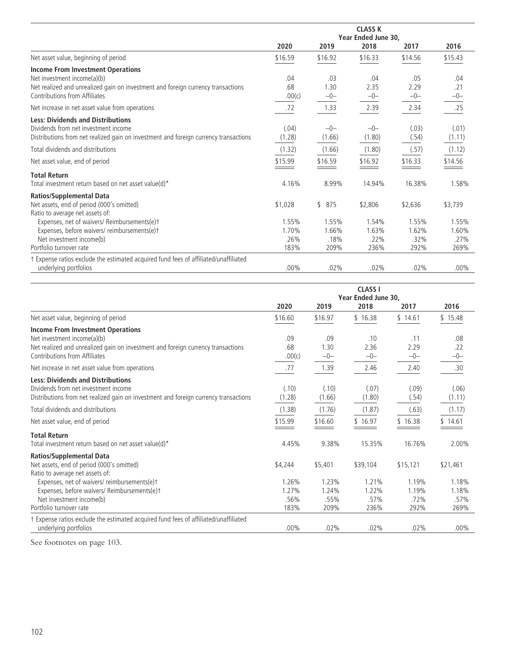| <b>CLASS K</b> |         |         |         |                     |  |
|----------------|---------|---------|---------|---------------------|--|
|                |         |         |         |                     |  |
| 2020           | 2019    | 2018    | 2017    | 2016                |  |
| \$16.59        | \$16.92 | \$16.33 | \$14.56 | \$15.43             |  |
|                |         |         |         |                     |  |
| .04            | .03     | .04     | .05     | .04                 |  |
| .68            | 1.30    | 2.35    | 2.29    | .21                 |  |
| .00(c)         | $-0-$   | $-0-$   | $-0-$   | $-0-$               |  |
| .72            | 1.33    | 2.39    | 2.34    | .25                 |  |
|                |         |         |         |                     |  |
| (.04)          | $-0-$   | $-0-$   | (.03)   | (.01)               |  |
| (1.28)         | (1.66)  | (1.80)  | (.54)   | (1.11)              |  |
| (1.32)         | (1.66)  | (1.80)  | (.57)   | (1.12)              |  |
| \$15.99        | \$16.59 | \$16.92 | \$16.33 | \$14.56             |  |
|                |         |         |         |                     |  |
| 4.16%          | 8.99%   | 14.94%  | 16.38%  | 1.58%               |  |
|                |         |         |         |                     |  |
| \$1,028        | \$875   | \$2,806 | \$2,636 | \$3,739             |  |
|                |         |         |         |                     |  |
| 1.55%          | 1.55%   | 1.54%   | 1.55%   | 1.55%               |  |
| 1.70%          | 1.66%   | 1.63%   | 1.62%   | 1.60%               |  |
| .26%           | .18%    | .22%    | .32%    | .27%                |  |
| 183%           | 209%    | 236%    | 292%    | 269%                |  |
|                |         |         |         |                     |  |
| $.00\%$        | .02%    | .02%    | .02%    | $.00\%$             |  |
|                |         |         |         | Year Ended June 30, |  |

|                                                                                                                                                                                              | <b>CLASS I</b><br>Year Ended June 30. |                        |                        |                        |                        |
|----------------------------------------------------------------------------------------------------------------------------------------------------------------------------------------------|---------------------------------------|------------------------|------------------------|------------------------|------------------------|
|                                                                                                                                                                                              | 2020                                  | 2019                   | 2018                   | 2017                   | 2016                   |
| Net asset value, beginning of period                                                                                                                                                         | \$16.60                               | \$16.97                | \$16.38                | \$14.61                | \$15.48                |
| <b>Income From Investment Operations</b><br>Net investment income(a)(b)<br>Net realized and unrealized gain on investment and foreign currency transactions<br>Contributions from Affiliates | .09<br>.68<br>.00(c)                  | .09<br>1.30<br>$-0-$   | .10<br>2.36<br>$-0-$   | .11<br>2.29<br>$-0-$   | .08<br>.22<br>$-0-$    |
| Net increase in net asset value from operations                                                                                                                                              | .77                                   | 1.39                   | 2.46                   | 2.40                   | .30                    |
| <b>Less: Dividends and Distributions</b><br>Dividends from net investment income<br>Distributions from net realized gain on investment and foreign currency transactions                     | (.10)<br>(1.28)                       | (.10)<br>(1.66)        | (.07)<br>(1.80)        | (.09)<br>(.54)         | (.06)<br>(1.11)        |
| Total dividends and distributions                                                                                                                                                            | (1.38)                                | (1.76)                 | (1.87)                 | (.63)                  | (1.17)                 |
| Net asset value, end of period                                                                                                                                                               | \$15.99                               | \$16.60                | \$16.97                | \$16.38                | \$14.61                |
| <b>Total Return</b><br>Total investment return based on net asset value(d)*                                                                                                                  | 4.45%                                 | 9.38%                  | 15.35%                 | 16.76%                 | 2.00%                  |
| <b>Ratios/Supplemental Data</b><br>Net assets, end of period (000's omitted)<br>Ratio to average net assets of:                                                                              | \$4,244                               | \$5,401                | \$39,104               | \$15,121               | \$21,461               |
| Expenses, net of waivers/ reimbursements(e)t<br>Expenses, before waivers/ Reimbursements(e)+<br>Net investment income(b)                                                                     | 1.26%<br>1.27%<br>.56%                | 1.23%<br>1.24%<br>.55% | 1.21%<br>1.22%<br>.57% | 1.19%<br>1.19%<br>.72% | 1.18%<br>1.18%<br>.57% |
| Portfolio turnover rate                                                                                                                                                                      | 183%                                  | 209%                   | 236%                   | 292%                   | 269%                   |
| † Expense ratios exclude the estimated acquired fund fees of affiliated/unaffiliated<br>underlying portfolios                                                                                | .00%                                  | .02%                   | .02%                   | .02%                   | $.00\%$                |

See footnotes on page 103.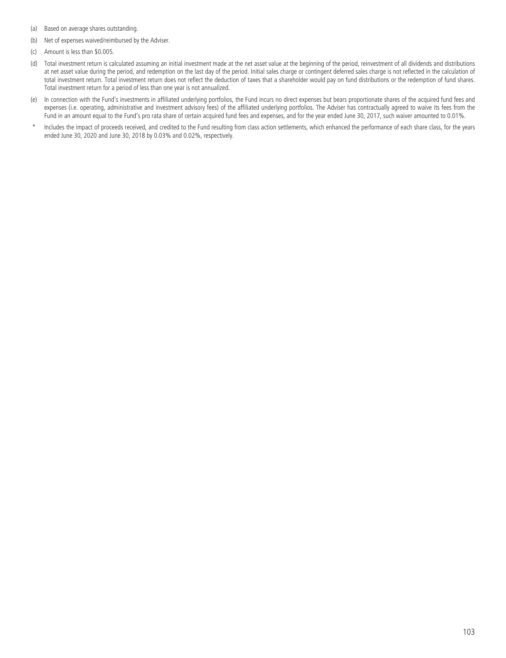- (a) Based on average shares outstanding.
- (b) Net of expenses waived/reimbursed by the Adviser.
- (c) Amount is less than \$0.005.
- (d) Total investment return is calculated assuming an initial investment made at the net asset value at the beginning of the period, reinvestment of all dividends and distributions at net asset value during the period, and redemption on the last day of the period. Initial sales charge or contingent deferred sales charge is not reflected in the calculation of total investment return. Total investment return does not reflect the deduction of taxes that a shareholder would pay on fund distributions or the redemption of fund shares. Total investment return for a period of less than one year is not annualized.
- (e) In connection with the Fund's investments in affiliated underlying portfolios, the Fund incurs no direct expenses but bears proportionate shares of the acquired fund fees and expenses (i.e. operating, administrative and investment advisory fees) of the affiliated underlying portfolios. The Adviser has contractually agreed to waive its fees from the Fund in an amount equal to the Fund's pro rata share of certain acquired fund fees and expenses, and for the year ended June 30, 2017, such waiver amounted to 0.01%.
- Includes the impact of proceeds received, and credited to the Fund resulting from class action settlements, which enhanced the performance of each share class, for the years ended June 30, 2020 and June 30, 2018 by 0.03% and 0.02%, respectively.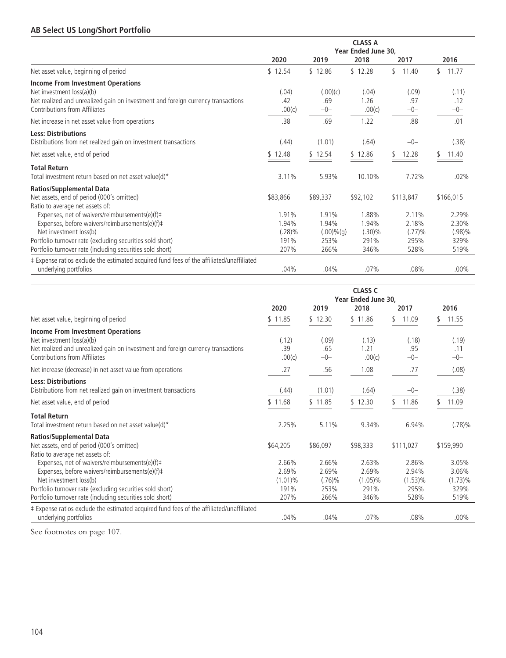### **AB Select US Long/Short Portfolio**

|                                                                                                                            | <b>CLASS A</b><br>Year Ended June 30, |                                 |                          |                             |                             |  |
|----------------------------------------------------------------------------------------------------------------------------|---------------------------------------|---------------------------------|--------------------------|-----------------------------|-----------------------------|--|
|                                                                                                                            | 2020                                  | 2019                            | 2018                     | 2017                        | 2016                        |  |
| Net asset value, beginning of period                                                                                       | \$12.54                               | \$12.86                         | \$12.28                  | \$<br>11.40                 | \$<br>11.77                 |  |
| <b>Income From Investment Operations</b><br>Net investment loss(a)(b)                                                      | (.04)                                 | (.00)(c)                        | (.04)                    | (.09)                       | (.11)                       |  |
| Net realized and unrealized gain on investment and foreign currency transactions<br>Contributions from Affiliates          | .42<br>.00(c)                         | .69<br>$-0-$                    | 1.26<br>.00(c)           | .97<br>$-0-$                | .12<br>$-0-$                |  |
| Net increase in net asset value from operations                                                                            | .38                                   | .69                             | 1.22                     | .88                         | .01                         |  |
| <b>Less: Distributions</b><br>Distributions from net realized gain on investment transactions                              | (.44)                                 | (1.01)                          | (.64)                    | $-0-$                       | (.38)                       |  |
| Net asset value, end of period                                                                                             | \$12.48                               | \$12.54                         | \$12.86                  | 12.28                       | 11.40                       |  |
| <b>Total Return</b><br>Total investment return based on net asset value(d)*                                                | 3.11%                                 | 5.93%                           | 10.10%                   | 7.72%                       | .02%                        |  |
| <b>Ratios/Supplemental Data</b><br>Net assets, end of period (000's omitted)<br>Ratio to average net assets of:            | \$83,866                              | \$89,337                        | \$92,102                 | \$113,847                   | \$166,015                   |  |
| Expenses, net of waivers/reimbursements(e)(f)#<br>Expenses, before waivers/reimbursements(e)(f)‡<br>Net investment loss(b) | 1.91%<br>1.94%<br>$(.28)\%$           | 1.91%<br>1.94%<br>$(.00)\%$ (g) | 1.88%<br>1.94%<br>(.30)% | $2.11\%$<br>2.18%<br>(.77)% | 2.29%<br>2.30%<br>$(.98)\%$ |  |
| Portfolio turnover rate (excluding securities sold short)<br>Portfolio turnover rate (including securities sold short)     | 191%<br>207%                          | 253%<br>266%                    | 291%<br>346%             | 295%<br>528%                | 329%<br>519%                |  |
| ‡ Expense ratios exclude the estimated acquired fund fees of the affiliated/unaffiliated<br>underlying portfolios          | .04%                                  | .04%                            | $.07\%$                  | .08%                        | $.00\%$                     |  |

|                                                                                          | <b>CLASS C</b><br>Year Ended June 30, |          |            |             |            |
|------------------------------------------------------------------------------------------|---------------------------------------|----------|------------|-------------|------------|
|                                                                                          | 2020                                  | 2019     | 2018       | 2017        | 2016       |
| Net asset value, beginning of period                                                     | \$11.85                               | \$12.30  | \$11.86    | 11.09<br>\$ | 11.55      |
| <b>Income From Investment Operations</b>                                                 |                                       |          |            |             |            |
| Net investment loss(a)(b)                                                                | (.12)                                 | (.09)    | (.13)      | (.18)       | (.19)      |
| Net realized and unrealized gain on investment and foreign currency transactions         | .39                                   | .65      | 1.21       | .95         | .11        |
| Contributions from Affiliates                                                            | .00(c)                                | $-0-$    | .00(c)     | $-0-$       | $-0-$      |
| Net increase (decrease) in net asset value from operations                               | .27                                   | .56      | 1.08       | .77         | (.08)      |
| <b>Less: Distributions</b>                                                               |                                       |          |            |             |            |
| Distributions from net realized gain on investment transactions                          | (.44)                                 | (1.01)   | (.64)      | $-0-$       | (.38)      |
| Net asset value, end of period                                                           | \$11.68                               | \$11.85  | \$12.30    | 11.86       | 11.09      |
| <b>Total Return</b>                                                                      |                                       |          |            |             |            |
| Total investment return based on net asset value(d)*                                     | 2.25%                                 | 5.11%    | 9.34%      | 6.94%       | (.78)%     |
| <b>Ratios/Supplemental Data</b>                                                          |                                       |          |            |             |            |
| Net assets, end of period (000's omitted)                                                | \$64,205                              | \$86,097 | \$98,333   | \$111,027   | \$159,990  |
| Ratio to average net assets of:                                                          |                                       |          |            |             |            |
| Expenses, net of waivers/reimbursements(e)(f)#                                           | 2.66%                                 | 2.66%    | 2.63%      | 2.86%       | 3.05%      |
| Expenses, before waivers/reimbursements(e)(f)#                                           | 2.69%                                 | 2.69%    | 2.69%      | 2.94%       | 3.06%      |
| Net investment loss(b)                                                                   | $(1.01)\%$                            | (.76)%   | $(1.05)\%$ | $(1.53)\%$  | $(1.73)\%$ |
| Portfolio turnover rate (excluding securities sold short)                                | 191%                                  | 253%     | 291%       | 295%        | 329%       |
| Portfolio turnover rate (including securities sold short)                                | 207%                                  | 266%     | 346%       | 528%        | 519%       |
| ‡ Expense ratios exclude the estimated acquired fund fees of the affiliated/unaffiliated |                                       |          |            |             |            |
| underlying portfolios                                                                    | .04%                                  | .04%     | .07%       | .08%        | $.00\%$    |

See footnotes on page 107.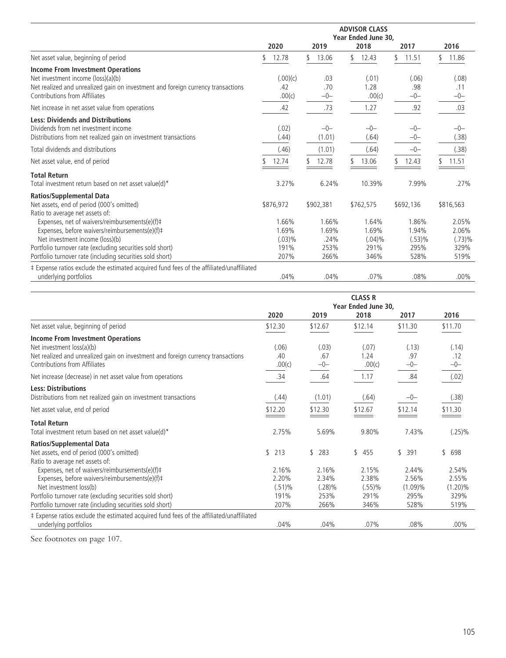|                                                                                                                                                                                                     | <b>ADVISOR CLASS</b><br>Year Ended June 30, |                        |                             |                          |                          |  |  |  |
|-----------------------------------------------------------------------------------------------------------------------------------------------------------------------------------------------------|---------------------------------------------|------------------------|-----------------------------|--------------------------|--------------------------|--|--|--|
|                                                                                                                                                                                                     | 2020                                        | 2019                   | 2018                        | 2017                     | 2016                     |  |  |  |
| Net asset value, beginning of period                                                                                                                                                                | 12.78                                       | 13.06                  | 12.43                       | 11.51<br>٢,              | 11.86                    |  |  |  |
| <b>Income From Investment Operations</b><br>Net investment income (loss)(a)(b)<br>Net realized and unrealized gain on investment and foreign currency transactions<br>Contributions from Affiliates | (.00)(c)<br>.42<br>.00(c)                   | .03<br>.70<br>$-0-$    | (.01)<br>1.28<br>.00(c)     | (.06)<br>.98<br>$-0-$    | (.08)<br>.11<br>$-0-$    |  |  |  |
| Net increase in net asset value from operations                                                                                                                                                     | .42                                         | .73                    | 1.27                        | .92                      | .03                      |  |  |  |
| <b>Less: Dividends and Distributions</b><br>Dividends from net investment income<br>Distributions from net realized gain on investment transactions                                                 | (.02)<br>(.44)                              | $-0-$<br>(1.01)        | $-0-$<br>(.64)              | $-0-$<br>$-0-$           | $-0-$<br>(.38)           |  |  |  |
| Total dividends and distributions                                                                                                                                                                   | (.46)                                       | (1.01)                 | (.64)                       | $-0-$                    | (.38)                    |  |  |  |
| Net asset value, end of period                                                                                                                                                                      | 12.74                                       | 12.78                  | 13.06                       | 12.43                    | 11.51                    |  |  |  |
| <b>Total Return</b><br>Total investment return based on net asset value(d)*                                                                                                                         | 3.27%                                       | 6.24%                  | 10.39%                      | 7.99%                    | .27%                     |  |  |  |
| <b>Ratios/Supplemental Data</b><br>Net assets, end of period (000's omitted)                                                                                                                        | \$876,972                                   | \$902,381              | \$762,575                   | \$692,136                | \$816,563                |  |  |  |
| Ratio to average net assets of:<br>Expenses, net of waivers/reimbursements(e)(f)#<br>Expenses, before waivers/reimbursements(e)(f)#<br>Net investment income (loss)(b)                              | 1.66%<br>1.69%<br>(.03)%                    | 1.66%<br>1.69%<br>.24% | 1.64%<br>1.69%<br>$(.04)\%$ | 1.86%<br>1.94%<br>(.53)% | 2.05%<br>2.06%<br>(.73)% |  |  |  |
| Portfolio turnover rate (excluding securities sold short)                                                                                                                                           | 191%                                        | 253%                   | 291%                        | 295%                     | 329%                     |  |  |  |
| Portfolio turnover rate (including securities sold short)                                                                                                                                           | 207%                                        | 266%                   | 346%                        | 528%                     | 519%                     |  |  |  |
| ‡ Expense ratios exclude the estimated acquired fund fees of the affiliated/unaffiliated<br>underlying portfolios                                                                                   | .04%                                        | .04%                   | .07%                        | .08%                     | $.00\%$                  |  |  |  |

|                                                                                                                                                                                            | <b>CLASS R</b><br>Year Ended June 30, |                                  |                                  |                                      |                                      |  |  |
|--------------------------------------------------------------------------------------------------------------------------------------------------------------------------------------------|---------------------------------------|----------------------------------|----------------------------------|--------------------------------------|--------------------------------------|--|--|
|                                                                                                                                                                                            | 2020                                  | 2019                             | 2018                             | 2017                                 | 2016                                 |  |  |
| Net asset value, beginning of period                                                                                                                                                       | \$12.30                               | \$12.67                          | \$12.14                          | \$11.30                              | \$11.70                              |  |  |
| <b>Income From Investment Operations</b><br>Net investment loss(a)(b)<br>Net realized and unrealized gain on investment and foreign currency transactions<br>Contributions from Affiliates | (.06)<br>.40<br>.00(c)                | (.03)<br>.67<br>$-0-$            | (.07)<br>1.24<br>.00(c)          | (.13)<br>.97<br>$-0-$                | (.14)<br>.12<br>$-0-$                |  |  |
| Net increase (decrease) in net asset value from operations                                                                                                                                 | .34                                   | .64                              | 1.17                             | .84                                  | (.02)                                |  |  |
| <b>Less: Distributions</b><br>Distributions from net realized gain on investment transactions                                                                                              | (.44)                                 | (1.01)                           | (.64)                            | $-0-$                                | (.38)                                |  |  |
| Net asset value, end of period                                                                                                                                                             | \$12.20                               | \$12.30                          | \$12.67                          | \$12.14                              | \$11.30                              |  |  |
| <b>Total Return</b><br>Total investment return based on net asset value(d)*                                                                                                                | 2.75%                                 | 5.69%                            | 9.80%                            | 7.43%                                | $(.25)\%$                            |  |  |
| <b>Ratios/Supplemental Data</b><br>Net assets, end of period (000's omitted)<br>Ratio to average net assets of:                                                                            | \$<br>213                             | \$<br>283                        | \$455                            | 391<br>\$                            | \$<br>698                            |  |  |
| Expenses, net of waivers/reimbursements(e)(f)#<br>Expenses, before waivers/reimbursements(e)(f)#<br>Net investment loss(b)<br>Portfolio turnover rate (excluding securities sold short)    | 2.16%<br>2.20%<br>$(.51)\%$<br>191%   | 2.16%<br>2.34%<br>(.28)%<br>253% | 2.15%<br>2.38%<br>(.55)%<br>291% | 2.44%<br>2.56%<br>$(1.09)\%$<br>295% | 2.54%<br>2.55%<br>$(1.20)\%$<br>329% |  |  |
| Portfolio turnover rate (including securities sold short)                                                                                                                                  | 207%                                  | 266%                             | 346%                             | 528%                                 | 519%                                 |  |  |
| ‡ Expense ratios exclude the estimated acquired fund fees of the affiliated/unaffiliated<br>underlying portfolios                                                                          | .04%                                  | .04%                             | .07%                             | .08%                                 | $.00\%$                              |  |  |

See footnotes on page 107.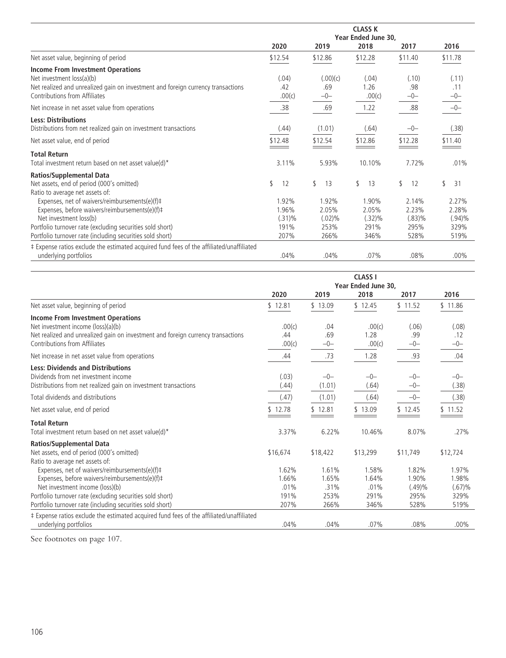|                                                                                                                                                                                            | <b>CLASS K</b>              |                             |                          |                          |                             |  |
|--------------------------------------------------------------------------------------------------------------------------------------------------------------------------------------------|-----------------------------|-----------------------------|--------------------------|--------------------------|-----------------------------|--|
|                                                                                                                                                                                            |                             |                             | Year Ended June 30,      |                          |                             |  |
|                                                                                                                                                                                            | 2020                        | 2019                        | 2018                     | 2017                     | 2016                        |  |
| Net asset value, beginning of period                                                                                                                                                       | \$12.54                     | \$12.86                     | \$12.28                  | \$11.40                  | \$11.78                     |  |
| <b>Income From Investment Operations</b><br>Net investment loss(a)(b)<br>Net realized and unrealized gain on investment and foreign currency transactions<br>Contributions from Affiliates | (.04)<br>.42<br>.00(c)      | (.00)(c)<br>.69<br>$-0-$    | (.04)<br>1.26<br>.00(c)  | (.10)<br>.98<br>$-0-$    | (.11)<br>.11<br>$-0-$       |  |
| Net increase in net asset value from operations                                                                                                                                            | .38                         | .69                         | 1.22                     | .88                      | $-0-$                       |  |
| <b>Less: Distributions</b><br>Distributions from net realized gain on investment transactions                                                                                              | (.44)                       | (1.01)                      | (.64)                    | $-0-$                    | (.38)                       |  |
| Net asset value, end of period                                                                                                                                                             | \$12.48                     | \$12.54                     | \$12.86                  | \$12.28                  | \$11.40                     |  |
| <b>Total Return</b><br>Total investment return based on net asset value(d)*                                                                                                                | 3.11%                       | 5.93%                       | 10.10%                   | 7.72%                    | .01%                        |  |
| <b>Ratios/Supplemental Data</b><br>Net assets, end of period (000's omitted)                                                                                                               | \$<br>12                    | \$<br>13                    | 13<br>\$                 | \$<br>12                 | \$<br>31                    |  |
| Ratio to average net assets of:<br>Expenses, net of waivers/reimbursements(e)(f)‡<br>Expenses, before waivers/reimbursements(e)(f) ‡<br>Net investment loss(b)                             | 1.92%<br>1.96%<br>$(.31)\%$ | 1.92%<br>2.05%<br>$(.02)\%$ | 1.90%<br>2.05%<br>(.32)% | 2.14%<br>2.23%<br>(.83)% | 2.27%<br>2.28%<br>$(.94)\%$ |  |
| Portfolio turnover rate (excluding securities sold short)<br>Portfolio turnover rate (including securities sold short)                                                                     | 191%<br>207%                | 253%<br>266%                | 291%<br>346%             | 295%<br>528%             | 329%<br>519%                |  |
| ‡ Expense ratios exclude the estimated acquired fund fees of the affiliated/unaffiliated<br>underlying portfolios                                                                          | .04%                        | .04%                        | .07%                     | .08%                     | $.00\%$                     |  |

|                                                                                                                                                                                                     | <b>CLASS I</b><br>Year Ended June 30. |                        |                          |                             |                          |
|-----------------------------------------------------------------------------------------------------------------------------------------------------------------------------------------------------|---------------------------------------|------------------------|--------------------------|-----------------------------|--------------------------|
|                                                                                                                                                                                                     | 2020                                  | 2019                   | 2018                     | 2017                        | 2016                     |
| Net asset value, beginning of period                                                                                                                                                                | \$12.81                               | \$13.09                | \$12.45                  | \$11.52                     | \$11.86                  |
| <b>Income From Investment Operations</b><br>Net investment income (loss)(a)(b)<br>Net realized and unrealized gain on investment and foreign currency transactions<br>Contributions from Affiliates | .00(c)<br>.44<br>.00(c)               | .04<br>.69<br>$-0-$    | .00(c)<br>1.28<br>.00(c) | (.06)<br>.99<br>$-0-$       | (.08)<br>.12<br>$-0-$    |
| Net increase in net asset value from operations                                                                                                                                                     | .44                                   | .73                    | 1.28                     | .93                         | .04                      |
| <b>Less: Dividends and Distributions</b><br>Dividends from net investment income<br>Distributions from net realized gain on investment transactions                                                 | (.03)<br>(.44)                        | $-0-$<br>(1.01)        | $-0-$<br>(.64)           | $-0-$<br>$-0-$              | $-0-$<br>(.38)           |
| Total dividends and distributions                                                                                                                                                                   | (.47)                                 | (1.01)                 | (.64)                    | $-0-$                       | (.38)                    |
| Net asset value, end of period                                                                                                                                                                      | \$12.78                               | \$12.81                | \$13.09                  | \$12.45                     | \$11.52                  |
| <b>Total Return</b><br>Total investment return based on net asset value(d)*                                                                                                                         | 3.37%                                 | 6.22%                  | 10.46%                   | 8.07%                       | .27%                     |
| <b>Ratios/Supplemental Data</b><br>Net assets, end of period (000's omitted)<br>Ratio to average net assets of:                                                                                     | \$16,674                              | \$18,422               | \$13,299                 | \$11,749                    | \$12,724                 |
| Expenses, net of waivers/reimbursements(e)(f)#<br>Expenses, before waivers/reimbursements(e)(f)#<br>Net investment income (loss)(b)                                                                 | 1.62%<br>1.66%<br>.01%                | 1.61%<br>1.65%<br>.31% | 1.58%<br>1.64%<br>.01%   | 1.82%<br>1.90%<br>$(.49)\%$ | 1.97%<br>1.98%<br>(.67)% |
| Portfolio turnover rate (excluding securities sold short)<br>Portfolio turnover rate (including securities sold short)                                                                              | 191%<br>207%                          | 253%<br>266%           | 291%<br>346%             | 295%<br>528%                | 329%<br>519%             |
| ‡ Expense ratios exclude the estimated acquired fund fees of the affiliated/unaffiliated<br>underlying portfolios                                                                                   | .04%                                  | .04%                   | .07%                     | .08%                        | $.00\%$                  |

See footnotes on page 107.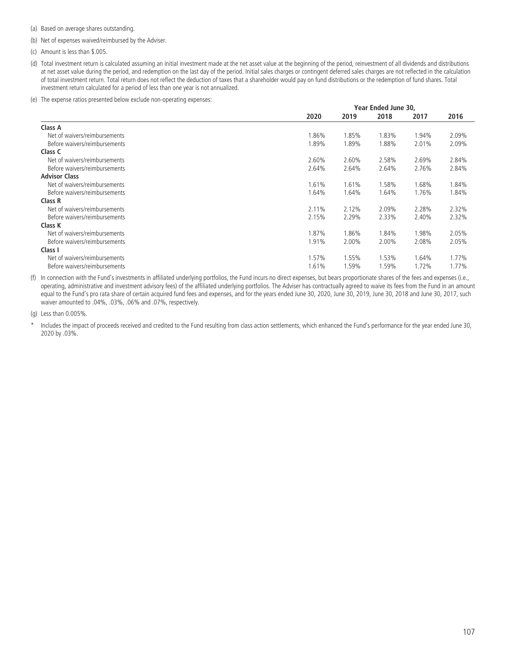(a) Based on average shares outstanding.

(b) Net of expenses waived/reimbursed by the Adviser.

(c) Amount is less than \$.005.

- (d) Total investment return is calculated assuming an initial investment made at the net asset value at the beginning of the period, reinvestment of all dividends and distributions at net asset value during the period, and redemption on the last day of the period. Initial sales charges or contingent deferred sales charges are not reflected in the calculation of total investment return. Total return does not reflect the deduction of taxes that a shareholder would pay on fund distributions or the redemption of fund shares. Total investment return calculated for a period of less than one year is not annualized.
- (e) The expense ratios presented below exclude non-operating expenses:

|                               | Year Ended June 30. |       |       |       |       |  |
|-------------------------------|---------------------|-------|-------|-------|-------|--|
|                               | 2020                | 2019  | 2018  | 2017  | 2016  |  |
| Class A                       |                     |       |       |       |       |  |
| Net of waivers/reimbursements | .86%                | 1.85% | 1.83% | 1.94% | 2.09% |  |
| Before waivers/reimbursements | 1.89%               | 1.89% | 1.88% | 2.01% | 2.09% |  |
| Class C                       |                     |       |       |       |       |  |
| Net of waivers/reimbursements | 2.60%               | 2.60% | 2.58% | 2.69% | 2.84% |  |
| Before waivers/reimbursements | 2.64%               | 2.64% | 2.64% | 2.76% | 2.84% |  |
| <b>Advisor Class</b>          |                     |       |       |       |       |  |
| Net of waivers/reimbursements | 1.61%               | 1.61% | 1.58% | 1.68% | 1.84% |  |
| Before waivers/reimbursements | 1.64%               | 1.64% | 1.64% | 1.76% | 1.84% |  |
| Class R                       |                     |       |       |       |       |  |
| Net of waivers/reimbursements | 2.11%               | 2.12% | 2.09% | 2.28% | 2.32% |  |
| Before waivers/reimbursements | 2.15%               | 2.29% | 2.33% | 2.40% | 2.32% |  |
| Class K                       |                     |       |       |       |       |  |
| Net of waivers/reimbursements | 1.87%               | 1.86% | 1.84% | 1.98% | 2.05% |  |
| Before waivers/reimbursements | 1.91%               | 2.00% | 2.00% | 2.08% | 2.05% |  |
| Class I                       |                     |       |       |       |       |  |
| Net of waivers/reimbursements | 1.57%               | 1.55% | 1.53% | 1.64% | 1.77% |  |
| Before waivers/reimbursements | 1.61%               | 1.59% | .59%  | 1.72% | 1.77% |  |

(f) In connection with the Fund's investments in affiliated underlying portfolios, the Fund incurs no direct expenses, but bears proportionate shares of the fees and expenses (i.e., operating, administrative and investment advisory fees) of the affiliated underlying portfolios. The Adviser has contractually agreed to waive its fees from the Fund in an amount equal to the Fund's pro rata share of certain acquired fund fees and expenses, and for the years ended June 30, 2020, June 30, 2019, June 30, 2018 and June 30, 2017, such waiver amounted to .04%, .03%, .06% and .07%, respectively.

(g) Less than 0.005%.

Includes the impact of proceeds received and credited to the Fund resulting from class action settlements, which enhanced the Fund's performance for the year ended June 30, 2020 by .03%.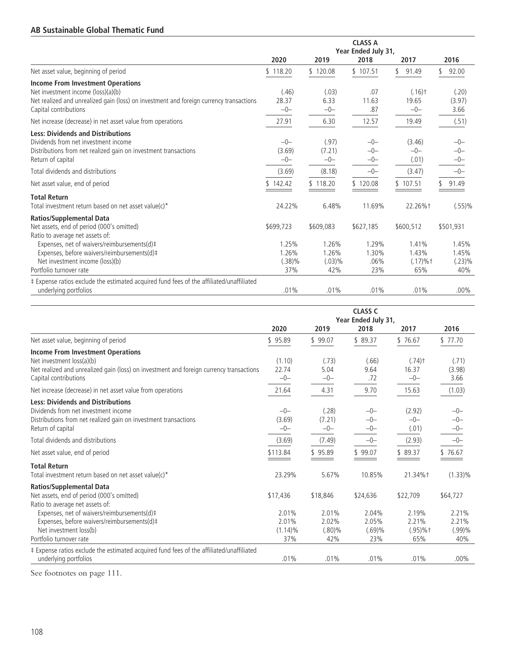## **AB Sustainable Global Thematic Fund**

|                                                                                                                                                                                                                                                                             | <b>CLASS A</b><br>Year Ended July 31,        |                                              |                                            |                                                  |                                                 |  |
|-----------------------------------------------------------------------------------------------------------------------------------------------------------------------------------------------------------------------------------------------------------------------------|----------------------------------------------|----------------------------------------------|--------------------------------------------|--------------------------------------------------|-------------------------------------------------|--|
|                                                                                                                                                                                                                                                                             | 2020                                         | 2019                                         | 2018                                       | 2017                                             | 2016                                            |  |
| Net asset value, beginning of period                                                                                                                                                                                                                                        | \$118.20                                     | \$120.08                                     | \$107.51                                   | 91.49                                            | 92.00                                           |  |
| <b>Income From Investment Operations</b><br>Net investment income (loss)(a)(b)<br>Net realized and unrealized gain (loss) on investment and foreign currency transactions<br>Capital contributions                                                                          | (.46)<br>28.37<br>$-0-$                      | (.03)<br>6.33<br>$-0-$                       | .07<br>11.63<br>.87                        | $(.16)$ <sup>+</sup><br>19.65<br>$-0-$           | (.20)<br>(3.97)<br>3.66                         |  |
| Net increase (decrease) in net asset value from operations                                                                                                                                                                                                                  | 27.91                                        | 6.30                                         | 12.57                                      | 19.49                                            | (.51)                                           |  |
| <b>Less: Dividends and Distributions</b><br>Dividends from net investment income<br>Distributions from net realized gain on investment transactions<br>Return of capital                                                                                                    | $-0-$<br>(3.69)<br>$-0-$                     | (.97)<br>(7.21)<br>$-0-$                     | $-0-$<br>$-0-$<br>$-0-$                    | (3.46)<br>$-0-$<br>(.01)                         | $-0-$<br>$-0-$<br>$-0-$                         |  |
| Total dividends and distributions                                                                                                                                                                                                                                           | (3.69)                                       | (8.18)                                       | $-0-$                                      | (3.47)                                           | $-0-$                                           |  |
| Net asset value, end of period                                                                                                                                                                                                                                              | 142.42                                       | \$118.20                                     | \$120.08                                   | 107.51                                           | 91.49                                           |  |
| <b>Total Return</b><br>Total investment return based on net asset value(c)*                                                                                                                                                                                                 | 24.22%                                       | 6.48%                                        | 11.69%                                     | 22.26%+                                          | (.55)%                                          |  |
| <b>Ratios/Supplemental Data</b><br>Net assets, end of period (000's omitted)<br>Ratio to average net assets of:<br>Expenses, net of waivers/reimbursements(d)‡<br>Expenses, before waivers/reimbursements(d)#<br>Net investment income (loss)(b)<br>Portfolio turnover rate | \$699,723<br>1.25%<br>1.26%<br>(.38)%<br>37% | \$609,083<br>1.26%<br>1.26%<br>(.03)%<br>42% | \$627,185<br>1.29%<br>1.30%<br>.06%<br>23% | \$600,512<br>1.41%<br>1.43%<br>$(.17)%$ †<br>65% | \$501,931<br>1.45%<br>1.45%<br>$(.23)\%$<br>40% |  |
| ‡ Expense ratios exclude the estimated acquired fund fees of the affiliated/unaffiliated<br>underlying portfolios                                                                                                                                                           | .01%                                         | .01%                                         | .01%                                       | .01%                                             | $.00\%$                                         |  |

|                                                                                                                                                                                                               | <b>CLASS C</b><br>Year Ended July 31,<br>2020<br>2019<br>2018<br>2017 |                            |                            |                                        | 2016                       |
|---------------------------------------------------------------------------------------------------------------------------------------------------------------------------------------------------------------|-----------------------------------------------------------------------|----------------------------|----------------------------|----------------------------------------|----------------------------|
| Net asset value, beginning of period                                                                                                                                                                          | \$95.89                                                               | \$99.07                    | \$89.37                    | \$76.67                                | \$77.70                    |
| <b>Income From Investment Operations</b><br>Net investment loss(a)(b)<br>Net realized and unrealized gain (loss) on investment and foreign currency transactions<br>Capital contributions                     | (1.10)<br>22.74<br>$-0-$                                              | (.73)<br>5.04<br>$-0-$     | (.66)<br>9.64<br>.72       | $(.74)$ <sup>+</sup><br>16.37<br>$-0-$ | (.71)<br>(3.98)<br>3.66    |
| Net increase (decrease) in net asset value from operations                                                                                                                                                    | 21.64                                                                 | 4.31                       | 9.70                       | 15.63                                  | (1.03)                     |
| <b>Less: Dividends and Distributions</b><br>Dividends from net investment income<br>Distributions from net realized gain on investment transactions<br>Return of capital                                      | $-0-$<br>(3.69)<br>$-0-$                                              | (.28)<br>(7.21)<br>$-0-$   | $-0-$<br>$-0-$<br>$-0-$    | (2.92)<br>$-0-$<br>(.01)               | $-0-$<br>$-0-$<br>$-0-$    |
| Total dividends and distributions                                                                                                                                                                             | (3.69)                                                                | (7.49)                     | $-0-$                      | (2.93)                                 | $-0-$                      |
| Net asset value, end of period                                                                                                                                                                                | \$113.84                                                              | \$95.89                    | \$99.07                    | \$89.37                                | \$76.67                    |
| <b>Total Return</b><br>Total investment return based on net asset value(c)*                                                                                                                                   | 23.29%                                                                | 5.67%                      | 10.85%                     | 21.34%†                                | $(1.33)\%$                 |
| <b>Ratios/Supplemental Data</b><br>Net assets, end of period (000's omitted)<br>Ratio to average net assets of:<br>Expenses, net of waivers/reimbursements(d)#<br>Expenses, before waivers/reimbursements(d)# | \$17,436<br>2.01%<br>2.01%                                            | \$18,846<br>2.01%<br>2.02% | \$24,636<br>2.04%<br>2.05% | \$22,709<br>2.19%<br>2.21%             | \$64,727<br>2.21%<br>2.21% |
| Net investment loss(b)<br>Portfolio turnover rate                                                                                                                                                             | $(1.14)\%$<br>37%                                                     | $(.80)\%$<br>42%           | (.69)%<br>23%              | $(.95) \%$ †<br>65%                    | (.99)%<br>40%              |
| # Expense ratios exclude the estimated acquired fund fees of the affiliated/unaffiliated<br>underlying portfolios                                                                                             | .01%                                                                  | .01%                       | .01%                       | .01%                                   | $.00\%$                    |

See footnotes on page 111.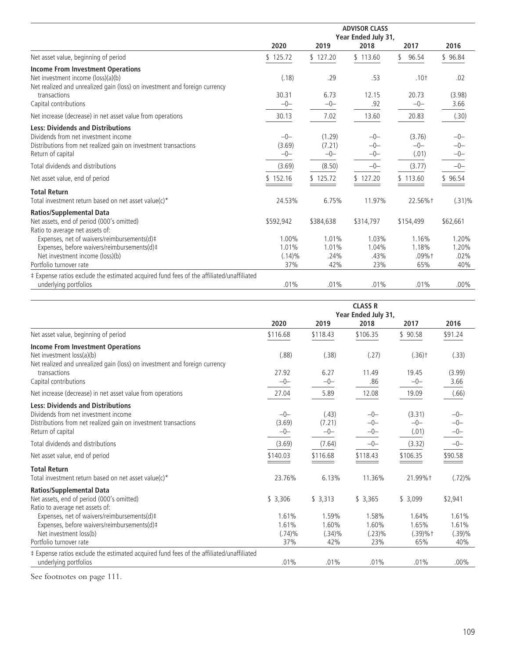|                                                                                                                                                                                                                                                                             | <b>ADVISOR CLASS</b><br>Year Ended July 31,     |                                            |                                            |                                                |                                              |  |  |
|-----------------------------------------------------------------------------------------------------------------------------------------------------------------------------------------------------------------------------------------------------------------------------|-------------------------------------------------|--------------------------------------------|--------------------------------------------|------------------------------------------------|----------------------------------------------|--|--|
|                                                                                                                                                                                                                                                                             | 2020                                            | 2019                                       | 2018                                       | 2017                                           | 2016                                         |  |  |
| Net asset value, beginning of period                                                                                                                                                                                                                                        | \$125.72                                        | \$127.20                                   | \$113.60                                   | 96.54<br>\$                                    | \$96.84                                      |  |  |
| <b>Income From Investment Operations</b><br>Net investment income (loss)(a)(b)<br>Net realized and unrealized gain (loss) on investment and foreign currency<br>transactions<br>Capital contributions                                                                       | (.18)<br>30.31<br>$-0-$                         | .29<br>6.73<br>$-0-$                       | .53<br>12.15<br>.92                        | $.10+$<br>20.73<br>$-0-$                       | .02<br>(3.98)<br>3.66                        |  |  |
| Net increase (decrease) in net asset value from operations                                                                                                                                                                                                                  | 30.13                                           | 7.02                                       | 13.60                                      | 20.83                                          | (.30)                                        |  |  |
| <b>Less: Dividends and Distributions</b><br>Dividends from net investment income<br>Distributions from net realized gain on investment transactions<br>Return of capital                                                                                                    | $-0-$<br>(3.69)<br>$-0-$                        | (1.29)<br>(7.21)<br>$-0-$                  | $-0-$<br>$-0-$<br>$-0-$                    | (3.76)<br>$-0-$<br>(.01)                       | $-0-$<br>$-0-$<br>$-0-$                      |  |  |
| Total dividends and distributions                                                                                                                                                                                                                                           | (3.69)                                          | (8.50)                                     | $-0-$                                      | (3.77)                                         | $-0-$                                        |  |  |
| Net asset value, end of period                                                                                                                                                                                                                                              | \$152.16                                        | 125.72                                     | \$127.20                                   | 113.60                                         | \$96.54                                      |  |  |
| <b>Total Return</b><br>Total investment return based on net asset value(c)*                                                                                                                                                                                                 | 24.53%                                          | 6.75%                                      | 11.97%                                     | 22.56%+                                        | $(.31)\%$                                    |  |  |
| <b>Ratios/Supplemental Data</b><br>Net assets, end of period (000's omitted)<br>Ratio to average net assets of:<br>Expenses, net of waivers/reimbursements(d)#<br>Expenses, before waivers/reimbursements(d)#<br>Net investment income (loss)(b)<br>Portfolio turnover rate | \$592,942<br>1.00%<br>1.01%<br>$(.14)\%$<br>37% | \$384,638<br>1.01%<br>1.01%<br>.24%<br>42% | \$314,797<br>1.03%<br>1.04%<br>.43%<br>23% | \$154,499<br>1.16%<br>1.18%<br>$.09%$ †<br>65% | \$62,661<br>1.20%<br>1.20%<br>$.02\%$<br>40% |  |  |
| ‡ Expense ratios exclude the estimated acquired fund fees of the affiliated/unaffiliated<br>underlying portfolios                                                                                                                                                           | .01%                                            | .01%                                       | .01%                                       | .01%                                           | $.00\%$                                      |  |  |

|                                                                                          | <b>CLASS R</b><br>Year Ended July 31, |           |          |                      |           |  |
|------------------------------------------------------------------------------------------|---------------------------------------|-----------|----------|----------------------|-----------|--|
|                                                                                          | 2020                                  | 2019      | 2018     | 2017                 | 2016      |  |
| Net asset value, beginning of period                                                     | \$116.68                              | \$118.43  | \$106.35 | \$90.58              | \$91.24   |  |
| <b>Income From Investment Operations</b>                                                 |                                       |           |          |                      |           |  |
| Net investment loss(a)(b)                                                                | (.88)                                 | (.38)     | (.27)    | $(.36)$ <sup>+</sup> | (.33)     |  |
| Net realized and unrealized gain (loss) on investment and foreign currency               |                                       |           |          |                      |           |  |
| transactions                                                                             | 27.92                                 | 6.27      | 11.49    | 19.45                | (3.99)    |  |
| Capital contributions                                                                    | $-0-$                                 | $-0-$     | .86      | $-0-$                | 3.66      |  |
| Net increase (decrease) in net asset value from operations                               | 27.04                                 | 5.89      | 12.08    | 19.09                | (.66)     |  |
| <b>Less: Dividends and Distributions</b>                                                 |                                       |           |          |                      |           |  |
| Dividends from net investment income                                                     | $-0-$                                 | (.43)     | $-0-$    | (3.31)               | $-0-$     |  |
| Distributions from net realized gain on investment transactions                          | (3.69)                                | (7.21)    | $-0-$    | $-0-$                | $-0-$     |  |
| Return of capital                                                                        | $-0-$                                 | $-0-$     | $-0-$    | (.01)                | $-0-$     |  |
| Total dividends and distributions                                                        | (3.69)                                | (7.64)    | $-0-$    | (3.32)               | $-0-$     |  |
| Net asset value, end of period                                                           | \$140.03                              | \$116.68  | \$118.43 | \$106.35             | \$90.58   |  |
| <b>Total Return</b>                                                                      |                                       |           |          |                      |           |  |
| Total investment return based on net asset value(c)*                                     | 23.76%                                | 6.13%     | 11.36%   | 21.99%+              | $(.72)\%$ |  |
| <b>Ratios/Supplemental Data</b>                                                          |                                       |           |          |                      |           |  |
| Net assets, end of period (000's omitted)                                                | \$3,306                               | \$3,313   | \$3,365  | \$3,099              | \$2,941   |  |
| Ratio to average net assets of:                                                          |                                       |           |          |                      |           |  |
| Expenses, net of waivers/reimbursements(d)#                                              | 1.61%                                 | 1.59%     | 1.58%    | 1.64%                | 1.61%     |  |
| Expenses, before waivers/reimbursements(d)#                                              | 1.61%                                 | 1.60%     | 1.60%    | 1.65%                | 1.61%     |  |
| Net investment loss(b)                                                                   | (.74)%                                | $(.34)\%$ | (.23)%   | $(.39)%$ †           | (.39)%    |  |
| Portfolio turnover rate                                                                  | 37%                                   | 42%       | 23%      | 65%                  | 40%       |  |
| ‡ Expense ratios exclude the estimated acquired fund fees of the affiliated/unaffiliated |                                       |           |          |                      |           |  |
| underlying portfolios                                                                    | .01%                                  | .01%      | .01%     | .01%                 | $.00\%$   |  |

See footnotes on page 111.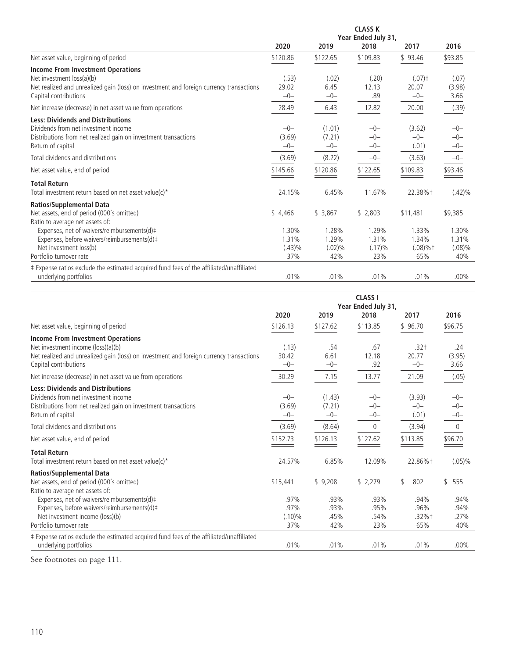|                                                                                          | <b>CLASS K</b> |          |                     |                      |           |  |  |
|------------------------------------------------------------------------------------------|----------------|----------|---------------------|----------------------|-----------|--|--|
|                                                                                          |                |          | Year Ended July 31, |                      |           |  |  |
|                                                                                          | 2020           | 2019     | 2018                | 2017                 | 2016      |  |  |
| Net asset value, beginning of period                                                     | \$120.86       | \$122.65 | \$109.83            | \$93.46              | \$93.85   |  |  |
| <b>Income From Investment Operations</b>                                                 |                |          |                     |                      |           |  |  |
| Net investment loss(a)(b)                                                                | (.53)          | (.02)    | (.20)               | $(.07)$ <sup>+</sup> | (.07)     |  |  |
| Net realized and unrealized gain (loss) on investment and foreign currency transactions  | 29.02          | 6.45     | 12.13               | 20.07                | (3.98)    |  |  |
| Capital contributions                                                                    | $-0-$          | $-0-$    | .89                 | $-0-$                | 3.66      |  |  |
| Net increase (decrease) in net asset value from operations                               | 28.49          | 6.43     | 12.82               | 20.00                | (.39)     |  |  |
| <b>Less: Dividends and Distributions</b>                                                 |                |          |                     |                      |           |  |  |
| Dividends from net investment income                                                     | $-0-$          | (1.01)   | $-0-$               | (3.62)               | $-0-$     |  |  |
| Distributions from net realized gain on investment transactions                          | (3.69)         | (7.21)   | $-0-$               | $-0-$                | $-0-$     |  |  |
| Return of capital                                                                        | $-0-$          | $-0-$    | $-0-$               | (.01)                | $-0-$     |  |  |
| Total dividends and distributions                                                        | (3.69)         | (8.22)   | $-0-$               | (3.63)               | $-0-$     |  |  |
| Net asset value, end of period                                                           | \$145.66       | \$120.86 | \$122.65            | \$109.83             | \$93.46   |  |  |
| <b>Total Return</b>                                                                      |                |          |                     |                      |           |  |  |
| Total investment return based on net asset value(c)*                                     | 24.15%         | 6.45%    | 11.67%              | 22.38%+              | $(.42)\%$ |  |  |
| <b>Ratios/Supplemental Data</b>                                                          |                |          |                     |                      |           |  |  |
| Net assets, end of period (000's omitted)                                                | \$4,466        | \$3,867  | \$2,803             | \$11,481             | \$9,385   |  |  |
| Ratio to average net assets of:                                                          |                |          |                     |                      |           |  |  |
| Expenses, net of waivers/reimbursements(d)#                                              | 1.30%          | 1.28%    | 1.29%               | 1.33%                | 1.30%     |  |  |
| Expenses, before waivers/reimbursements(d)#                                              | 1.31%          | 1.29%    | 1.31%               | 1.34%                | 1.31%     |  |  |
| Net investment loss(b)                                                                   | $(.43)\%$      | (.02)%   | (.17)%              | $(.08)%$ †           | $(.08)\%$ |  |  |
| Portfolio turnover rate                                                                  | 37%            | 42%      | 23%                 | 65%                  | 40%       |  |  |
| # Expense ratios exclude the estimated acquired fund fees of the affiliated/unaffiliated |                |          |                     |                      |           |  |  |
| underlying portfolios                                                                    | .01%           | .01%     | .01%                | .01%                 | $.00\%$   |  |  |

|                                                                                                                                                                                                    | <b>CLASS I</b><br>Year Ended July 31, |                           |                         |                          |                         |  |
|----------------------------------------------------------------------------------------------------------------------------------------------------------------------------------------------------|---------------------------------------|---------------------------|-------------------------|--------------------------|-------------------------|--|
|                                                                                                                                                                                                    | 2020                                  | 2019                      | 2018                    | 2017                     | 2016                    |  |
| Net asset value, beginning of period                                                                                                                                                               | \$126.13                              | \$127.62                  | \$113.85                | \$96.70                  | \$96.75                 |  |
| <b>Income From Investment Operations</b><br>Net investment income (loss)(a)(b)<br>Net realized and unrealized gain (loss) on investment and foreign currency transactions<br>Capital contributions | (.13)<br>30.42<br>$-0-$               | .54<br>6.61<br>$-0-$      | .67<br>12.18<br>.92     | $.32+$<br>20.77<br>$-0-$ | .24<br>(3.95)<br>3.66   |  |
| Net increase (decrease) in net asset value from operations                                                                                                                                         | 30.29                                 | 7.15                      | 13.77                   | 21.09                    | (.05)                   |  |
| <b>Less: Dividends and Distributions</b><br>Dividends from net investment income<br>Distributions from net realized gain on investment transactions<br>Return of capital                           | $-0-$<br>(3.69)<br>$-0-$              | (1.43)<br>(7.21)<br>$-0-$ | $-0-$<br>$-0-$<br>$-0-$ | (3.93)<br>$-0-$<br>(.01) | $-0-$<br>$-0-$<br>$-0-$ |  |
| Total dividends and distributions                                                                                                                                                                  | (3.69)                                | (8.64)                    | $-0-$                   | (3.94)                   | $-0-$                   |  |
| Net asset value, end of period                                                                                                                                                                     | \$152.73                              | \$126.13                  | \$127.62                | \$113.85                 | \$96.70                 |  |
| <b>Total Return</b><br>Total investment return based on net asset value(c)*                                                                                                                        | 24.57%                                | 6.85%                     | 12.09%                  | 22.86%+                  | $(.05)\%$               |  |
| <b>Ratios/Supplemental Data</b><br>Net assets, end of period (000's omitted)<br>Ratio to average net assets of:<br>Expenses, net of waivers/reimbursements(d)#                                     | \$15,441<br>.97%                      | \$9,208<br>.93%           | \$2,279<br>.93%         | \$<br>802<br>.94%        | \$555<br>.94%           |  |
| Expenses, before waivers/reimbursements(d)#<br>Net investment income (loss)(b)<br>Portfolio turnover rate                                                                                          | .97%<br>$(.10)\%$<br>37%              | .93%<br>.45%<br>42%       | .95%<br>.54%<br>23%     | .96%<br>$.32%$ †<br>65%  | .94%<br>.27%<br>40%     |  |
| ‡ Expense ratios exclude the estimated acquired fund fees of the affiliated/unaffiliated<br>underlying portfolios                                                                                  | .01%                                  | .01%                      | .01%                    | .01%                     | $.00\%$                 |  |

See footnotes on page 111.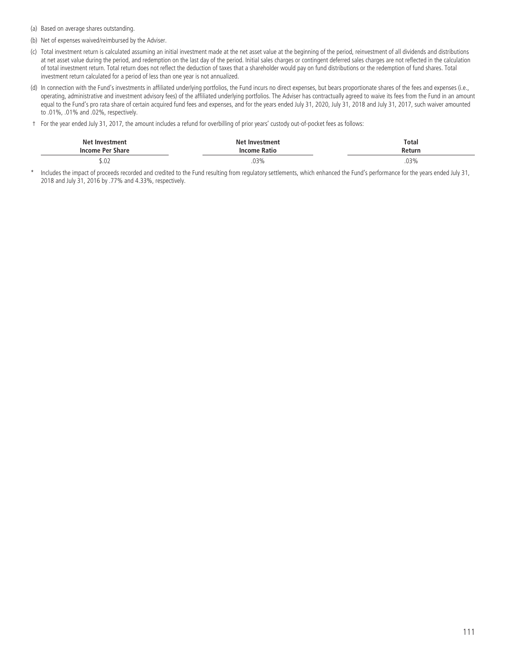(a) Based on average shares outstanding.

- (b) Net of expenses waived/reimbursed by the Adviser.
- (c) Total investment return is calculated assuming an initial investment made at the net asset value at the beginning of the period, reinvestment of all dividends and distributions at net asset value during the period, and redemption on the last day of the period. Initial sales charges or contingent deferred sales charges are not reflected in the calculation of total investment return. Total return does not reflect the deduction of taxes that a shareholder would pay on fund distributions or the redemption of fund shares. Total investment return calculated for a period of less than one year is not annualized.
- (d) In connection with the Fund's investments in affiliated underlying portfolios, the Fund incurs no direct expenses, but bears proportionate shares of the fees and expenses (i.e., operating, administrative and investment advisory fees) of the affiliated underlying portfolios. The Adviser has contractually agreed to waive its fees from the Fund in an amount equal to the Fund's pro rata share of certain acquired fund fees and expenses, and for the years ended July 31, 2020, July 31, 2018 and July 31, 2017, such waiver amounted to .01%, .01% and .02%, respectively.
- † For the year ended July 31, 2017, the amount includes a refund for overbilling of prior years' custody out-of-pocket fees as follows:

| <b>Net Investment</b> | Net Investment | <b>Total</b> |
|-----------------------|----------------|--------------|
| Income Per Share      | Income Ratio   | Return       |
| .                     | .              |              |
| J.UZ                  | .03%<br>.      | .03%<br>.    |

\* Includes the impact of proceeds recorded and credited to the Fund resulting from regulatory settlements, which enhanced the Fund's performance for the years ended July 31, 2018 and July 31, 2016 by .77% and 4.33%, respectively.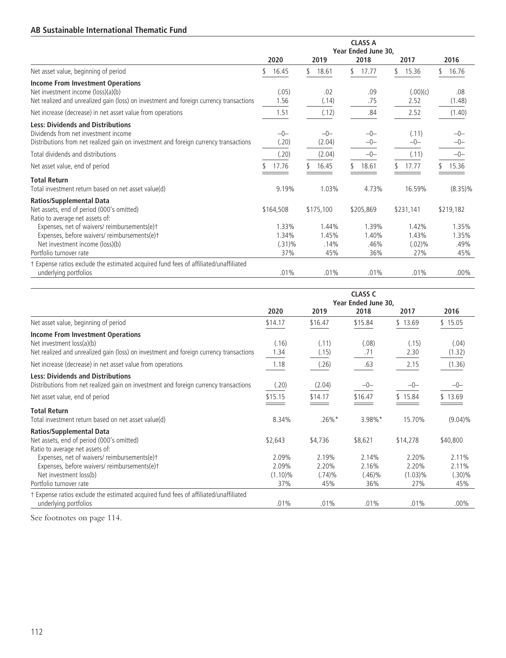# **AB Sustainable International Thematic Fund**

|                                                                                                                                                                           | <b>CLASS A</b><br>Year Ended June 30, |                 |                |                  |                |  |
|---------------------------------------------------------------------------------------------------------------------------------------------------------------------------|---------------------------------------|-----------------|----------------|------------------|----------------|--|
|                                                                                                                                                                           | 2020                                  | 2019            | 2018           | 2017             | 2016           |  |
| Net asset value, beginning of period                                                                                                                                      | 16.45<br>٢                            | S.<br>18.61     | 17.77          | \$<br>15.36      | 16.76<br>٢.    |  |
| <b>Income From Investment Operations</b><br>Net investment income (loss)(a)(b)<br>Net realized and unrealized gain (loss) on investment and foreign currency transactions | (.05)<br>1.56                         | .02<br>(.14)    | .09<br>.75     | (.00)(c)<br>2.52 | .08<br>(1.48)  |  |
| Net increase (decrease) in net asset value from operations                                                                                                                | 1.51                                  | (.12)           | .84            | 2.52             | (1.40)         |  |
| <b>Less: Dividends and Distributions</b><br>Dividends from net investment income<br>Distributions from net realized gain on investment and foreign currency transactions  | $-0-$<br>(.20)                        | $-0-$<br>(2.04) | $-0-$<br>$-0-$ | (.11)<br>$-0-$   | -0-            |  |
| Total dividends and distributions                                                                                                                                         | (.20)                                 | (2.04)          | $-0-$          | (.11)            | $-0-$          |  |
| Net asset value, end of period                                                                                                                                            | 17.76                                 | 16.45           | 18.61          | 17.77            | 15.36          |  |
| <b>Total Return</b><br>Total investment return based on net asset value(d)                                                                                                | 9.19%                                 | 1.03%           | 4.73%          | 16.59%           | $(8.35)\%$     |  |
| <b>Ratios/Supplemental Data</b><br>Net assets, end of period (000's omitted)<br>Ratio to average net assets of:                                                           | \$164,508                             | \$175,100       | \$205,869      | \$231,141        | \$219,182      |  |
| Expenses, net of waivers/ reimbursements(e)t<br>Expenses, before waivers/reimbursements(e)t                                                                               | 1.33%<br>1.34%                        | 1.44%<br>1.45%  | 1.39%<br>1.40% | 1.42%<br>1.43%   | 1.35%<br>1.35% |  |
| Net investment income (loss)(b)<br>Portfolio turnover rate                                                                                                                | $(.31)\%$<br>37%                      | .14%<br>45%     | .46%<br>36%    | (.02)%<br>27%    | .49%<br>45%    |  |
| t Expense ratios exclude the estimated acquired fund fees of affiliated/unaffiliated<br>underlying portfolios                                                             | .01%                                  | .01%            | .01%           | .01%             | $.00\%$        |  |

|                                                                                                                                                                  | <b>CLASS C</b><br>Year Ended June 30, |                          |                             |                              |                          |  |
|------------------------------------------------------------------------------------------------------------------------------------------------------------------|---------------------------------------|--------------------------|-----------------------------|------------------------------|--------------------------|--|
|                                                                                                                                                                  | 2020                                  | 2019                     | 2018                        | 2017                         | 2016                     |  |
| Net asset value, beginning of period                                                                                                                             | \$14.17                               | \$16.47                  | \$15.84                     | \$13.69                      | \$15.05                  |  |
| <b>Income From Investment Operations</b><br>Net investment loss(a)(b)<br>Net realized and unrealized gain (loss) on investment and foreign currency transactions | (.16)<br>1.34                         | (.11)<br>(.15)           | (.08)<br>.71                | (.15)<br>2.30                | (.04)<br>(1.32)          |  |
| Net increase (decrease) in net asset value from operations                                                                                                       | 1.18                                  | (.26)                    | .63                         | 2.15                         | (1.36)                   |  |
| <b>Less: Dividends and Distributions</b><br>Distributions from net realized gain on investment and foreign currency transactions                                 | (.20)                                 | (2.04)                   | $-0-$                       | $-0-$                        | $-0-$                    |  |
| Net asset value, end of period                                                                                                                                   | \$15.15                               | \$14.17                  | \$16.47                     | \$15.84                      | \$13.69                  |  |
| <b>Total Return</b><br>Total investment return based on net asset value(d)                                                                                       | 8.34%                                 | $.26\%$ *                | 3.98%*                      | 15.70%                       | $(9.04)\%$               |  |
| <b>Ratios/Supplemental Data</b><br>Net assets, end of period (000's omitted)<br>Ratio to average net assets of:                                                  | \$2,643                               | \$4,736                  | \$8,621                     | \$14,278                     | \$40,800                 |  |
| Expenses, net of waivers/reimbursements(e)t<br>Expenses, before waivers/reimbursements(e)t<br>Net investment loss(b)                                             | 2.09%<br>2.09%<br>$(1.10)\%$          | 2.19%<br>2.20%<br>(.74)% | 2.14%<br>2.16%<br>$(.46)\%$ | 2.20%<br>2.20%<br>$(1.03)\%$ | 2.11%<br>2.11%<br>(.30)% |  |
| Portfolio turnover rate                                                                                                                                          | 37%                                   | 45%                      | 36%                         | 27%                          | 45%                      |  |
| t Expense ratios exclude the estimated acquired fund fees of affiliated/unaffiliated<br>underlying portfolios                                                    | .01%                                  | .01%                     | .01%                        | .01%                         | $.00\%$                  |  |

See footnotes on page 114.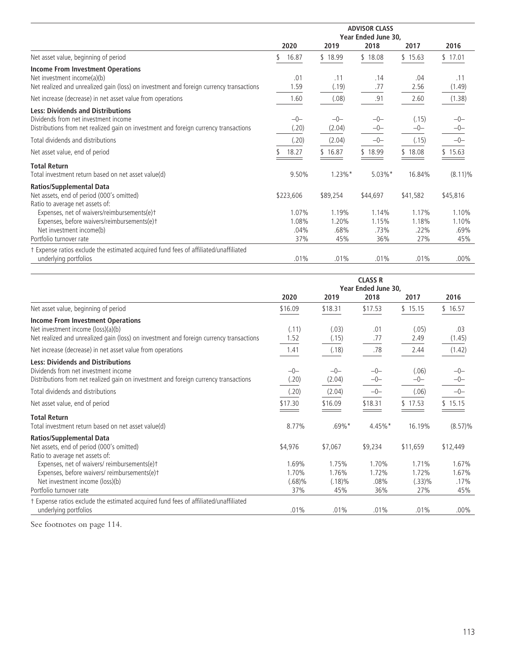|                                                                                                                                                                          | <b>ADVISOR CLASS</b><br>Year Ended June 30, |                               |                               |                               |                               |
|--------------------------------------------------------------------------------------------------------------------------------------------------------------------------|---------------------------------------------|-------------------------------|-------------------------------|-------------------------------|-------------------------------|
|                                                                                                                                                                          | 2020                                        | 2019                          | 2018                          | 2017                          | 2016                          |
| Net asset value, beginning of period                                                                                                                                     | 16.87                                       | \$18.99                       | \$18.08                       | \$15.63                       | \$17.01                       |
| <b>Income From Investment Operations</b><br>Net investment income(a)(b)<br>Net realized and unrealized gain (loss) on investment and foreign currency transactions       | .01<br>1.59                                 | .11<br>(.19)                  | .14<br>.77                    | .04<br>2.56                   | .11<br>(1.49)                 |
| Net increase (decrease) in net asset value from operations                                                                                                               | 1.60                                        | (.08)                         | .91                           | 2.60                          | (1.38)                        |
| <b>Less: Dividends and Distributions</b><br>Dividends from net investment income<br>Distributions from net realized gain on investment and foreign currency transactions | $-0-$<br>(.20)                              | $-0-$<br>(2.04)               | $-0-$<br>$-0-$                | (.15)<br>$-0-$                | $-0-$<br>-0-                  |
| Total dividends and distributions                                                                                                                                        | (.20)                                       | (2.04)                        | $-0-$                         | (.15)                         | $-0-$                         |
| Net asset value, end of period                                                                                                                                           | 18.27                                       | \$16.87                       | \$18.99                       | \$18.08                       | \$15.63                       |
| <b>Total Return</b><br>Total investment return based on net asset value(d)                                                                                               | 9.50%                                       | $1.23\%$ *                    | $5.03\%$ *                    | 16.84%                        | $(8.11)\%$                    |
| <b>Ratios/Supplemental Data</b><br>Net assets, end of period (000's omitted)<br>Ratio to average net assets of:                                                          | \$223,606                                   | \$89,254                      | \$44,697                      | \$41,582                      | \$45,816                      |
| Expenses, net of waivers/reimbursements(e)t<br>Expenses, before waivers/reimbursements(e)t<br>Net investment income(b)<br>Portfolio turnover rate                        | 1.07%<br>1.08%<br>.04%<br>37%               | 1.19%<br>1.20%<br>.68%<br>45% | 1.14%<br>1.15%<br>.73%<br>36% | 1.17%<br>1.18%<br>.22%<br>27% | 1.10%<br>1.10%<br>.69%<br>45% |
| t Expense ratios exclude the estimated acquired fund fees of affiliated/unaffiliated<br>underlying portfolios                                                            | .01%                                        | .01%                          | .01%                          | .01%                          | $.00\%$                       |

|                                                                                                                                                                           | <b>CLASS R</b><br>Year Ended June 30, |                                    |                               |                                 |                               |  |
|---------------------------------------------------------------------------------------------------------------------------------------------------------------------------|---------------------------------------|------------------------------------|-------------------------------|---------------------------------|-------------------------------|--|
|                                                                                                                                                                           | 2020                                  | 2019                               | 2018                          | 2017                            | 2016                          |  |
| Net asset value, beginning of period                                                                                                                                      | \$16.09                               | \$18.31                            | \$17.53                       | \$15.15                         | \$16.57                       |  |
| <b>Income From Investment Operations</b><br>Net investment income (loss)(a)(b)<br>Net realized and unrealized gain (loss) on investment and foreign currency transactions | (.11)<br>1.52                         | (.03)<br>(.15)                     | .01<br>.77                    | (.05)<br>2.49                   | .03<br>(1.45)                 |  |
| Net increase (decrease) in net asset value from operations                                                                                                                | 1.41                                  | (.18)                              | .78                           | 2.44                            | (1.42)                        |  |
| <b>Less: Dividends and Distributions</b><br>Dividends from net investment income<br>Distributions from net realized gain on investment and foreign currency transactions  | $-0-$<br>(.20)                        | $-0-$<br>(2.04)                    | $-0-$<br>$-0-$                | (.06)<br>$-0-$                  | $-0-$<br>-0-                  |  |
| Total dividends and distributions                                                                                                                                         | (.20)                                 | (2.04)                             | $-0-$                         | (.06)                           | $-0-$                         |  |
| Net asset value, end of period                                                                                                                                            | \$17.30                               | \$16.09                            | \$18.31                       | \$17.53                         | \$15.15                       |  |
| <b>Total Return</b><br>Total investment return based on net asset value(d)                                                                                                | 8.77%                                 | $.69\%$ <sup>*</sup>               | 4.45%*                        | 16.19%                          | $(8.57)\%$                    |  |
| <b>Ratios/Supplemental Data</b><br>Net assets, end of period (000's omitted)<br>Ratio to average net assets of:                                                           | \$4,976                               | \$7,067                            | \$9,234                       | \$11,659                        | \$12,449                      |  |
| Expenses, net of waivers/reimbursements(e)t<br>Expenses, before waivers/reimbursements(e)t<br>Net investment income (loss)(b)<br>Portfolio turnover rate                  | 1.69%<br>1.70%<br>(.68)%<br>37%       | 1.75%<br>1.76%<br>$(.18)\%$<br>45% | 1.70%<br>1.72%<br>.08%<br>36% | 1.71%<br>1.72%<br>(.33)%<br>27% | 1.67%<br>1.67%<br>.17%<br>45% |  |
| t Expense ratios exclude the estimated acquired fund fees of affiliated/unaffiliated<br>underlying portfolios                                                             | .01%                                  | .01%                               | .01%                          | .01%                            | $.00\%$                       |  |

See footnotes on page 114.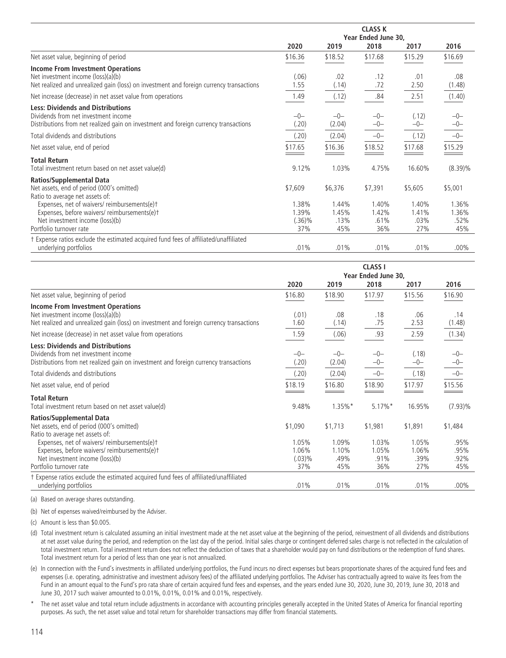|                                                                                         | <b>CLASS K</b> |         |         |         |            |  |  |
|-----------------------------------------------------------------------------------------|----------------|---------|---------|---------|------------|--|--|
|                                                                                         |                |         |         |         |            |  |  |
|                                                                                         | 2020           | 2019    | 2018    | 2017    | 2016       |  |  |
| Net asset value, beginning of period                                                    | \$16.36        | \$18.52 | \$17.68 | \$15.29 | \$16.69    |  |  |
| <b>Income From Investment Operations</b>                                                |                |         |         |         |            |  |  |
| Net investment income (loss)(a)(b)                                                      | (.06)          | .02     | .12     | .01     | .08        |  |  |
| Net realized and unrealized gain (loss) on investment and foreign currency transactions | 1.55           | (.14)   | .72     | 2.50    | (1.48)     |  |  |
| Net increase (decrease) in net asset value from operations                              | 1.49           | (.12)   | .84     | 2.51    | (1.40)     |  |  |
| <b>Less: Dividends and Distributions</b>                                                |                |         |         |         |            |  |  |
| Dividends from net investment income                                                    | $-0-$          | $-0-$   | $-0-$   | (.12)   | $-0-$      |  |  |
| Distributions from net realized gain on investment and foreign currency transactions    | (.20)          | (2.04)  | $-0-$   | $-0-$   | $-0-$      |  |  |
| Total dividends and distributions                                                       | (.20)          | (2.04)  | $-0-$   | (.12)   | $-0-$      |  |  |
| Net asset value, end of period                                                          | \$17.65        | \$16.36 | \$18.52 | \$17.68 | \$15.29    |  |  |
| <b>Total Return</b>                                                                     |                |         |         |         |            |  |  |
| Total investment return based on net asset value(d)                                     | 9.12%          | 1.03%   | 4.75%   | 16.60%  | $(8.39)\%$ |  |  |
| <b>Ratios/Supplemental Data</b>                                                         |                |         |         |         |            |  |  |
| Net assets, end of period (000's omitted)                                               | \$7,609        | \$6,376 | \$7,391 | \$5,605 | \$5,001    |  |  |
| Ratio to average net assets of:                                                         |                |         |         |         |            |  |  |
| Expenses, net of waivers/reimbursements(e)t                                             | 1.38%          | 1.44%   | 1.40%   | 1.40%   | 1.36%      |  |  |
| Expenses, before waivers/reimbursements(e)t                                             | 1.39%          | 1.45%   | 1.42%   | 1.41%   | 1.36%      |  |  |
| Net investment income (loss)(b)                                                         | (.36)%         | .13%    | .61%    | $.03\%$ | .52%       |  |  |
| Portfolio turnover rate                                                                 | 37%            | 45%     | 36%     | 27%     | 45%        |  |  |
| † Expense ratios exclude the estimated acquired fund fees of affiliated/unaffiliated    |                |         |         |         |            |  |  |
| underlying portfolios                                                                   | .01%           | .01%    | .01%    | .01%    | $.00\%$    |  |  |

|                                                                                                                                                                           | <b>CLASS I</b><br>Year Ended June 30, |                               |                               |                               |                             |  |
|---------------------------------------------------------------------------------------------------------------------------------------------------------------------------|---------------------------------------|-------------------------------|-------------------------------|-------------------------------|-----------------------------|--|
|                                                                                                                                                                           | 2020                                  | 2019                          | 2018                          | 2017                          | 2016                        |  |
| Net asset value, beginning of period                                                                                                                                      | \$16.80                               | \$18.90                       | \$17.97                       | \$15.56                       | \$16.90                     |  |
| <b>Income From Investment Operations</b><br>Net investment income (loss)(a)(b)<br>Net realized and unrealized gain (loss) on investment and foreign currency transactions | (.01)<br>1.60                         | .08<br>(.14)                  | .18<br>.75                    | .06<br>2.53                   | .14<br>(1.48)               |  |
| Net increase (decrease) in net asset value from operations                                                                                                                | 1.59                                  | (.06)                         | .93                           | 2.59                          | (1.34)                      |  |
| <b>Less: Dividends and Distributions</b><br>Dividends from net investment income<br>Distributions from net realized gain on investment and foreign currency transactions  | $-0-$<br>(.20)                        | $-0-$<br>(2.04)               | $-0-$<br>$-0-$                | (.18)<br>$-0-$                | $-0-$<br>$-0-$              |  |
| Total dividends and distributions                                                                                                                                         | (.20)                                 | (2.04)                        | $-0-$                         | (.18)                         | $-0-$                       |  |
| Net asset value, end of period                                                                                                                                            | \$18.19                               | \$16.80                       | \$18.90                       | \$17.97                       | \$15.56                     |  |
| <b>Total Return</b><br>Total investment return based on net asset value(d)                                                                                                | 9.48%                                 | $1.35\%$ *                    | $5.17\%$ *                    | 16.95%                        | $(7.93)\%$                  |  |
| <b>Ratios/Supplemental Data</b><br>Net assets, end of period (000's omitted)<br>Ratio to average net assets of:                                                           | \$1,090                               | \$1,713                       | \$1,981                       | \$1,891                       | \$1,484                     |  |
| Expenses, net of waivers/ reimbursements(e)t<br>Expenses, before waivers/reimbursements(e)t<br>Net investment income (loss)(b)<br>Portfolio turnover rate                 | 1.05%<br>1.06%<br>(.03)%<br>37%       | 1.09%<br>1.10%<br>.49%<br>45% | 1.03%<br>1.05%<br>.91%<br>36% | 1.05%<br>1.06%<br>.39%<br>27% | .95%<br>.95%<br>.92%<br>45% |  |
| † Expense ratios exclude the estimated acquired fund fees of affiliated/unaffiliated<br>underlying portfolios                                                             | .01%                                  | .01%                          | .01%                          | .01%                          | $.00\%$                     |  |

(a) Based on average shares outstanding.

(b) Net of expenses waived/reimbursed by the Adviser.

(c) Amount is less than \$0.005.

(d) Total investment return is calculated assuming an initial investment made at the net asset value at the beginning of the period, reinvestment of all dividends and distributions at net asset value during the period, and redemption on the last day of the period. Initial sales charge or contingent deferred sales charge is not reflected in the calculation of total investment return. Total investment return does not reflect the deduction of taxes that a shareholder would pay on fund distributions or the redemption of fund shares. Total investment return for a period of less than one year is not annualized.

(e) In connection with the Fund's investments in affiliated underlying portfolios, the Fund incurs no direct expenses but bears proportionate shares of the acquired fund fees and expenses (i.e. operating, administrative and investment advisory fees) of the affiliated underlying portfolios. The Adviser has contractually agreed to waive its fees from the Fund in an amount equal to the Fund's pro rata share of certain acquired fund fees and expenses, and the years ended June 30, 2020, June 30, 2019, June 30, 2018 and June 30, 2017 such waiver amounted to 0.01%, 0.01%, 0.01% and 0.01%, respectively.

The net asset value and total return include adjustments in accordance with accounting principles generally accepted in the United States of America for financial reporting purposes. As such, the net asset value and total return for shareholder transactions may differ from financial statements.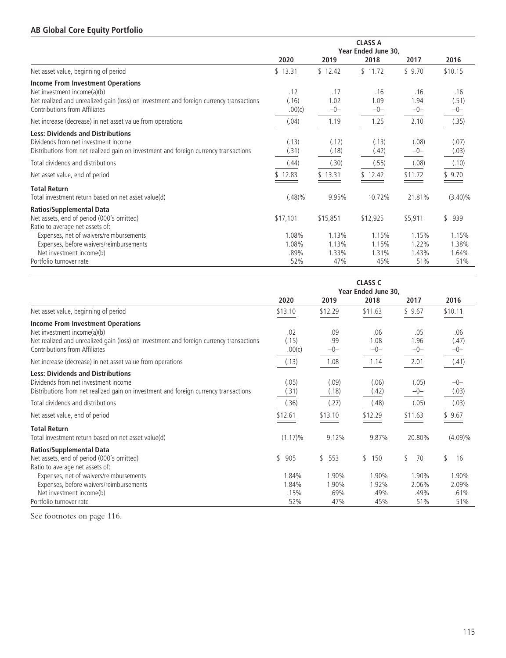## **AB Global Core Equity Portfolio**

|                                                                                                                                                                          | <b>CLASS A</b><br>Year Ended June 30, |                         |                         |                         |                         |  |
|--------------------------------------------------------------------------------------------------------------------------------------------------------------------------|---------------------------------------|-------------------------|-------------------------|-------------------------|-------------------------|--|
|                                                                                                                                                                          | 2020                                  | 2019                    | 2018                    | 2017                    | 2016                    |  |
| Net asset value, beginning of period                                                                                                                                     | \$13.31                               | \$12.42                 | \$11.72                 | \$9.70                  | \$10.15                 |  |
| <b>Income From Investment Operations</b><br>Net investment income(a)(b)                                                                                                  | .12                                   | .17                     | .16                     | .16                     | .16                     |  |
| Net realized and unrealized gain (loss) on investment and foreign currency transactions<br>Contributions from Affiliates                                                 | (.16)<br>.00(c)                       | 1.02<br>$-0-$           | 1.09<br>$-0-$           | 1.94<br>$-0-$           | (.51)<br>$-0-$          |  |
| Net increase (decrease) in net asset value from operations                                                                                                               | (.04)                                 | 1.19                    | 1.25                    | 2.10                    | (.35)                   |  |
| <b>Less: Dividends and Distributions</b><br>Dividends from net investment income<br>Distributions from net realized gain on investment and foreign currency transactions | (.13)<br>(.31)                        | (.12)<br>(.18)          | (.13)<br>(.42)          | (.08)<br>$-0-$          | (.07)<br>(.03)          |  |
| Total dividends and distributions                                                                                                                                        | (.44)                                 | (.30)                   | (.55)                   | (.08)                   | (.10)                   |  |
| Net asset value, end of period                                                                                                                                           | \$12.83                               | \$13.31                 | \$12.42                 | \$11.72                 | \$9.70                  |  |
| <b>Total Return</b><br>Total investment return based on net asset value(d)                                                                                               | (.48)%                                | 9.95%                   | 10.72%                  | 21.81%                  | $(3.40)\%$              |  |
| <b>Ratios/Supplemental Data</b><br>Net assets, end of period (000's omitted)<br>Ratio to average net assets of:                                                          | \$17,101                              | \$15,851                | \$12,925                | \$5,911                 | \$939                   |  |
| Expenses, net of waivers/reimbursements<br>Expenses, before waivers/reimbursements<br>Net investment income(b)                                                           | 1.08%<br>1.08%<br>.89%                | 1.13%<br>1.13%<br>1.33% | 1.15%<br>1.15%<br>1.31% | 1.15%<br>1.22%<br>1.43% | 1.15%<br>1.38%<br>1.64% |  |
| Portfolio turnover rate                                                                                                                                                  | 52%                                   | 47%                     | 45%                     | 51%                     | 51%                     |  |

|                                                                                                                                                                          | <b>CLASS C</b>  |                |                             |                |                |  |
|--------------------------------------------------------------------------------------------------------------------------------------------------------------------------|-----------------|----------------|-----------------------------|----------------|----------------|--|
|                                                                                                                                                                          | 2020            | 2019           | Year Ended June 30,<br>2018 | 2017           | 2016           |  |
| Net asset value, beginning of period                                                                                                                                     | \$13.10         | \$12.29        | \$11.63                     | \$9.67         | \$10.11        |  |
| <b>Income From Investment Operations</b><br>Net investment income(a)(b)                                                                                                  | .02             | .09            | .06                         | .05            | .06            |  |
| Net realized and unrealized gain (loss) on investment and foreign currency transactions<br>Contributions from Affiliates                                                 | (.15)<br>.00(c) | .99<br>$-0-$   | 1.08<br>$-0-$               | 1.96<br>$-0-$  | (.47)<br>$-0-$ |  |
| Net increase (decrease) in net asset value from operations                                                                                                               | (.13)           | 1.08           | 1.14                        | 2.01           | (.41)          |  |
| <b>Less: Dividends and Distributions</b><br>Dividends from net investment income<br>Distributions from net realized gain on investment and foreign currency transactions | (.05)<br>(.31)  | (.09)<br>(.18) | (.06)<br>(.42)              | (.05)<br>$-0-$ | $-0-$<br>(.03) |  |
| Total dividends and distributions                                                                                                                                        | (.36)           | (.27)          | (.48)                       | (.05)          | (.03)          |  |
| Net asset value, end of period                                                                                                                                           | \$12.61         | \$13.10        | \$12.29                     | \$11.63        | \$9.67         |  |
| <b>Total Return</b><br>Total investment return based on net asset value(d)                                                                                               | $(1.17)\%$      | 9.12%          | 9.87%                       | 20.80%         | $(4.09)\%$     |  |
| <b>Ratios/Supplemental Data</b><br>Net assets, end of period (000's omitted)<br>Ratio to average net assets of:                                                          | \$<br>905       | \$<br>553      | 150<br>\$                   | \$<br>70       | \$<br>16       |  |
| Expenses, net of waivers/reimbursements<br>Expenses, before waivers/reimbursements                                                                                       | 1.84%<br>1.84%  | 1.90%<br>1.90% | 1.90%<br>1.92%              | 1.90%<br>2.06% | 1.90%<br>2.09% |  |
| Net investment income(b)<br>Portfolio turnover rate                                                                                                                      | .15%<br>52%     | .69%<br>47%    | .49%<br>45%                 | .49%<br>51%    | .61%<br>51%    |  |

See footnotes on page 116.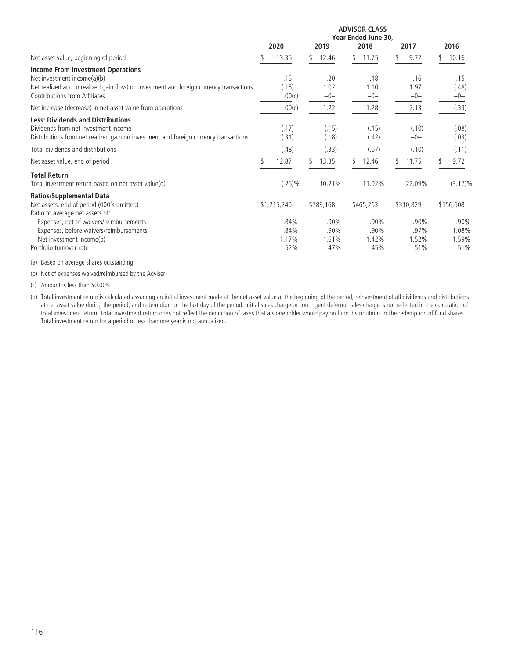|                                                                                         | <b>ADVISOR CLASS</b> |             |    |           |    |           |  |           |    |            |
|-----------------------------------------------------------------------------------------|----------------------|-------------|----|-----------|----|-----------|--|-----------|----|------------|
|                                                                                         | Year Ended June 30,  |             |    |           |    |           |  |           |    |            |
|                                                                                         |                      | 2020        |    | 2019      |    | 2018      |  | 2017      |    | 2016       |
| Net asset value, beginning of period                                                    |                      | 13.35       | \$ | 12.46     | \$ | 11.75     |  | 9.72      | ٢. | 10.16      |
| <b>Income From Investment Operations</b>                                                |                      |             |    |           |    |           |  |           |    |            |
| Net investment income(a)(b)                                                             |                      | .15         |    | .20       |    | .18       |  | .16       |    | .15        |
| Net realized and unrealized gain (loss) on investment and foreign currency transactions |                      | (.15)       |    | 1.02      |    | 1.10      |  | 1.97      |    | (.48)      |
| Contributions from Affiliates                                                           |                      | .00(c)      |    | $-0-$     |    | $-0-$     |  | $-0-$     |    | $-0-$      |
| Net increase (decrease) in net asset value from operations                              |                      | .00(c)      |    | 1.22      |    | 1.28      |  | 2.13      |    | (.33)      |
| <b>Less: Dividends and Distributions</b>                                                |                      |             |    |           |    |           |  |           |    |            |
| Dividends from net investment income                                                    |                      | (.17)       |    | (.15)     |    | (.15)     |  | (.10)     |    | (.08)      |
| Distributions from net realized gain on investment and foreign currency transactions    |                      | (.31)       |    | (.18)     |    | (.42)     |  | $-0-$     |    | (.03)      |
| Total dividends and distributions                                                       |                      | (.48)       |    | (.33)     |    | (.57)     |  | (.10)     |    | (.11)      |
| Net asset value, end of period                                                          |                      | 12.87       |    | 13.35     |    | 12.46     |  | 11.75     |    | 9.72       |
| <b>Total Return</b>                                                                     |                      |             |    |           |    |           |  |           |    |            |
| Total investment return based on net asset value(d)                                     |                      | $(.25)\%$   |    | 10.21%    |    | 11.02%    |  | 22.09%    |    | $(3.17)\%$ |
| <b>Ratios/Supplemental Data</b>                                                         |                      |             |    |           |    |           |  |           |    |            |
| Net assets, end of period (000's omitted)                                               |                      | \$1,215,240 |    | \$789,168 |    | \$465,263 |  | \$310,829 |    | \$156,608  |
| Ratio to average net assets of:                                                         |                      |             |    |           |    |           |  |           |    |            |
| Expenses, net of waivers/reimbursements                                                 |                      | .84%        |    | .90%      |    | .90%      |  | .90%      |    | .90%       |
| Expenses, before waivers/reimbursements                                                 |                      | .84%        |    | .90%      |    | .90%      |  | .97%      |    | 1.08%      |
| Net investment income(b)                                                                |                      | 1.17%       |    | 1.61%     |    | 1.42%     |  | 1.52%     |    | 1.59%      |
| Portfolio turnover rate                                                                 |                      | 52%         |    | 47%       |    | 45%       |  | 51%       |    | 51%        |

(a) Based on average shares outstanding.

(b) Net of expenses waived/reimbursed by the Adviser.

(c) Amount is less than \$0.005.

(d) Total investment return is calculated assuming an initial investment made at the net asset value at the beginning of the period, reinvestment of all dividends and distributions at net asset value during the period, and redemption on the last day of the period. Initial sales charge or contingent deferred sales charge is not reflected in the calculation of total investment return. Total investment return does not reflect the deduction of taxes that a shareholder would pay on fund distributions or the redemption of fund shares. Total investment return for a period of less than one year is not annualized.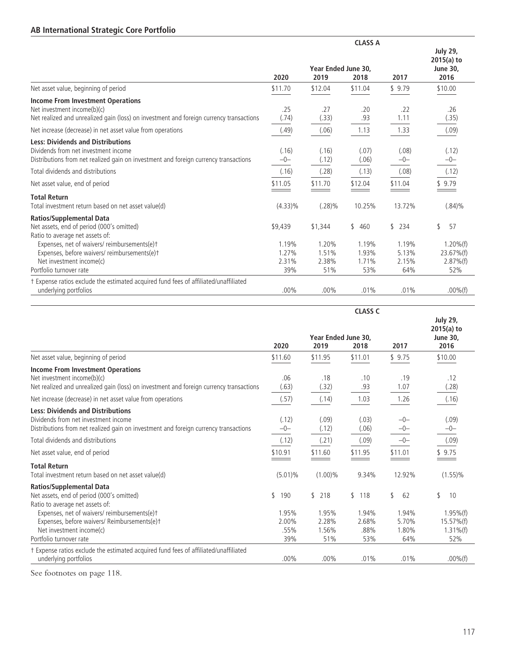## **AB International Strategic Core Portfolio**

|                                                                                                                                                                          | Year Ended June 30.     |                         |                         |                         | <b>July 29,</b><br>$2015(a)$ to<br><b>June 30,</b> |
|--------------------------------------------------------------------------------------------------------------------------------------------------------------------------|-------------------------|-------------------------|-------------------------|-------------------------|----------------------------------------------------|
|                                                                                                                                                                          | 2020                    | 2019                    | 2018                    | 2017                    | 2016                                               |
| Net asset value, beginning of period                                                                                                                                     | \$11.70                 | \$12.04                 | \$11.04                 | \$9.79                  | \$10.00                                            |
| <b>Income From Investment Operations</b><br>Net investment income(b)(c)<br>Net realized and unrealized gain (loss) on investment and foreign currency transactions       | .25<br>(.74)            | .27<br>(.33)            | .20<br>.93              | .22<br>1.11             | .26<br>(.35)                                       |
| Net increase (decrease) in net asset value from operations                                                                                                               | (.49)                   | (.06)                   | 1.13                    | 1.33                    | (.09)                                              |
| <b>Less: Dividends and Distributions</b><br>Dividends from net investment income<br>Distributions from net realized gain on investment and foreign currency transactions | (.16)<br>$-0-$          | (.16)<br>(.12)          | (.07)<br>(.06)          | (.08)<br>$-0-$          | (.12)<br>$-0-$                                     |
| Total dividends and distributions                                                                                                                                        | (.16)                   | (.28)                   | (.13)                   | (.08)                   | (.12)                                              |
| Net asset value, end of period                                                                                                                                           | \$11.05                 | \$11.70                 | \$12.04                 | \$11.04                 | \$9.79                                             |
| <b>Total Return</b><br>Total investment return based on net asset value(d)                                                                                               | $(4.33)\%$              | (.28)%                  | 10.25%                  | 13.72%                  | $(.84)\%$                                          |
| <b>Ratios/Supplemental Data</b><br>Net assets, end of period (000's omitted)<br>Ratio to average net assets of:                                                          | \$9,439                 | \$1,344                 | 460<br>\$               | \$234                   | 57<br>\$                                           |
| Expenses, net of waivers/reimbursements(e)t<br>Expenses, before waivers/reimbursements(e)t<br>Net investment income(c)                                                   | 1.19%<br>1.27%<br>2.31% | 1.20%<br>1.51%<br>2.38% | 1.19%<br>1.93%<br>1.71% | 1.19%<br>5.13%<br>2.15% | $1.20\%$ (f)<br>23.67%(f)<br>$2.87\%$ (f)          |
| Portfolio turnover rate                                                                                                                                                  | 39%                     | 51%                     | 53%                     | 64%                     | 52%                                                |
| † Expense ratios exclude the estimated acquired fund fees of affiliated/unaffiliated<br>underlying portfolios                                                            | $.00\%$                 | $.00\%$                 | .01%                    | .01%                    | $.00\%$ (f)                                        |

|                                                                                                                                                                          |                               | <b>CLASS C</b>                 |                               |                                |                                                            |  |
|--------------------------------------------------------------------------------------------------------------------------------------------------------------------------|-------------------------------|--------------------------------|-------------------------------|--------------------------------|------------------------------------------------------------|--|
|                                                                                                                                                                          | 2020                          | Year Ended June 30,<br>2019    | 2018                          | 2017                           | <b>July 29,</b><br>$2015(a)$ to<br><b>June 30,</b><br>2016 |  |
| Net asset value, beginning of period                                                                                                                                     | \$11.60                       | \$11.95                        | \$11.01                       | \$9.75                         | \$10.00                                                    |  |
| <b>Income From Investment Operations</b><br>Net investment income(b)(c)<br>Net realized and unrealized gain (loss) on investment and foreign currency transactions       | .06<br>(.63)                  | .18<br>(.32)                   | .10<br>.93                    | .19<br>1.07                    | .12<br>(.28)                                               |  |
| Net increase (decrease) in net asset value from operations                                                                                                               | (.57)                         | (.14)                          | 1.03                          | 1.26                           | (.16)                                                      |  |
| <b>Less: Dividends and Distributions</b><br>Dividends from net investment income<br>Distributions from net realized gain on investment and foreign currency transactions | (.12)<br>$-0-$                | (.09)<br>(.12)                 | (.03)<br>(.06)                | $-0-$<br>$-0-$                 | (.09)<br>$-0-$                                             |  |
| Total dividends and distributions                                                                                                                                        | (.12)                         | (.21)                          | (.09)                         | $-0-$                          | (.09)                                                      |  |
| Net asset value, end of period                                                                                                                                           | \$10.91                       | \$11.60                        | \$11.95                       | \$11.01                        | \$9.75                                                     |  |
| <b>Total Return</b><br>Total investment return based on net asset value(d)                                                                                               | $(5.01)\%$                    | $(1.00)\%$                     | 9.34%                         | 12.92%                         | (1.55)%                                                    |  |
| <b>Ratios/Supplemental Data</b><br>Net assets, end of period (000's omitted)<br>Ratio to average net assets of:                                                          | \$<br>190                     | \$<br>218                      | \$118                         | $\mathcal{L}$<br>62            | 10<br>\$                                                   |  |
| Expenses, net of waivers/reimbursements(e)+<br>Expenses, before waivers/ Reimbursements(e)t<br>Net investment income(c)<br>Portfolio turnover rate                       | 1.95%<br>2.00%<br>.55%<br>39% | 1.95%<br>2.28%<br>1.56%<br>51% | 1.94%<br>2.68%<br>.88%<br>53% | 1.94%<br>5.70%<br>1.80%<br>64% | $1.95\%$ (f)<br>15.57%(f)<br>$1.31\%$ (f)<br>52%           |  |
| † Expense ratios exclude the estimated acquired fund fees of affiliated/unaffiliated<br>underlying portfolios                                                            | $.00\%$                       | $.00\%$                        | .01%                          | .01%                           | $.00\%$ (f)                                                |  |

See footnotes on page 118.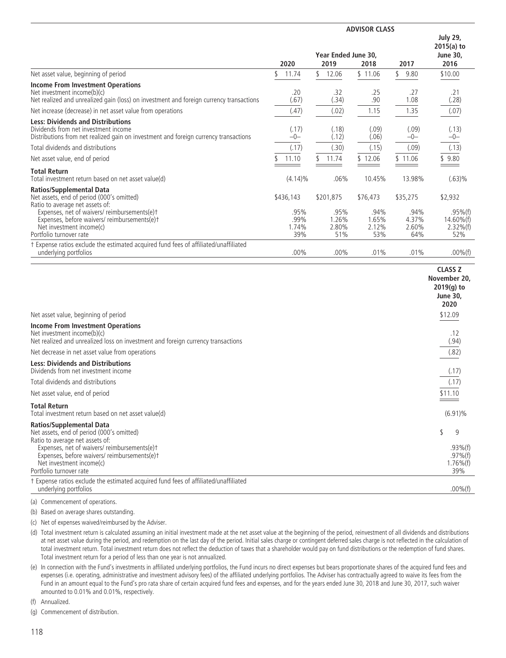|                                                                                                                                                                          | Year Ended June 30,<br>2020<br>2019<br>2017<br>2018 |                       |                       |                       | <b>July 29,</b><br>$2015(a)$ to<br><b>June 30.</b><br>2016 |
|--------------------------------------------------------------------------------------------------------------------------------------------------------------------------|-----------------------------------------------------|-----------------------|-----------------------|-----------------------|------------------------------------------------------------|
| Net asset value, beginning of period                                                                                                                                     | 11.74                                               | \$<br>12.06           | \$11.06               | 9.80                  | \$10.00                                                    |
| <b>Income From Investment Operations</b><br>Net investment income(b)(c)<br>Net realized and unrealized gain (loss) on investment and foreign currency transactions       | .20<br>(.67)                                        | .32<br>(.34)          | .25<br>.90            | .27<br>1.08           | .21<br>(.28)                                               |
| Net increase (decrease) in net asset value from operations                                                                                                               | (.47)                                               | (.02)                 | 1.15                  | 1.35                  | (.07)                                                      |
| <b>Less: Dividends and Distributions</b><br>Dividends from net investment income<br>Distributions from net realized gain on investment and foreign currency transactions | (.17)<br>$-0-$                                      | (.18)<br>(.12)        | (.09)<br>(.06)        | (.09)<br>$-0-$        | (.13)<br>$-0-$                                             |
| Total dividends and distributions                                                                                                                                        | (.17)                                               | (.30)                 | (.15)                 | (.09)                 | (.13)                                                      |
| Net asset value, end of period                                                                                                                                           | 11.10                                               | 11.74                 | \$12.06               | \$11.06               | \$9.80                                                     |
| <b>Total Return</b><br>Total investment return based on net asset value(d)                                                                                               | $(4.14)\%$                                          | .06%                  | 10.45%                | 13.98%                | $(.63)\%$                                                  |
| Ratios/Supplemental Data<br>Net assets, end of period (000's omitted)<br>Ratio to average net assets of:<br>Expenses, net of waivers/reimbursements(e)t                  | \$436,143<br>.95%                                   | \$201,875<br>.95%     | \$76,473<br>.94%      | \$35,275<br>.94%      | \$2,932<br>$.95\%$ (f)                                     |
| Expenses, before waivers/reimbursements(e)t<br>Net investment income(c)<br>Portfolio turnover rate                                                                       | .99%<br>1.74%<br>39%                                | 1.26%<br>2.80%<br>51% | 1.65%<br>2.12%<br>53% | 4.37%<br>2.60%<br>64% | $14.60\%$ (f)<br>$2.32\%$ (f)<br>52%                       |
| t Expense ratios exclude the estimated acquired fund fees of affiliated/unaffiliated<br>underlying portfolios                                                            | $.00\%$                                             | $.00\%$               | .01%                  | .01%                  | $.00\%$ (f)                                                |

| Net asset value, beginning of period                                                                                                                                                                          | <b>CLASS Z</b><br>November 20,<br>$2019(q)$ to<br><b>June 30,</b><br>2020<br>\$12.09 |
|---------------------------------------------------------------------------------------------------------------------------------------------------------------------------------------------------------------|--------------------------------------------------------------------------------------|
|                                                                                                                                                                                                               |                                                                                      |
| <b>Income From Investment Operations</b><br>Net investment income(b)(c)<br>Net realized and unrealized loss on investment and foreign currency transactions                                                   | .12<br>(.94)                                                                         |
| Net decrease in net asset value from operations                                                                                                                                                               | (.82)                                                                                |
| <b>Less: Dividends and Distributions</b><br>Dividends from net investment income                                                                                                                              | (.17)                                                                                |
| Total dividends and distributions                                                                                                                                                                             |                                                                                      |
| Net asset value, end of period                                                                                                                                                                                | $\frac{(.17)}{$11.10}$                                                               |
| <b>Total Return</b><br>Total investment return based on net asset value(d)                                                                                                                                    | $(6.91)\%$                                                                           |
| <b>Ratios/Supplemental Data</b><br>Net assets, end of period (000's omitted)<br>Ratio to average net assets of:<br>Expenses, net of waivers/reimbursements(e)+<br>Expenses, before waivers/reimbursements(e)t | \$<br>9<br>$.93\%$ (f)<br>$.97\%$ (f)                                                |
| Net investment income(c)                                                                                                                                                                                      | $1.76\%$ (f)                                                                         |
| Portfolio turnover rate                                                                                                                                                                                       | 39%                                                                                  |
| t Expense ratios exclude the estimated acquired fund fees of affiliated/unaffiliated<br>underlying portfolios                                                                                                 | $.00\%$ (f)                                                                          |

(a) Commencement of operations.

(b) Based on average shares outstanding.

(c) Net of expenses waived/reimbursed by the Adviser.

(d) Total investment return is calculated assuming an initial investment made at the net asset value at the beginning of the period, reinvestment of all dividends and distributions at net asset value during the period, and redemption on the last day of the period. Initial sales charge or contingent deferred sales charge is not reflected in the calculation of total investment return. Total investment return does not reflect the deduction of taxes that a shareholder would pay on fund distributions or the redemption of fund shares. Total investment return for a period of less than one year is not annualized.

(e) In connection with the Fund's investments in affiliated underlying portfolios, the Fund incurs no direct expenses but bears proportionate shares of the acquired fund fees and expenses (i.e. operating, administrative and investment advisory fees) of the affiliated underlying portfolios. The Adviser has contractually agreed to waive its fees from the Fund in an amount equal to the Fund's pro rata share of certain acquired fund fees and expenses, and for the years ended June 30, 2018 and June 30, 2017, such waiver amounted to 0.01% and 0.01%, respectively.

(f) Annualized.

(g) Commencement of distribution.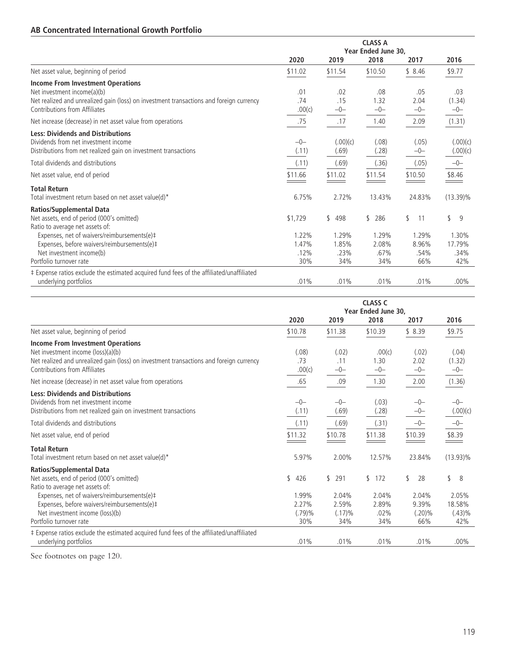# **AB Concentrated International Growth Portfolio**

|                                                                                                                                                                                              | <b>CLASS A</b><br>Year Ended June 30, |                     |                      |                      |                        |  |
|----------------------------------------------------------------------------------------------------------------------------------------------------------------------------------------------|---------------------------------------|---------------------|----------------------|----------------------|------------------------|--|
|                                                                                                                                                                                              | 2020                                  | 2019                | 2018                 | 2017                 | 2016                   |  |
| Net asset value, beginning of period                                                                                                                                                         | \$11.02                               | \$11.54             | \$10.50              | \$8.46               | \$9.77                 |  |
| Income From Investment Operations<br>Net investment income(a)(b)<br>Net realized and unrealized gain (loss) on investment transactions and foreign currency<br>Contributions from Affiliates | .01<br>.74<br>.00(c)                  | .02<br>.15<br>$-0-$ | .08<br>1.32<br>$-0-$ | .05<br>2.04<br>$-0-$ | .03<br>(1.34)<br>$-0-$ |  |
| Net increase (decrease) in net asset value from operations                                                                                                                                   | .75                                   | .17                 | 1.40                 | 2.09                 | (1.31)                 |  |
| <b>Less: Dividends and Distributions</b><br>Dividends from net investment income<br>Distributions from net realized gain on investment transactions                                          | $-0-$<br>(.11)                        | (.00)(c)<br>(.69)   | (.08)<br>(.28)       | (.05)<br>$-0-$       | (.00)(c)<br>(.00)(c)   |  |
| Total dividends and distributions                                                                                                                                                            | (.11)                                 | (.69)               | (.36)                | (.05)                | $-0-$                  |  |
| Net asset value, end of period                                                                                                                                                               | \$11.66                               | \$11.02             | \$11.54              | \$10.50              | \$8.46                 |  |
| <b>Total Return</b><br>Total investment return based on net asset value(d)*                                                                                                                  | 6.75%                                 | 2.72%               | 13.43%               | 24.83%               | $(13.39)\%$            |  |
| <b>Ratios/Supplemental Data</b><br>Net assets, end of period (000's omitted)<br>Ratio to average net assets of:                                                                              | \$1,729                               | 498<br>\$           | 286<br>$\mathbb{S}$  | \$<br>11             | \$<br>9                |  |
| Expenses, net of waivers/reimbursements(e)#                                                                                                                                                  | 1.22%<br>1.47%                        | 1.29%<br>1.85%      | 1.29%<br>2.08%       | 1.29%<br>8.96%       | 1.30%<br>17.79%        |  |
| Expenses, before waivers/reimbursements(e)#<br>Net investment income(b)                                                                                                                      | .12%                                  | .23%                | .67%                 | .54%                 | .34%                   |  |
| Portfolio turnover rate                                                                                                                                                                      | 30%                                   | 34%                 | 34%                  | 66%                  | 42%                    |  |
| ‡ Expense ratios exclude the estimated acquired fund fees of the affiliated/unaffiliated<br>underlying portfolios                                                                            | .01%                                  | .01%                | .01%                 | .01%                 | $.00\%$                |  |

|                                                                                          | <b>CLASS C</b><br>Year Ended June 30, |           |                      |           |             |  |
|------------------------------------------------------------------------------------------|---------------------------------------|-----------|----------------------|-----------|-------------|--|
|                                                                                          | 2020                                  | 2019      | 2018                 | 2017      | 2016        |  |
| Net asset value, beginning of period                                                     | \$10.78                               | \$11.38   | \$10.39              | \$8.39    | \$9.75      |  |
| Income From Investment Operations                                                        |                                       |           |                      |           |             |  |
| Net investment income (loss)(a)(b)                                                       | (.08)                                 | (.02)     | .00(c)               | (.02)     | (.04)       |  |
| Net realized and unrealized gain (loss) on investment transactions and foreign currency  | .73                                   | .11       | 1.30                 | 2.02      | (1.32)      |  |
| Contributions from Affiliates                                                            | .00(c)                                | $-0-$     | $-0-$                | $-0-$     | $-0-$       |  |
| Net increase (decrease) in net asset value from operations                               | .65                                   | .09       | 1.30                 | 2.00      | (1.36)      |  |
| <b>Less: Dividends and Distributions</b>                                                 |                                       |           |                      |           |             |  |
| Dividends from net investment income                                                     | $-0-$                                 | $-0-$     | (.03)                | $-0-$     | $-0-$       |  |
| Distributions from net realized gain on investment transactions                          | (.11)                                 | (.69)     | (.28)                | $-0-$     | (.00)(c)    |  |
| Total dividends and distributions                                                        | (.11)                                 | (.69)     | (.31)                | $-0-$     | $-0-$       |  |
| Net asset value, end of period                                                           | \$11.32                               | \$10.78   | \$11.38              | \$10.39   | \$8.39      |  |
| <b>Total Return</b>                                                                      |                                       |           |                      |           |             |  |
| Total investment return based on net asset value(d)*                                     | 5.97%                                 | 2.00%     | 12.57%               | 23.84%    | $(13.93)\%$ |  |
| <b>Ratios/Supplemental Data</b>                                                          |                                       |           |                      |           |             |  |
| Net assets, end of period (000's omitted)                                                | \$<br>426                             | \$<br>291 | $\mathcal{S}$<br>172 | \$<br>28  | \$<br>8     |  |
| Ratio to average net assets of:                                                          |                                       |           |                      |           |             |  |
| Expenses, net of waivers/reimbursements(e)#                                              | 1.99%                                 | 2.04%     | 2.04%                | 2.04%     | 2.05%       |  |
| Expenses, before waivers/reimbursements(e)#                                              | 2.27%                                 | 2.59%     | 2.89%                | 9.39%     | 18.58%      |  |
| Net investment income (loss)(b)                                                          | (.79)%                                | (.17)%    | .02%                 | $(.20)\%$ | (.43)%      |  |
| Portfolio turnover rate                                                                  | 30%                                   | 34%       | 34%                  | 66%       | 42%         |  |
| ‡ Expense ratios exclude the estimated acquired fund fees of the affiliated/unaffiliated |                                       |           |                      |           |             |  |
| underlying portfolios                                                                    | .01%                                  | .01%      | .01%                 | .01%      | $.00\%$     |  |

See footnotes on page 120.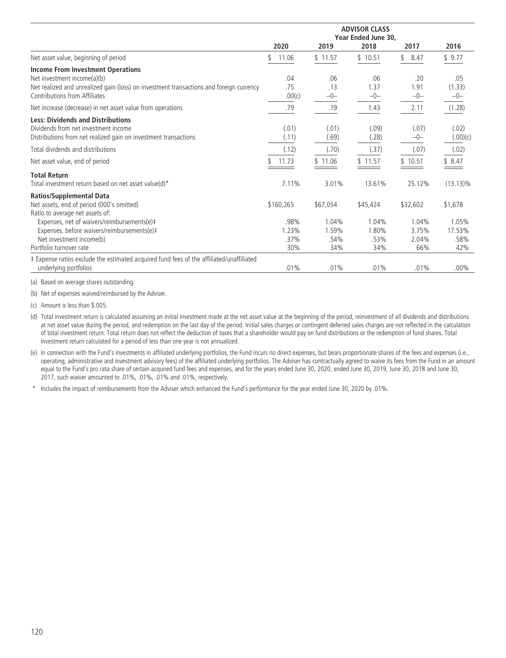|                                                                                                                                                                                                     | <b>ADVISOR CLASS</b><br>Year Ended June 30, |                        |                        |                         |                         |  |
|-----------------------------------------------------------------------------------------------------------------------------------------------------------------------------------------------------|---------------------------------------------|------------------------|------------------------|-------------------------|-------------------------|--|
|                                                                                                                                                                                                     | 2020                                        | 2019                   | 2018                   | 2017                    | 2016                    |  |
| Net asset value, beginning of period                                                                                                                                                                | 11.06                                       | \$11.57                | \$10.51                | \$8.47                  | \$9.77                  |  |
| <b>Income From Investment Operations</b><br>Net investment income(a)(b)<br>Net realized and unrealized gain (loss) on investment transactions and foreign currency<br>Contributions from Affiliates | .04<br>.75<br>.00(c)                        | .06<br>.13<br>$-0-$    | .06<br>1.37<br>$-0-$   | .20<br>1.91<br>$-0-$    | .05<br>(1.33)<br>$-0-$  |  |
| Net increase (decrease) in net asset value from operations                                                                                                                                          | .79                                         | .19                    | 1.43                   | 2.11                    | (1.28)                  |  |
| <b>Less: Dividends and Distributions</b><br>Dividends from net investment income<br>Distributions from net realized gain on investment transactions                                                 | (.01)<br>(.11)                              | (.01)<br>(.69)         | (.09)<br>(.28)         | (.07)<br>$-0-$          | (.02)<br>(.00)(c)       |  |
| Total dividends and distributions                                                                                                                                                                   | (.12)                                       | (.70)                  | (.37)                  | (.07)                   | (.02)                   |  |
| Net asset value, end of period                                                                                                                                                                      | 11.73                                       | \$11.06                | \$11.57                | \$10.51                 | \$8.47                  |  |
| <b>Total Return</b><br>Total investment return based on net asset value(d)*                                                                                                                         | 7.11%                                       | 3.01%                  | 13.61%                 | 25.12%                  | $(13.13)\%$             |  |
| <b>Ratios/Supplemental Data</b><br>Net assets, end of period (000's omitted)<br>Ratio to average net assets of:                                                                                     | \$160,265                                   | \$67,054               | \$45,424               | \$32,602                | \$1,678                 |  |
| Expenses, net of waivers/reimbursements(e)#<br>Expenses, before waivers/reimbursements(e)#<br>Net investment income(b)                                                                              | .98%<br>1.23%<br>.37%                       | 1.04%<br>1.59%<br>.54% | 1.04%<br>1.80%<br>.53% | 1.04%<br>3.75%<br>2.04% | 1.05%<br>17.53%<br>.58% |  |
| Portfolio turnover rate<br># Expense ratios exclude the estimated acquired fund fees of the affiliated/unaffiliated<br>underlying portfolios                                                        | 30%<br>.01%                                 | 34%<br>.01%            | 34%<br>.01%            | 66%<br>.01%             | 42%<br>$.00\%$          |  |

(a) Based on average shares outstanding.

(b) Net of expenses waived/reimbursed by the Adviser.

(c) Amount is less than \$.005.

(d) Total investment return is calculated assuming an initial investment made at the net asset value at the beginning of the period, reinvestment of all dividends and distributions at net asset value during the period, and redemption on the last day of the period. Initial sales charges or contingent deferred sales charges are not reflected in the calculation of total investment return. Total return does not reflect the deduction of taxes that a shareholder would pay on fund distributions or the redemption of fund shares. Total investment return calculated for a period of less than one year is not annualized.

(e) In connection with the Fund's investments in affiliated underlying portfolios, the Fund incurs no direct expenses, but bears proportionate shares of the fees and expenses (i.e., operating, administrative and investment advisory fees) of the affiliated underlying portfolios. The Adviser has contractually agreed to waive its fees from the Fund in an amount equal to the Fund's pro rata share of certain acquired fund fees and expenses, and for the years ended June 30, 2020, ended June 30, 2019, June 30, 2018 and June 30, 2018 2017, such waiver amounted to .01%, .01%, .01% and .01%, respectively.

\* Includes the impact of reimbursements from the Adviser which enhanced the Fund's performance for the year ended June 30, 2020 by .01%.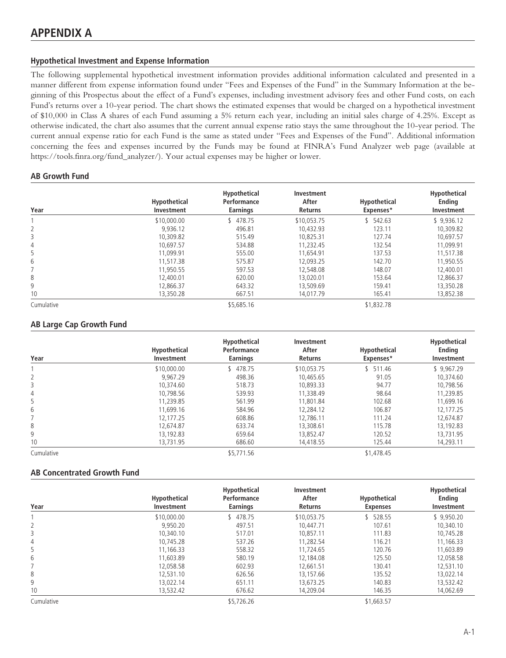## **Hypothetical Investment and Expense Information**

The following supplemental hypothetical investment information provides additional information calculated and presented in a manner different from expense information found under "Fees and Expenses of the Fund" in the Summary Information at the beginning of this Prospectus about the effect of a Fund's expenses, including investment advisory fees and other Fund costs, on each Fund's returns over a 10-year period. The chart shows the estimated expenses that would be charged on a hypothetical investment of \$10,000 in Class A shares of each Fund assuming a 5% return each year, including an initial sales charge of 4.25%. Except as otherwise indicated, the chart also assumes that the current annual expense ratio stays the same throughout the 10-year period. The current annual expense ratio for each Fund is the same as stated under "Fees and Expenses of the Fund". Additional information concerning the fees and expenses incurred by the Funds may be found at FINRA's Fund Analyzer web page (available at https://tools.finra.org/fund\_analyzer/). Your actual expenses may be higher or lower.

## **AB Growth Fund**

| Year           | <b>Hypothetical</b><br>Investment | Hypothetical<br>Performance<br><b>Earnings</b> | Investment<br>After<br><b>Returns</b> | <b>Hypothetical</b><br>Expenses* | Hypothetical<br><b>Ending</b><br>Investment |
|----------------|-----------------------------------|------------------------------------------------|---------------------------------------|----------------------------------|---------------------------------------------|
|                | \$10,000.00                       | 478.75                                         | \$10,053.75                           | 542.63<br>\$                     | \$9,936.12                                  |
| 2              | 9.936.12                          | 496.81                                         | 10.432.93                             | 123.11                           | 10.309.82                                   |
| 3              | 10.309.82                         | 515.49                                         | 10,825.31                             | 127.74                           | 10,697.57                                   |
| $\overline{4}$ | 10.697.57                         | 534.88                                         | 11.232.45                             | 132.54                           | 11.099.91                                   |
| 5              | 11.099.91                         | 555.00                                         | 11,654.91                             | 137.53                           | 11.517.38                                   |
| 6              | 11,517.38                         | 575.87                                         | 12.093.25                             | 142.70                           | 11,950.55                                   |
|                | 11.950.55                         | 597.53                                         | 12.548.08                             | 148.07                           | 12,400.01                                   |
| 8              | 12,400.01                         | 620.00                                         | 13.020.01                             | 153.64                           | 12,866.37                                   |
| 9              | 12.866.37                         | 643.32                                         | 13.509.69                             | 159.41                           | 13.350.28                                   |
| 10             | 13,350.28                         | 667.51                                         | 14.017.79                             | 165.41                           | 13,852.38                                   |
| Cumulative     |                                   | \$5.685.16                                     |                                       | \$1,832.78                       |                                             |

## **AB Large Cap Growth Fund**

| Year       | <b>Hypothetical</b><br>Investment | <b>Hypothetical</b><br>Performance<br><b>Earnings</b> | Investment<br>After<br><b>Returns</b> | Hypothetical<br>Expenses* | Hypothetical<br><b>Endina</b><br>Investment |
|------------|-----------------------------------|-------------------------------------------------------|---------------------------------------|---------------------------|---------------------------------------------|
|            | \$10,000.00                       | 478.75                                                | \$10.053.75                           | 511.46                    | \$9.967.29                                  |
| 2          | 9.967.29                          | 498.36                                                | 10,465.65                             | 91.05                     | 10.374.60                                   |
| 3          | 10.374.60                         | 518.73                                                | 10.893.33                             | 94.77                     | 10.798.56                                   |
| 4          | 10.798.56                         | 539.93                                                | 11.338.49                             | 98.64                     | 11,239.85                                   |
| 5          | 11.239.85                         | 561.99                                                | 11.801.84                             | 102.68                    | 11.699.16                                   |
| 6          | 11.699.16                         | 584.96                                                | 12.284.12                             | 106.87                    | 12.177.25                                   |
|            | 12.177.25                         | 608.86                                                | 12.786.11                             | 111.24                    | 12.674.87                                   |
| 8          | 12.674.87                         | 633.74                                                | 13.308.61                             | 115.78                    | 13,192.83                                   |
| 9          | 13.192.83                         | 659.64                                                | 13.852.47                             | 120.52                    | 13.731.95                                   |
| 10         | 13,731.95                         | 686.60                                                | 14,418.55                             | 125.44                    | 14,293.11                                   |
| Cumulative |                                   | \$5,771.56                                            |                                       | \$1,478.45                |                                             |

## **AB Concentrated Growth Fund**

| Year           | <b>Hypothetical</b><br>Investment | <b>Hypothetical</b><br>Performance<br><b>Earnings</b> | Investment<br>After<br><b>Returns</b> | Hypothetical<br><b>Expenses</b> | Hypothetical<br><b>Endina</b><br>Investment |
|----------------|-----------------------------------|-------------------------------------------------------|---------------------------------------|---------------------------------|---------------------------------------------|
|                | \$10,000.00                       | 478.75                                                | \$10.053.75                           | 528.55                          | \$9.950.20                                  |
| $\overline{2}$ | 9.950.20                          | 497.51                                                | 10.447.71                             | 107.61                          | 10.340.10                                   |
| 3              | 10.340.10                         | 517.01                                                | 10.857.11                             | 111.83                          | 10,745.28                                   |
| $\overline{4}$ | 10.745.28                         | 537.26                                                | 11.282.54                             | 116.21                          | 11.166.33                                   |
| 5              | 11,166.33                         | 558.32                                                | 11.724.65                             | 120.76                          | 11,603.89                                   |
| 6              | 11.603.89                         | 580.19                                                | 12.184.08                             | 125.50                          | 12.058.58                                   |
|                | 12.058.58                         | 602.93                                                | 12.661.51                             | 130.41                          | 12.531.10                                   |
| 8              | 12.531.10                         | 626.56                                                | 13.157.66                             | 135.52                          | 13.022.14                                   |
| 9              | 13.022.14                         | 651.11                                                | 13.673.25                             | 140.83                          | 13,532.42                                   |
| 10             | 13,532.42                         | 676.62                                                | 14,209.04                             | 146.35                          | 14,062.69                                   |
| Cumulative     |                                   | \$5,726.26                                            |                                       | \$1,663.57                      |                                             |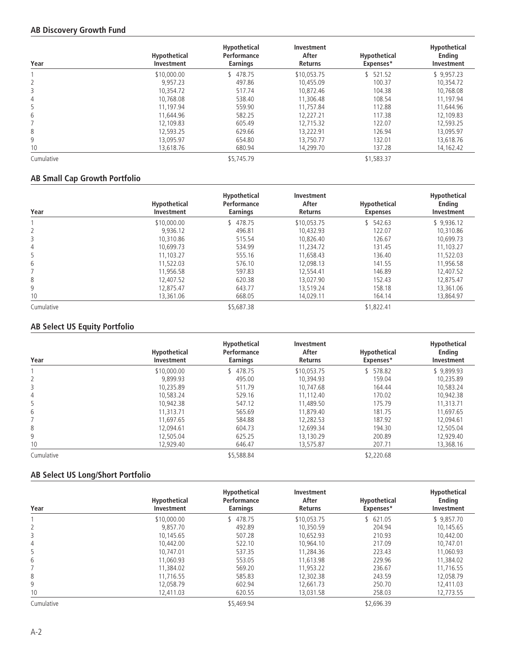## **AB Discovery Growth Fund**

| Year           | <b>Hypothetical</b><br>Investment | <b>Hypothetical</b><br>Performance<br><b>Earnings</b> | Investment<br>After<br><b>Returns</b> | <b>Hypothetical</b><br>Expenses* | Hypothetical<br><b>Ending</b><br>Investment |
|----------------|-----------------------------------|-------------------------------------------------------|---------------------------------------|----------------------------------|---------------------------------------------|
|                | \$10,000.00                       | 478.75                                                | \$10.053.75                           | 521.52                           | \$9,957.23                                  |
| 2              | 9.957.23                          | 497.86                                                | 10.455.09                             | 100.37                           | 10.354.72                                   |
| 3              | 10.354.72                         | 517.74                                                | 10.872.46                             | 104.38                           | 10,768.08                                   |
| $\overline{4}$ | 10.768.08                         | 538.40                                                | 11.306.48                             | 108.54                           | 11.197.94                                   |
| 5              | 11.197.94                         | 559.90                                                | 11.757.84                             | 112.88                           | 11,644.96                                   |
| 6              | 11.644.96                         | 582.25                                                | 12.227.21                             | 117.38                           | 12,109.83                                   |
|                | 12.109.83                         | 605.49                                                | 12.715.32                             | 122.07                           | 12.593.25                                   |
| 8              | 12.593.25                         | 629.66                                                | 13.222.91                             | 126.94                           | 13.095.97                                   |
| 9              | 13.095.97                         | 654.80                                                | 13.750.77                             | 132.01                           | 13.618.76                                   |
| 10             | 13,618.76                         | 680.94                                                | 14,299.70                             | 137.28                           | 14, 162.42                                  |
| Cumulative     |                                   | \$5,745.79                                            |                                       | \$1,583.37                       |                                             |

## **AB Small Cap Growth Portfolio**

| Year           | Hypothetical<br>Investment | <b>Hypothetical</b><br>Performance<br><b>Earnings</b> | <b>Investment</b><br>After<br><b>Returns</b> | Hypothetical<br><b>Expenses</b> | Hypothetical<br><b>Ending</b><br>Investment |
|----------------|----------------------------|-------------------------------------------------------|----------------------------------------------|---------------------------------|---------------------------------------------|
|                | \$10,000.00                | 478.75                                                | \$10.053.75                                  | \$542.63                        | \$9,936.12                                  |
| 2              | 9.936.12                   | 496.81                                                | 10.432.93                                    | 122.07                          | 10,310.86                                   |
| 3              | 10.310.86                  | 515.54                                                | 10.826.40                                    | 126.67                          | 10.699.73                                   |
| $\overline{4}$ | 10.699.73                  | 534.99                                                | 11.234.72                                    | 131.45                          | 11.103.27                                   |
| 5              | 11.103.27                  | 555.16                                                | 11.658.43                                    | 136.40                          | 11.522.03                                   |
| 6              | 11.522.03                  | 576.10                                                | 12.098.13                                    | 141.55                          | 11,956.58                                   |
|                | 11.956.58                  | 597.83                                                | 12.554.41                                    | 146.89                          | 12.407.52                                   |
| 8              | 12,407.52                  | 620.38                                                | 13.027.90                                    | 152.43                          | 12,875.47                                   |
| 9              | 12,875.47                  | 643.77                                                | 13.519.24                                    | 158.18                          | 13.361.06                                   |
| 10             | 13,361.06                  | 668.05                                                | 14,029.11                                    | 164.14                          | 13,864.97                                   |
| Cumulative     |                            | \$5,687.38                                            |                                              | \$1,822.41                      |                                             |

# **AB Select US Equity Portfolio**

| Year       | <b>Hypothetical</b><br>Investment | <b>Hypothetical</b><br>Performance<br><b>Earnings</b> | Investment<br>After<br><b>Returns</b> | <b>Hypothetical</b><br>Expenses* | Hypothetical<br><b>Endina</b><br>Investment |
|------------|-----------------------------------|-------------------------------------------------------|---------------------------------------|----------------------------------|---------------------------------------------|
|            | \$10,000.00                       | 478.75                                                | \$10.053.75                           | 578.82                           | \$9.899.93                                  |
| 2          | 9.899.93                          | 495.00                                                | 10.394.93                             | 159.04                           | 10.235.89                                   |
| 3          | 10.235.89                         | 511.79                                                | 10.747.68                             | 164.44                           | 10.583.24                                   |
| 4          | 10.583.24                         | 529.16                                                | 11.112.40                             | 170.02                           | 10.942.38                                   |
| 5          | 10.942.38                         | 547.12                                                | 11.489.50                             | 175.79                           | 11.313.71                                   |
| 6          | 11.313.71                         | 565.69                                                | 11.879.40                             | 181.75                           | 11,697.65                                   |
|            | 11.697.65                         | 584.88                                                | 12.282.53                             | 187.92                           | 12.094.61                                   |
| 8          | 12.094.61                         | 604.73                                                | 12.699.34                             | 194.30                           | 12,505.04                                   |
| 9          | 12.505.04                         | 625.25                                                | 13.130.29                             | 200.89                           | 12.929.40                                   |
| 10         | 12,929.40                         | 646.47                                                | 13,575.87                             | 207.71                           | 13,368.16                                   |
| Cumulative |                                   | \$5,588.84                                            |                                       | \$2,220.68                       |                                             |

## **AB Select US Long/Short Portfolio**

| Year       | Hypothetical<br>Investment | Hypothetical<br>Performance<br><b>Earnings</b> | Investment<br>After<br><b>Returns</b> | Hypothetical<br>Expenses* | Hypothetical<br><b>Ending</b><br>Investment |
|------------|----------------------------|------------------------------------------------|---------------------------------------|---------------------------|---------------------------------------------|
|            | \$10,000.00                | 478.75                                         | \$10.053.75                           | 621.05                    | \$9.857.70                                  |
| 2          | 9.857.70                   | 492.89                                         | 10.350.59                             | 204.94                    | 10.145.65                                   |
| 3          | 10,145.65                  | 507.28                                         | 10.652.93                             | 210.93                    | 10,442.00                                   |
| 4          | 10.442.00                  | 522.10                                         | 10.964.10                             | 217.09                    | 10.747.01                                   |
| 5          | 10.747.01                  | 537.35                                         | 11.284.36                             | 223.43                    | 11.060.93                                   |
| 6          | 11,060.93                  | 553.05                                         | 11,613.98                             | 229.96                    | 11,384.02                                   |
|            | 11.384.02                  | 569.20                                         | 11.953.22                             | 236.67                    | 11.716.55                                   |
| 8          | 11.716.55                  | 585.83                                         | 12,302.38                             | 243.59                    | 12,058.79                                   |
| 9          | 12.058.79                  | 602.94                                         | 12.661.73                             | 250.70                    | 12,411.03                                   |
| 10         | 12,411.03                  | 620.55                                         | 13,031.58                             | 258.03                    | 12,773.55                                   |
| Cumulative |                            | \$5,469.94                                     |                                       | \$2.696.39                |                                             |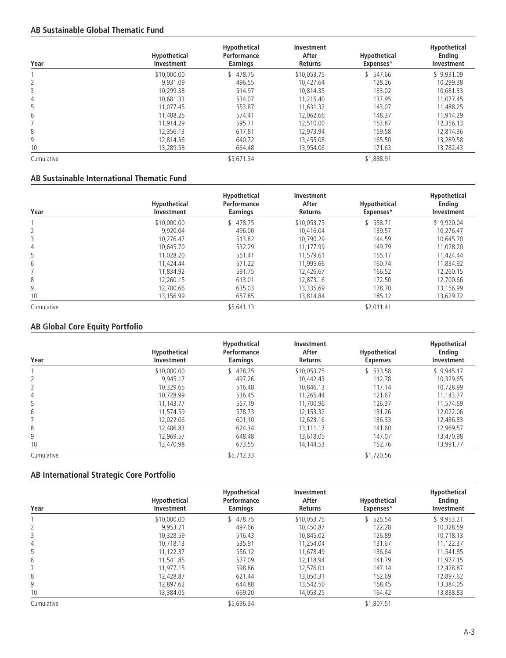## **AB Sustainable Global Thematic Fund**

| Year       | <b>Hypothetical</b><br>Investment | <b>Hypothetical</b><br>Performance<br><b>Earnings</b> | Investment<br>After<br>Returns | <b>Hypothetical</b><br>Expenses* | Hypothetical<br><b>Ending</b><br>Investment |
|------------|-----------------------------------|-------------------------------------------------------|--------------------------------|----------------------------------|---------------------------------------------|
|            | \$10,000.00                       | 478.75                                                | \$10.053.75                    | 547.66                           | \$9.931.09                                  |
|            | 9.931.09                          | 496.55                                                | 10.427.64                      | 128.26                           | 10,299.38                                   |
| 3          | 10,299.38                         | 514.97                                                | 10.814.35                      | 133.02                           | 10,681.33                                   |
| 4          | 10.681.33                         | 534.07                                                | 11.215.40                      | 137.95                           | 11.077.45                                   |
| 5          | 11.077.45                         | 553.87                                                | 11,631.32                      | 143.07                           | 11,488.25                                   |
| 6          | 11.488.25                         | 574.41                                                | 12.062.66                      | 148.37                           | 11,914.29                                   |
|            | 11.914.29                         | 595.71                                                | 12.510.00                      | 153.87                           | 12.356.13                                   |
| 8          | 12,356.13                         | 617.81                                                | 12.973.94                      | 159.58                           | 12.814.36                                   |
| 9          | 12.814.36                         | 640.72                                                | 13.455.08                      | 165.50                           | 13,289.58                                   |
| 10         | 13,289.58                         | 664.48                                                | 13,954.06                      | 171.63                           | 13,782.43                                   |
| Cumulative |                                   | \$5,671.34                                            |                                | \$1,888.91                       |                                             |

## **AB Sustainable International Thematic Fund**

| Year       | <b>Hypothetical</b><br>Investment | Hypothetical<br>Performance<br>Earnings | Investment<br>After<br><b>Returns</b> | Hypothetical<br>Expenses* | Hypothetical<br><b>Endina</b><br>Investment |
|------------|-----------------------------------|-----------------------------------------|---------------------------------------|---------------------------|---------------------------------------------|
|            | \$10,000.00                       | 478.75                                  | \$10.053.75                           | 558.71                    | \$9,920.04                                  |
| 2          | 9.920.04                          | 496.00                                  | 10.416.04                             | 139.57                    | 10.276.47                                   |
| 3          | 10.276.47                         | 513.82                                  | 10.790.29                             | 144.59                    | 10.645.70                                   |
| 4          | 10.645.70                         | 532.29                                  | 11,177.99                             | 149.79                    | 11,028.20                                   |
| 5          | 11.028.20                         | 551.41                                  | 11.579.61                             | 155.17                    | 11.424.44                                   |
| 6          | 11.424.44                         | 571.22                                  | 11.995.66                             | 160.74                    | 11,834.92                                   |
|            | 11.834.92                         | 591.75                                  | 12.426.67                             | 166.52                    | 12.260.15                                   |
| 8          | 12.260.15                         | 613.01                                  | 12.873.16                             | 172.50                    | 12.700.66                                   |
| 9          | 12,700.66                         | 635.03                                  | 13.335.69                             | 178.70                    | 13.156.99                                   |
| 10         | 13,156.99                         | 657.85                                  | 13,814.84                             | 185.12                    | 13,629.72                                   |
| Cumulative |                                   | \$5.641.13                              |                                       | \$2.011.41                |                                             |

# **AB Global Core Equity Portfolio**

| Year       | <b>Hypothetical</b><br>Investment | <b>Hypothetical</b><br>Performance<br>Earnings | Investment<br>After<br>Returns | <b>Hypothetical</b><br><b>Expenses</b> | Hypothetical<br><b>Ending</b><br>Investment |
|------------|-----------------------------------|------------------------------------------------|--------------------------------|----------------------------------------|---------------------------------------------|
|            | \$10,000.00                       | 478.75                                         | \$10.053.75                    | 533.58                                 | \$9.945.17                                  |
| 2          | 9.945.17                          | 497.26                                         | 10.442.43                      | 112.78                                 | 10.329.65                                   |
| 3          | 10,329.65                         | 516.48                                         | 10,846.13                      | 117.14                                 | 10,728.99                                   |
| 4          | 10.728.99                         | 536.45                                         | 11,265.44                      | 121.67                                 | 11.143.77                                   |
| 5          | 11.143.77                         | 557.19                                         | 11.700.96                      | 126.37                                 | 11.574.59                                   |
| 6          | 11.574.59                         | 578.73                                         | 12.153.32                      | 131.26                                 | 12,022.06                                   |
|            | 12.022.06                         | 601.10                                         | 12.623.16                      | 136.33                                 | 12.486.83                                   |
| 8          | 12,486.83                         | 624.34                                         | 13.111.17                      | 141.60                                 | 12,969.57                                   |
| 9          | 12.969.57                         | 648.48                                         | 13.618.05                      | 147.07                                 | 13.470.98                                   |
| 10         | 13,470.98                         | 673.55                                         | 14,144.53                      | 152.76                                 | 13,991.77                                   |
| Cumulative |                                   | \$5,712.33                                     |                                | \$1,720.56                             |                                             |

## **AB International Strategic Core Portfolio**

| Year           | Hypothetical<br>Investment | <b>Hypothetical</b><br>Performance<br>Earnings | Investment<br>After<br><b>Returns</b> | Hypothetical<br>Expenses* | Hypothetical<br><b>Ending</b><br>Investment |
|----------------|----------------------------|------------------------------------------------|---------------------------------------|---------------------------|---------------------------------------------|
|                | \$10,000.00                | 478.75                                         | \$10.053.75                           | \$525.54                  | \$9.953.21                                  |
| 2              | 9.953.21                   | 497.66                                         | 10.450.87                             | 122.28                    | 10.328.59                                   |
| 3              | 10.328.59                  | 516.43                                         | 10.845.02                             | 126.89                    | 10.718.13                                   |
| $\overline{4}$ | 10.718.13                  | 535.91                                         | 11.254.04                             | 131.67                    | 11.122.37                                   |
| 5              | 11.122.37                  | 556.12                                         | 11.678.49                             | 136.64                    | 11.541.85                                   |
| 6              | 11.541.85                  | 577.09                                         | 12.118.94                             | 141.79                    | 11.977.15                                   |
|                | 11.977.15                  | 598.86                                         | 12.576.01                             | 147.14                    | 12.428.87                                   |
| 8              | 12,428.87                  | 621.44                                         | 13,050.31                             | 152.69                    | 12,897.62                                   |
| 9              | 12.897.62                  | 644.88                                         | 13.542.50                             | 158.45                    | 13.384.05                                   |
| 10             | 13,384.05                  | 669.20                                         | 14,053.25                             | 164.42                    | 13,888.83                                   |
| Cumulative     |                            | \$5.696.34                                     |                                       | \$1.807.51                |                                             |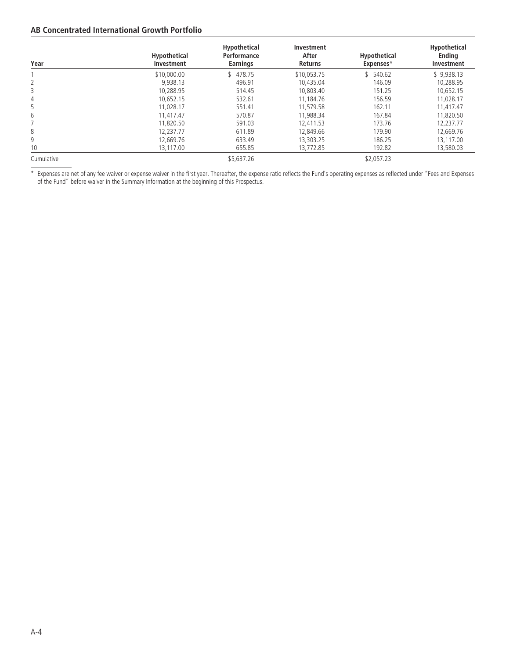## **AB Concentrated International Growth Portfolio**

| Year       | <b>Hypothetical</b><br>Investment | <b>Hypothetical</b><br>Performance<br><b>Earnings</b> | Investment<br>After<br><b>Returns</b> | Hypothetical<br>Expenses* | Hypothetical<br><b>Ending</b><br>Investment |
|------------|-----------------------------------|-------------------------------------------------------|---------------------------------------|---------------------------|---------------------------------------------|
|            | \$10,000.00                       | 478.75                                                | \$10.053.75                           | 540.62                    | \$9.938.13                                  |
| 2          | 9.938.13                          | 496.91                                                | 10.435.04                             | 146.09                    | 10.288.95                                   |
| 3          | 10.288.95                         | 514.45                                                | 10.803.40                             | 151.25                    | 10,652.15                                   |
| 4          | 10.652.15                         | 532.61                                                | 11.184.76                             | 156.59                    | 11.028.17                                   |
| 5          | 11.028.17                         | 551.41                                                | 11.579.58                             | 162.11                    | 11.417.47                                   |
| 6          | 11,417.47                         | 570.87                                                | 11.988.34                             | 167.84                    | 11.820.50                                   |
|            | 11.820.50                         | 591.03                                                | 12.411.53                             | 173.76                    | 12.237.77                                   |
| 8          | 12.237.77                         | 611.89                                                | 12.849.66                             | 179.90                    | 12,669.76                                   |
| 9          | 12.669.76                         | 633.49                                                | 13.303.25                             | 186.25                    | 13.117.00                                   |
| 10         | 13,117.00                         | 655.85                                                | 13,772.85                             | 192.82                    | 13,580.03                                   |
| Cumulative |                                   | \$5,637.26                                            |                                       | \$2.057.23                |                                             |

\* Expenses are net of any fee waiver or expense waiver in the first year. Thereafter, the expense ratio reflects the Fund's operating expenses as reflected under "Fees and Expenses of the Fund" before waiver in the Summary Information at the beginning of this Prospectus.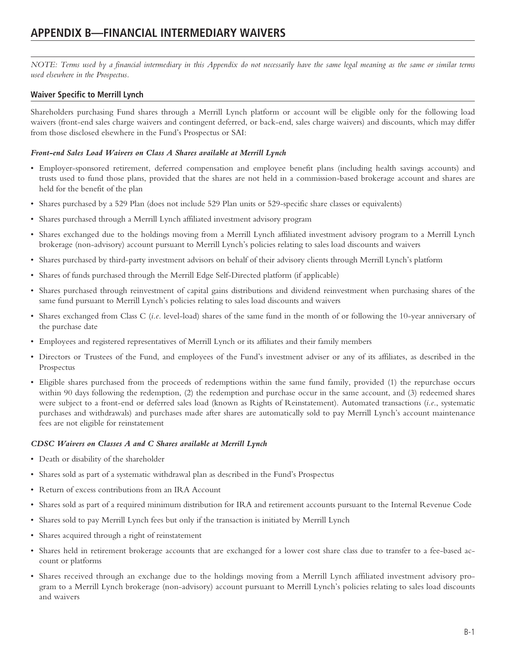*NOTE: Terms used by a financial intermediary in this Appendix do not necessarily have the same legal meaning as the same or similar terms used elsewhere in the Prospectus.*

## **Waiver Specific to Merrill Lynch**

Shareholders purchasing Fund shares through a Merrill Lynch platform or account will be eligible only for the following load waivers (front-end sales charge waivers and contingent deferred, or back-end, sales charge waivers) and discounts, which may differ from those disclosed elsewhere in the Fund's Prospectus or SAI:

## *Front-end Sales Load Waivers on Class A Shares available at Merrill Lynch*

- Employer-sponsored retirement, deferred compensation and employee benefit plans (including health savings accounts) and trusts used to fund those plans, provided that the shares are not held in a commission-based brokerage account and shares are held for the benefit of the plan
- Shares purchased by a 529 Plan (does not include 529 Plan units or 529-specific share classes or equivalents)
- Shares purchased through a Merrill Lynch affiliated investment advisory program
- Shares exchanged due to the holdings moving from a Merrill Lynch affiliated investment advisory program to a Merrill Lynch brokerage (non-advisory) account pursuant to Merrill Lynch's policies relating to sales load discounts and waivers
- Shares purchased by third-party investment advisors on behalf of their advisory clients through Merrill Lynch's platform
- Shares of funds purchased through the Merrill Edge Self-Directed platform (if applicable)
- Shares purchased through reinvestment of capital gains distributions and dividend reinvestment when purchasing shares of the same fund pursuant to Merrill Lynch's policies relating to sales load discounts and waivers
- Shares exchanged from Class C (*i.e.* level-load) shares of the same fund in the month of or following the 10-year anniversary of the purchase date
- Employees and registered representatives of Merrill Lynch or its affiliates and their family members
- Directors or Trustees of the Fund, and employees of the Fund's investment adviser or any of its affiliates, as described in the Prospectus
- Eligible shares purchased from the proceeds of redemptions within the same fund family, provided (1) the repurchase occurs within 90 days following the redemption, (2) the redemption and purchase occur in the same account, and (3) redeemed shares were subject to a front-end or deferred sales load (known as Rights of Reinstatement). Automated transactions (*i.e*., systematic purchases and withdrawals) and purchases made after shares are automatically sold to pay Merrill Lynch's account maintenance fees are not eligible for reinstatement

#### *CDSC Waivers on Classes A and C Shares available at Merrill Lynch*

- Death or disability of the shareholder
- Shares sold as part of a systematic withdrawal plan as described in the Fund's Prospectus
- Return of excess contributions from an IRA Account
- Shares sold as part of a required minimum distribution for IRA and retirement accounts pursuant to the Internal Revenue Code
- Shares sold to pay Merrill Lynch fees but only if the transaction is initiated by Merrill Lynch
- Shares acquired through a right of reinstatement
- Shares held in retirement brokerage accounts that are exchanged for a lower cost share class due to transfer to a fee-based account or platforms
- Shares received through an exchange due to the holdings moving from a Merrill Lynch affiliated investment advisory program to a Merrill Lynch brokerage (non-advisory) account pursuant to Merrill Lynch's policies relating to sales load discounts and waivers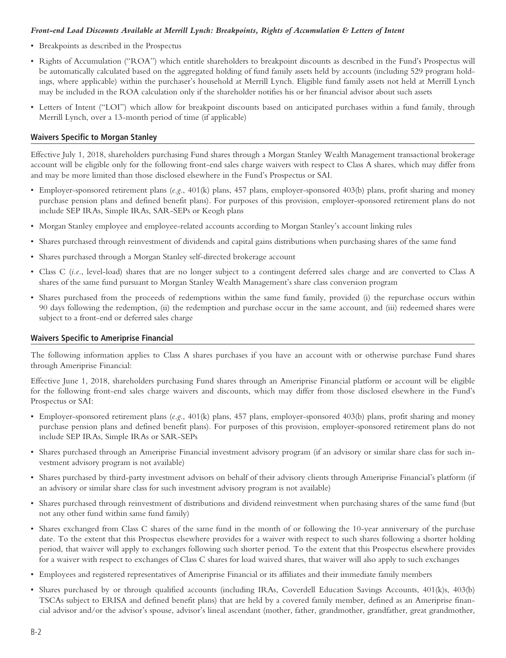#### *Front-end Load Discounts Available at Merrill Lynch: Breakpoints, Rights of Accumulation & Letters of Intent*

- Breakpoints as described in the Prospectus
- Rights of Accumulation ("ROA") which entitle shareholders to breakpoint discounts as described in the Fund's Prospectus will be automatically calculated based on the aggregated holding of fund family assets held by accounts (including 529 program holdings, where applicable) within the purchaser's household at Merrill Lynch. Eligible fund family assets not held at Merrill Lynch may be included in the ROA calculation only if the shareholder notifies his or her financial advisor about such assets
- Letters of Intent ("LOI") which allow for breakpoint discounts based on anticipated purchases within a fund family, through Merrill Lynch, over a 13-month period of time (if applicable)

### **Waivers Specific to Morgan Stanley**

Effective July 1, 2018, shareholders purchasing Fund shares through a Morgan Stanley Wealth Management transactional brokerage account will be eligible only for the following front-end sales charge waivers with respect to Class A shares, which may differ from and may be more limited than those disclosed elsewhere in the Fund's Prospectus or SAI.

- Employer-sponsored retirement plans (*e.g*., 401(k) plans, 457 plans, employer-sponsored 403(b) plans, profit sharing and money purchase pension plans and defined benefit plans). For purposes of this provision, employer-sponsored retirement plans do not include SEP IRAs, Simple IRAs, SAR-SEPs or Keogh plans
- Morgan Stanley employee and employee-related accounts according to Morgan Stanley's account linking rules
- Shares purchased through reinvestment of dividends and capital gains distributions when purchasing shares of the same fund
- Shares purchased through a Morgan Stanley self-directed brokerage account
- Class C (*i.e*., level-load) shares that are no longer subject to a contingent deferred sales charge and are converted to Class A shares of the same fund pursuant to Morgan Stanley Wealth Management's share class conversion program
- Shares purchased from the proceeds of redemptions within the same fund family, provided (i) the repurchase occurs within 90 days following the redemption, (ii) the redemption and purchase occur in the same account, and (iii) redeemed shares were subject to a front-end or deferred sales charge

## **Waivers Specific to Ameriprise Financial**

The following information applies to Class A shares purchases if you have an account with or otherwise purchase Fund shares through Ameriprise Financial:

Effective June 1, 2018, shareholders purchasing Fund shares through an Ameriprise Financial platform or account will be eligible for the following front-end sales charge waivers and discounts, which may differ from those disclosed elsewhere in the Fund's Prospectus or SAI:

- Employer-sponsored retirement plans (*e.g*., 401(k) plans, 457 plans, employer-sponsored 403(b) plans, profit sharing and money purchase pension plans and defined benefit plans). For purposes of this provision, employer-sponsored retirement plans do not include SEP IRAs, Simple IRAs or SAR-SEPs
- Shares purchased through an Ameriprise Financial investment advisory program (if an advisory or similar share class for such investment advisory program is not available)
- Shares purchased by third-party investment advisors on behalf of their advisory clients through Ameriprise Financial's platform (if an advisory or similar share class for such investment advisory program is not available)
- Shares purchased through reinvestment of distributions and dividend reinvestment when purchasing shares of the same fund (but not any other fund within same fund family)
- Shares exchanged from Class C shares of the same fund in the month of or following the 10-year anniversary of the purchase date. To the extent that this Prospectus elsewhere provides for a waiver with respect to such shares following a shorter holding period, that waiver will apply to exchanges following such shorter period. To the extent that this Prospectus elsewhere provides for a waiver with respect to exchanges of Class C shares for load waived shares, that waiver will also apply to such exchanges
- Employees and registered representatives of Ameriprise Financial or its affiliates and their immediate family members
- Shares purchased by or through qualified accounts (including IRAs, Coverdell Education Savings Accounts, 401(k)s, 403(b) TSCAs subject to ERISA and defined benefit plans) that are held by a covered family member, defined as an Ameriprise financial advisor and/or the advisor's spouse, advisor's lineal ascendant (mother, father, grandmother, grandfather, great grandmother,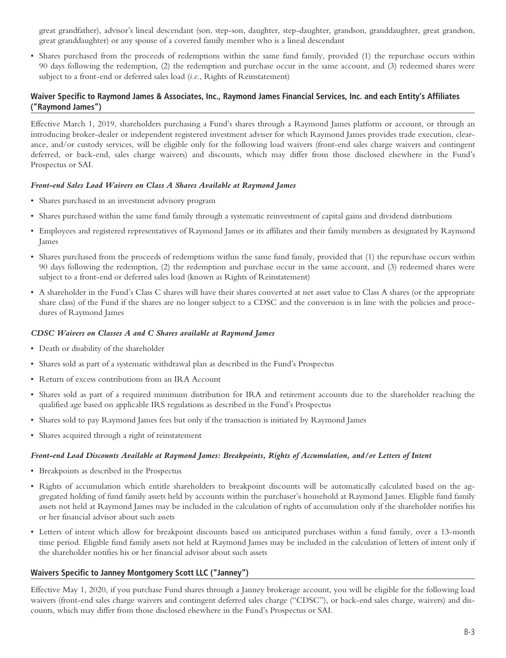great grandfather), advisor's lineal descendant (son, step-son, daughter, step-daughter, grandson, granddaughter, great grandson, great granddaughter) or any spouse of a covered family member who is a lineal descendant

• Shares purchased from the proceeds of redemptions within the same fund family, provided (1) the repurchase occurs within 90 days following the redemption, (2) the redemption and purchase occur in the same account, and (3) redeemed shares were subject to a front-end or deferred sales load (*i.e*., Rights of Reinstatement)

## **Waiver Specific to Raymond James & Associates, Inc., Raymond James Financial Services, Inc. and each Entity's Affiliates ("Raymond James")**

Effective March 1, 2019, shareholders purchasing a Fund's shares through a Raymond James platform or account, or through an introducing broker-dealer or independent registered investment adviser for which Raymond James provides trade execution, clearance, and/or custody services, will be eligible only for the following load waivers (front-end sales charge waivers and contingent deferred, or back-end, sales charge waivers) and discounts, which may differ from those disclosed elsewhere in the Fund's Prospectus or SAI.

#### *Front-end Sales Load Waivers on Class A Shares Available at Raymond James*

- Shares purchased in an investment advisory program
- Shares purchased within the same fund family through a systematic reinvestment of capital gains and dividend distributions
- Employees and registered representatives of Raymond James or its affiliates and their family members as designated by Raymond James
- Shares purchased from the proceeds of redemptions within the same fund family, provided that (1) the repurchase occurs within 90 days following the redemption, (2) the redemption and purchase occur in the same account, and (3) redeemed shares were subject to a front-end or deferred sales load (known as Rights of Reinstatement)
- A shareholder in the Fund's Class C shares will have their shares converted at net asset value to Class A shares (or the appropriate share class) of the Fund if the shares are no longer subject to a CDSC and the conversion is in line with the policies and procedures of Raymond James

#### *CDSC Waivers on Classes A and C Shares available at Raymond James*

- Death or disability of the shareholder
- Shares sold as part of a systematic withdrawal plan as described in the Fund's Prospectus
- Return of excess contributions from an IRA Account
- Shares sold as part of a required minimum distribution for IRA and retirement accounts due to the shareholder reaching the qualified age based on applicable IRS regulations as described in the Fund's Prospectus
- Shares sold to pay Raymond James fees but only if the transaction is initiated by Raymond James
- Shares acquired through a right of reinstatement

#### *Front-end Load Discounts Available at Raymond James: Breakpoints, Rights of Accumulation, and/or Letters of Intent*

- Breakpoints as described in the Prospectus
- Rights of accumulation which entitle shareholders to breakpoint discounts will be automatically calculated based on the aggregated holding of fund family assets held by accounts within the purchaser's household at Raymond James. Eligible fund family assets not held at Raymond James may be included in the calculation of rights of accumulation only if the shareholder notifies his or her financial advisor about such assets
- Letters of intent which allow for breakpoint discounts based on anticipated purchases within a fund family, over a 13-month time period. Eligible fund family assets not held at Raymond James may be included in the calculation of letters of intent only if the shareholder notifies his or her financial advisor about such assets

#### **Waivers Specific to Janney Montgomery Scott LLC ("Janney")**

Effective May 1, 2020, if you purchase Fund shares through a Janney brokerage account, you will be eligible for the following load waivers (front-end sales charge waivers and contingent deferred sales charge ("CDSC"), or back-end sales charge, waivers) and discounts, which may differ from those disclosed elsewhere in the Fund's Prospectus or SAI.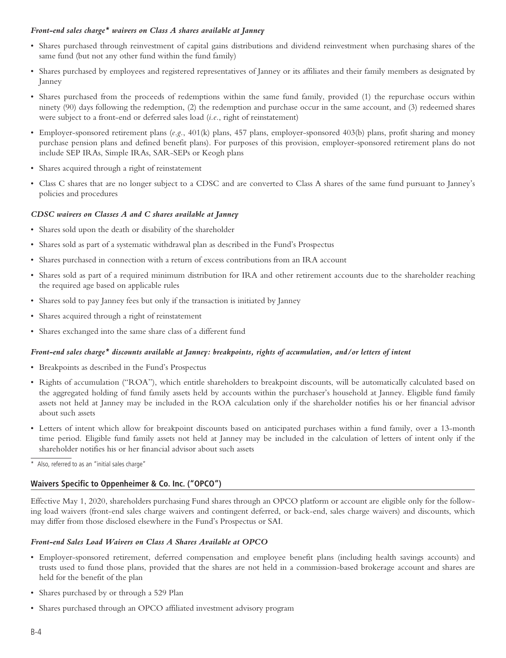#### *Front-end sales charge\* waivers on Class A shares available at Janney*

- Shares purchased through reinvestment of capital gains distributions and dividend reinvestment when purchasing shares of the same fund (but not any other fund within the fund family)
- Shares purchased by employees and registered representatives of Janney or its affiliates and their family members as designated by Janney
- Shares purchased from the proceeds of redemptions within the same fund family, provided (1) the repurchase occurs within ninety (90) days following the redemption, (2) the redemption and purchase occur in the same account, and (3) redeemed shares were subject to a front-end or deferred sales load (*i.e.*, right of reinstatement)
- Employer-sponsored retirement plans (*e.g.*, 401(k) plans, 457 plans, employer-sponsored 403(b) plans, profit sharing and money purchase pension plans and defined benefit plans). For purposes of this provision, employer-sponsored retirement plans do not include SEP IRAs, Simple IRAs, SAR-SEPs or Keogh plans
- Shares acquired through a right of reinstatement
- Class C shares that are no longer subject to a CDSC and are converted to Class A shares of the same fund pursuant to Janney's policies and procedures

### *CDSC waivers on Classes A and C shares available at Janney*

- Shares sold upon the death or disability of the shareholder
- Shares sold as part of a systematic withdrawal plan as described in the Fund's Prospectus
- Shares purchased in connection with a return of excess contributions from an IRA account
- Shares sold as part of a required minimum distribution for IRA and other retirement accounts due to the shareholder reaching the required age based on applicable rules
- Shares sold to pay Janney fees but only if the transaction is initiated by Janney
- Shares acquired through a right of reinstatement
- Shares exchanged into the same share class of a different fund

#### *Front-end sales charge\* discounts available at Janney: breakpoints, rights of accumulation, and/or letters of intent*

- Breakpoints as described in the Fund's Prospectus
- Rights of accumulation ("ROA"), which entitle shareholders to breakpoint discounts, will be automatically calculated based on the aggregated holding of fund family assets held by accounts within the purchaser's household at Janney. Eligible fund family assets not held at Janney may be included in the ROA calculation only if the shareholder notifies his or her financial advisor about such assets
- Letters of intent which allow for breakpoint discounts based on anticipated purchases within a fund family, over a 13-month time period. Eligible fund family assets not held at Janney may be included in the calculation of letters of intent only if the shareholder notifies his or her financial advisor about such assets
- \* Also, referred to as an "initial sales charge"

## **Waivers Specific to Oppenheimer & Co. Inc. ("OPCO")**

Effective May 1, 2020, shareholders purchasing Fund shares through an OPCO platform or account are eligible only for the following load waivers (front-end sales charge waivers and contingent deferred, or back-end, sales charge waivers) and discounts, which may differ from those disclosed elsewhere in the Fund's Prospectus or SAI.

#### *Front-end Sales Load Waivers on Class A Shares Available at OPCO*

- Employer-sponsored retirement, deferred compensation and employee benefit plans (including health savings accounts) and trusts used to fund those plans, provided that the shares are not held in a commission-based brokerage account and shares are held for the benefit of the plan
- Shares purchased by or through a 529 Plan
- Shares purchased through an OPCO affiliated investment advisory program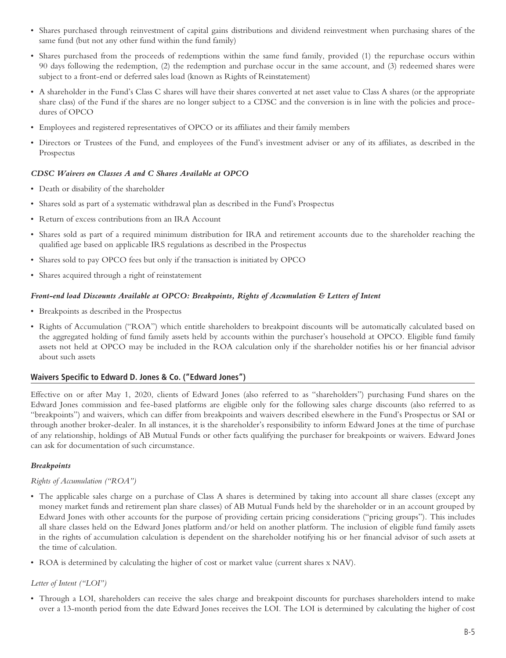- Shares purchased through reinvestment of capital gains distributions and dividend reinvestment when purchasing shares of the same fund (but not any other fund within the fund family)
- Shares purchased from the proceeds of redemptions within the same fund family, provided (1) the repurchase occurs within 90 days following the redemption, (2) the redemption and purchase occur in the same account, and (3) redeemed shares were subject to a front-end or deferred sales load (known as Rights of Reinstatement)
- A shareholder in the Fund's Class C shares will have their shares converted at net asset value to Class A shares (or the appropriate share class) of the Fund if the shares are no longer subject to a CDSC and the conversion is in line with the policies and procedures of OPCO
- Employees and registered representatives of OPCO or its affiliates and their family members
- Directors or Trustees of the Fund, and employees of the Fund's investment adviser or any of its affiliates, as described in the Prospectus

### *CDSC Waivers on Classes A and C Shares Available at OPCO*

- Death or disability of the shareholder
- Shares sold as part of a systematic withdrawal plan as described in the Fund's Prospectus
- Return of excess contributions from an IRA Account
- Shares sold as part of a required minimum distribution for IRA and retirement accounts due to the shareholder reaching the qualified age based on applicable IRS regulations as described in the Prospectus
- Shares sold to pay OPCO fees but only if the transaction is initiated by OPCO
- Shares acquired through a right of reinstatement

#### *Front-end load Discounts Available at OPCO: Breakpoints, Rights of Accumulation & Letters of Intent*

- Breakpoints as described in the Prospectus
- Rights of Accumulation ("ROA") which entitle shareholders to breakpoint discounts will be automatically calculated based on the aggregated holding of fund family assets held by accounts within the purchaser's household at OPCO. Eligible fund family assets not held at OPCO may be included in the ROA calculation only if the shareholder notifies his or her financial advisor about such assets

#### **Waivers Specific to Edward D. Jones & Co. ("Edward Jones")**

Effective on or after May 1, 2020, clients of Edward Jones (also referred to as "shareholders") purchasing Fund shares on the Edward Jones commission and fee-based platforms are eligible only for the following sales charge discounts (also referred to as "breakpoints") and waivers, which can differ from breakpoints and waivers described elsewhere in the Fund's Prospectus or SAI or through another broker-dealer. In all instances, it is the shareholder's responsibility to inform Edward Jones at the time of purchase of any relationship, holdings of AB Mutual Funds or other facts qualifying the purchaser for breakpoints or waivers. Edward Jones can ask for documentation of such circumstance.

#### *Breakpoints*

#### *Rights of Accumulation ("ROA")*

- The applicable sales charge on a purchase of Class A shares is determined by taking into account all share classes (except any money market funds and retirement plan share classes) of AB Mutual Funds held by the shareholder or in an account grouped by Edward Jones with other accounts for the purpose of providing certain pricing considerations ("pricing groups"). This includes all share classes held on the Edward Jones platform and/or held on another platform. The inclusion of eligible fund family assets in the rights of accumulation calculation is dependent on the shareholder notifying his or her financial advisor of such assets at the time of calculation.
- ROA is determined by calculating the higher of cost or market value (current shares x NAV).

#### *Letter of Intent ("LOI")*

• Through a LOI, shareholders can receive the sales charge and breakpoint discounts for purchases shareholders intend to make over a 13-month period from the date Edward Jones receives the LOI. The LOI is determined by calculating the higher of cost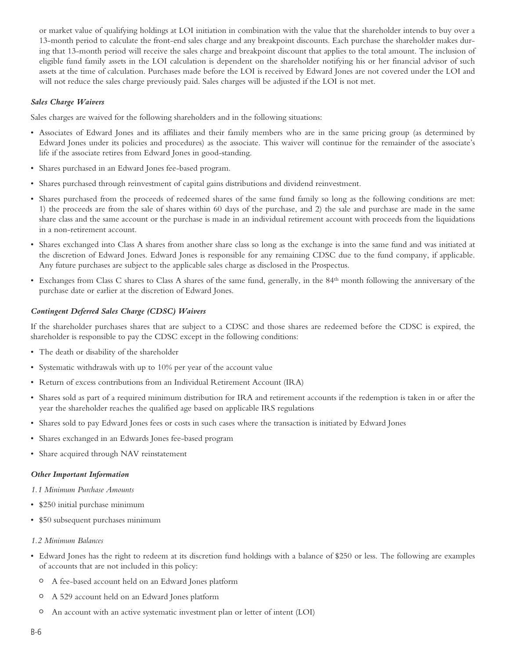or market value of qualifying holdings at LOI initiation in combination with the value that the shareholder intends to buy over a 13-month period to calculate the front-end sales charge and any breakpoint discounts. Each purchase the shareholder makes during that 13-month period will receive the sales charge and breakpoint discount that applies to the total amount. The inclusion of eligible fund family assets in the LOI calculation is dependent on the shareholder notifying his or her financial advisor of such assets at the time of calculation. Purchases made before the LOI is received by Edward Jones are not covered under the LOI and will not reduce the sales charge previously paid. Sales charges will be adjusted if the LOI is not met.

#### *Sales Charge Waivers*

Sales charges are waived for the following shareholders and in the following situations:

- Associates of Edward Jones and its affiliates and their family members who are in the same pricing group (as determined by Edward Jones under its policies and procedures) as the associate. This waiver will continue for the remainder of the associate's life if the associate retires from Edward Jones in good-standing.
- Shares purchased in an Edward Jones fee-based program.
- Shares purchased through reinvestment of capital gains distributions and dividend reinvestment.
- Shares purchased from the proceeds of redeemed shares of the same fund family so long as the following conditions are met: 1) the proceeds are from the sale of shares within 60 days of the purchase, and 2) the sale and purchase are made in the same share class and the same account or the purchase is made in an individual retirement account with proceeds from the liquidations in a non-retirement account.
- Shares exchanged into Class A shares from another share class so long as the exchange is into the same fund and was initiated at the discretion of Edward Jones. Edward Jones is responsible for any remaining CDSC due to the fund company, if applicable. Any future purchases are subject to the applicable sales charge as disclosed in the Prospectus.
- Exchanges from Class C shares to Class A shares of the same fund, generally, in the 84th month following the anniversary of the purchase date or earlier at the discretion of Edward Jones.

#### *Contingent Deferred Sales Charge (CDSC) Waivers*

If the shareholder purchases shares that are subject to a CDSC and those shares are redeemed before the CDSC is expired, the shareholder is responsible to pay the CDSC except in the following conditions:

- The death or disability of the shareholder
- Systematic withdrawals with up to 10% per year of the account value
- Return of excess contributions from an Individual Retirement Account (IRA)
- Shares sold as part of a required minimum distribution for IRA and retirement accounts if the redemption is taken in or after the year the shareholder reaches the qualified age based on applicable IRS regulations
- Shares sold to pay Edward Jones fees or costs in such cases where the transaction is initiated by Edward Jones
- Shares exchanged in an Edwards Jones fee-based program
- Share acquired through NAV reinstatement

#### *Other Important Information*

*1.1 Minimum Purchase Amounts*

- \$250 initial purchase minimum
- \$50 subsequent purchases minimum

#### *1.2 Minimum Balances*

- Edward Jones has the right to redeem at its discretion fund holdings with a balance of \$250 or less. The following are examples of accounts that are not included in this policy:
	- <sup>O</sup> A fee-based account held on an Edward Jones platform
	- <sup>O</sup> A 529 account held on an Edward Jones platform
	- An account with an active systematic investment plan or letter of intent (LOI)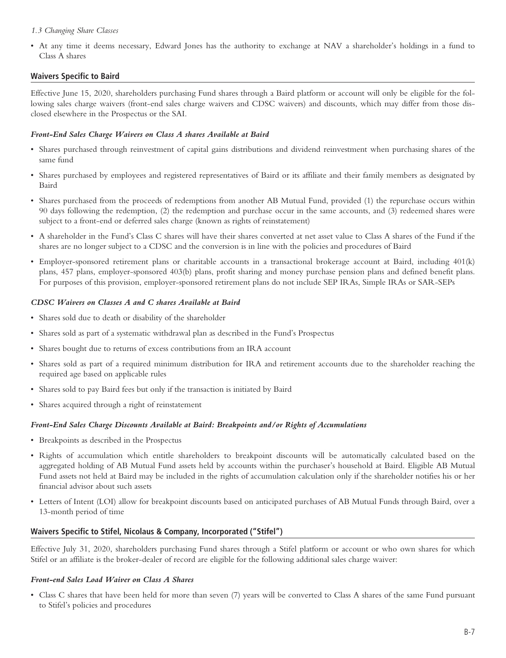#### *1.3 Changing Share Classes*

• At any time it deems necessary, Edward Jones has the authority to exchange at NAV a shareholder's holdings in a fund to Class A shares

## **Waivers Specific to Baird**

Effective June 15, 2020, shareholders purchasing Fund shares through a Baird platform or account will only be eligible for the following sales charge waivers (front-end sales charge waivers and CDSC waivers) and discounts, which may differ from those disclosed elsewhere in the Prospectus or the SAI.

#### *Front-End Sales Charge Waivers on Class A shares Available at Baird*

- Shares purchased through reinvestment of capital gains distributions and dividend reinvestment when purchasing shares of the same fund
- Shares purchased by employees and registered representatives of Baird or its affiliate and their family members as designated by Baird
- Shares purchased from the proceeds of redemptions from another AB Mutual Fund, provided (1) the repurchase occurs within 90 days following the redemption, (2) the redemption and purchase occur in the same accounts, and (3) redeemed shares were subject to a front-end or deferred sales charge (known as rights of reinstatement)
- A shareholder in the Fund's Class C shares will have their shares converted at net asset value to Class A shares of the Fund if the shares are no longer subject to a CDSC and the conversion is in line with the policies and procedures of Baird
- Employer-sponsored retirement plans or charitable accounts in a transactional brokerage account at Baird, including 401(k) plans, 457 plans, employer-sponsored 403(b) plans, profit sharing and money purchase pension plans and defined benefit plans. For purposes of this provision, employer-sponsored retirement plans do not include SEP IRAs, Simple IRAs or SAR-SEPs

### *CDSC Waivers on Classes A and C shares Available at Baird*

- Shares sold due to death or disability of the shareholder
- Shares sold as part of a systematic withdrawal plan as described in the Fund's Prospectus
- Shares bought due to returns of excess contributions from an IRA account
- Shares sold as part of a required minimum distribution for IRA and retirement accounts due to the shareholder reaching the required age based on applicable rules
- Shares sold to pay Baird fees but only if the transaction is initiated by Baird
- Shares acquired through a right of reinstatement

## *Front-End Sales Charge Discounts Available at Baird: Breakpoints and/or Rights of Accumulations*

- Breakpoints as described in the Prospectus
- Rights of accumulation which entitle shareholders to breakpoint discounts will be automatically calculated based on the aggregated holding of AB Mutual Fund assets held by accounts within the purchaser's household at Baird. Eligible AB Mutual Fund assets not held at Baird may be included in the rights of accumulation calculation only if the shareholder notifies his or her financial advisor about such assets
- Letters of Intent (LOI) allow for breakpoint discounts based on anticipated purchases of AB Mutual Funds through Baird, over a 13-month period of time

## **Waivers Specific to Stifel, Nicolaus & Company, Incorporated ("Stifel")**

Effective July 31, 2020, shareholders purchasing Fund shares through a Stifel platform or account or who own shares for which Stifel or an affiliate is the broker-dealer of record are eligible for the following additional sales charge waiver:

## *Front-end Sales Load Waiver on Class A Shares*

• Class C shares that have been held for more than seven (7) years will be converted to Class A shares of the same Fund pursuant to Stifel's policies and procedures